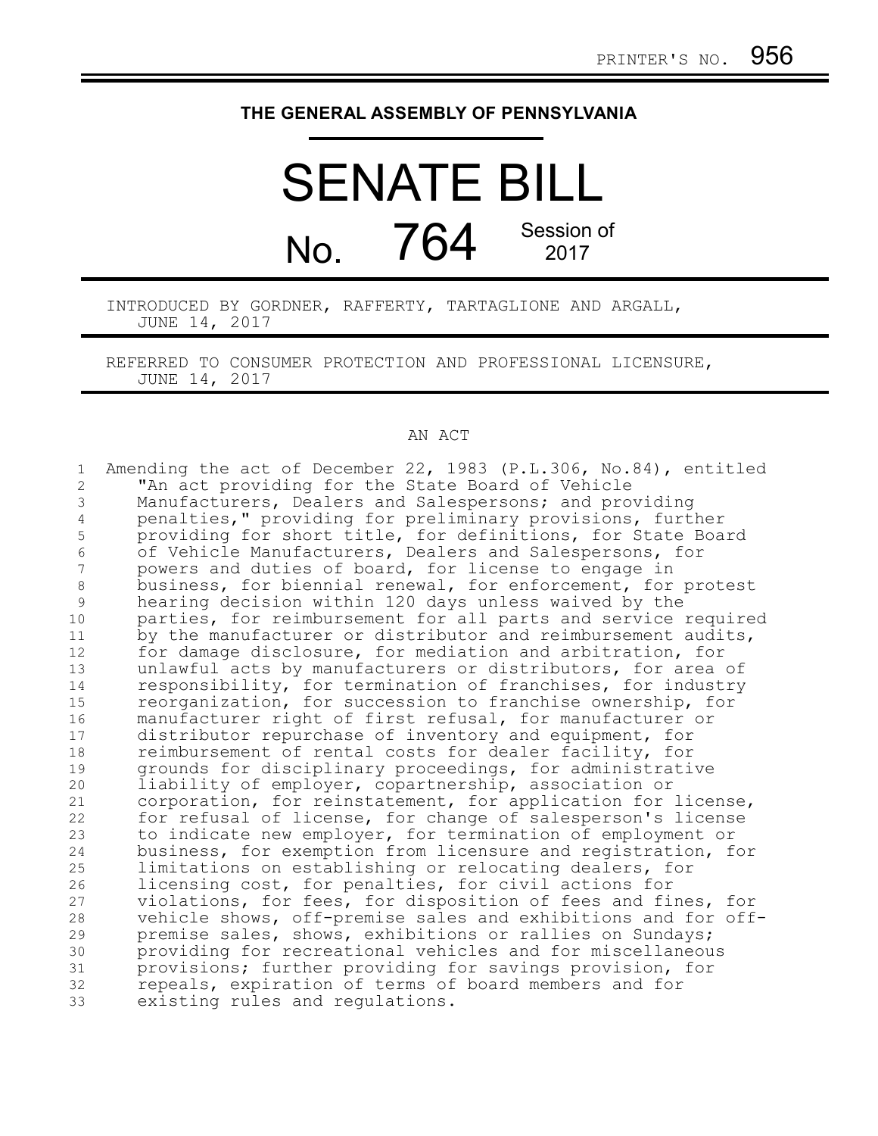## **THE GENERAL ASSEMBLY OF PENNSYLVANIA**

## SENATE BILL  $N<sub>0</sub>$  764 Session of 2017

INTRODUCED BY GORDNER, RAFFERTY, TARTAGLIONE AND ARGALL, JUNE 14, 2017

REFERRED TO CONSUMER PROTECTION AND PROFESSIONAL LICENSURE, JUNE 14, 2017

## AN ACT

Amending the act of December 22, 1983 (P.L.306, No.84), entitled "An act providing for the State Board of Vehicle Manufacturers, Dealers and Salespersons; and providing penalties," providing for preliminary provisions, further providing for short title, for definitions, for State Board of Vehicle Manufacturers, Dealers and Salespersons, for powers and duties of board, for license to engage in business, for biennial renewal, for enforcement, for protest hearing decision within 120 days unless waived by the parties, for reimbursement for all parts and service required by the manufacturer or distributor and reimbursement audits, for damage disclosure, for mediation and arbitration, for unlawful acts by manufacturers or distributors, for area of responsibility, for termination of franchises, for industry reorganization, for succession to franchise ownership, for manufacturer right of first refusal, for manufacturer or distributor repurchase of inventory and equipment, for reimbursement of rental costs for dealer facility, for grounds for disciplinary proceedings, for administrative liability of employer, copartnership, association or corporation, for reinstatement, for application for license, for refusal of license, for change of salesperson's license to indicate new employer, for termination of employment or business, for exemption from licensure and registration, for limitations on establishing or relocating dealers, for licensing cost, for penalties, for civil actions for violations, for fees, for disposition of fees and fines, for vehicle shows, off-premise sales and exhibitions and for offpremise sales, shows, exhibitions or rallies on Sundays; providing for recreational vehicles and for miscellaneous provisions; further providing for savings provision, for repeals, expiration of terms of board members and for existing rules and regulations. 1 2 3 4 5 6 7 8 9 10 11 12 13 14 15 16 17 18 19 20 21 22 23 24 25 26 27 28 29 30 31 32 33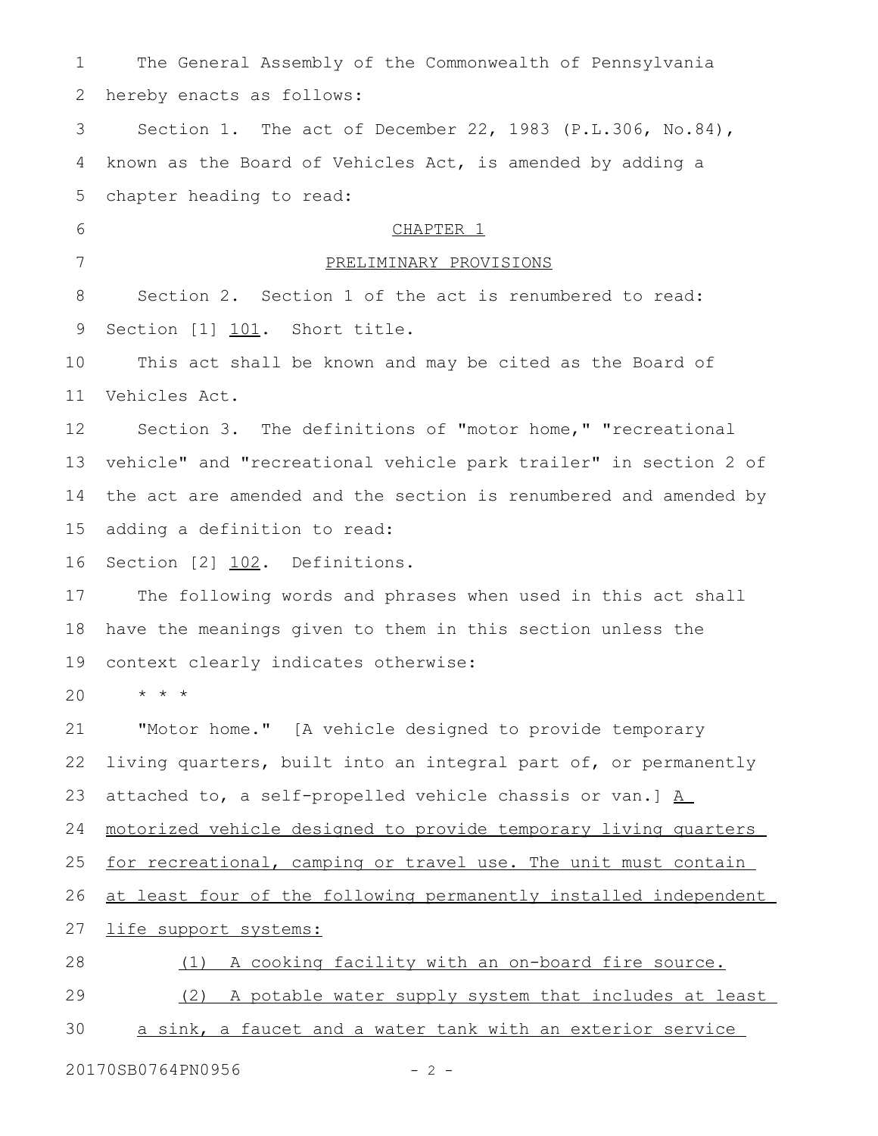The General Assembly of the Commonwealth of Pennsylvania hereby enacts as follows: Section 1. The act of December 22, 1983 (P.L.306, No.84), known as the Board of Vehicles Act, is amended by adding a chapter heading to read: CHAPTER<sub>1</sub> PRELIMINARY PROVISIONS Section 2. Section 1 of the act is renumbered to read: Section [1] 101. Short title. This act shall be known and may be cited as the Board of Vehicles Act. Section 3. The definitions of "motor home," "recreational vehicle" and "recreational vehicle park trailer" in section 2 of the act are amended and the section is renumbered and amended by adding a definition to read: Section [2] 102. Definitions. The following words and phrases when used in this act shall have the meanings given to them in this section unless the context clearly indicates otherwise:  $\star$   $\hspace{0.1cm} \star$   $\hspace{0.1cm} \star$ "Motor home." [A vehicle designed to provide temporary living quarters, built into an integral part of, or permanently attached to, a self-propelled vehicle chassis or van.] A motorized vehicle designed to provide temporary living quarters for recreational, camping or travel use. The unit must contain at least four of the following permanently installed independent life support systems: (1) A cooking facility with an on-board fire source. (2) A potable water supply system that includes at least a sink, a faucet and a water tank with an exterior service 1 2 3 4 5 6 7 8 9 10 11 12 13 14 15 16 17 18 19 20 21 22 23 24 25 26 27 28 29 30

20170SB0764PN0956 - 2 -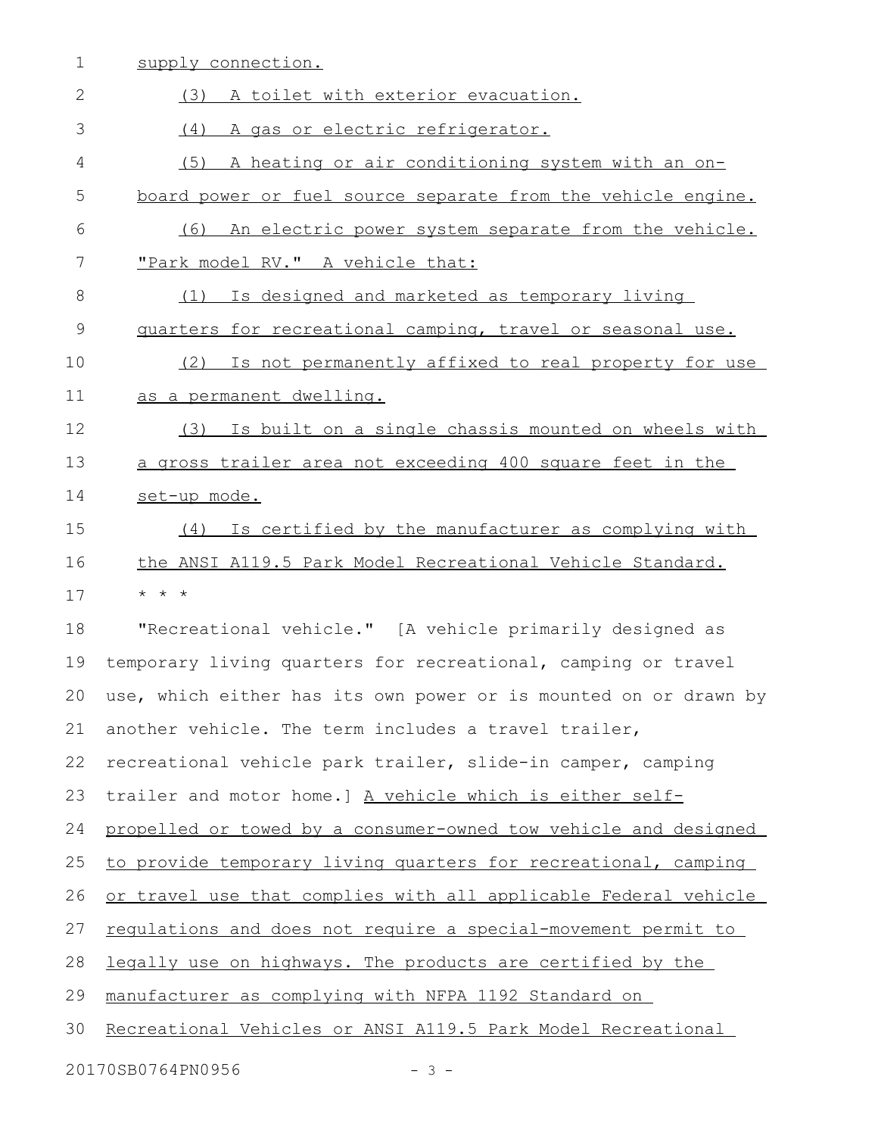| 1  | supply connection.                                               |
|----|------------------------------------------------------------------|
| 2  | (3) A toilet with exterior evacuation.                           |
| 3  | A gas or electric refrigerator.<br>(4)                           |
| 4  | (5) A heating or air conditioning system with an on-             |
| 5  | board power or fuel source separate from the vehicle engine.     |
| 6  | (6) An electric power system separate from the vehicle.          |
| 7  | "Park model RV." A vehicle that:                                 |
| 8  | (1) Is designed and marketed as temporary living                 |
| 9  | quarters for recreational camping, travel or seasonal use.       |
| 10 | Is not permanently affixed to real property for use<br>(2)       |
| 11 | as a permanent dwelling.                                         |
| 12 | Is built on a single chassis mounted on wheels with<br>(3)       |
| 13 | a gross trailer area not exceeding 400 square feet in the        |
| 14 | set-up mode.                                                     |
| 15 | (4) Is certified by the manufacturer as complying with           |
| 16 | the ANSI A119.5 Park Model Recreational Vehicle Standard.        |
| 17 | $\star$ $\star$ $\star$                                          |
| 18 | "Recreational vehicle." [A vehicle primarily designed as         |
| 19 | temporary living quarters for recreational, camping or travel    |
| 20 | use, which either has its own power or is mounted on or drawn by |
| 21 | another vehicle. The term includes a travel trailer,             |
| 22 | recreational vehicle park trailer, slide-in camper, camping      |
| 23 | trailer and motor home.] A vehicle which is either self-         |
| 24 | propelled or towed by a consumer-owned tow vehicle and designed  |
| 25 | to provide temporary living quarters for recreational, camping   |
| 26 | or travel use that complies with all applicable Federal vehicle  |
| 27 | regulations and does not require a special-movement permit to    |
| 28 | legally use on highways. The products are certified by the       |
| 29 | manufacturer as complying with NFPA 1192 Standard on             |
| 30 | Recreational Vehicles or ANSI A119.5 Park Model Recreational     |
|    | 20170SB0764PN0956<br>$-3 -$                                      |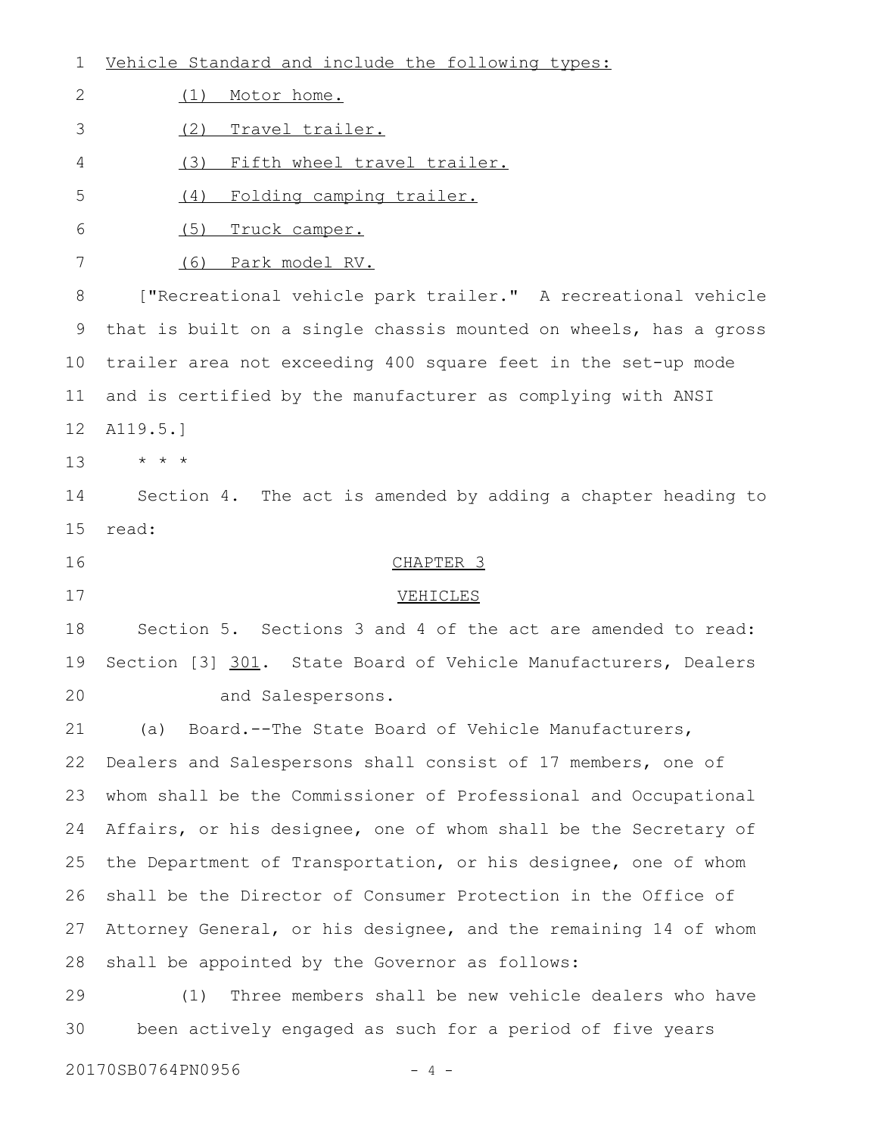| 1                 | Vehicle Standard and include the following types:                |
|-------------------|------------------------------------------------------------------|
| 2                 | Motor home.<br>(1)                                               |
| 3                 | (2)<br>Travel trailer.                                           |
| 4                 | (3)<br>Fifth wheel travel trailer.                               |
| 5                 | Folding camping trailer.<br>(4)                                  |
| 6                 | (5)<br>Truck camper.                                             |
| 7                 | (6)<br>Park model RV.                                            |
| 8                 | ["Recreational vehicle park trailer." A recreational vehicle     |
| 9                 | that is built on a single chassis mounted on wheels, has a gross |
| 10                | trailer area not exceeding 400 square feet in the set-up mode    |
| 11                | and is certified by the manufacturer as complying with ANSI      |
| 12                | A119.5.]                                                         |
| 13                | $\star$ $\star$ $\star$                                          |
| 14                | Section 4. The act is amended by adding a chapter heading to     |
| 15                | read:                                                            |
| 16                | CHAPTER <sub>3</sub>                                             |
| 17                | VEHICLES                                                         |
| 18                | Section 5. Sections 3 and 4 of the act are amended to read:      |
| 19                | Section [3] 301. State Board of Vehicle Manufacturers, Dealers   |
| 20                | and Salespersons.                                                |
| 21                | Board.--The State Board of Vehicle Manufacturers,<br>(a)         |
| 22                | Dealers and Salespersons shall consist of 17 members, one of     |
| 23                | whom shall be the Commissioner of Professional and Occupational  |
| 24                | Affairs, or his designee, one of whom shall be the Secretary of  |
| 25                | the Department of Transportation, or his designee, one of whom   |
| 26                | shall be the Director of Consumer Protection in the Office of    |
| 27                | Attorney General, or his designee, and the remaining 14 of whom  |
| 28                | shall be appointed by the Governor as follows:                   |
| 29                | Three members shall be new vehicle dealers who have<br>(1)       |
| 30                | been actively engaged as such for a period of five years         |
| 20170SB0764PN0956 |                                                                  |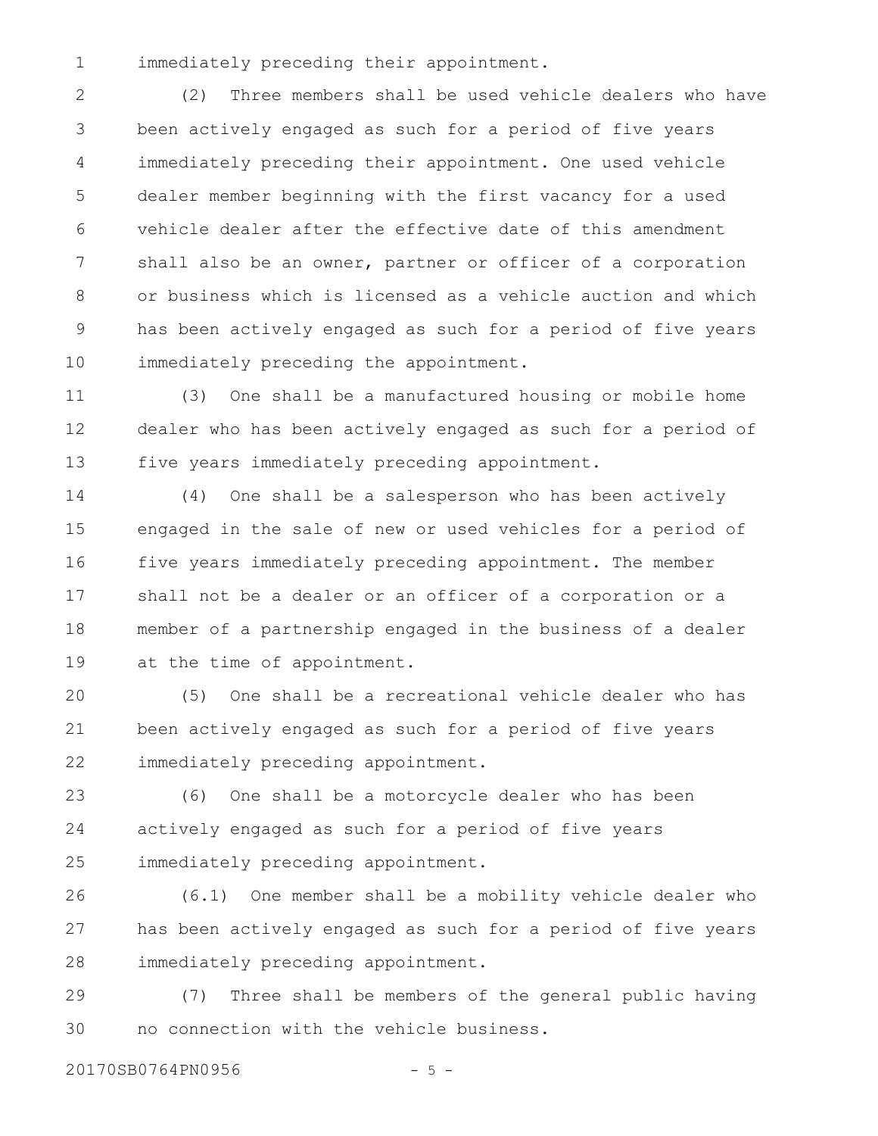immediately preceding their appointment. 1

(2) Three members shall be used vehicle dealers who have been actively engaged as such for a period of five years immediately preceding their appointment. One used vehicle dealer member beginning with the first vacancy for a used vehicle dealer after the effective date of this amendment shall also be an owner, partner or officer of a corporation or business which is licensed as a vehicle auction and which has been actively engaged as such for a period of five years immediately preceding the appointment. 2 3 4 5 6 7 8 9 10

(3) One shall be a manufactured housing or mobile home dealer who has been actively engaged as such for a period of five years immediately preceding appointment. 11 12 13

(4) One shall be a salesperson who has been actively engaged in the sale of new or used vehicles for a period of five years immediately preceding appointment. The member shall not be a dealer or an officer of a corporation or a member of a partnership engaged in the business of a dealer at the time of appointment. 14 15 16 17 18 19

(5) One shall be a recreational vehicle dealer who has been actively engaged as such for a period of five years immediately preceding appointment. 20 21 22

(6) One shall be a motorcycle dealer who has been actively engaged as such for a period of five years immediately preceding appointment. 23 24 25

(6.1) One member shall be a mobility vehicle dealer who has been actively engaged as such for a period of five years immediately preceding appointment. 26 27 28

(7) Three shall be members of the general public having no connection with the vehicle business. 29 30

20170SB0764PN0956 - 5 -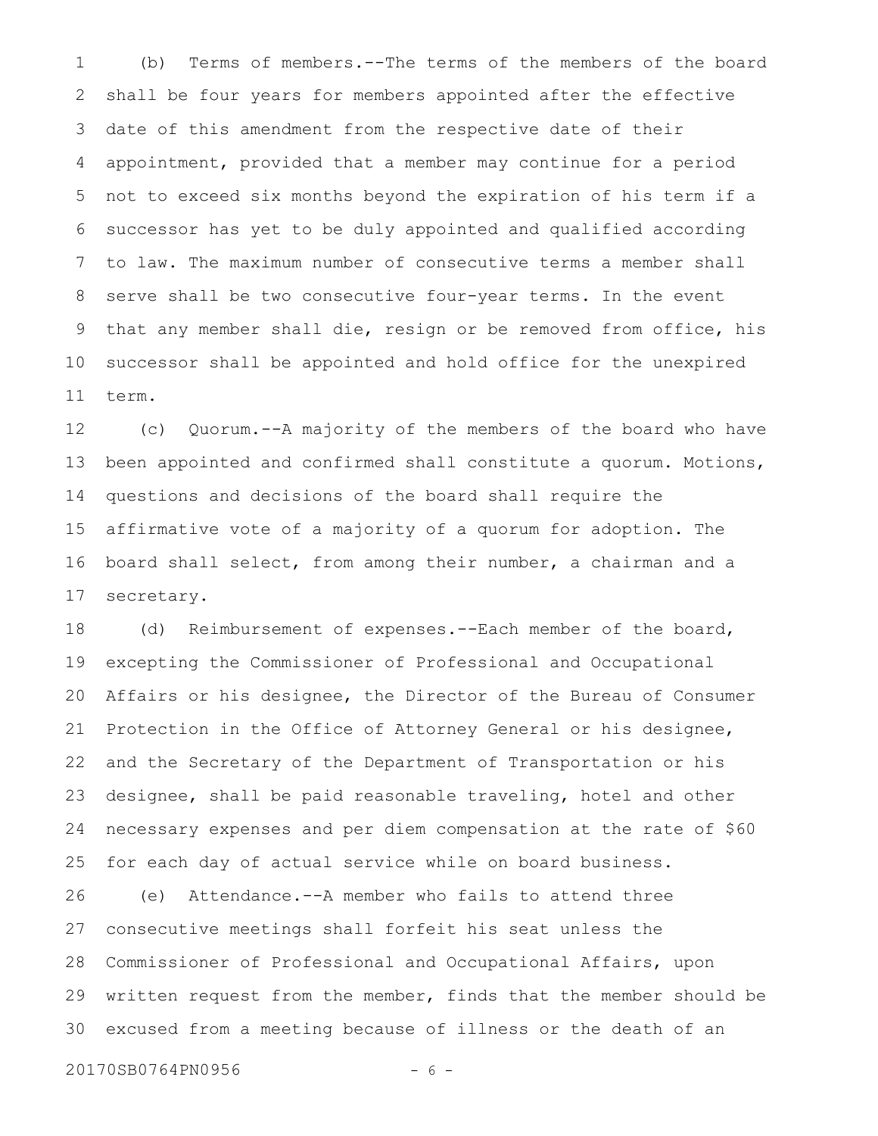(b) Terms of members.--The terms of the members of the board shall be four years for members appointed after the effective date of this amendment from the respective date of their appointment, provided that a member may continue for a period not to exceed six months beyond the expiration of his term if a successor has yet to be duly appointed and qualified according to law. The maximum number of consecutive terms a member shall serve shall be two consecutive four-year terms. In the event that any member shall die, resign or be removed from office, his successor shall be appointed and hold office for the unexpired term. 1 2 3 4 5 6 7 8 9 10 11

(c) Quorum.--A majority of the members of the board who have been appointed and confirmed shall constitute a quorum. Motions, questions and decisions of the board shall require the affirmative vote of a majority of a quorum for adoption. The board shall select, from among their number, a chairman and a secretary. 12 13 14 15 16 17

(d) Reimbursement of expenses.--Each member of the board, excepting the Commissioner of Professional and Occupational Affairs or his designee, the Director of the Bureau of Consumer Protection in the Office of Attorney General or his designee, and the Secretary of the Department of Transportation or his designee, shall be paid reasonable traveling, hotel and other necessary expenses and per diem compensation at the rate of \$60 for each day of actual service while on board business. 18 19 20 21 22 23 24 25

(e) Attendance.--A member who fails to attend three consecutive meetings shall forfeit his seat unless the Commissioner of Professional and Occupational Affairs, upon written request from the member, finds that the member should be excused from a meeting because of illness or the death of an 26 27 28 29 30

20170SB0764PN0956 - 6 -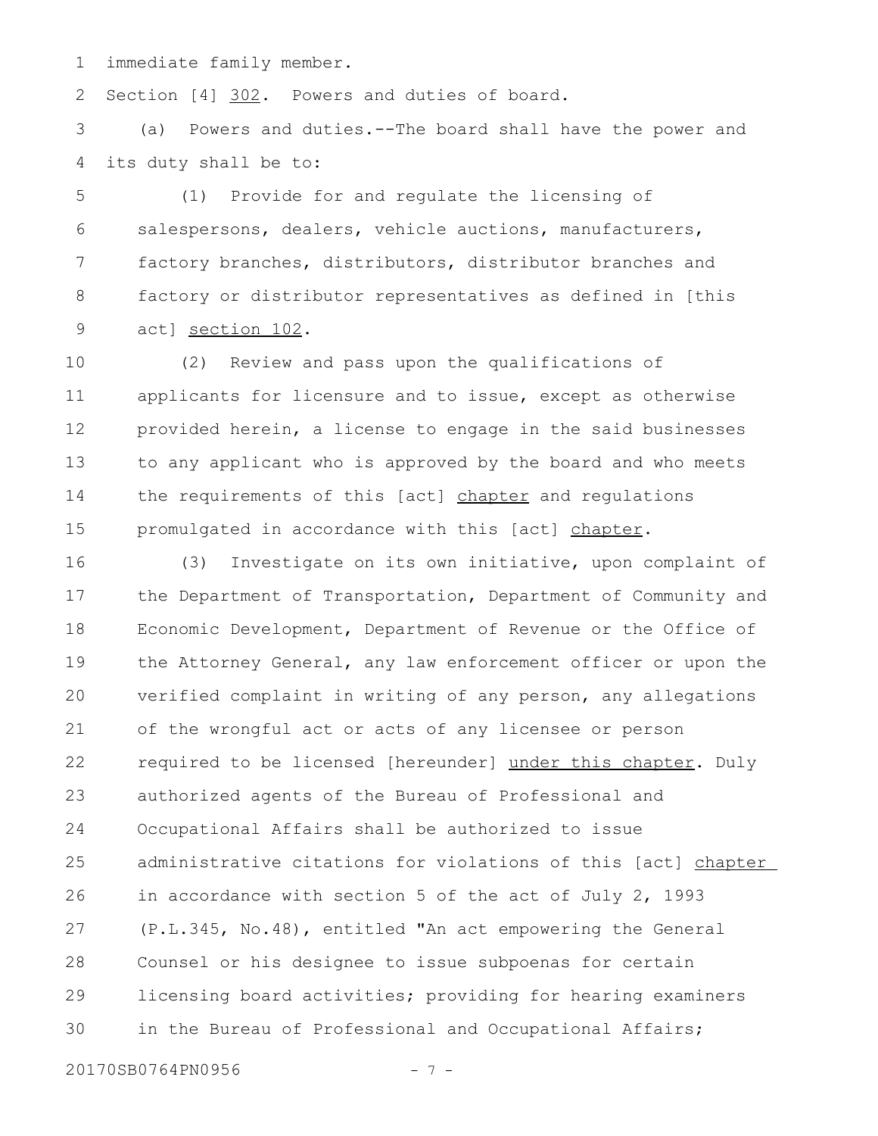immediate family member. 1

Section [4] 302. Powers and duties of board. 2

(a) Powers and duties.--The board shall have the power and its duty shall be to: 3 4

(1) Provide for and regulate the licensing of salespersons, dealers, vehicle auctions, manufacturers, factory branches, distributors, distributor branches and factory or distributor representatives as defined in [this act] section 102. 5 6 7 8 9

(2) Review and pass upon the qualifications of applicants for licensure and to issue, except as otherwise provided herein, a license to engage in the said businesses to any applicant who is approved by the board and who meets the requirements of this [act] chapter and regulations promulgated in accordance with this [act] chapter. 10 11 12 13 14 15

(3) Investigate on its own initiative, upon complaint of the Department of Transportation, Department of Community and Economic Development, Department of Revenue or the Office of the Attorney General, any law enforcement officer or upon the verified complaint in writing of any person, any allegations of the wrongful act or acts of any licensee or person required to be licensed [hereunder] under this chapter. Duly authorized agents of the Bureau of Professional and Occupational Affairs shall be authorized to issue administrative citations for violations of this [act] chapter in accordance with section 5 of the act of July 2, 1993 (P.L.345, No.48), entitled "An act empowering the General Counsel or his designee to issue subpoenas for certain licensing board activities; providing for hearing examiners in the Bureau of Professional and Occupational Affairs; 16 17 18 19 20 21 22 23 24 25 26 27 28 29 30

20170SB0764PN0956 - 7 -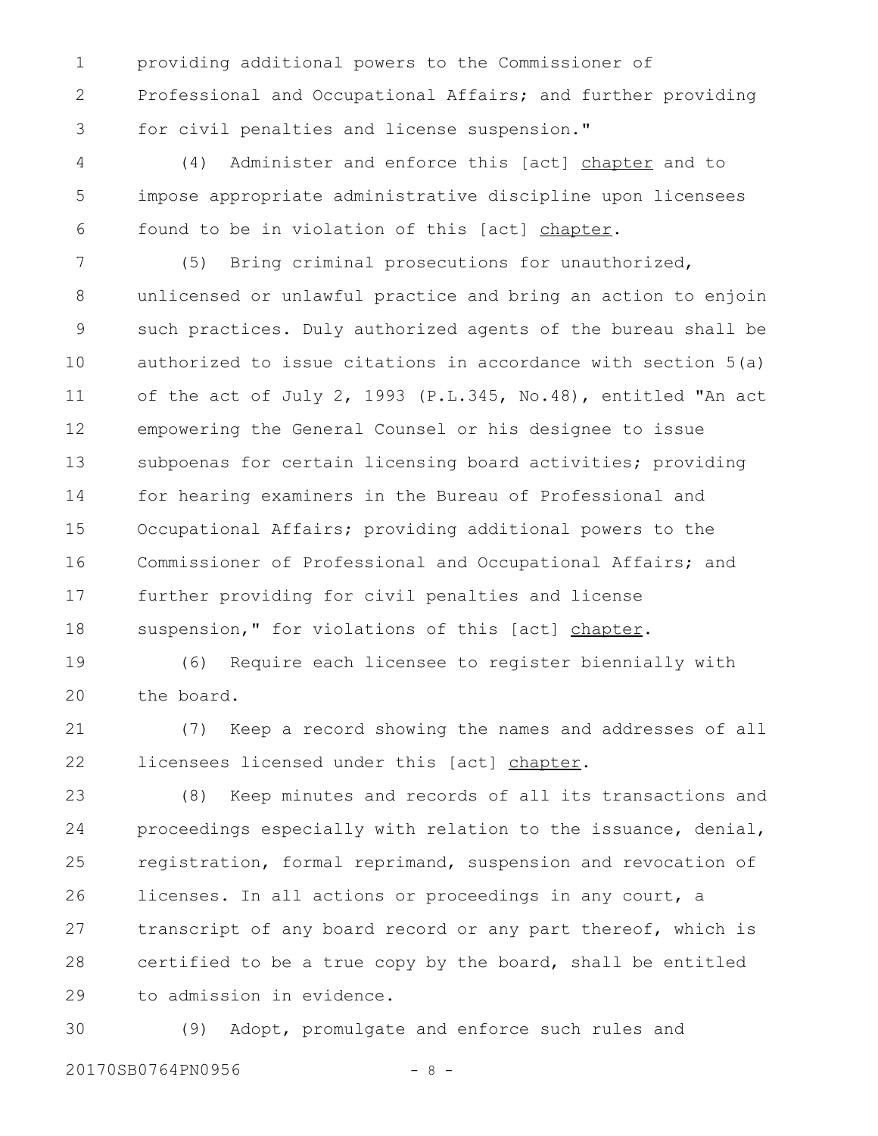providing additional powers to the Commissioner of Professional and Occupational Affairs; and further providing for civil penalties and license suspension." 1 2 3

(4) Administer and enforce this [act] chapter and to impose appropriate administrative discipline upon licensees found to be in violation of this [act] chapter. 4 5 6

(5) Bring criminal prosecutions for unauthorized, unlicensed or unlawful practice and bring an action to enjoin such practices. Duly authorized agents of the bureau shall be authorized to issue citations in accordance with section 5(a) of the act of July 2, 1993 (P.L.345, No.48), entitled "An act empowering the General Counsel or his designee to issue subpoenas for certain licensing board activities; providing for hearing examiners in the Bureau of Professional and Occupational Affairs; providing additional powers to the Commissioner of Professional and Occupational Affairs; and further providing for civil penalties and license suspension," for violations of this [act] chapter. 7 8 9 10 11 12 13 14 15 16 17 18

(6) Require each licensee to register biennially with the board. 19 20

(7) Keep a record showing the names and addresses of all licensees licensed under this [act] chapter. 21 22

(8) Keep minutes and records of all its transactions and proceedings especially with relation to the issuance, denial, registration, formal reprimand, suspension and revocation of licenses. In all actions or proceedings in any court, a transcript of any board record or any part thereof, which is certified to be a true copy by the board, shall be entitled to admission in evidence. 23 24 25 26 27 28 29

(9) Adopt, promulgate and enforce such rules and 20170SB0764PN0956 - 8 -30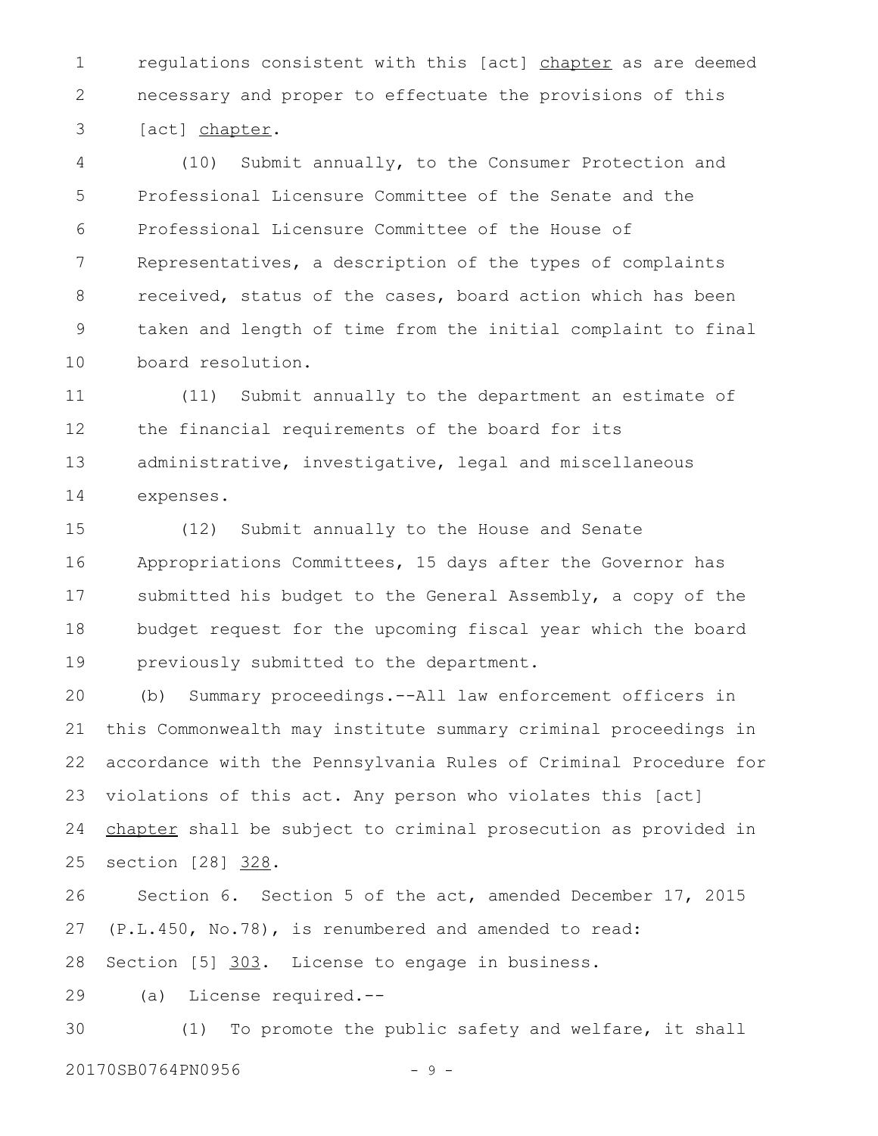regulations consistent with this [act] chapter as are deemed necessary and proper to effectuate the provisions of this [act] chapter. 1 2 3

(10) Submit annually, to the Consumer Protection and Professional Licensure Committee of the Senate and the Professional Licensure Committee of the House of Representatives, a description of the types of complaints received, status of the cases, board action which has been taken and length of time from the initial complaint to final board resolution. 4 5 6 7 8 9 10

(11) Submit annually to the department an estimate of the financial requirements of the board for its administrative, investigative, legal and miscellaneous expenses. 11 12 13 14

(12) Submit annually to the House and Senate Appropriations Committees, 15 days after the Governor has submitted his budget to the General Assembly, a copy of the budget request for the upcoming fiscal year which the board previously submitted to the department. 15 16 17 18 19

(b) Summary proceedings.--All law enforcement officers in this Commonwealth may institute summary criminal proceedings in accordance with the Pennsylvania Rules of Criminal Procedure for violations of this act. Any person who violates this [act] chapter shall be subject to criminal prosecution as provided in section [28] 328. 20 21 22 23 24 25

Section 6. Section 5 of the act, amended December 17, 2015 (P.L.450, No.78), is renumbered and amended to read: 26 27

Section [5] 303. License to engage in business. 28

(a) License required.-- 29

(1) To promote the public safety and welfare, it shall 30

20170SB0764PN0956 - 9 -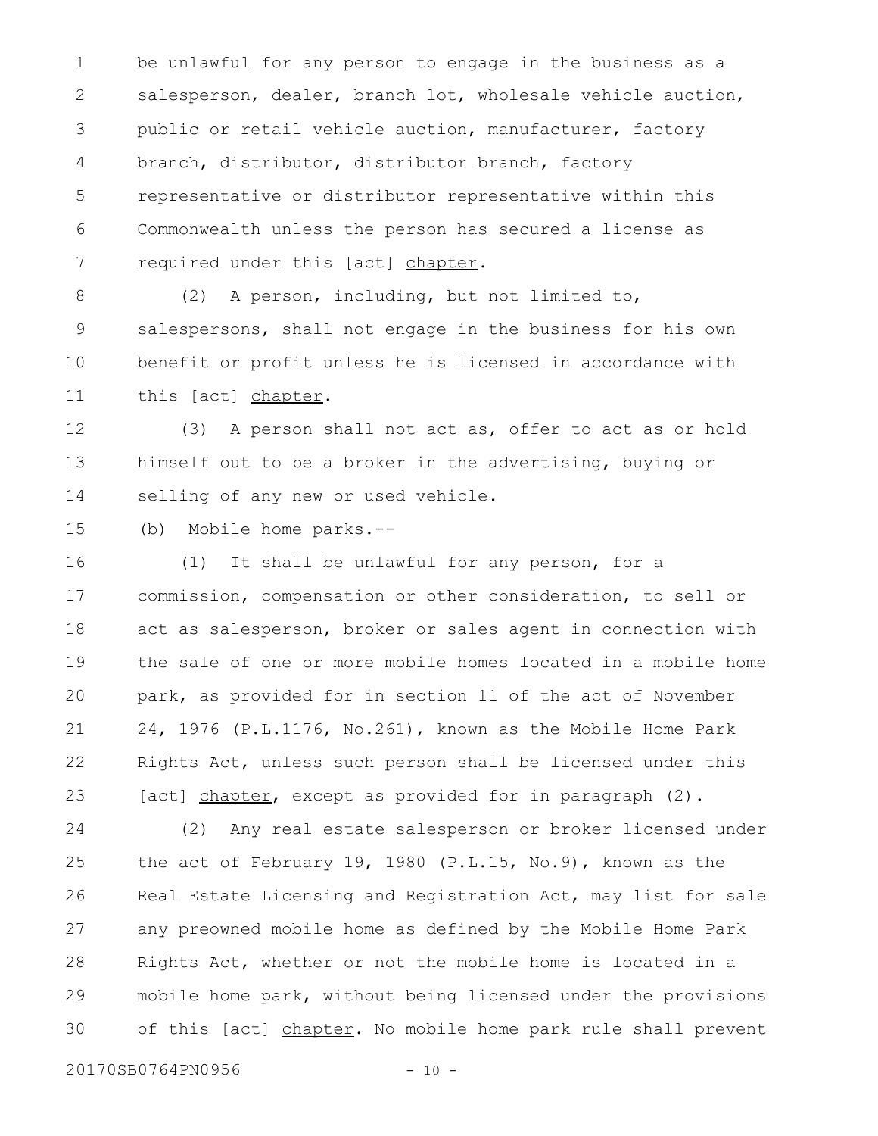be unlawful for any person to engage in the business as a salesperson, dealer, branch lot, wholesale vehicle auction, public or retail vehicle auction, manufacturer, factory branch, distributor, distributor branch, factory representative or distributor representative within this Commonwealth unless the person has secured a license as required under this [act] chapter. 1 2 3 4 5 6 7

(2) A person, including, but not limited to, salespersons, shall not engage in the business for his own benefit or profit unless he is licensed in accordance with this [act] chapter. 8 9 10 11

(3) A person shall not act as, offer to act as or hold himself out to be a broker in the advertising, buying or selling of any new or used vehicle. 12 13 14

(b) Mobile home parks.-- 15

(1) It shall be unlawful for any person, for a commission, compensation or other consideration, to sell or act as salesperson, broker or sales agent in connection with the sale of one or more mobile homes located in a mobile home park, as provided for in section 11 of the act of November 24, 1976 (P.L.1176, No.261), known as the Mobile Home Park Rights Act, unless such person shall be licensed under this [act] chapter, except as provided for in paragraph (2). 16 17 18 19 20 21 22 23

(2) Any real estate salesperson or broker licensed under the act of February 19, 1980 (P.L.15, No.9), known as the Real Estate Licensing and Registration Act, may list for sale any preowned mobile home as defined by the Mobile Home Park Rights Act, whether or not the mobile home is located in a mobile home park, without being licensed under the provisions of this [act] chapter. No mobile home park rule shall prevent 24 25 26 27 28 29 30

20170SB0764PN0956 - 10 -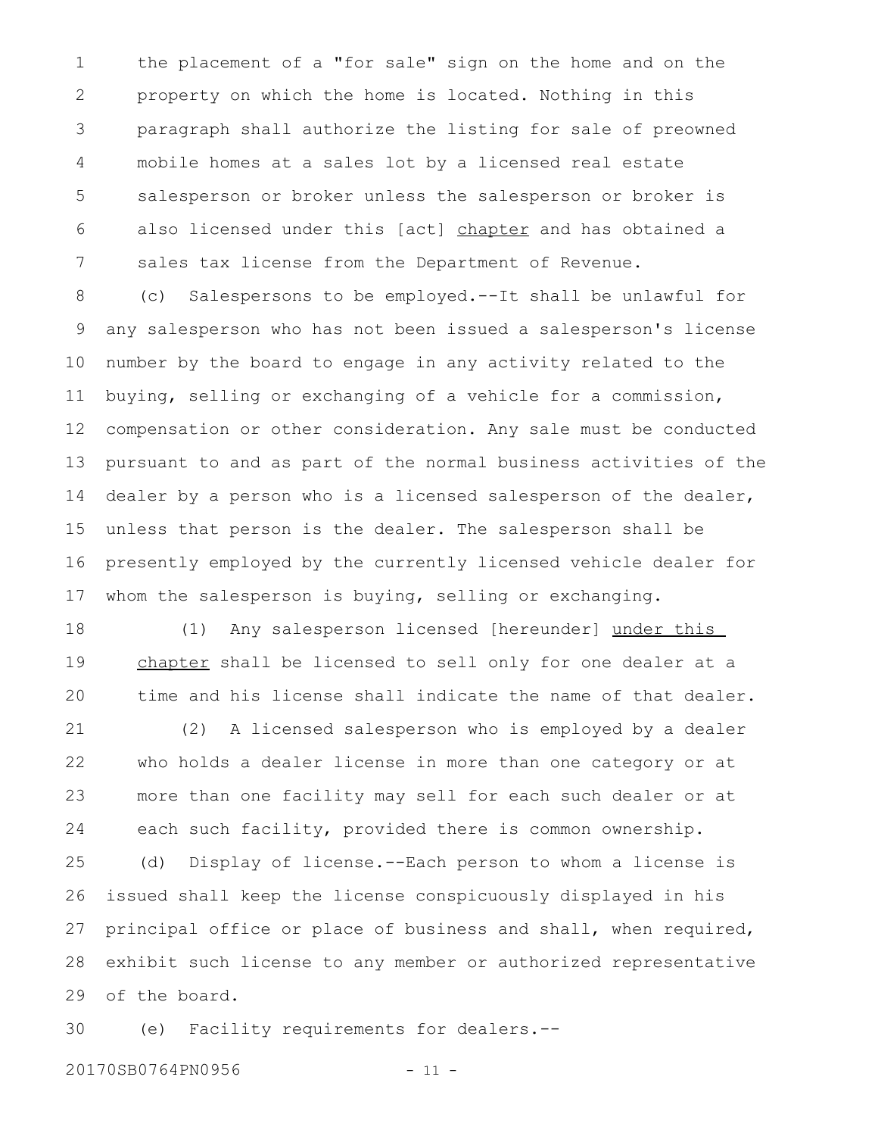the placement of a "for sale" sign on the home and on the property on which the home is located. Nothing in this paragraph shall authorize the listing for sale of preowned mobile homes at a sales lot by a licensed real estate salesperson or broker unless the salesperson or broker is also licensed under this [act] chapter and has obtained a sales tax license from the Department of Revenue. 1 2 3 4 5 6 7

(c) Salespersons to be employed.--It shall be unlawful for any salesperson who has not been issued a salesperson's license number by the board to engage in any activity related to the buying, selling or exchanging of a vehicle for a commission, compensation or other consideration. Any sale must be conducted pursuant to and as part of the normal business activities of the dealer by a person who is a licensed salesperson of the dealer, unless that person is the dealer. The salesperson shall be presently employed by the currently licensed vehicle dealer for whom the salesperson is buying, selling or exchanging. 8 9 10 11 12 13 14 15 16 17

(1) Any salesperson licensed [hereunder] under this chapter shall be licensed to sell only for one dealer at a time and his license shall indicate the name of that dealer. 18 19 20

(2) A licensed salesperson who is employed by a dealer who holds a dealer license in more than one category or at more than one facility may sell for each such dealer or at each such facility, provided there is common ownership. 21 22 23 24

(d) Display of license.--Each person to whom a license is issued shall keep the license conspicuously displayed in his principal office or place of business and shall, when required, exhibit such license to any member or authorized representative of the board. 25 26 27 28 29

(e) Facility requirements for dealers.-- 30

20170SB0764PN0956 - 11 -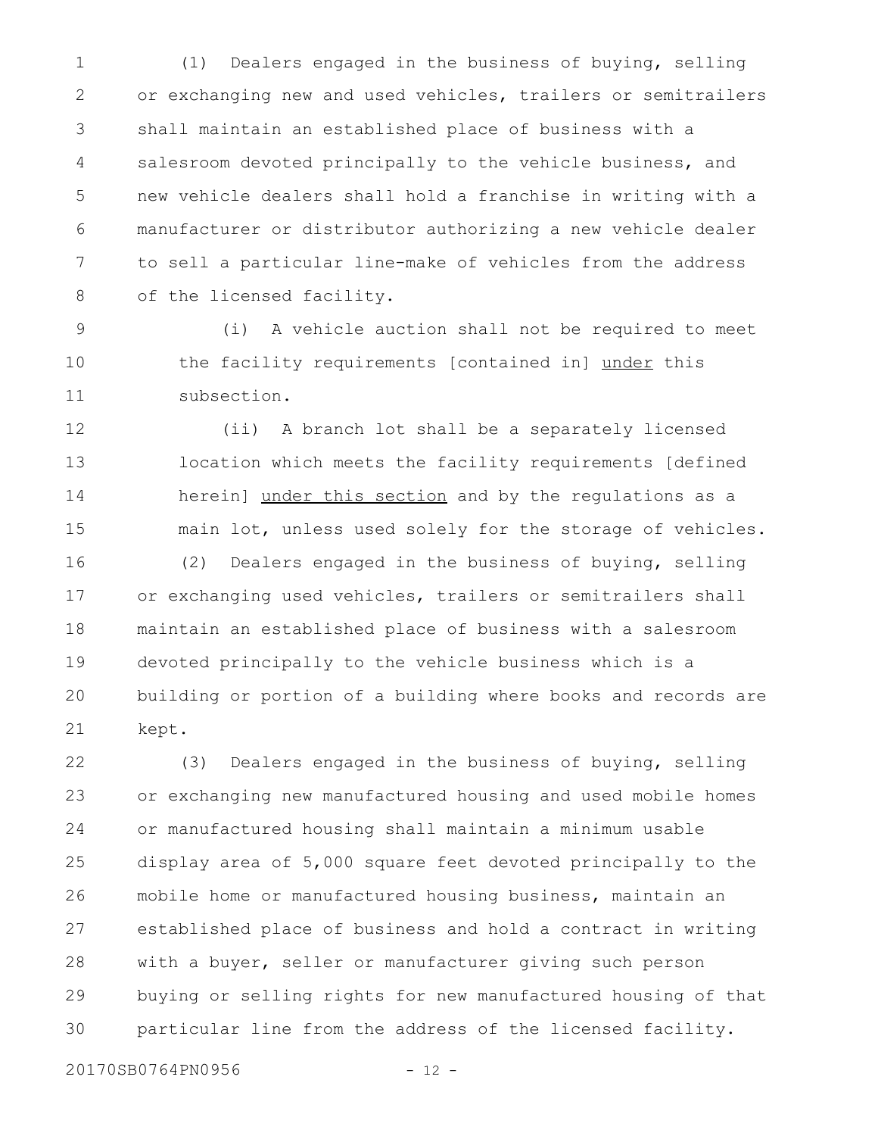(1) Dealers engaged in the business of buying, selling or exchanging new and used vehicles, trailers or semitrailers shall maintain an established place of business with a salesroom devoted principally to the vehicle business, and new vehicle dealers shall hold a franchise in writing with a manufacturer or distributor authorizing a new vehicle dealer to sell a particular line-make of vehicles from the address of the licensed facility. 1 2 3 4 5 6 7 8

(i) A vehicle auction shall not be required to meet the facility requirements [contained in] under this subsection. 9 10 11

(ii) A branch lot shall be a separately licensed location which meets the facility requirements [defined herein] under this section and by the regulations as a main lot, unless used solely for the storage of vehicles. (2) Dealers engaged in the business of buying, selling 12 13 14 15 16

or exchanging used vehicles, trailers or semitrailers shall maintain an established place of business with a salesroom devoted principally to the vehicle business which is a building or portion of a building where books and records are kept. 17 18 19 20 21

(3) Dealers engaged in the business of buying, selling or exchanging new manufactured housing and used mobile homes or manufactured housing shall maintain a minimum usable display area of 5,000 square feet devoted principally to the mobile home or manufactured housing business, maintain an established place of business and hold a contract in writing with a buyer, seller or manufacturer giving such person buying or selling rights for new manufactured housing of that particular line from the address of the licensed facility. 22 23 24 25 26 27 28 29 30

20170SB0764PN0956 - 12 -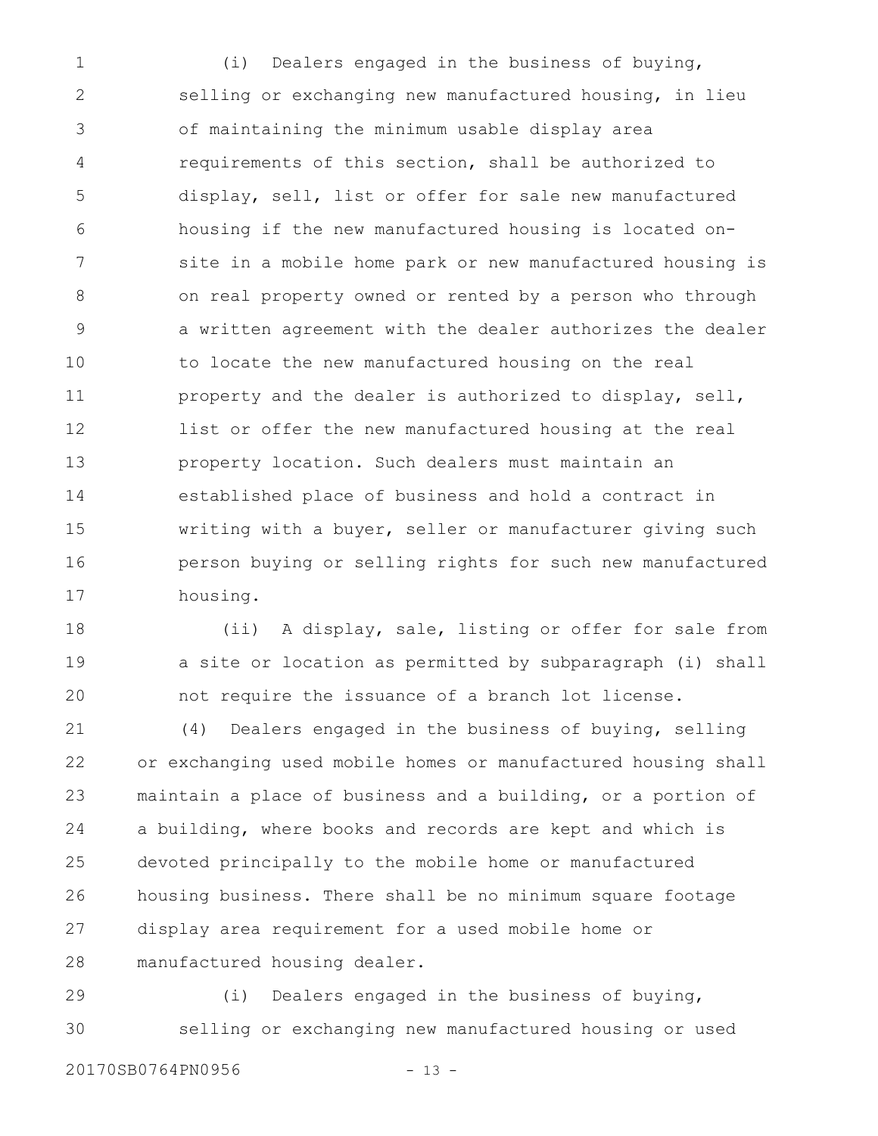(i) Dealers engaged in the business of buying, selling or exchanging new manufactured housing, in lieu of maintaining the minimum usable display area requirements of this section, shall be authorized to display, sell, list or offer for sale new manufactured housing if the new manufactured housing is located onsite in a mobile home park or new manufactured housing is on real property owned or rented by a person who through a written agreement with the dealer authorizes the dealer to locate the new manufactured housing on the real property and the dealer is authorized to display, sell, list or offer the new manufactured housing at the real property location. Such dealers must maintain an established place of business and hold a contract in writing with a buyer, seller or manufacturer giving such person buying or selling rights for such new manufactured housing. 1 2 3 4 5 6 7 8 9 10 11 12 13 14 15 16 17

(ii) A display, sale, listing or offer for sale from a site or location as permitted by subparagraph (i) shall not require the issuance of a branch lot license. 18 19 20

(4) Dealers engaged in the business of buying, selling or exchanging used mobile homes or manufactured housing shall maintain a place of business and a building, or a portion of a building, where books and records are kept and which is devoted principally to the mobile home or manufactured housing business. There shall be no minimum square footage display area requirement for a used mobile home or manufactured housing dealer. 21 22 23 24 25 26 27 28

(i) Dealers engaged in the business of buying, selling or exchanging new manufactured housing or used 29 30

20170SB0764PN0956 - 13 -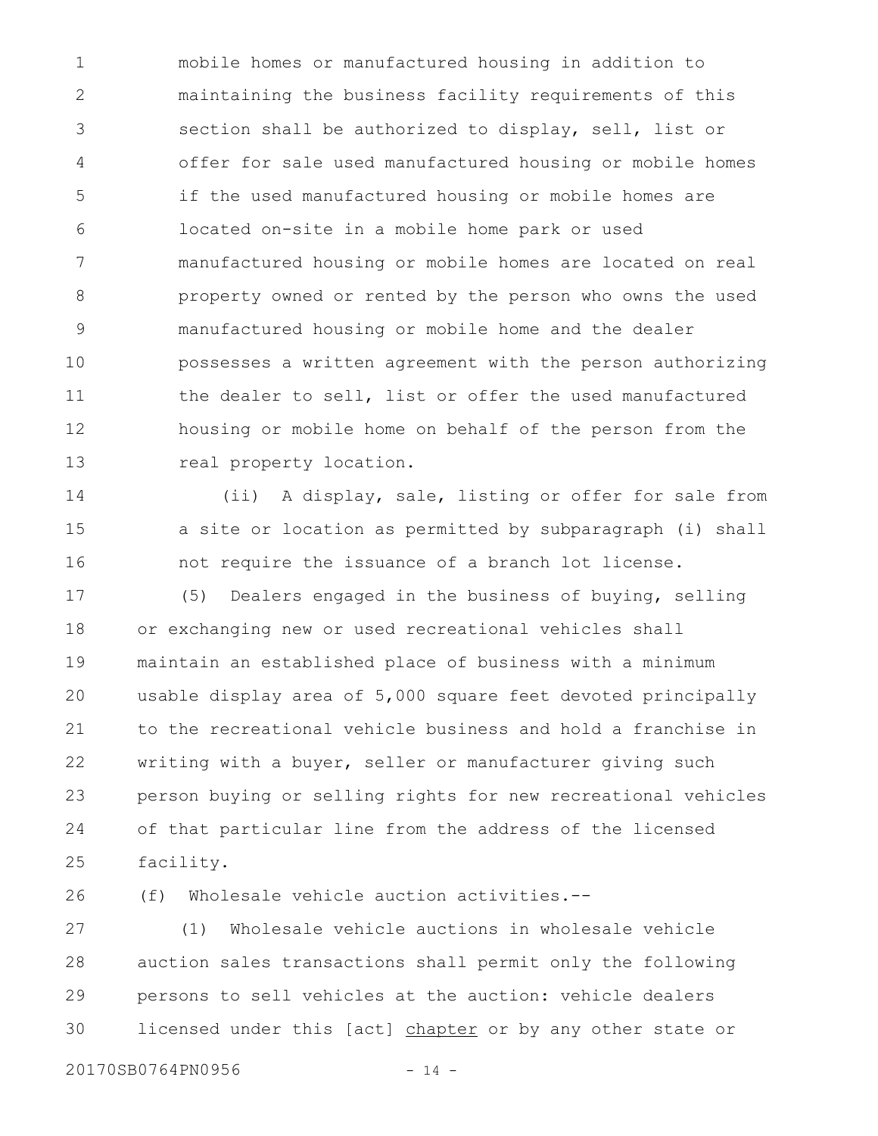mobile homes or manufactured housing in addition to maintaining the business facility requirements of this section shall be authorized to display, sell, list or offer for sale used manufactured housing or mobile homes if the used manufactured housing or mobile homes are located on-site in a mobile home park or used manufactured housing or mobile homes are located on real property owned or rented by the person who owns the used manufactured housing or mobile home and the dealer possesses a written agreement with the person authorizing the dealer to sell, list or offer the used manufactured housing or mobile home on behalf of the person from the real property location. 1 2 3 4 5 6 7 8 9 10 11 12 13

(ii) A display, sale, listing or offer for sale from a site or location as permitted by subparagraph (i) shall not require the issuance of a branch lot license. 14 15 16

(5) Dealers engaged in the business of buying, selling or exchanging new or used recreational vehicles shall maintain an established place of business with a minimum usable display area of 5,000 square feet devoted principally to the recreational vehicle business and hold a franchise in writing with a buyer, seller or manufacturer giving such person buying or selling rights for new recreational vehicles of that particular line from the address of the licensed facility. 17 18 19 20 21 22 23 24 25

(f) Wholesale vehicle auction activities.-- 26

(1) Wholesale vehicle auctions in wholesale vehicle auction sales transactions shall permit only the following persons to sell vehicles at the auction: vehicle dealers licensed under this [act] chapter or by any other state or 27 28 29 30

20170SB0764PN0956 - 14 -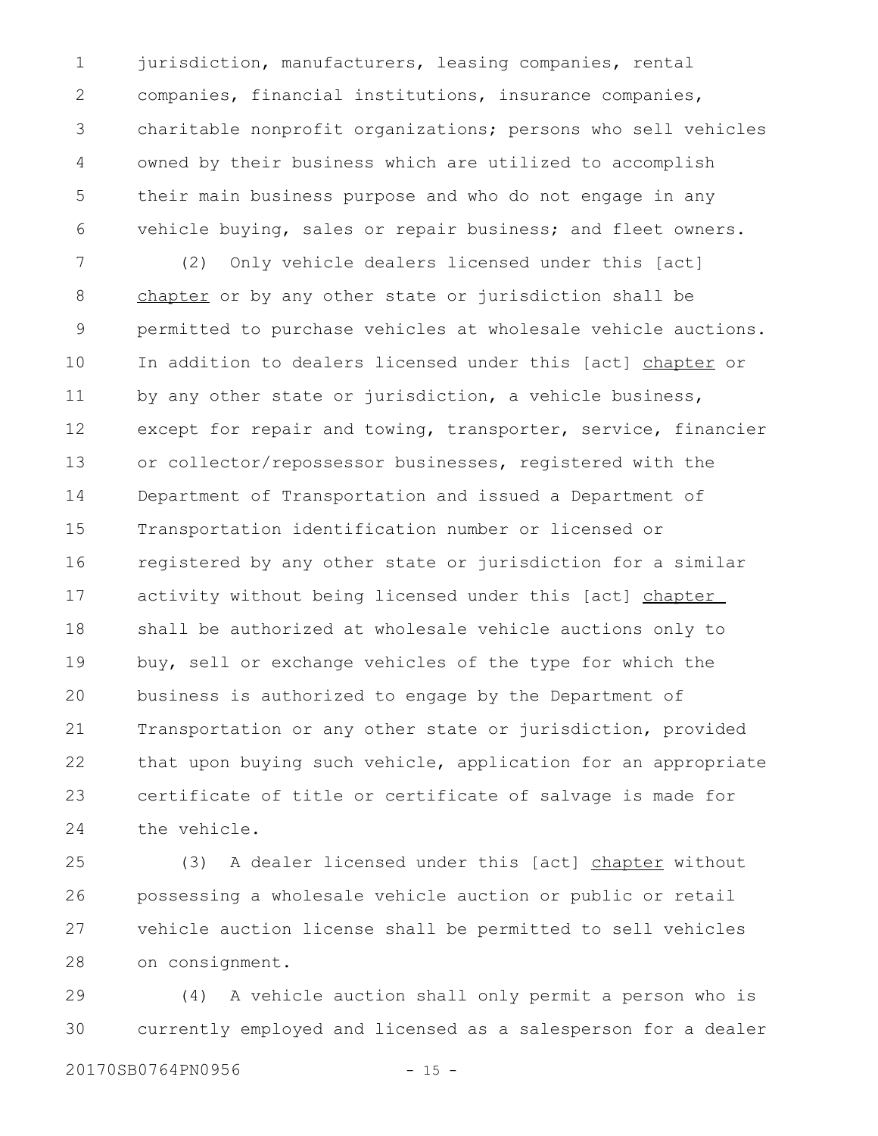jurisdiction, manufacturers, leasing companies, rental companies, financial institutions, insurance companies, charitable nonprofit organizations; persons who sell vehicles owned by their business which are utilized to accomplish their main business purpose and who do not engage in any vehicle buying, sales or repair business; and fleet owners. 1 2 3 4 5 6

(2) Only vehicle dealers licensed under this [act] chapter or by any other state or jurisdiction shall be permitted to purchase vehicles at wholesale vehicle auctions. In addition to dealers licensed under this [act] chapter or by any other state or jurisdiction, a vehicle business, except for repair and towing, transporter, service, financier or collector/repossessor businesses, registered with the Department of Transportation and issued a Department of Transportation identification number or licensed or registered by any other state or jurisdiction for a similar activity without being licensed under this [act] chapter shall be authorized at wholesale vehicle auctions only to buy, sell or exchange vehicles of the type for which the business is authorized to engage by the Department of Transportation or any other state or jurisdiction, provided that upon buying such vehicle, application for an appropriate certificate of title or certificate of salvage is made for the vehicle. 7 8 9 10 11 12 13 14 15 16 17 18 19 20 21 22 23 24

(3) A dealer licensed under this [act] chapter without possessing a wholesale vehicle auction or public or retail vehicle auction license shall be permitted to sell vehicles on consignment. 25 26 27 28

(4) A vehicle auction shall only permit a person who is currently employed and licensed as a salesperson for a dealer 29 30

20170SB0764PN0956 - 15 -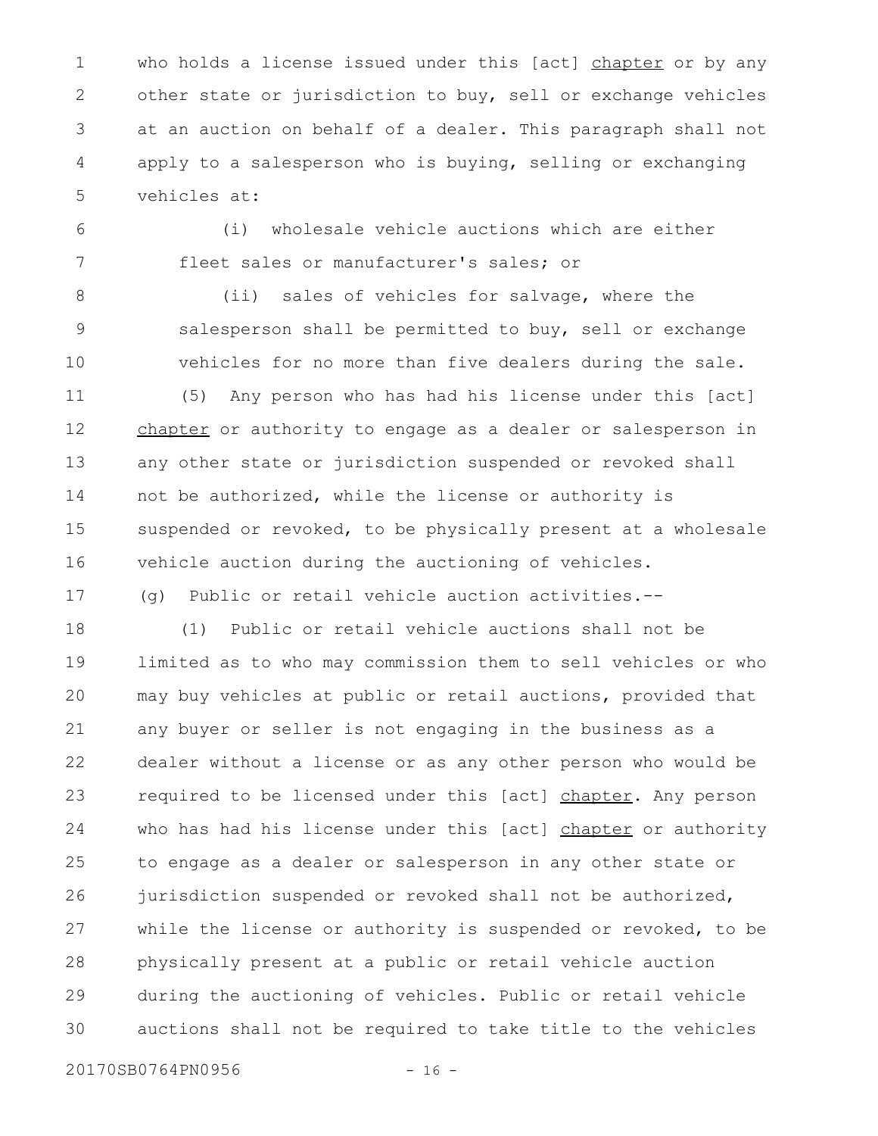who holds a license issued under this [act] chapter or by any other state or jurisdiction to buy, sell or exchange vehicles at an auction on behalf of a dealer. This paragraph shall not apply to a salesperson who is buying, selling or exchanging vehicles at: 1 2 3 4 5

6 7

10

17

(i) wholesale vehicle auctions which are either fleet sales or manufacturer's sales; or

8 9

(ii) sales of vehicles for salvage, where the salesperson shall be permitted to buy, sell or exchange vehicles for no more than five dealers during the sale.

(5) Any person who has had his license under this [act] chapter or authority to engage as a dealer or salesperson in any other state or jurisdiction suspended or revoked shall not be authorized, while the license or authority is suspended or revoked, to be physically present at a wholesale vehicle auction during the auctioning of vehicles. 11 12 13 14 15 16

(g) Public or retail vehicle auction activities.--

(1) Public or retail vehicle auctions shall not be limited as to who may commission them to sell vehicles or who may buy vehicles at public or retail auctions, provided that any buyer or seller is not engaging in the business as a dealer without a license or as any other person who would be required to be licensed under this [act] chapter. Any person who has had his license under this [act] chapter or authority to engage as a dealer or salesperson in any other state or jurisdiction suspended or revoked shall not be authorized, while the license or authority is suspended or revoked, to be physically present at a public or retail vehicle auction during the auctioning of vehicles. Public or retail vehicle auctions shall not be required to take title to the vehicles 18 19 20 21 22 23 24 25 26 27 28 29 30

20170SB0764PN0956 - 16 -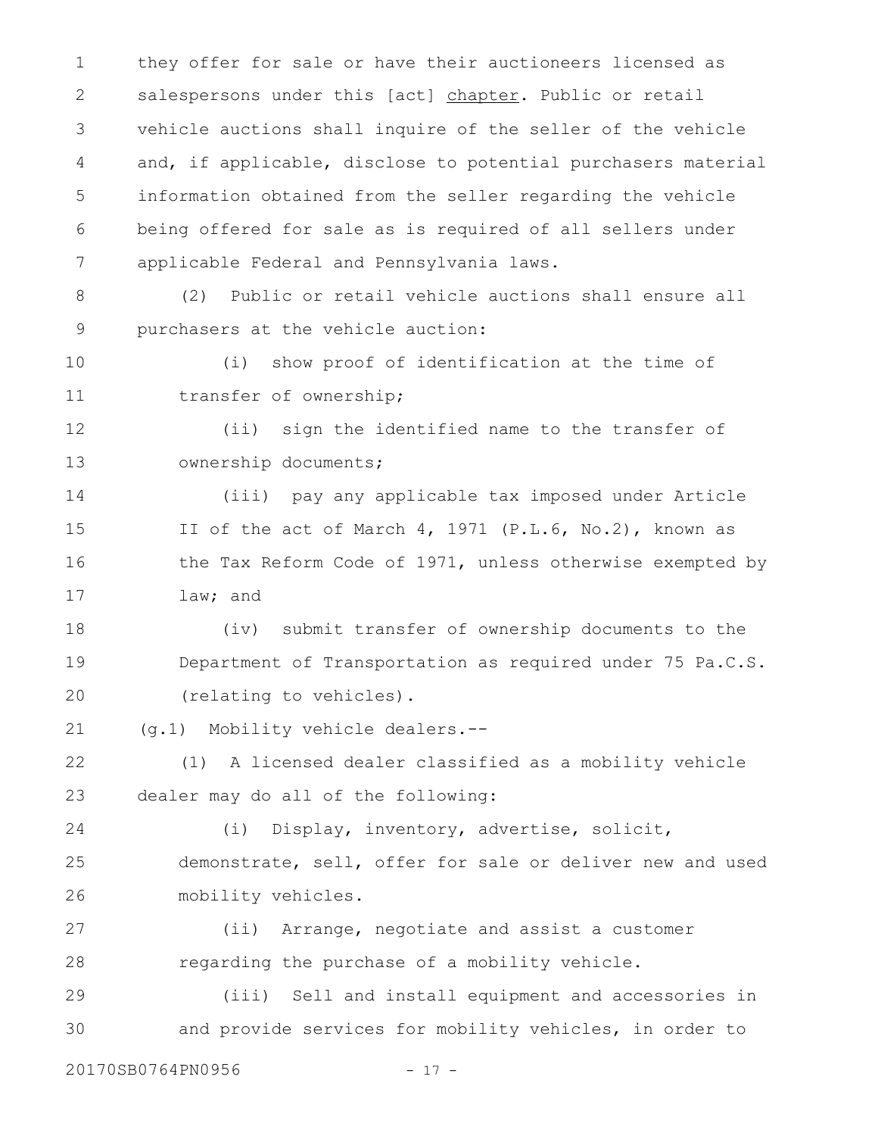they offer for sale or have their auctioneers licensed as salespersons under this [act] chapter. Public or retail vehicle auctions shall inquire of the seller of the vehicle and, if applicable, disclose to potential purchasers material information obtained from the seller regarding the vehicle being offered for sale as is required of all sellers under applicable Federal and Pennsylvania laws. 1 2 3 4 5 6 7

(2) Public or retail vehicle auctions shall ensure all purchasers at the vehicle auction: 8 9

(i) show proof of identification at the time of transfer of ownership; 10 11

(ii) sign the identified name to the transfer of ownership documents; 12 13

(iii) pay any applicable tax imposed under Article II of the act of March 4, 1971 (P.L.6, No.2), known as the Tax Reform Code of 1971, unless otherwise exempted by law; and 14 15 16 17

(iv) submit transfer of ownership documents to the Department of Transportation as required under 75 Pa.C.S. (relating to vehicles). 18 19 20

(g.1) Mobility vehicle dealers.-- 21

(1) A licensed dealer classified as a mobility vehicle dealer may do all of the following: 22 23

(i) Display, inventory, advertise, solicit, demonstrate, sell, offer for sale or deliver new and used mobility vehicles. 24 25 26

(ii) Arrange, negotiate and assist a customer regarding the purchase of a mobility vehicle. 27 28

(iii) Sell and install equipment and accessories in and provide services for mobility vehicles, in order to 29 30

20170SB0764PN0956 - 17 -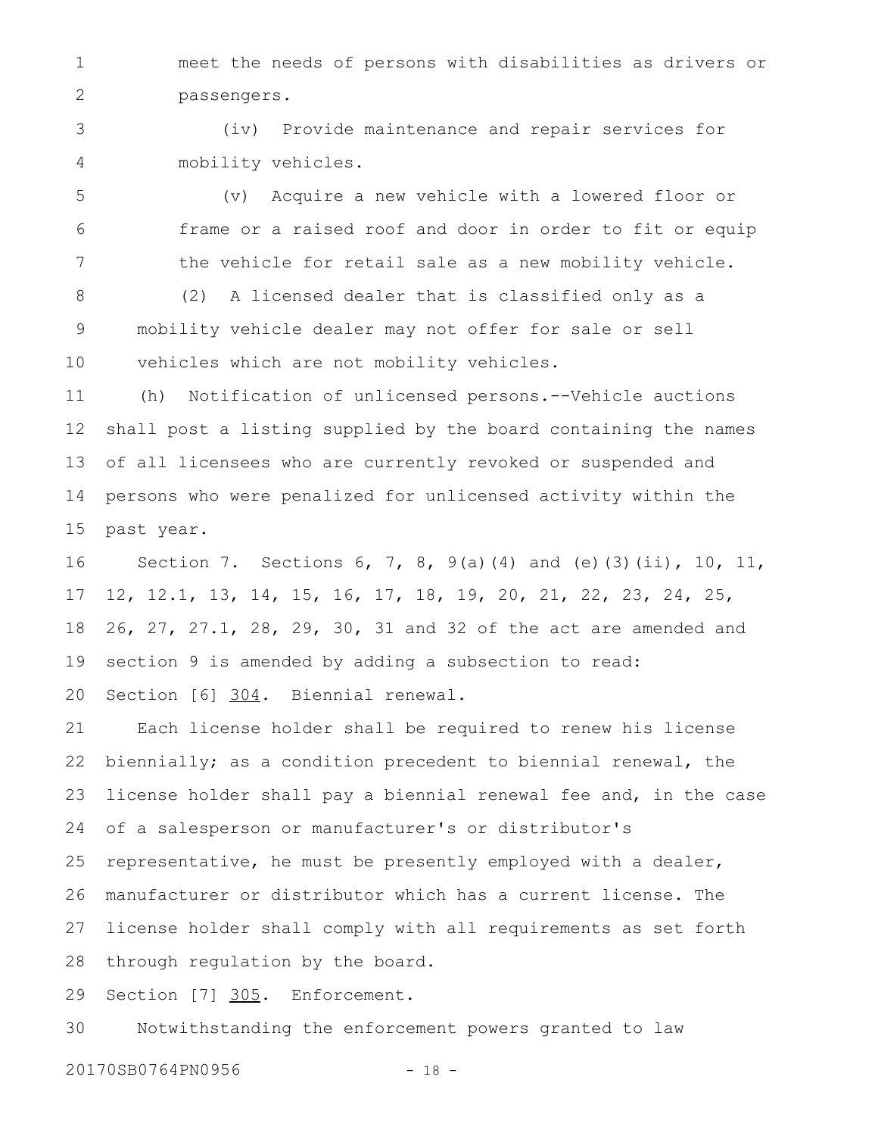meet the needs of persons with disabilities as drivers or passengers. 1 2

(iv) Provide maintenance and repair services for mobility vehicles. 3 4

(v) Acquire a new vehicle with a lowered floor or frame or a raised roof and door in order to fit or equip the vehicle for retail sale as a new mobility vehicle. 5 6 7

(2) A licensed dealer that is classified only as a mobility vehicle dealer may not offer for sale or sell vehicles which are not mobility vehicles. 8 9 10

(h) Notification of unlicensed persons.--Vehicle auctions shall post a listing supplied by the board containing the names of all licensees who are currently revoked or suspended and persons who were penalized for unlicensed activity within the past year. 11 12 13 14 15

Section 7. Sections 6, 7, 8, 9(a)(4) and (e)(3)(ii), 10, 11, 12, 12.1, 13, 14, 15, 16, 17, 18, 19, 20, 21, 22, 23, 24, 25, 26, 27, 27.1, 28, 29, 30, 31 and 32 of the act are amended and section 9 is amended by adding a subsection to read: Section [6] 304. Biennial renewal. 16 17 18 19 20

Each license holder shall be required to renew his license biennially; as a condition precedent to biennial renewal, the license holder shall pay a biennial renewal fee and, in the case of a salesperson or manufacturer's or distributor's representative, he must be presently employed with a dealer, manufacturer or distributor which has a current license. The license holder shall comply with all requirements as set forth through regulation by the board. 21 22 23 24 25 26 27 28

Section [7] 305. Enforcement. 29

Notwithstanding the enforcement powers granted to law 30

20170SB0764PN0956 - 18 -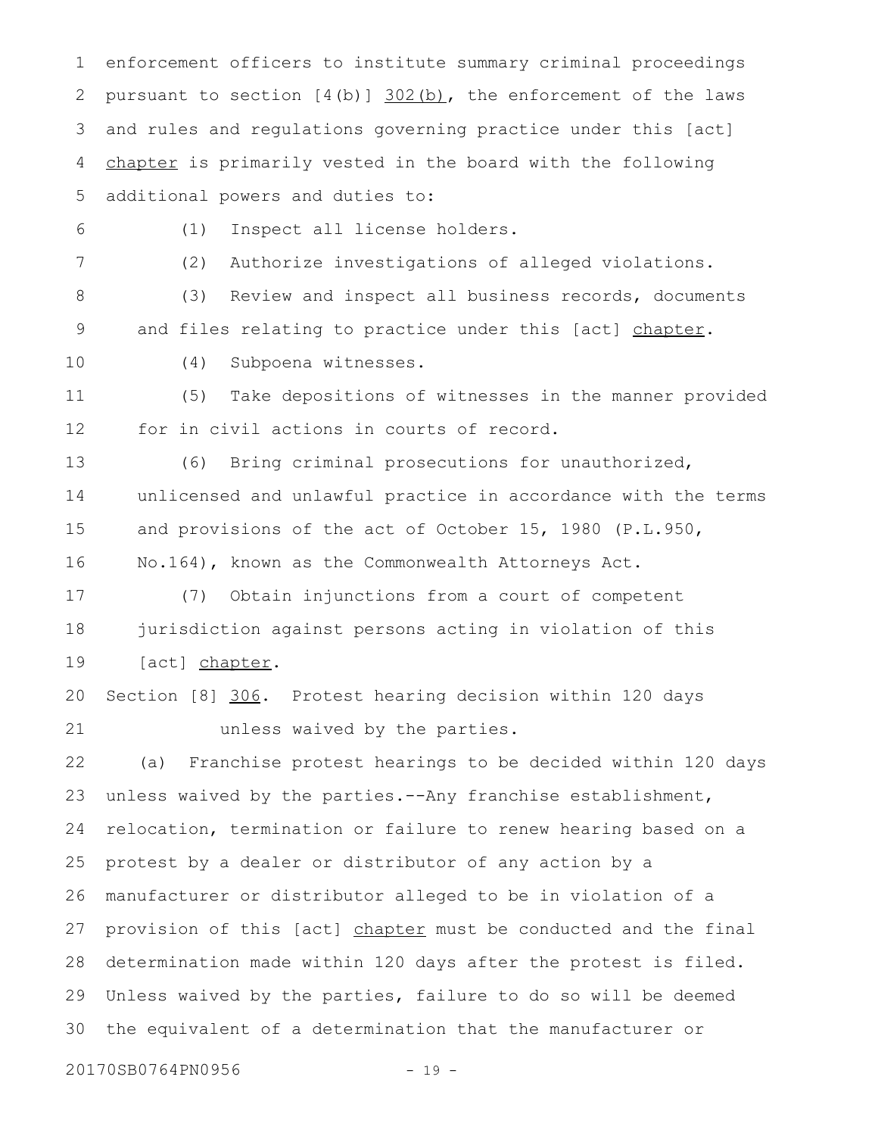enforcement officers to institute summary criminal proceedings pursuant to section  $[4(b)]$   $302(b)$ , the enforcement of the laws and rules and regulations governing practice under this [act] chapter is primarily vested in the board with the following additional powers and duties to: 1 2 3 4 5

6

(1) Inspect all license holders.

7

(2) Authorize investigations of alleged violations.

(3) Review and inspect all business records, documents and files relating to practice under this [act] chapter. 8 9

10

(4) Subpoena witnesses.

(5) Take depositions of witnesses in the manner provided for in civil actions in courts of record. 11 12

(6) Bring criminal prosecutions for unauthorized, unlicensed and unlawful practice in accordance with the terms and provisions of the act of October 15, 1980 (P.L.950, No.164), known as the Commonwealth Attorneys Act. 13 14 15 16

(7) Obtain injunctions from a court of competent jurisdiction against persons acting in violation of this [act] chapter. 17 18 19

Section [8] 306. Protest hearing decision within 120 days unless waived by the parties. 20 21

(a) Franchise protest hearings to be decided within 120 days unless waived by the parties.--Any franchise establishment, relocation, termination or failure to renew hearing based on a protest by a dealer or distributor of any action by a manufacturer or distributor alleged to be in violation of a provision of this [act] chapter must be conducted and the final determination made within 120 days after the protest is filed. Unless waived by the parties, failure to do so will be deemed the equivalent of a determination that the manufacturer or 22 23 24 25 26 27 28 29 30

20170SB0764PN0956 - 19 -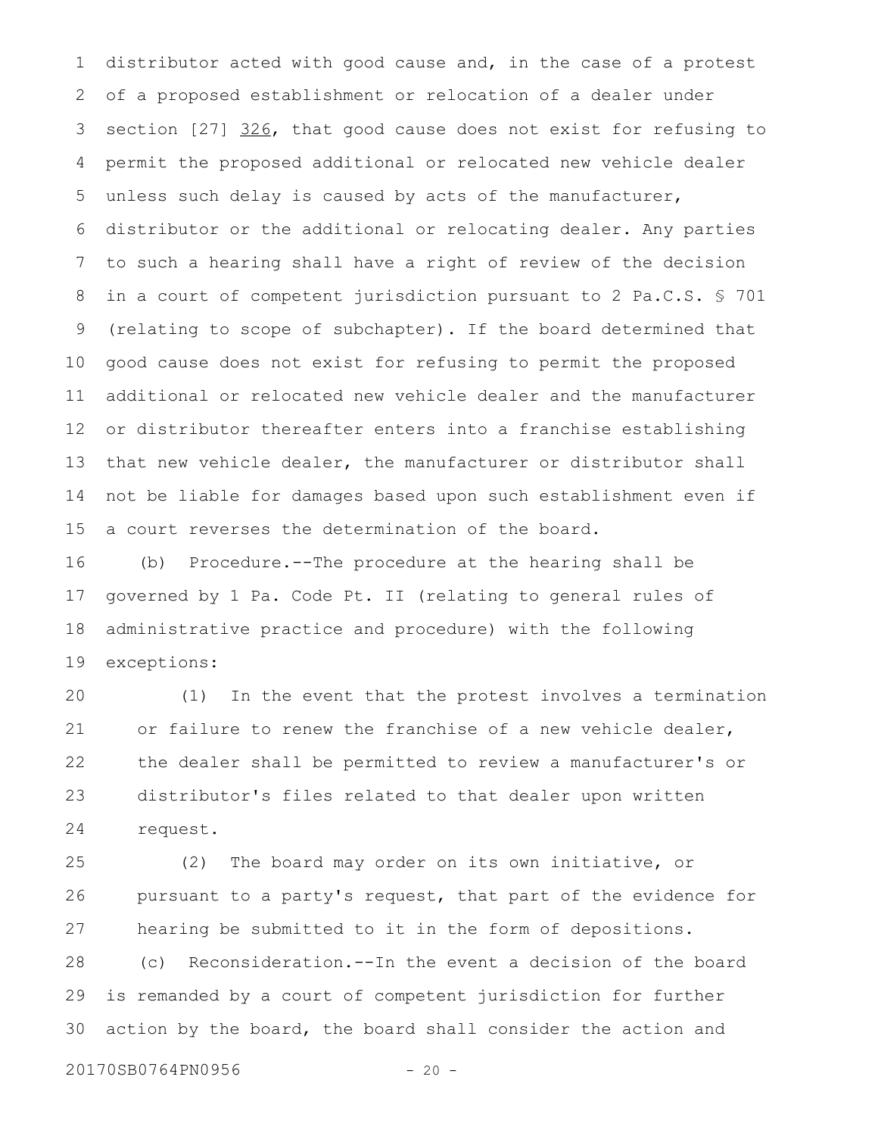distributor acted with good cause and, in the case of a protest of a proposed establishment or relocation of a dealer under section [27] 326, that good cause does not exist for refusing to permit the proposed additional or relocated new vehicle dealer unless such delay is caused by acts of the manufacturer, distributor or the additional or relocating dealer. Any parties to such a hearing shall have a right of review of the decision in a court of competent jurisdiction pursuant to 2 Pa.C.S. § 701 (relating to scope of subchapter). If the board determined that good cause does not exist for refusing to permit the proposed additional or relocated new vehicle dealer and the manufacturer or distributor thereafter enters into a franchise establishing that new vehicle dealer, the manufacturer or distributor shall not be liable for damages based upon such establishment even if a court reverses the determination of the board. 1 2 3 4 5 6 7 8 9 10 11 12 13 14 15

(b) Procedure.--The procedure at the hearing shall be governed by 1 Pa. Code Pt. II (relating to general rules of administrative practice and procedure) with the following exceptions: 16 17 18 19

(1) In the event that the protest involves a termination or failure to renew the franchise of a new vehicle dealer, the dealer shall be permitted to review a manufacturer's or distributor's files related to that dealer upon written request. 20 21 22 23 24

(2) The board may order on its own initiative, or pursuant to a party's request, that part of the evidence for hearing be submitted to it in the form of depositions. (c) Reconsideration.--In the event a decision of the board is remanded by a court of competent jurisdiction for further action by the board, the board shall consider the action and 25 26 27 28 29 30

20170SB0764PN0956 - 20 -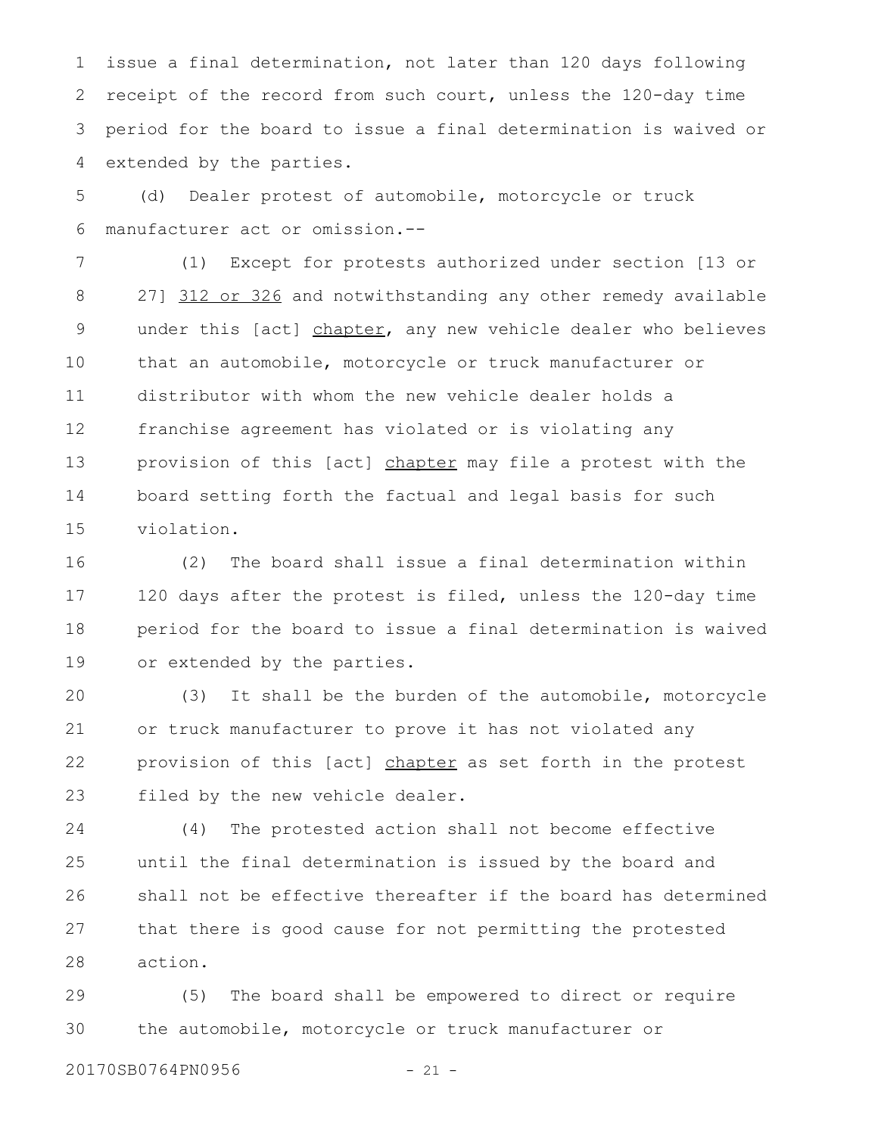issue a final determination, not later than 120 days following receipt of the record from such court, unless the 120-day time period for the board to issue a final determination is waived or extended by the parties. 1 2 3 4

(d) Dealer protest of automobile, motorcycle or truck manufacturer act or omission.-- 5 6

(1) Except for protests authorized under section [13 or 27] 312 or 326 and notwithstanding any other remedy available under this [act] chapter, any new vehicle dealer who believes that an automobile, motorcycle or truck manufacturer or distributor with whom the new vehicle dealer holds a franchise agreement has violated or is violating any provision of this [act] chapter may file a protest with the board setting forth the factual and legal basis for such violation. 7 8 9 10 11 12 13 14 15

(2) The board shall issue a final determination within 120 days after the protest is filed, unless the 120-day time period for the board to issue a final determination is waived or extended by the parties. 16 17 18 19

(3) It shall be the burden of the automobile, motorcycle or truck manufacturer to prove it has not violated any provision of this [act] chapter as set forth in the protest filed by the new vehicle dealer. 20 21 22 23

(4) The protested action shall not become effective until the final determination is issued by the board and shall not be effective thereafter if the board has determined that there is good cause for not permitting the protested action. 24 25 26 27 28

(5) The board shall be empowered to direct or require the automobile, motorcycle or truck manufacturer or 29 30

20170SB0764PN0956 - 21 -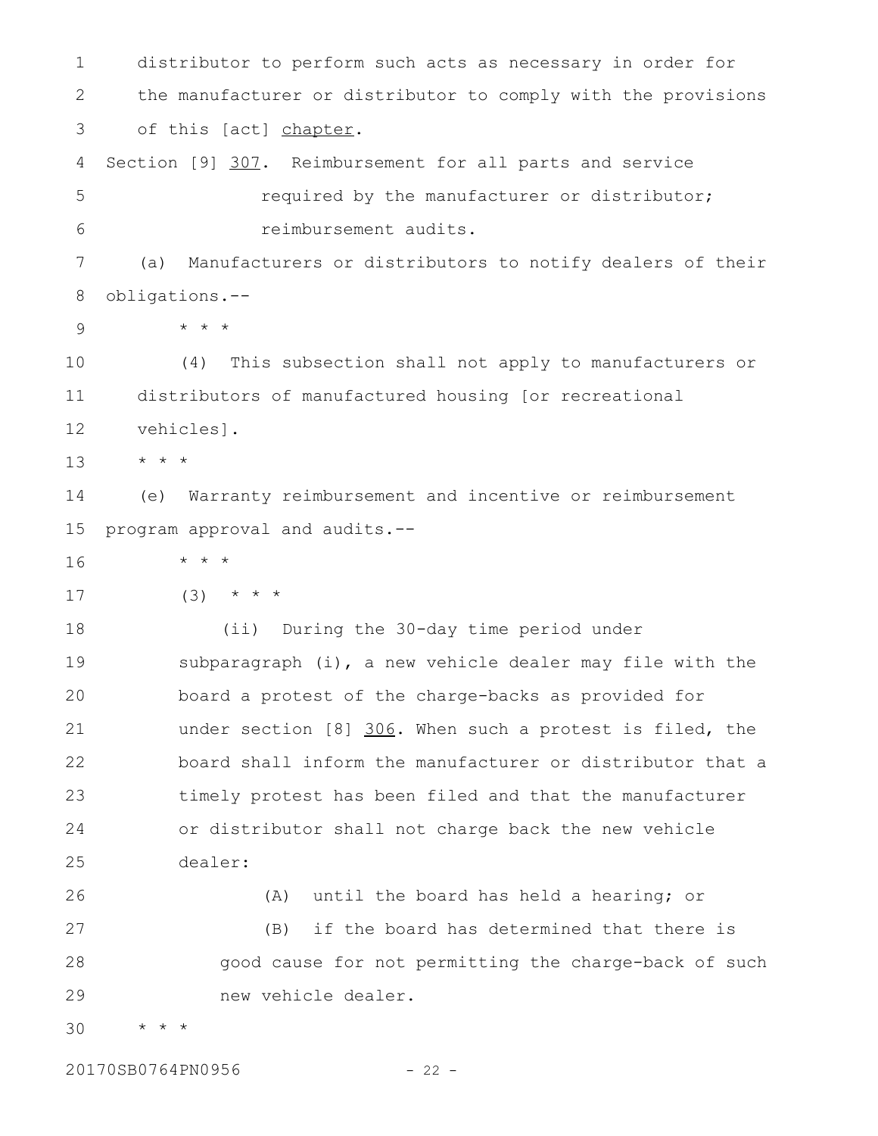distributor to perform such acts as necessary in order for the manufacturer or distributor to comply with the provisions of this [act] chapter. Section [9] 307. Reimbursement for all parts and service required by the manufacturer or distributor; reimbursement audits. (a) Manufacturers or distributors to notify dealers of their obligations.-- \* \* \* (4) This subsection shall not apply to manufacturers or distributors of manufactured housing [or recreational vehicles]. \* \* \* (e) Warranty reimbursement and incentive or reimbursement program approval and audits.-- \* \* \*  $(3)$  \* \* \* (ii) During the 30-day time period under subparagraph (i), a new vehicle dealer may file with the board a protest of the charge-backs as provided for under section [8] 306. When such a protest is filed, the board shall inform the manufacturer or distributor that a timely protest has been filed and that the manufacturer or distributor shall not charge back the new vehicle dealer: (A) until the board has held a hearing; or (B) if the board has determined that there is good cause for not permitting the charge-back of such new vehicle dealer. \* \* \* 1 2 3 4 5 6 7 8 9 10 11 12 13 14 15 16 17 18 19 20 21 22 23 24 25 26 27 28 29 30

20170SB0764PN0956 - 22 -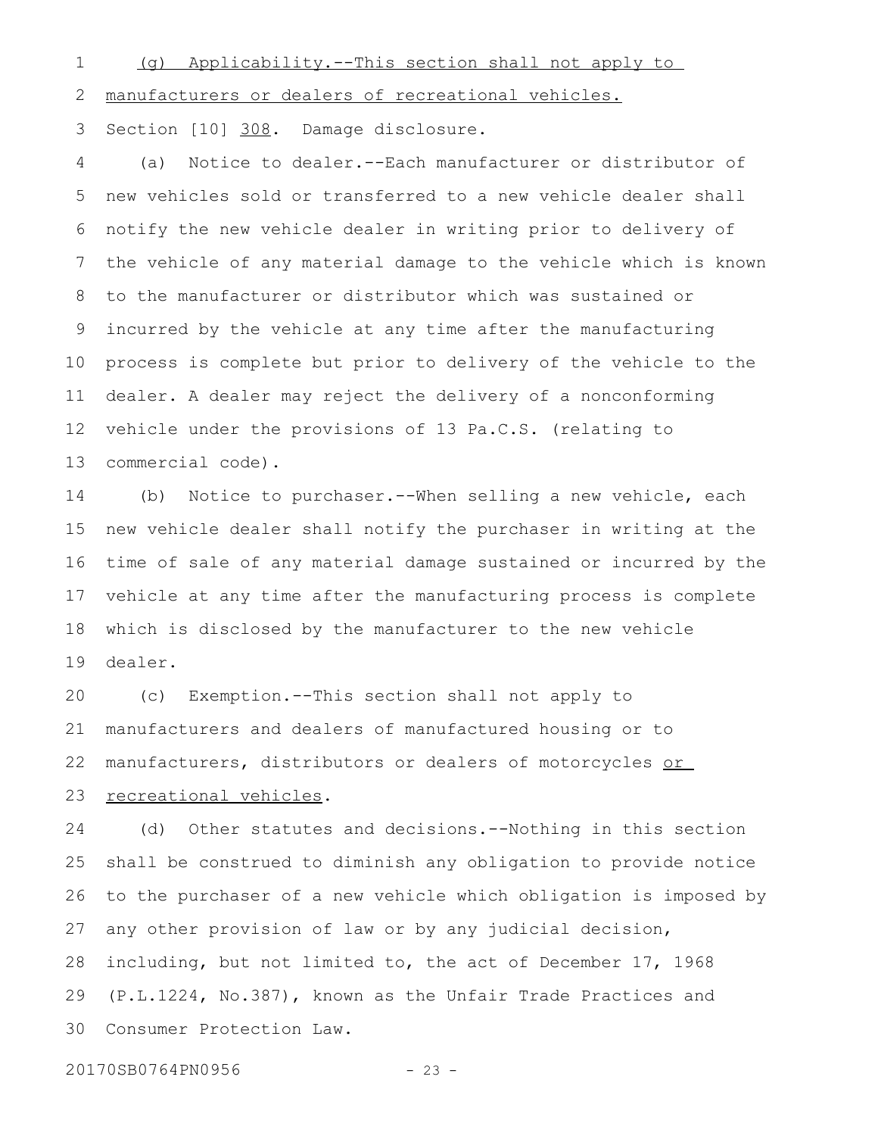1

(g) Applicability.--This section shall not apply to

manufacturers or dealers of recreational vehicles. 2

Section [10] 308. Damage disclosure. 3

(a) Notice to dealer.--Each manufacturer or distributor of new vehicles sold or transferred to a new vehicle dealer shall notify the new vehicle dealer in writing prior to delivery of the vehicle of any material damage to the vehicle which is known to the manufacturer or distributor which was sustained or incurred by the vehicle at any time after the manufacturing process is complete but prior to delivery of the vehicle to the dealer. A dealer may reject the delivery of a nonconforming vehicle under the provisions of 13 Pa.C.S. (relating to commercial code). 4 5 6 7 8 9 10 11 12 13

(b) Notice to purchaser.--When selling a new vehicle, each new vehicle dealer shall notify the purchaser in writing at the time of sale of any material damage sustained or incurred by the vehicle at any time after the manufacturing process is complete which is disclosed by the manufacturer to the new vehicle dealer. 14 15 16 17 18 19

(c) Exemption.--This section shall not apply to manufacturers and dealers of manufactured housing or to manufacturers, distributors or dealers of motorcycles or recreational vehicles. 20 21 22 23

(d) Other statutes and decisions.--Nothing in this section shall be construed to diminish any obligation to provide notice to the purchaser of a new vehicle which obligation is imposed by any other provision of law or by any judicial decision, including, but not limited to, the act of December 17, 1968 (P.L.1224, No.387), known as the Unfair Trade Practices and Consumer Protection Law. 24 25 26 27 28 29 30

20170SB0764PN0956 - 23 -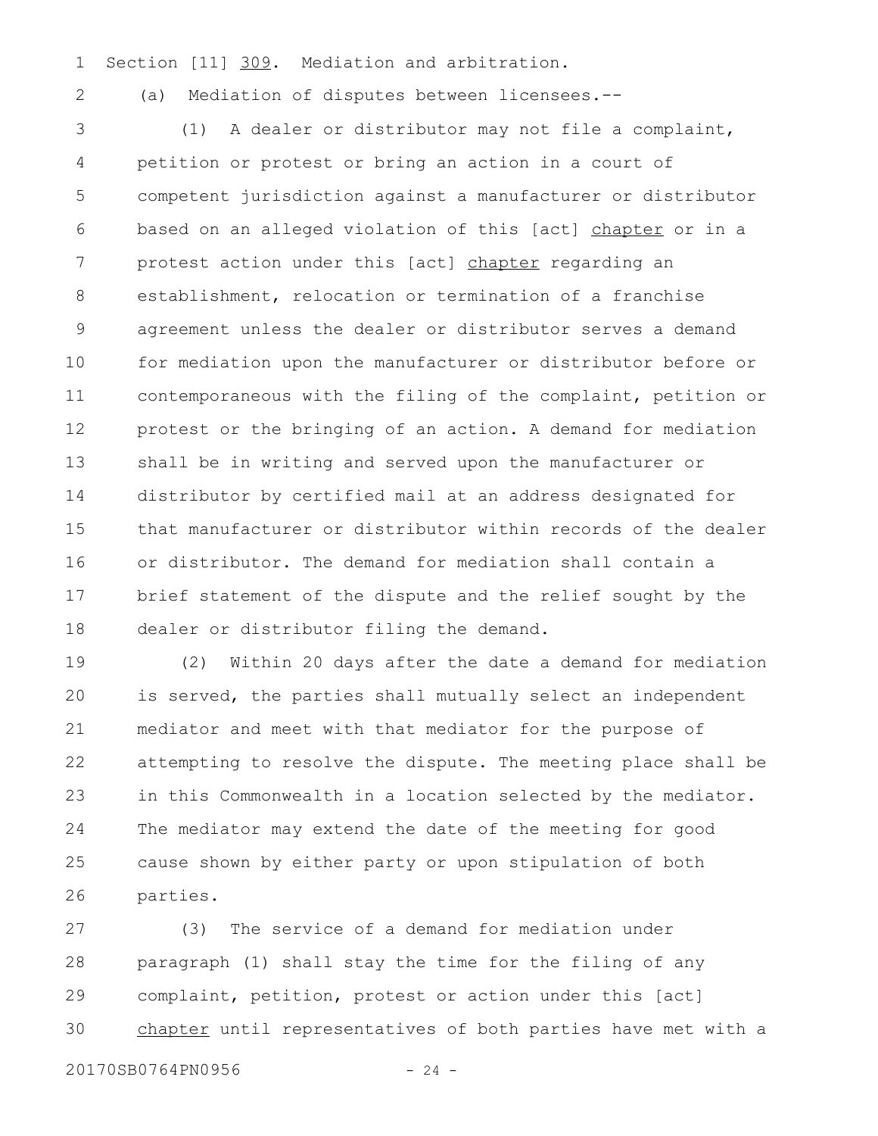- Section [11] 309. Mediation and arbitration. 1
- 2

(a) Mediation of disputes between licensees.--

(1) A dealer or distributor may not file a complaint, petition or protest or bring an action in a court of competent jurisdiction against a manufacturer or distributor based on an alleged violation of this [act] chapter or in a protest action under this [act] chapter regarding an establishment, relocation or termination of a franchise agreement unless the dealer or distributor serves a demand for mediation upon the manufacturer or distributor before or contemporaneous with the filing of the complaint, petition or protest or the bringing of an action. A demand for mediation shall be in writing and served upon the manufacturer or distributor by certified mail at an address designated for that manufacturer or distributor within records of the dealer or distributor. The demand for mediation shall contain a brief statement of the dispute and the relief sought by the dealer or distributor filing the demand. 3 4 5 6 7 8 9 10 11 12 13 14 15 16 17 18

(2) Within 20 days after the date a demand for mediation is served, the parties shall mutually select an independent mediator and meet with that mediator for the purpose of attempting to resolve the dispute. The meeting place shall be in this Commonwealth in a location selected by the mediator. The mediator may extend the date of the meeting for good cause shown by either party or upon stipulation of both parties. 19 20 21 22 23 24 25 26

(3) The service of a demand for mediation under paragraph (1) shall stay the time for the filing of any complaint, petition, protest or action under this [act] chapter until representatives of both parties have met with a 27 28 29 30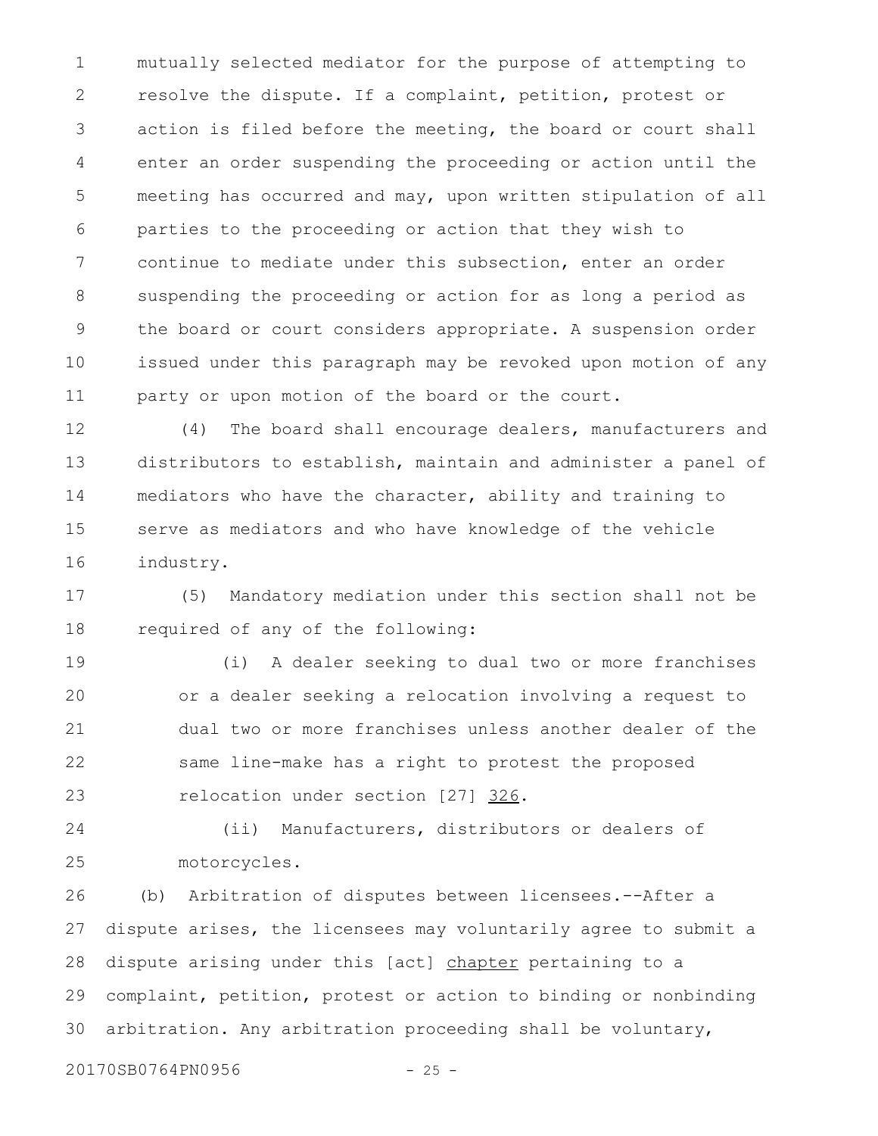mutually selected mediator for the purpose of attempting to resolve the dispute. If a complaint, petition, protest or action is filed before the meeting, the board or court shall enter an order suspending the proceeding or action until the meeting has occurred and may, upon written stipulation of all parties to the proceeding or action that they wish to continue to mediate under this subsection, enter an order suspending the proceeding or action for as long a period as the board or court considers appropriate. A suspension order issued under this paragraph may be revoked upon motion of any party or upon motion of the board or the court. 1 2 3 4 5 6 7 8 9 10 11

(4) The board shall encourage dealers, manufacturers and distributors to establish, maintain and administer a panel of mediators who have the character, ability and training to serve as mediators and who have knowledge of the vehicle industry. 12 13 14 15 16

(5) Mandatory mediation under this section shall not be required of any of the following: 17 18

(i) A dealer seeking to dual two or more franchises or a dealer seeking a relocation involving a request to dual two or more franchises unless another dealer of the same line-make has a right to protest the proposed relocation under section [27] 326. 19 20 21 22 23

(ii) Manufacturers, distributors or dealers of motorcycles. 24 25

(b) Arbitration of disputes between licensees.--After a dispute arises, the licensees may voluntarily agree to submit a dispute arising under this [act] chapter pertaining to a complaint, petition, protest or action to binding or nonbinding arbitration. Any arbitration proceeding shall be voluntary, 26 27 28 29 30

20170SB0764PN0956 - 25 -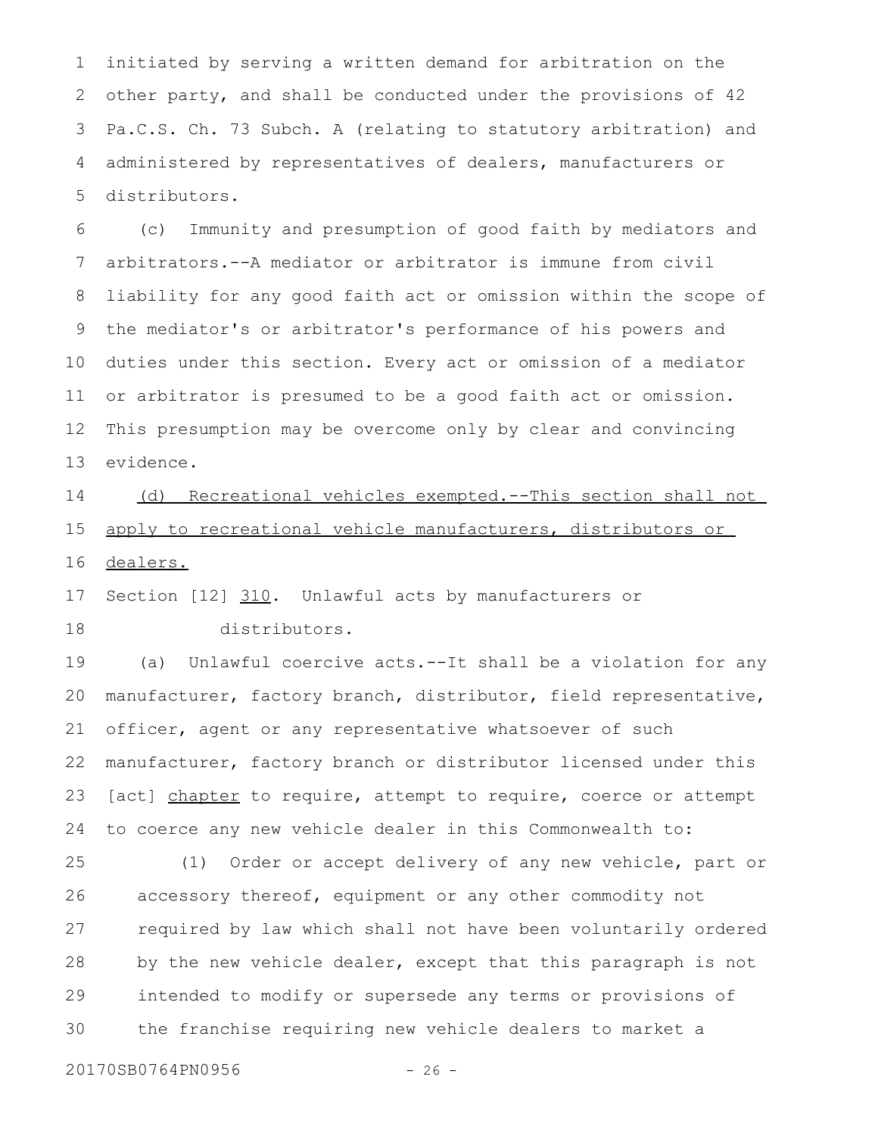initiated by serving a written demand for arbitration on the other party, and shall be conducted under the provisions of 42 Pa.C.S. Ch. 73 Subch. A (relating to statutory arbitration) and administered by representatives of dealers, manufacturers or distributors. 1 2 3 4 5

(c) Immunity and presumption of good faith by mediators and arbitrators.--A mediator or arbitrator is immune from civil liability for any good faith act or omission within the scope of the mediator's or arbitrator's performance of his powers and duties under this section. Every act or omission of a mediator or arbitrator is presumed to be a good faith act or omission. This presumption may be overcome only by clear and convincing evidence. 6 7 8 9 10 11 12 13

(d) Recreational vehicles exempted.--This section shall not apply to recreational vehicle manufacturers, distributors or dealers. 14 15 16

Section [12] 310. Unlawful acts by manufacturers or 17

18

distributors.

(a) Unlawful coercive acts.--It shall be a violation for any manufacturer, factory branch, distributor, field representative, officer, agent or any representative whatsoever of such manufacturer, factory branch or distributor licensed under this [act] chapter to require, attempt to require, coerce or attempt to coerce any new vehicle dealer in this Commonwealth to: 19 20 21 22 23 24

(1) Order or accept delivery of any new vehicle, part or accessory thereof, equipment or any other commodity not required by law which shall not have been voluntarily ordered by the new vehicle dealer, except that this paragraph is not intended to modify or supersede any terms or provisions of the franchise requiring new vehicle dealers to market a 25 26 27 28 29 30

20170SB0764PN0956 - 26 -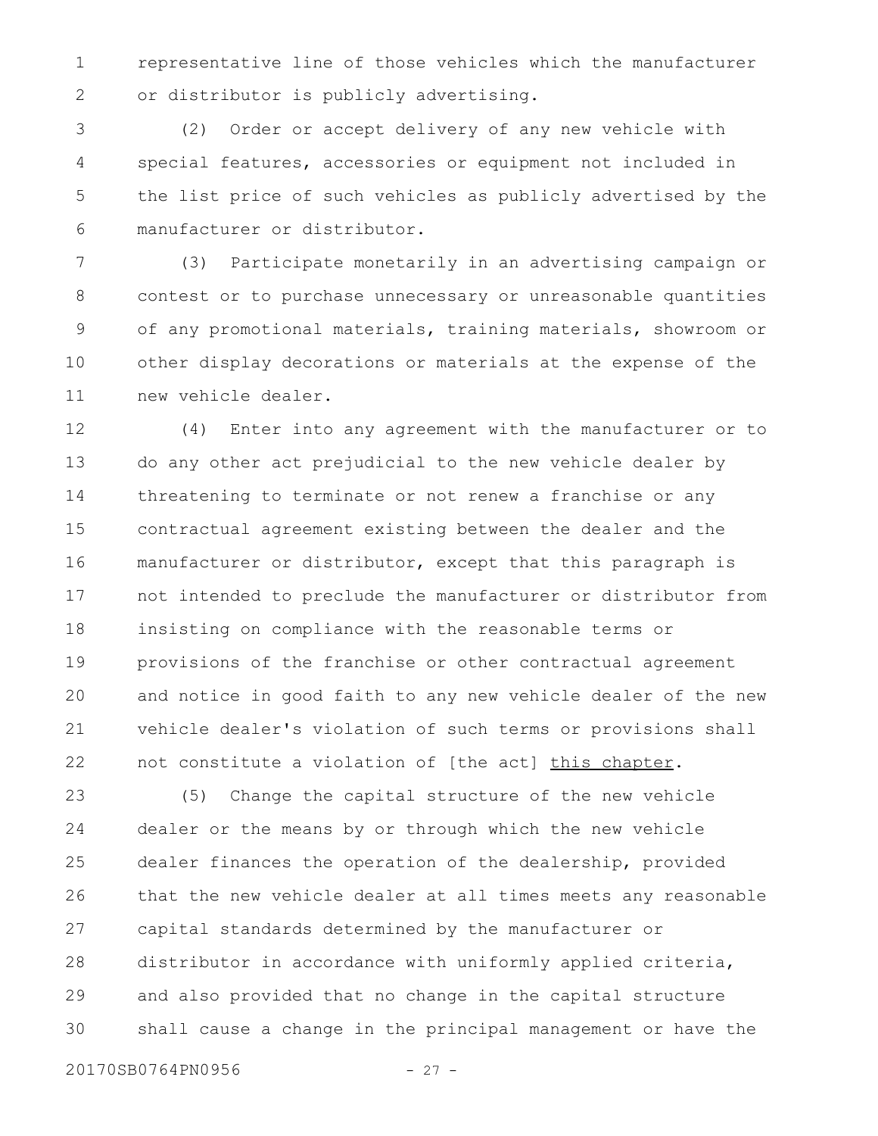representative line of those vehicles which the manufacturer or distributor is publicly advertising. 1 2

(2) Order or accept delivery of any new vehicle with special features, accessories or equipment not included in the list price of such vehicles as publicly advertised by the manufacturer or distributor. 3 4 5 6

(3) Participate monetarily in an advertising campaign or contest or to purchase unnecessary or unreasonable quantities of any promotional materials, training materials, showroom or other display decorations or materials at the expense of the new vehicle dealer. 7 8 9 10 11

(4) Enter into any agreement with the manufacturer or to do any other act prejudicial to the new vehicle dealer by threatening to terminate or not renew a franchise or any contractual agreement existing between the dealer and the manufacturer or distributor, except that this paragraph is not intended to preclude the manufacturer or distributor from insisting on compliance with the reasonable terms or provisions of the franchise or other contractual agreement and notice in good faith to any new vehicle dealer of the new vehicle dealer's violation of such terms or provisions shall not constitute a violation of [the act] this chapter. 12 13 14 15 16 17 18 19 20 21 22

(5) Change the capital structure of the new vehicle dealer or the means by or through which the new vehicle dealer finances the operation of the dealership, provided that the new vehicle dealer at all times meets any reasonable capital standards determined by the manufacturer or distributor in accordance with uniformly applied criteria, and also provided that no change in the capital structure shall cause a change in the principal management or have the 23 24 25 26 27 28 29 30

20170SB0764PN0956 - 27 -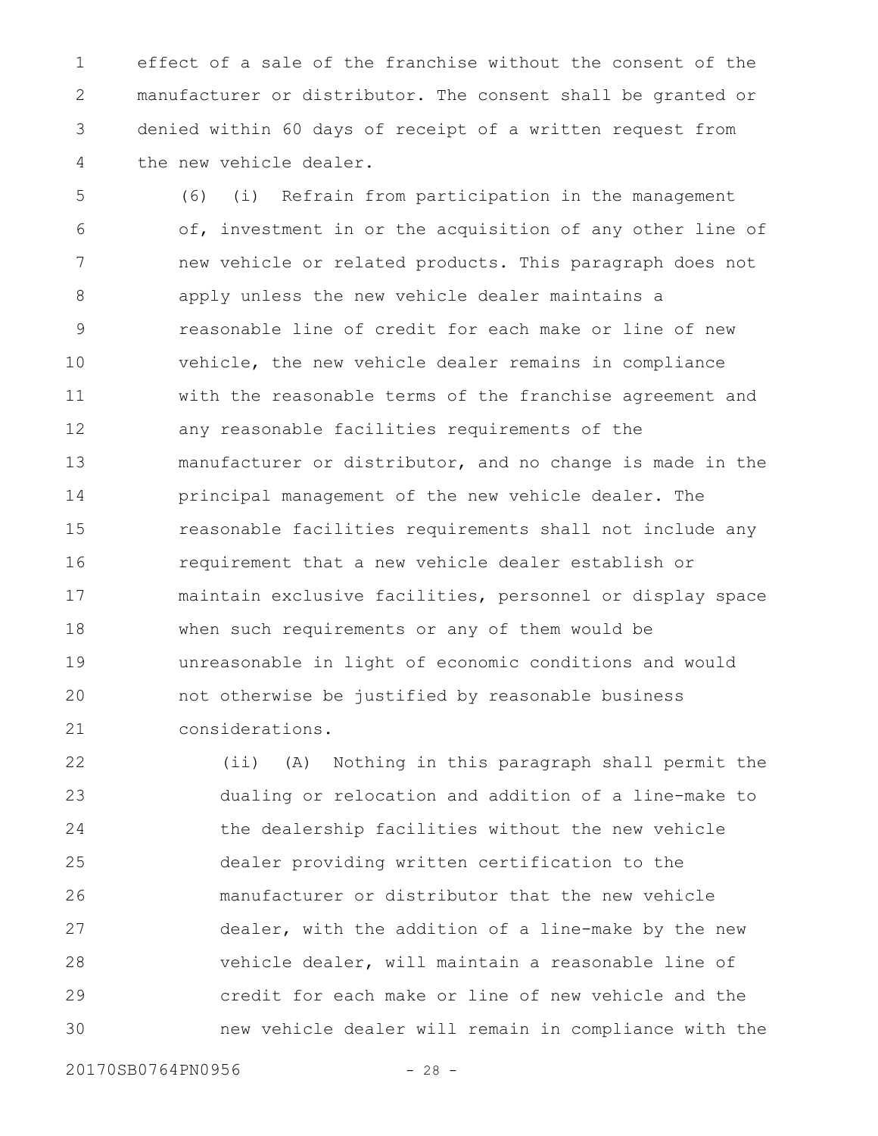effect of a sale of the franchise without the consent of the manufacturer or distributor. The consent shall be granted or denied within 60 days of receipt of a written request from the new vehicle dealer. 1 2 3 4

(6) (i) Refrain from participation in the management of, investment in or the acquisition of any other line of new vehicle or related products. This paragraph does not apply unless the new vehicle dealer maintains a reasonable line of credit for each make or line of new vehicle, the new vehicle dealer remains in compliance with the reasonable terms of the franchise agreement and any reasonable facilities requirements of the manufacturer or distributor, and no change is made in the principal management of the new vehicle dealer. The reasonable facilities requirements shall not include any requirement that a new vehicle dealer establish or maintain exclusive facilities, personnel or display space when such requirements or any of them would be unreasonable in light of economic conditions and would not otherwise be justified by reasonable business considerations. 5 6 7 8 9 10 11 12 13 14 15 16 17 18 19 20 21

(ii) (A) Nothing in this paragraph shall permit the dualing or relocation and addition of a line-make to the dealership facilities without the new vehicle dealer providing written certification to the manufacturer or distributor that the new vehicle dealer, with the addition of a line-make by the new vehicle dealer, will maintain a reasonable line of credit for each make or line of new vehicle and the new vehicle dealer will remain in compliance with the 22 23 24 25 26 27 28 29 30

20170SB0764PN0956 - 28 -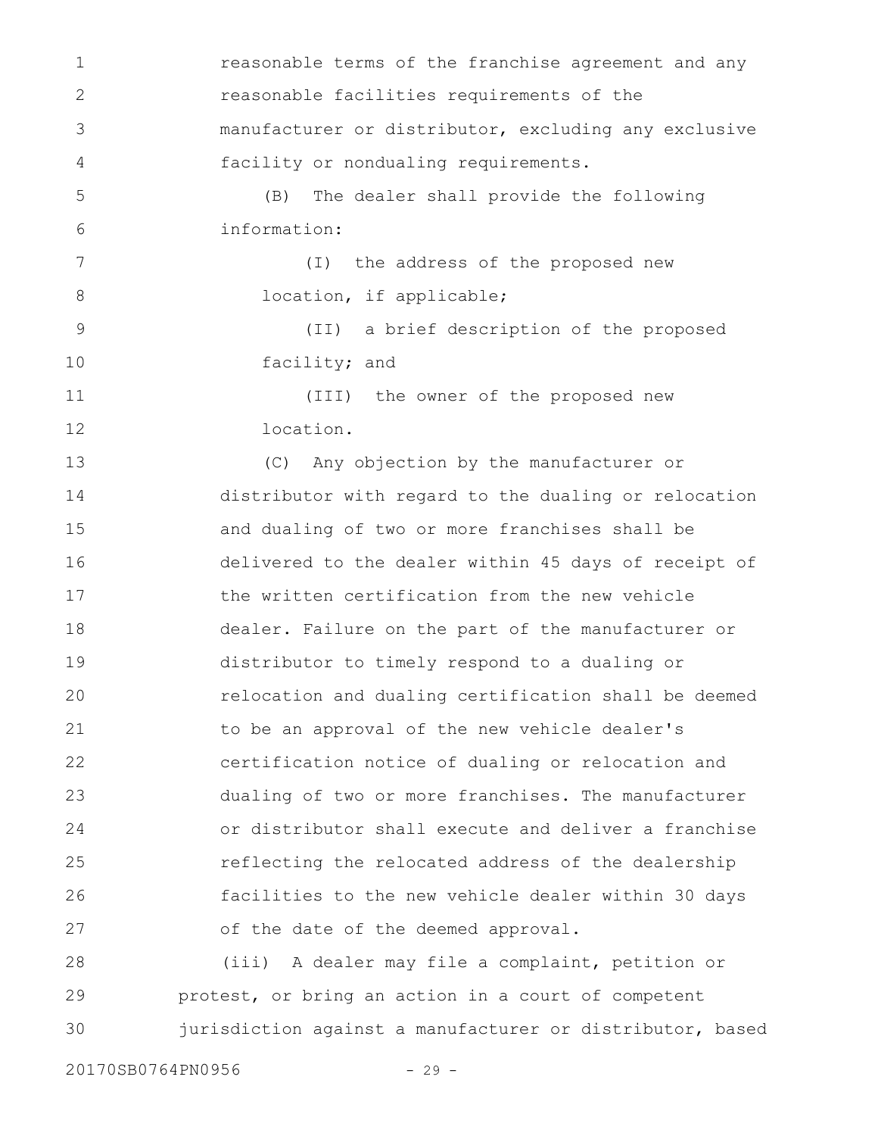reasonable terms of the franchise agreement and any reasonable facilities requirements of the manufacturer or distributor, excluding any exclusive facility or nondualing requirements. (B) The dealer shall provide the following information: (I) the address of the proposed new location, if applicable; (II) a brief description of the proposed facility; and (III) the owner of the proposed new location. (C) Any objection by the manufacturer or distributor with regard to the dualing or relocation and dualing of two or more franchises shall be delivered to the dealer within 45 days of receipt of the written certification from the new vehicle dealer. Failure on the part of the manufacturer or distributor to timely respond to a dualing or relocation and dualing certification shall be deemed to be an approval of the new vehicle dealer's certification notice of dualing or relocation and dualing of two or more franchises. The manufacturer or distributor shall execute and deliver a franchise reflecting the relocated address of the dealership facilities to the new vehicle dealer within 30 days of the date of the deemed approval. (iii) A dealer may file a complaint, petition or protest, or bring an action in a court of competent jurisdiction against a manufacturer or distributor, based 1 2 3 4 5 6 7 8 9 10 11 12 13 14 15 16 17 18 19 20 21 22 23 24 25 26 27 28 29 30

20170SB0764PN0956 - 29 -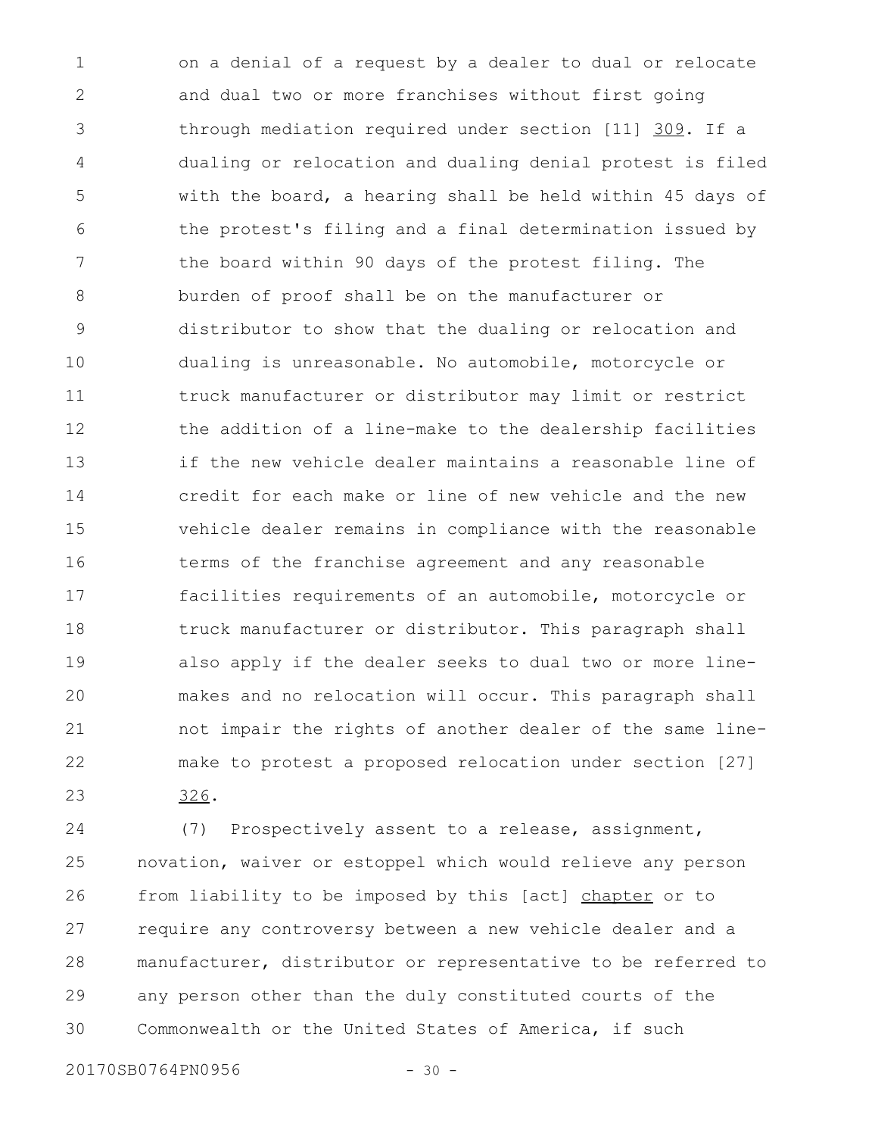on a denial of a request by a dealer to dual or relocate and dual two or more franchises without first going through mediation required under section [11] 309. If a dualing or relocation and dualing denial protest is filed with the board, a hearing shall be held within 45 days of the protest's filing and a final determination issued by the board within 90 days of the protest filing. The burden of proof shall be on the manufacturer or distributor to show that the dualing or relocation and dualing is unreasonable. No automobile, motorcycle or truck manufacturer or distributor may limit or restrict the addition of a line-make to the dealership facilities if the new vehicle dealer maintains a reasonable line of credit for each make or line of new vehicle and the new vehicle dealer remains in compliance with the reasonable terms of the franchise agreement and any reasonable facilities requirements of an automobile, motorcycle or truck manufacturer or distributor. This paragraph shall also apply if the dealer seeks to dual two or more linemakes and no relocation will occur. This paragraph shall not impair the rights of another dealer of the same linemake to protest a proposed relocation under section [27] 326. 1 2 3 4 5 6 7 8 9 10 11 12 13 14 15 16 17 18 19 20 21 22 23

(7) Prospectively assent to a release, assignment, novation, waiver or estoppel which would relieve any person from liability to be imposed by this [act] chapter or to require any controversy between a new vehicle dealer and a manufacturer, distributor or representative to be referred to any person other than the duly constituted courts of the Commonwealth or the United States of America, if such 24 25 26 27 28 29 30

20170SB0764PN0956 - 30 -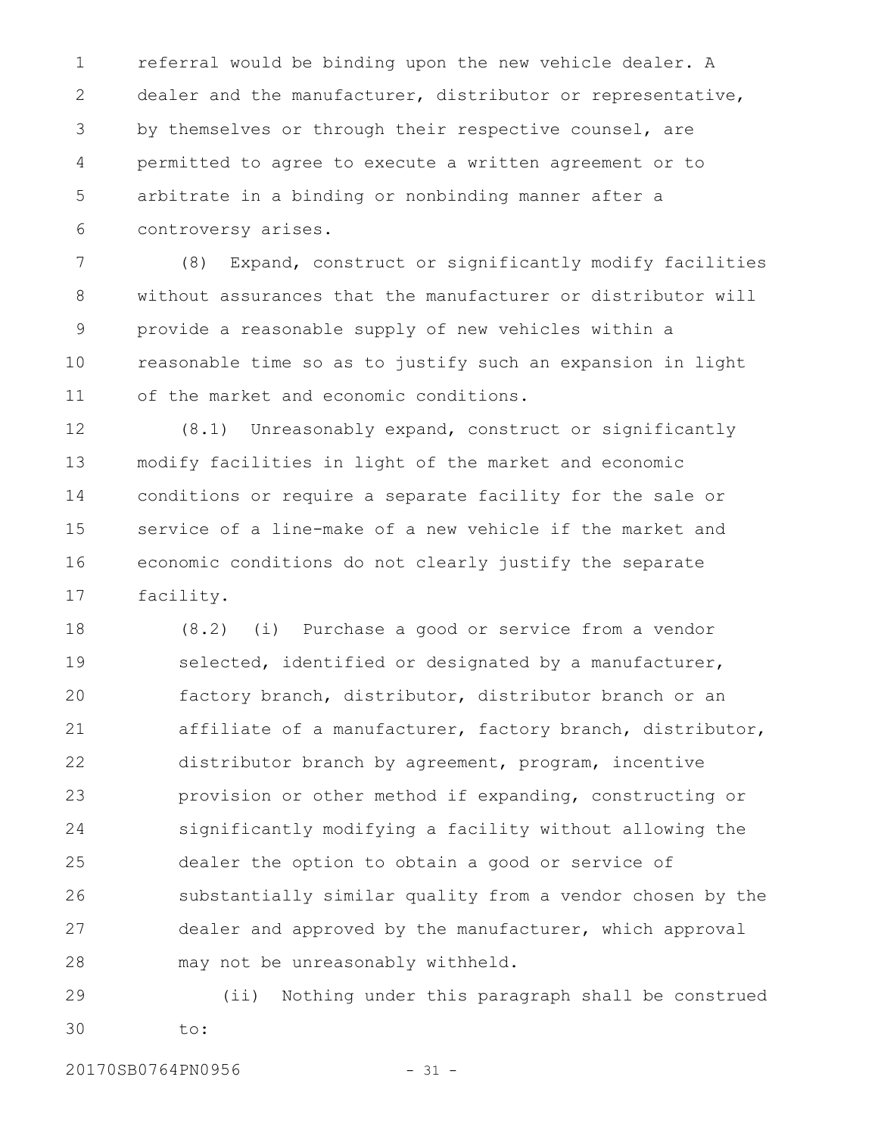referral would be binding upon the new vehicle dealer. A dealer and the manufacturer, distributor or representative, by themselves or through their respective counsel, are permitted to agree to execute a written agreement or to arbitrate in a binding or nonbinding manner after a controversy arises. 1 2 3 4 5 6

(8) Expand, construct or significantly modify facilities without assurances that the manufacturer or distributor will provide a reasonable supply of new vehicles within a reasonable time so as to justify such an expansion in light of the market and economic conditions. 7 8 9 10 11

(8.1) Unreasonably expand, construct or significantly modify facilities in light of the market and economic conditions or require a separate facility for the sale or service of a line-make of a new vehicle if the market and economic conditions do not clearly justify the separate facility. 12 13 14 15 16 17

(8.2) (i) Purchase a good or service from a vendor selected, identified or designated by a manufacturer, factory branch, distributor, distributor branch or an affiliate of a manufacturer, factory branch, distributor, distributor branch by agreement, program, incentive provision or other method if expanding, constructing or significantly modifying a facility without allowing the dealer the option to obtain a good or service of substantially similar quality from a vendor chosen by the dealer and approved by the manufacturer, which approval may not be unreasonably withheld. 18 19 20 21 22 23 24 25 26 27 28

(ii) Nothing under this paragraph shall be construed to: 29 30

20170SB0764PN0956 - 31 -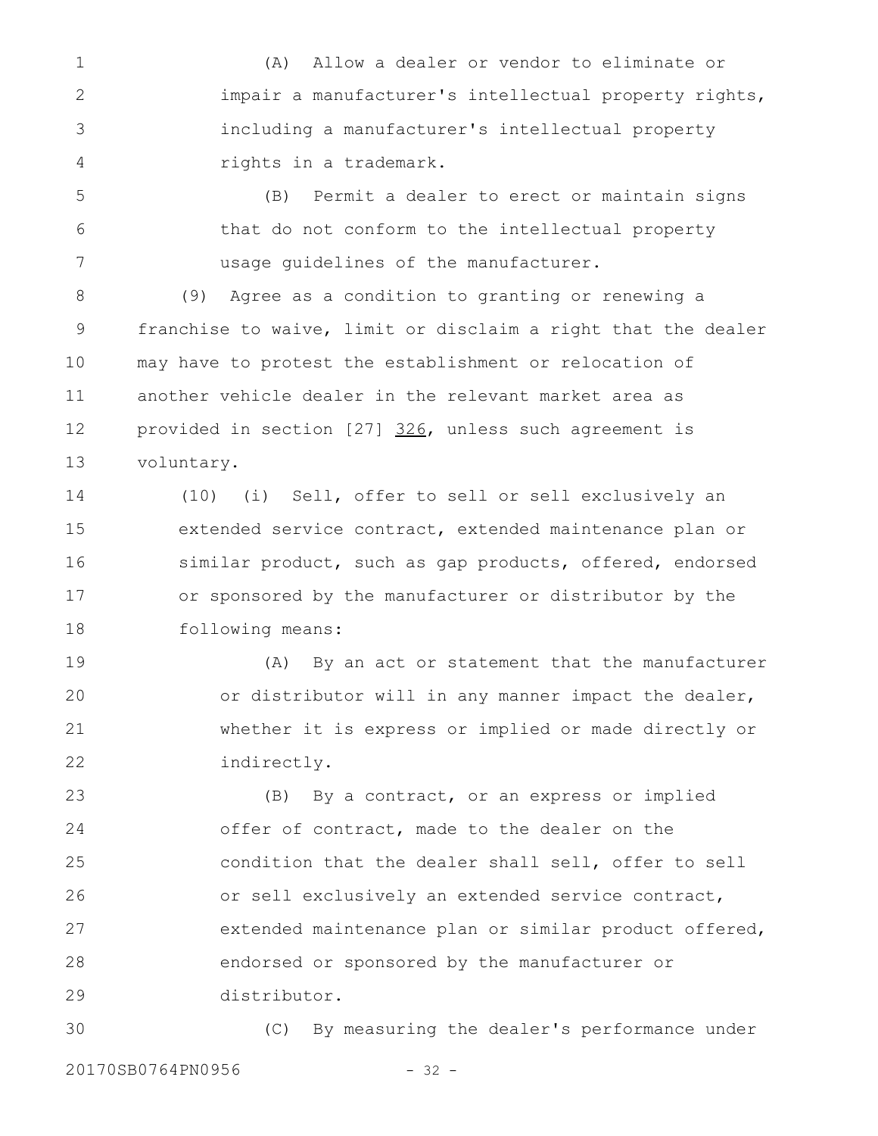(A) Allow a dealer or vendor to eliminate or impair a manufacturer's intellectual property rights, including a manufacturer's intellectual property rights in a trademark. 1 2 3 4

(B) Permit a dealer to erect or maintain signs that do not conform to the intellectual property usage guidelines of the manufacturer. 5 6 7

(9) Agree as a condition to granting or renewing a franchise to waive, limit or disclaim a right that the dealer may have to protest the establishment or relocation of another vehicle dealer in the relevant market area as provided in section [27] 326, unless such agreement is voluntary. 8 9 10 11 12 13

(10) (i) Sell, offer to sell or sell exclusively an extended service contract, extended maintenance plan or similar product, such as gap products, offered, endorsed or sponsored by the manufacturer or distributor by the following means: 14 15 16 17 18

(A) By an act or statement that the manufacturer or distributor will in any manner impact the dealer, whether it is express or implied or made directly or indirectly. 19 20 21 22

(B) By a contract, or an express or implied offer of contract, made to the dealer on the condition that the dealer shall sell, offer to sell or sell exclusively an extended service contract, extended maintenance plan or similar product offered, endorsed or sponsored by the manufacturer or distributor. 23 24 25 26 27 28 29

(C) By measuring the dealer's performance under 20170SB0764PN0956 - 32 -30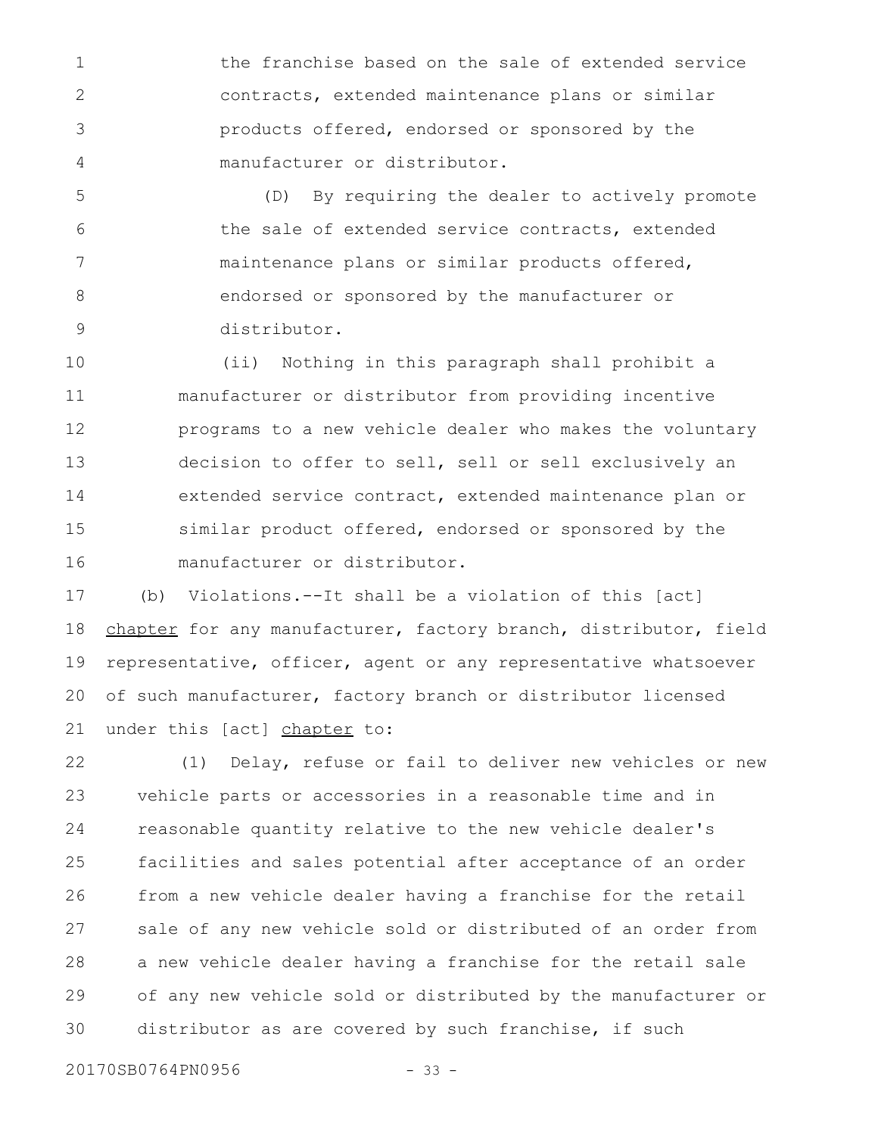the franchise based on the sale of extended service contracts, extended maintenance plans or similar products offered, endorsed or sponsored by the manufacturer or distributor. 1 2 3 4

(D) By requiring the dealer to actively promote the sale of extended service contracts, extended maintenance plans or similar products offered, endorsed or sponsored by the manufacturer or distributor. 5 6 7 8 9

(ii) Nothing in this paragraph shall prohibit a manufacturer or distributor from providing incentive programs to a new vehicle dealer who makes the voluntary decision to offer to sell, sell or sell exclusively an extended service contract, extended maintenance plan or similar product offered, endorsed or sponsored by the manufacturer or distributor. 10 11 12 13 14 15 16

(b) Violations.--It shall be a violation of this [act] chapter for any manufacturer, factory branch, distributor, field representative, officer, agent or any representative whatsoever of such manufacturer, factory branch or distributor licensed under this [act] chapter to: 17 18 19 20 21

(1) Delay, refuse or fail to deliver new vehicles or new vehicle parts or accessories in a reasonable time and in reasonable quantity relative to the new vehicle dealer's facilities and sales potential after acceptance of an order from a new vehicle dealer having a franchise for the retail sale of any new vehicle sold or distributed of an order from a new vehicle dealer having a franchise for the retail sale of any new vehicle sold or distributed by the manufacturer or distributor as are covered by such franchise, if such 22 23 24 25 26 27 28 29 30

20170SB0764PN0956 - 33 -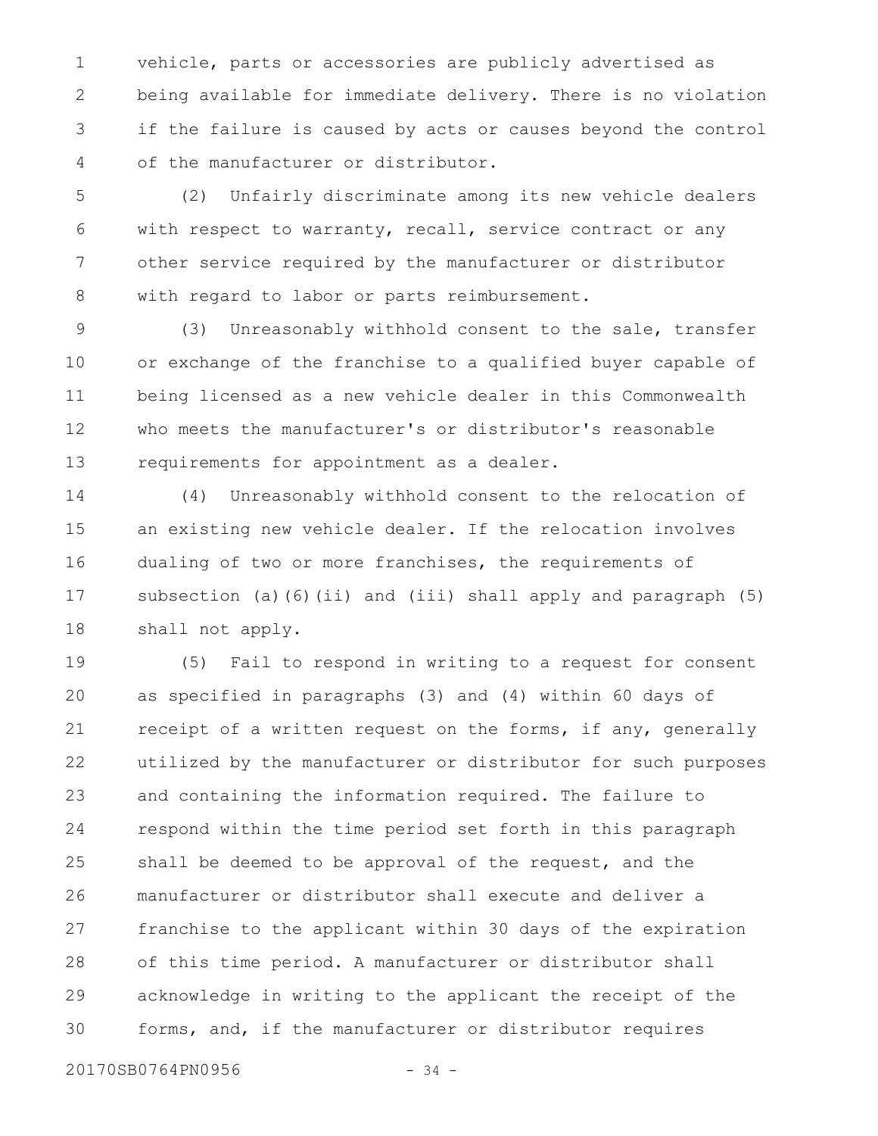vehicle, parts or accessories are publicly advertised as being available for immediate delivery. There is no violation if the failure is caused by acts or causes beyond the control of the manufacturer or distributor. 1 2 3 4

(2) Unfairly discriminate among its new vehicle dealers with respect to warranty, recall, service contract or any other service required by the manufacturer or distributor with regard to labor or parts reimbursement. 5 6 7 8

(3) Unreasonably withhold consent to the sale, transfer or exchange of the franchise to a qualified buyer capable of being licensed as a new vehicle dealer in this Commonwealth who meets the manufacturer's or distributor's reasonable requirements for appointment as a dealer. 9 10 11 12 13

(4) Unreasonably withhold consent to the relocation of an existing new vehicle dealer. If the relocation involves dualing of two or more franchises, the requirements of subsection (a)(6)(ii) and (iii) shall apply and paragraph (5) shall not apply. 14 15 16 17 18

(5) Fail to respond in writing to a request for consent as specified in paragraphs (3) and (4) within 60 days of receipt of a written request on the forms, if any, generally utilized by the manufacturer or distributor for such purposes and containing the information required. The failure to respond within the time period set forth in this paragraph shall be deemed to be approval of the request, and the manufacturer or distributor shall execute and deliver a franchise to the applicant within 30 days of the expiration of this time period. A manufacturer or distributor shall acknowledge in writing to the applicant the receipt of the forms, and, if the manufacturer or distributor requires 19 20 21 22 23 24 25 26 27 28 29 30

20170SB0764PN0956 - 34 -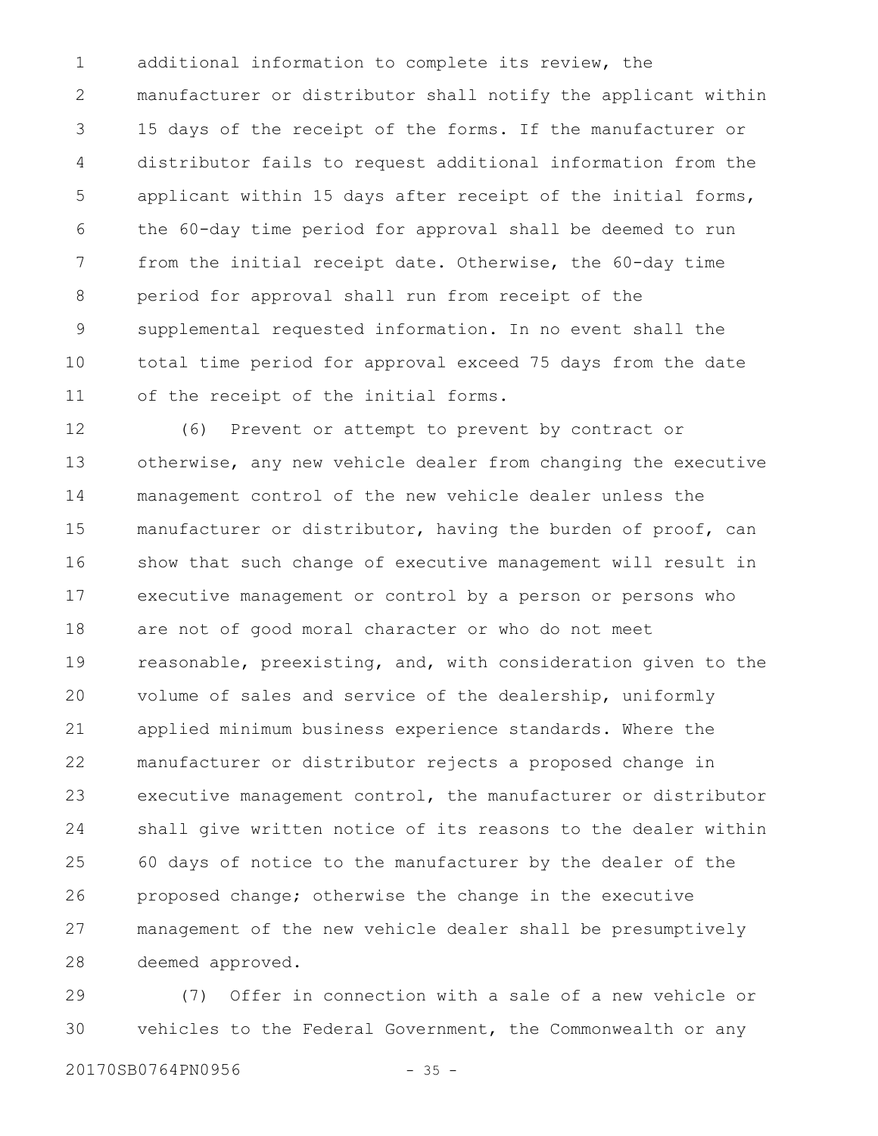additional information to complete its review, the manufacturer or distributor shall notify the applicant within 15 days of the receipt of the forms. If the manufacturer or distributor fails to request additional information from the applicant within 15 days after receipt of the initial forms, the 60-day time period for approval shall be deemed to run from the initial receipt date. Otherwise, the 60-day time period for approval shall run from receipt of the supplemental requested information. In no event shall the total time period for approval exceed 75 days from the date of the receipt of the initial forms. 1 2 3 4 5 6 7 8 9 10 11

(6) Prevent or attempt to prevent by contract or otherwise, any new vehicle dealer from changing the executive management control of the new vehicle dealer unless the manufacturer or distributor, having the burden of proof, can show that such change of executive management will result in executive management or control by a person or persons who are not of good moral character or who do not meet reasonable, preexisting, and, with consideration given to the volume of sales and service of the dealership, uniformly applied minimum business experience standards. Where the manufacturer or distributor rejects a proposed change in executive management control, the manufacturer or distributor shall give written notice of its reasons to the dealer within 60 days of notice to the manufacturer by the dealer of the proposed change; otherwise the change in the executive management of the new vehicle dealer shall be presumptively deemed approved. 12 13 14 15 16 17 18 19 20 21 22 23 24 25 26 27 28

(7) Offer in connection with a sale of a new vehicle or vehicles to the Federal Government, the Commonwealth or any 29 30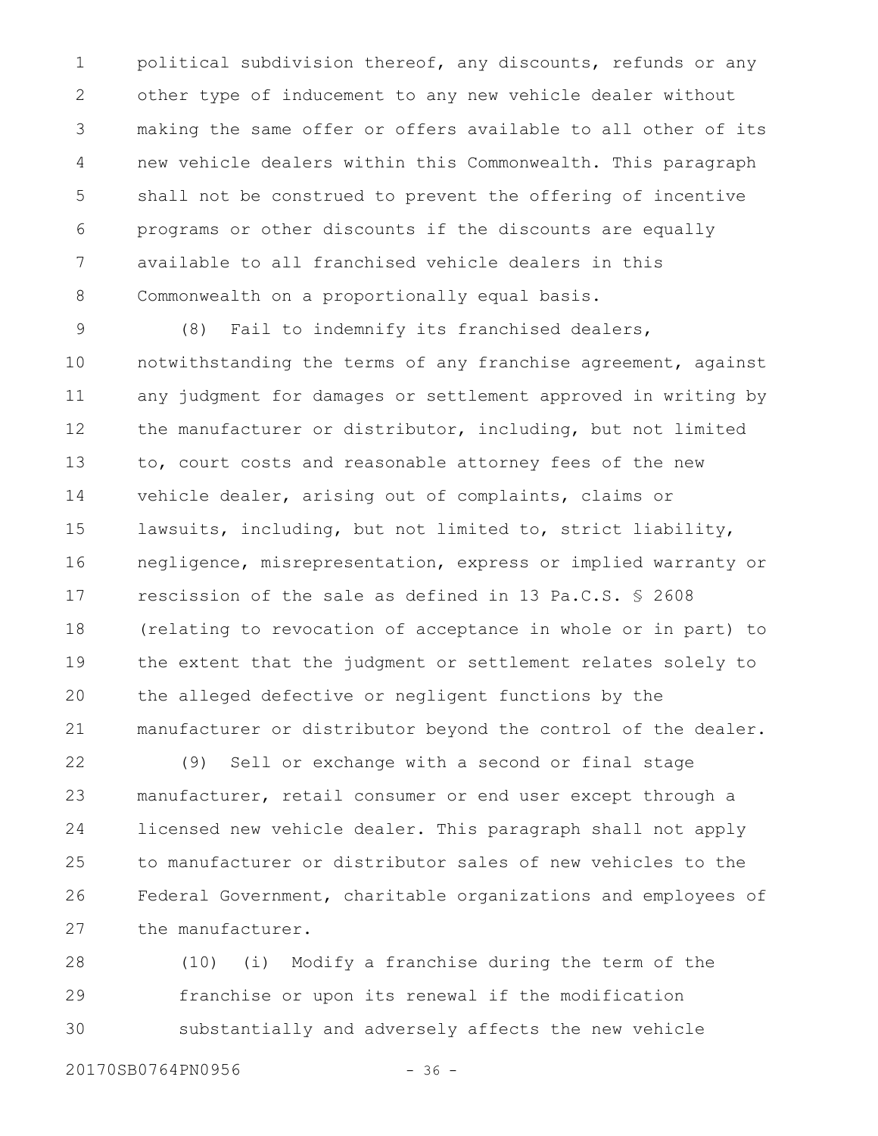political subdivision thereof, any discounts, refunds or any other type of inducement to any new vehicle dealer without making the same offer or offers available to all other of its new vehicle dealers within this Commonwealth. This paragraph shall not be construed to prevent the offering of incentive programs or other discounts if the discounts are equally available to all franchised vehicle dealers in this Commonwealth on a proportionally equal basis. 1 2 3 4 5 6 7 8

(8) Fail to indemnify its franchised dealers, notwithstanding the terms of any franchise agreement, against any judgment for damages or settlement approved in writing by the manufacturer or distributor, including, but not limited to, court costs and reasonable attorney fees of the new vehicle dealer, arising out of complaints, claims or lawsuits, including, but not limited to, strict liability, negligence, misrepresentation, express or implied warranty or rescission of the sale as defined in 13 Pa.C.S. § 2608 (relating to revocation of acceptance in whole or in part) to the extent that the judgment or settlement relates solely to the alleged defective or negligent functions by the manufacturer or distributor beyond the control of the dealer. 9 10 11 12 13 14 15 16 17 18 19 20 21

(9) Sell or exchange with a second or final stage manufacturer, retail consumer or end user except through a licensed new vehicle dealer. This paragraph shall not apply to manufacturer or distributor sales of new vehicles to the Federal Government, charitable organizations and employees of the manufacturer. 22 23 24 25 26 27

(10) (i) Modify a franchise during the term of the franchise or upon its renewal if the modification substantially and adversely affects the new vehicle 28 29 30

20170SB0764PN0956 - 36 -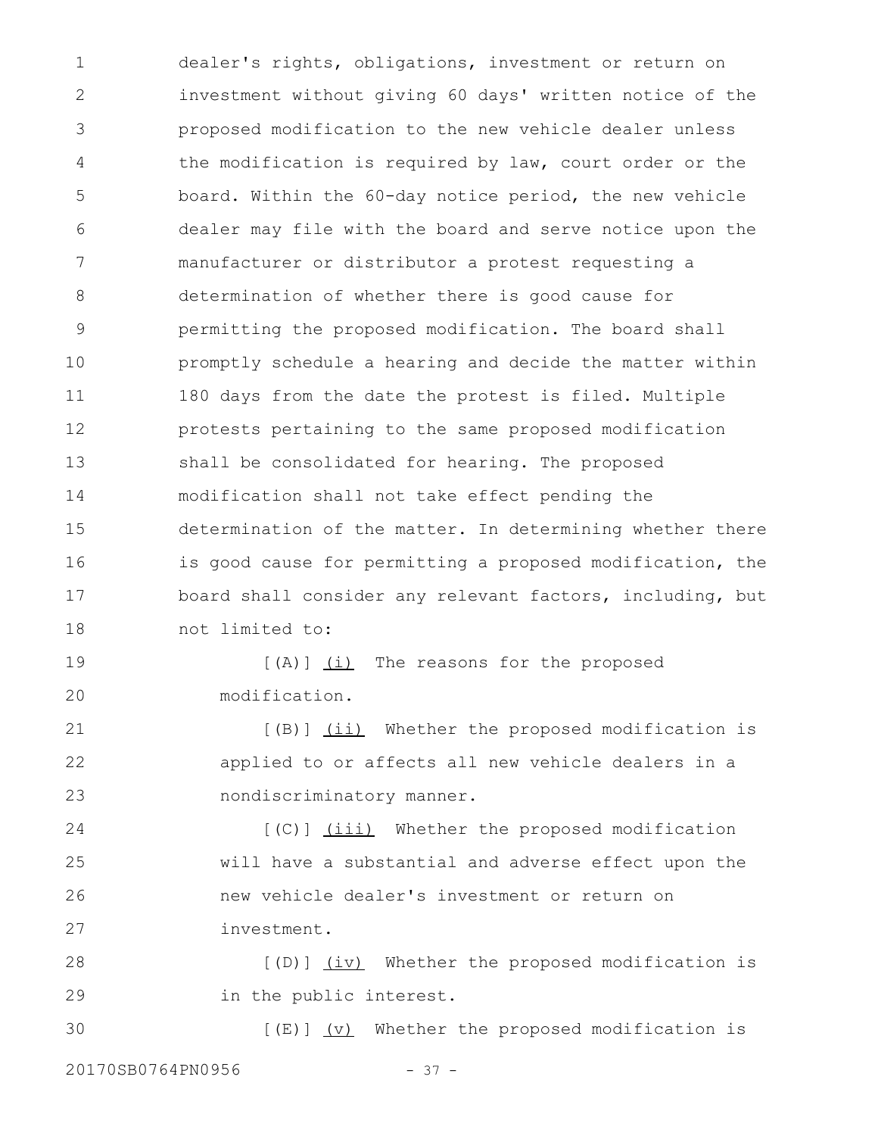dealer's rights, obligations, investment or return on investment without giving 60 days' written notice of the proposed modification to the new vehicle dealer unless the modification is required by law, court order or the board. Within the 60-day notice period, the new vehicle dealer may file with the board and serve notice upon the manufacturer or distributor a protest requesting a determination of whether there is good cause for permitting the proposed modification. The board shall promptly schedule a hearing and decide the matter within 180 days from the date the protest is filed. Multiple protests pertaining to the same proposed modification shall be consolidated for hearing. The proposed modification shall not take effect pending the determination of the matter. In determining whether there is good cause for permitting a proposed modification, the board shall consider any relevant factors, including, but not limited to: [(A)] (i) The reasons for the proposed 1 2 3 4 5 6 7 8 9 10 11 12 13 14 15 16 17 18 19

modification.

20

[(B)] (ii) Whether the proposed modification is applied to or affects all new vehicle dealers in a nondiscriminatory manner. 21 22 23

[(C)] (iii) Whether the proposed modification will have a substantial and adverse effect upon the new vehicle dealer's investment or return on investment. 24 25 26 27

[(D)] (iv) Whether the proposed modification is in the public interest. 28 29

 $[(E)]$   $(V)$  Whether the proposed modification is 20170SB0764PN0956 - 37 -30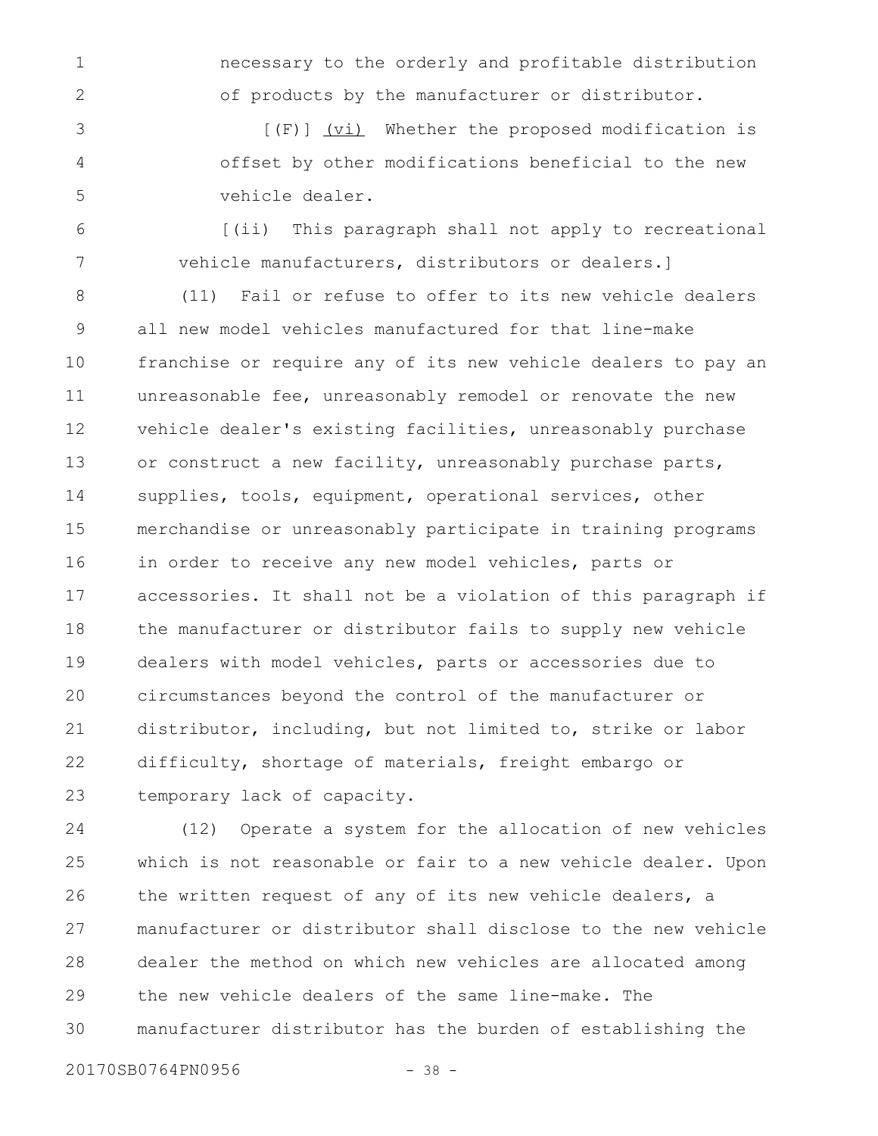necessary to the orderly and profitable distribution of products by the manufacturer or distributor.

[(F)] (vi) Whether the proposed modification is offset by other modifications beneficial to the new vehicle dealer. 3 4 5

[(ii) This paragraph shall not apply to recreational vehicle manufacturers, distributors or dealers.] 6 7

(11) Fail or refuse to offer to its new vehicle dealers all new model vehicles manufactured for that line-make franchise or require any of its new vehicle dealers to pay an unreasonable fee, unreasonably remodel or renovate the new vehicle dealer's existing facilities, unreasonably purchase or construct a new facility, unreasonably purchase parts, supplies, tools, equipment, operational services, other merchandise or unreasonably participate in training programs in order to receive any new model vehicles, parts or accessories. It shall not be a violation of this paragraph if the manufacturer or distributor fails to supply new vehicle dealers with model vehicles, parts or accessories due to circumstances beyond the control of the manufacturer or distributor, including, but not limited to, strike or labor difficulty, shortage of materials, freight embargo or temporary lack of capacity. 8 9 10 11 12 13 14 15 16 17 18 19 20 21 22 23

(12) Operate a system for the allocation of new vehicles which is not reasonable or fair to a new vehicle dealer. Upon the written request of any of its new vehicle dealers, a manufacturer or distributor shall disclose to the new vehicle dealer the method on which new vehicles are allocated among the new vehicle dealers of the same line-make. The manufacturer distributor has the burden of establishing the 24 25 26 27 28 29 30

20170SB0764PN0956 - 38 -

1

2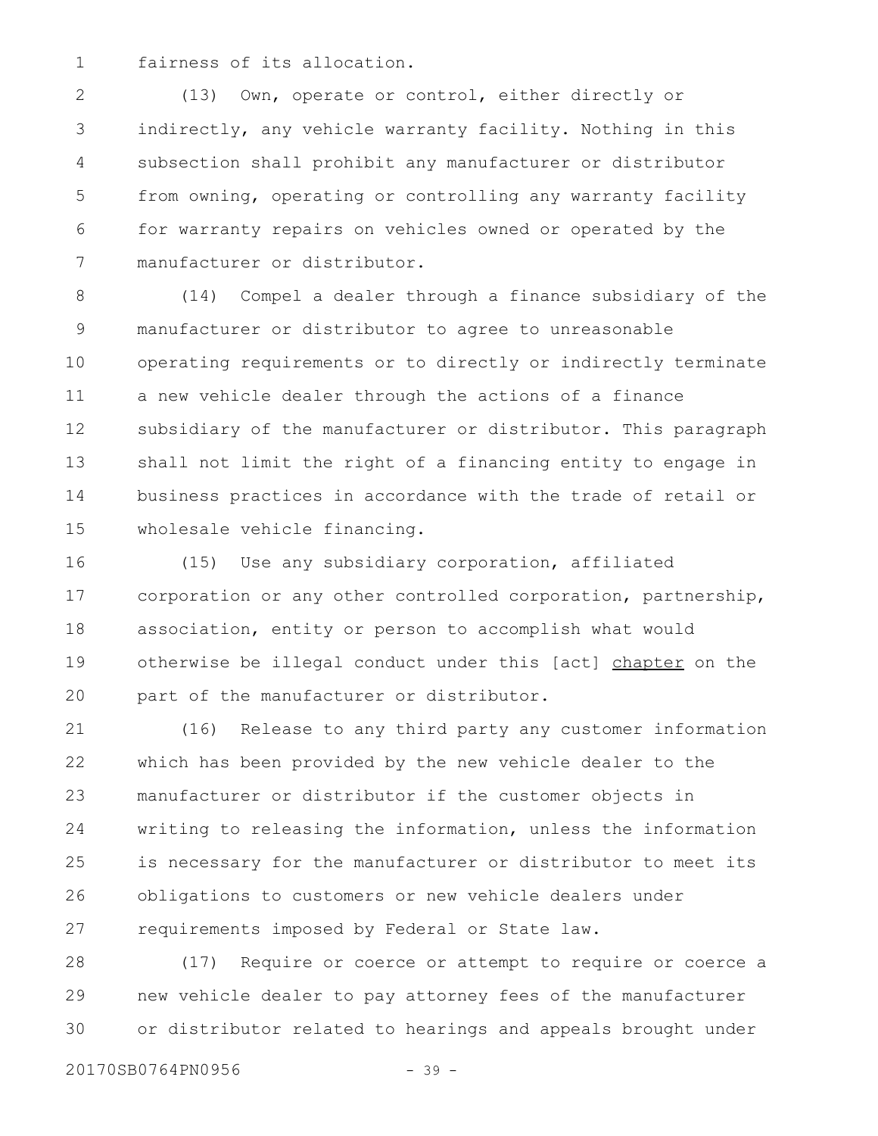fairness of its allocation. 1

(13) Own, operate or control, either directly or indirectly, any vehicle warranty facility. Nothing in this subsection shall prohibit any manufacturer or distributor from owning, operating or controlling any warranty facility for warranty repairs on vehicles owned or operated by the manufacturer or distributor. 2 3 4 5 6 7

(14) Compel a dealer through a finance subsidiary of the manufacturer or distributor to agree to unreasonable operating requirements or to directly or indirectly terminate a new vehicle dealer through the actions of a finance subsidiary of the manufacturer or distributor. This paragraph shall not limit the right of a financing entity to engage in business practices in accordance with the trade of retail or wholesale vehicle financing. 8 9 10 11 12 13 14 15

(15) Use any subsidiary corporation, affiliated corporation or any other controlled corporation, partnership, association, entity or person to accomplish what would otherwise be illegal conduct under this [act] chapter on the part of the manufacturer or distributor. 16 17 18 19 20

(16) Release to any third party any customer information which has been provided by the new vehicle dealer to the manufacturer or distributor if the customer objects in writing to releasing the information, unless the information is necessary for the manufacturer or distributor to meet its obligations to customers or new vehicle dealers under requirements imposed by Federal or State law. 21 22 23 24 25 26 27

(17) Require or coerce or attempt to require or coerce a new vehicle dealer to pay attorney fees of the manufacturer or distributor related to hearings and appeals brought under 28 29 30

20170SB0764PN0956 - 39 -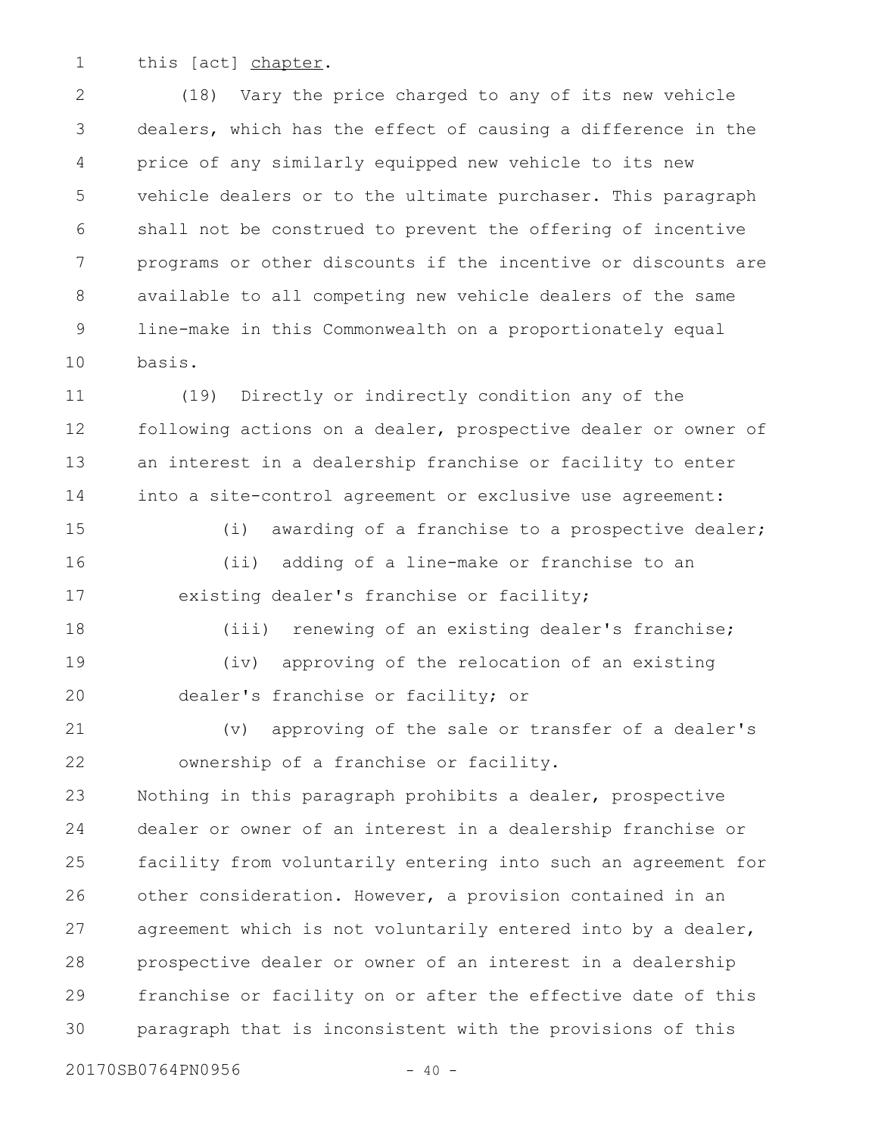this [act] chapter. 1

(18) Vary the price charged to any of its new vehicle dealers, which has the effect of causing a difference in the price of any similarly equipped new vehicle to its new vehicle dealers or to the ultimate purchaser. This paragraph shall not be construed to prevent the offering of incentive programs or other discounts if the incentive or discounts are available to all competing new vehicle dealers of the same line-make in this Commonwealth on a proportionately equal basis. 2 3 4 5 6 7 8 9 10

(19) Directly or indirectly condition any of the following actions on a dealer, prospective dealer or owner of an interest in a dealership franchise or facility to enter into a site-control agreement or exclusive use agreement: 11 12 13 14

(i) awarding of a franchise to a prospective dealer; (ii) adding of a line-make or franchise to an existing dealer's franchise or facility; 15 16 17

(iii) renewing of an existing dealer's franchise; (iv) approving of the relocation of an existing dealer's franchise or facility; or 18 19 20

(v) approving of the sale or transfer of a dealer's ownership of a franchise or facility. 21 22

Nothing in this paragraph prohibits a dealer, prospective dealer or owner of an interest in a dealership franchise or facility from voluntarily entering into such an agreement for other consideration. However, a provision contained in an agreement which is not voluntarily entered into by a dealer, prospective dealer or owner of an interest in a dealership franchise or facility on or after the effective date of this paragraph that is inconsistent with the provisions of this 23 24 25 26 27 28 29 30

20170SB0764PN0956 - 40 -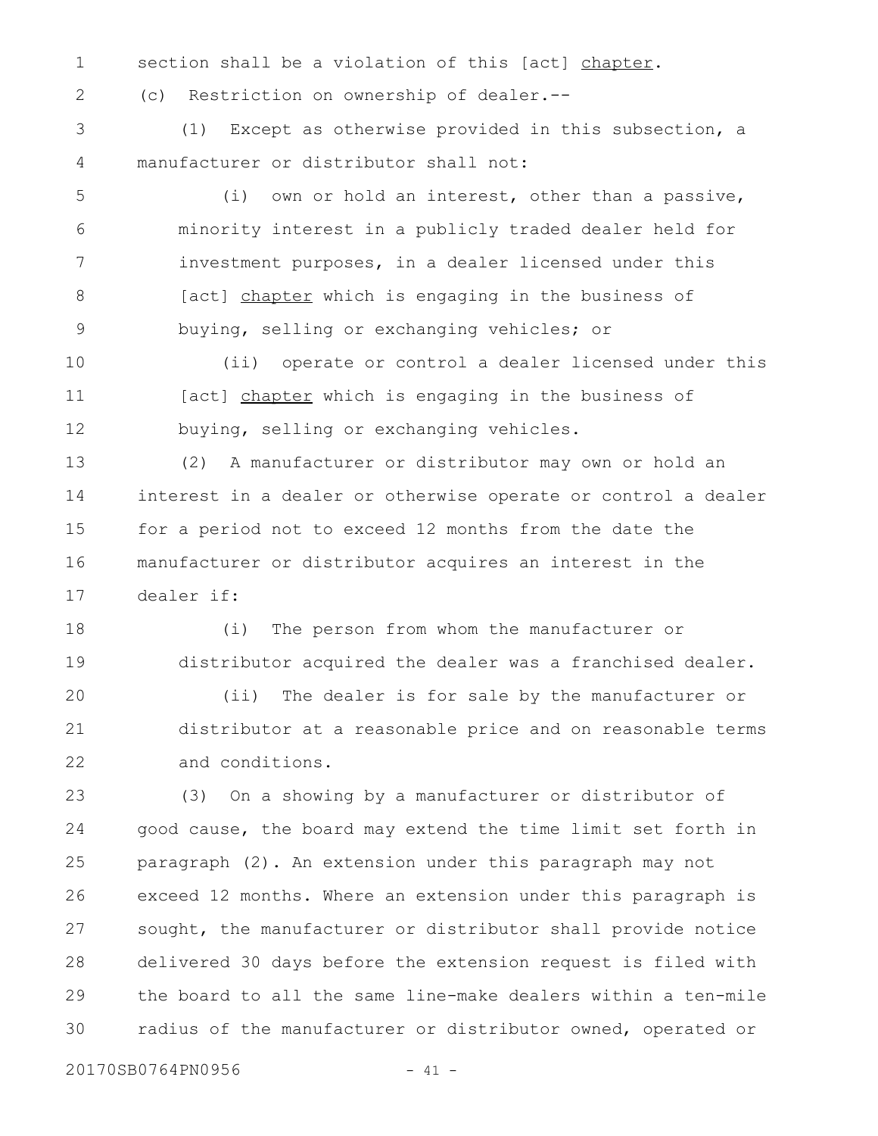section shall be a violation of this [act] chapter. 1

2

(c) Restriction on ownership of dealer.--

(1) Except as otherwise provided in this subsection, a manufacturer or distributor shall not: 3 4

(i) own or hold an interest, other than a passive, minority interest in a publicly traded dealer held for investment purposes, in a dealer licensed under this [act] chapter which is engaging in the business of buying, selling or exchanging vehicles; or 5 6 7 8 9

(ii) operate or control a dealer licensed under this [act] chapter which is engaging in the business of buying, selling or exchanging vehicles. 10 11 12

(2) A manufacturer or distributor may own or hold an interest in a dealer or otherwise operate or control a dealer for a period not to exceed 12 months from the date the manufacturer or distributor acquires an interest in the dealer if: 13 14 15 16 17

(i) The person from whom the manufacturer or distributor acquired the dealer was a franchised dealer. (ii) The dealer is for sale by the manufacturer or distributor at a reasonable price and on reasonable terms and conditions. 18 19 20 21 22

(3) On a showing by a manufacturer or distributor of good cause, the board may extend the time limit set forth in paragraph (2). An extension under this paragraph may not exceed 12 months. Where an extension under this paragraph is sought, the manufacturer or distributor shall provide notice delivered 30 days before the extension request is filed with the board to all the same line-make dealers within a ten-mile radius of the manufacturer or distributor owned, operated or 23 24 25 26 27 28 29 30

20170SB0764PN0956 - 41 -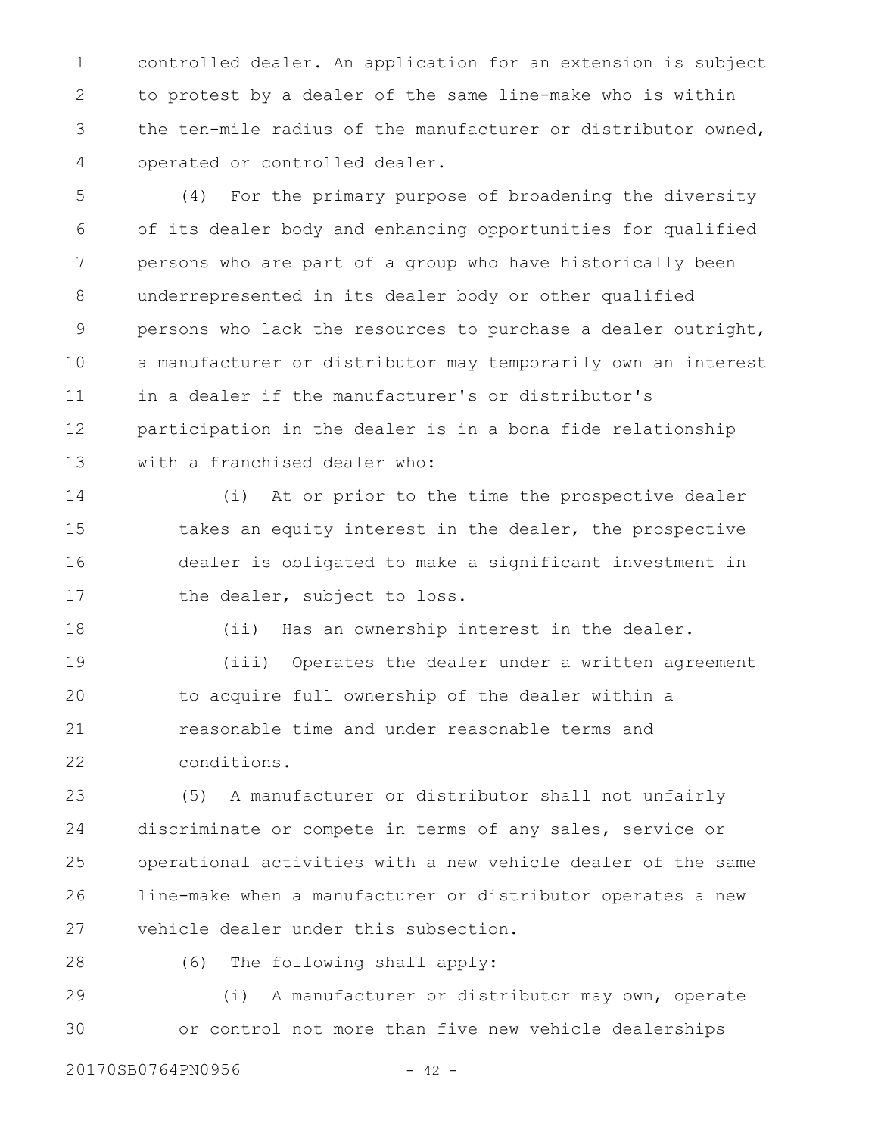controlled dealer. An application for an extension is subject to protest by a dealer of the same line-make who is within the ten-mile radius of the manufacturer or distributor owned, operated or controlled dealer. 1 2 3 4

(4) For the primary purpose of broadening the diversity of its dealer body and enhancing opportunities for qualified persons who are part of a group who have historically been underrepresented in its dealer body or other qualified persons who lack the resources to purchase a dealer outright, a manufacturer or distributor may temporarily own an interest in a dealer if the manufacturer's or distributor's participation in the dealer is in a bona fide relationship with a franchised dealer who: 5 6 7 8 9 10 11 12 13

(i) At or prior to the time the prospective dealer takes an equity interest in the dealer, the prospective dealer is obligated to make a significant investment in the dealer, subject to loss. 14 15 16 17

(ii) Has an ownership interest in the dealer.

(iii) Operates the dealer under a written agreement to acquire full ownership of the dealer within a reasonable time and under reasonable terms and conditions. 19 20 21 22

(5) A manufacturer or distributor shall not unfairly discriminate or compete in terms of any sales, service or operational activities with a new vehicle dealer of the same line-make when a manufacturer or distributor operates a new vehicle dealer under this subsection. 23 24 25 26 27

28

18

(6) The following shall apply:

(i) A manufacturer or distributor may own, operate or control not more than five new vehicle dealerships 29 30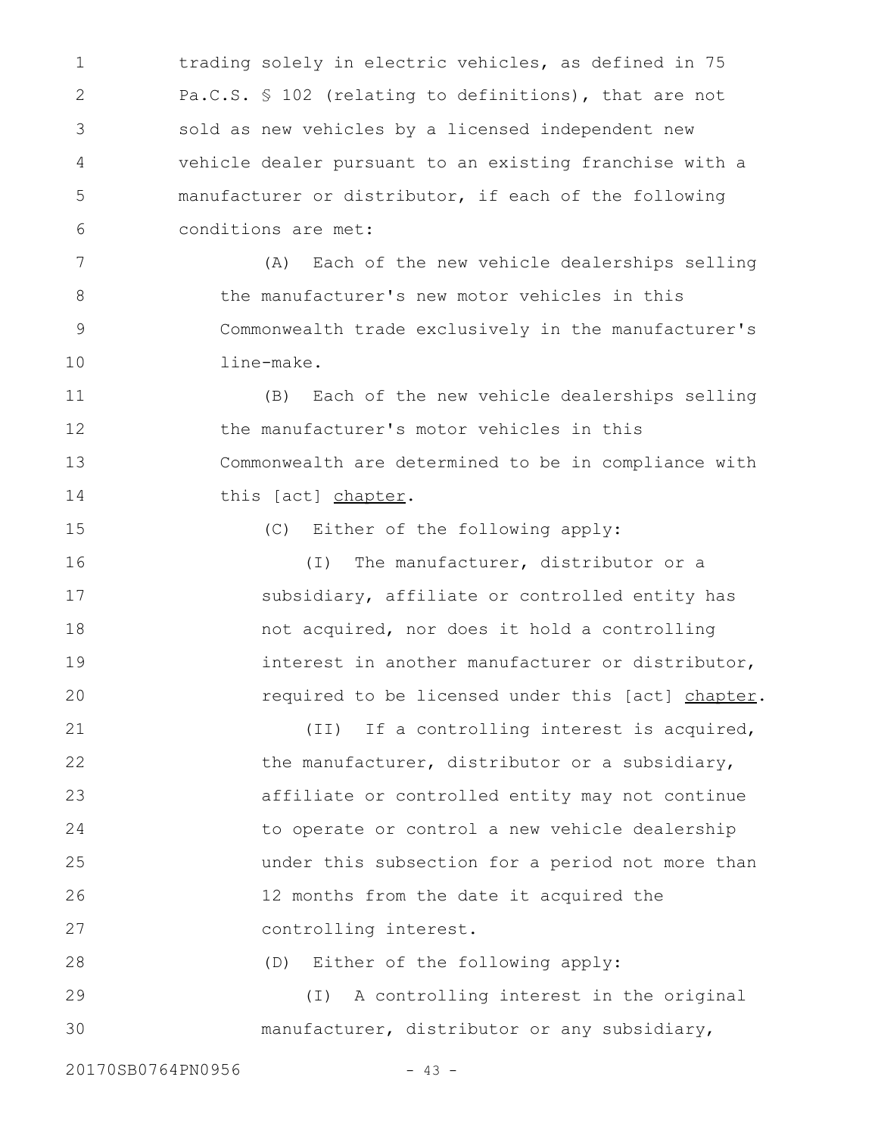trading solely in electric vehicles, as defined in 75 Pa.C.S. § 102 (relating to definitions), that are not sold as new vehicles by a licensed independent new vehicle dealer pursuant to an existing franchise with a manufacturer or distributor, if each of the following conditions are met: 1 2 3 4 5 6

(A) Each of the new vehicle dealerships selling the manufacturer's new motor vehicles in this Commonwealth trade exclusively in the manufacturer's line-make. 7 8 9 10

(B) Each of the new vehicle dealerships selling the manufacturer's motor vehicles in this Commonwealth are determined to be in compliance with this [act] chapter. 11 12 13 14

(C) Either of the following apply:

(I) The manufacturer, distributor or a subsidiary, affiliate or controlled entity has not acquired, nor does it hold a controlling interest in another manufacturer or distributor, required to be licensed under this [act] chapter. 16 17 18 19 20

(II) If a controlling interest is acquired, the manufacturer, distributor or a subsidiary, affiliate or controlled entity may not continue to operate or control a new vehicle dealership under this subsection for a period not more than 12 months from the date it acquired the controlling interest. 21 22 23 24 25 26 27

(D) Either of the following apply: 28

(I) A controlling interest in the original manufacturer, distributor or any subsidiary, 29 30

20170SB0764PN0956 - 43 -

15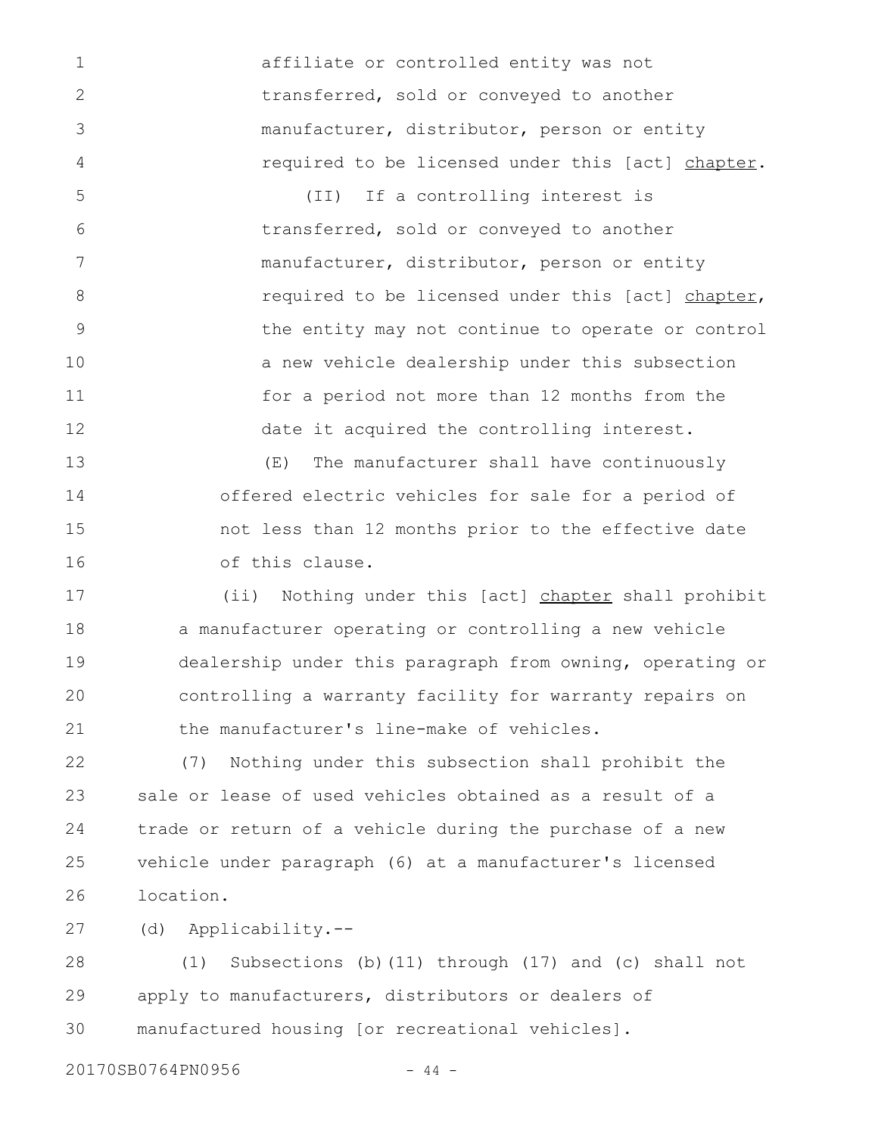affiliate or controlled entity was not transferred, sold or conveyed to another manufacturer, distributor, person or entity required to be licensed under this [act] chapter.

(II) If a controlling interest is transferred, sold or conveyed to another manufacturer, distributor, person or entity required to be licensed under this [act] chapter, the entity may not continue to operate or control a new vehicle dealership under this subsection for a period not more than 12 months from the date it acquired the controlling interest. 5 6 7 8 9 10 11 12

(E) The manufacturer shall have continuously offered electric vehicles for sale for a period of not less than 12 months prior to the effective date of this clause. 13 14 15 16

(ii) Nothing under this [act] chapter shall prohibit a manufacturer operating or controlling a new vehicle dealership under this paragraph from owning, operating or controlling a warranty facility for warranty repairs on the manufacturer's line-make of vehicles. 17 18 19 20 21

(7) Nothing under this subsection shall prohibit the sale or lease of used vehicles obtained as a result of a trade or return of a vehicle during the purchase of a new vehicle under paragraph (6) at a manufacturer's licensed location. 22 23 24 25 26

(d) Applicability.-- 27

(1) Subsections (b)(11) through (17) and (c) shall not apply to manufacturers, distributors or dealers of manufactured housing [or recreational vehicles]. 28 29 30

20170SB0764PN0956 - 44 -

1

2

3

4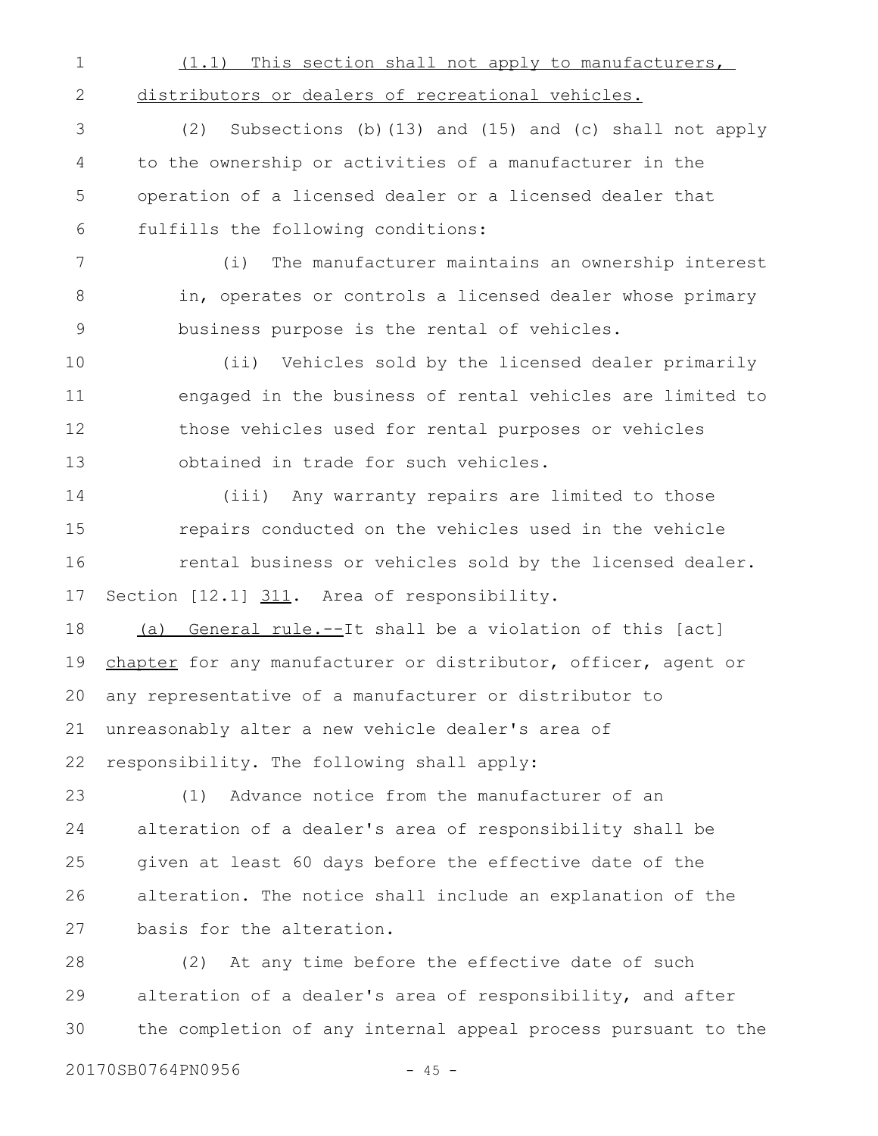| $\mathbf 1$ | (1.1) This section shall not apply to manufacturers,           |
|-------------|----------------------------------------------------------------|
| 2           | distributors or dealers of recreational vehicles.              |
| 3           | Subsections (b) (13) and (15) and (c) shall not apply<br>(2)   |
| 4           | to the ownership or activities of a manufacturer in the        |
| 5           | operation of a licensed dealer or a licensed dealer that       |
| 6           | fulfills the following conditions:                             |
| 7           | The manufacturer maintains an ownership interest<br>(i)        |
| 8           | in, operates or controls a licensed dealer whose primary       |
| $\mathsf 9$ | business purpose is the rental of vehicles.                    |
| 10          | (ii) Vehicles sold by the licensed dealer primarily            |
| 11          | engaged in the business of rental vehicles are limited to      |
| 12          | those vehicles used for rental purposes or vehicles            |
| 13          | obtained in trade for such vehicles.                           |
| 14          | (iii) Any warranty repairs are limited to those                |
| 15          | repairs conducted on the vehicles used in the vehicle          |
| 16          | rental business or vehicles sold by the licensed dealer.       |
| 17          | Section [12.1] 311. Area of responsibility.                    |
| 18          | (a) General rule.--It shall be a violation of this [act]       |
| 19          | chapter for any manufacturer or distributor, officer, agent or |
|             | 20 any representative of a manufacturer or distributor to      |
| 21          | unreasonably alter a new vehicle dealer's area of              |
| 22          | responsibility. The following shall apply:                     |
| 23          | Advance notice from the manufacturer of an<br>(1)              |
| 24          | alteration of a dealer's area of responsibility shall be       |
| 25          | given at least 60 days before the effective date of the        |
| 26          | alteration. The notice shall include an explanation of the     |
| 27          | basis for the alteration.                                      |

(2) At any time before the effective date of such alteration of a dealer's area of responsibility, and after the completion of any internal appeal process pursuant to the 28 29 30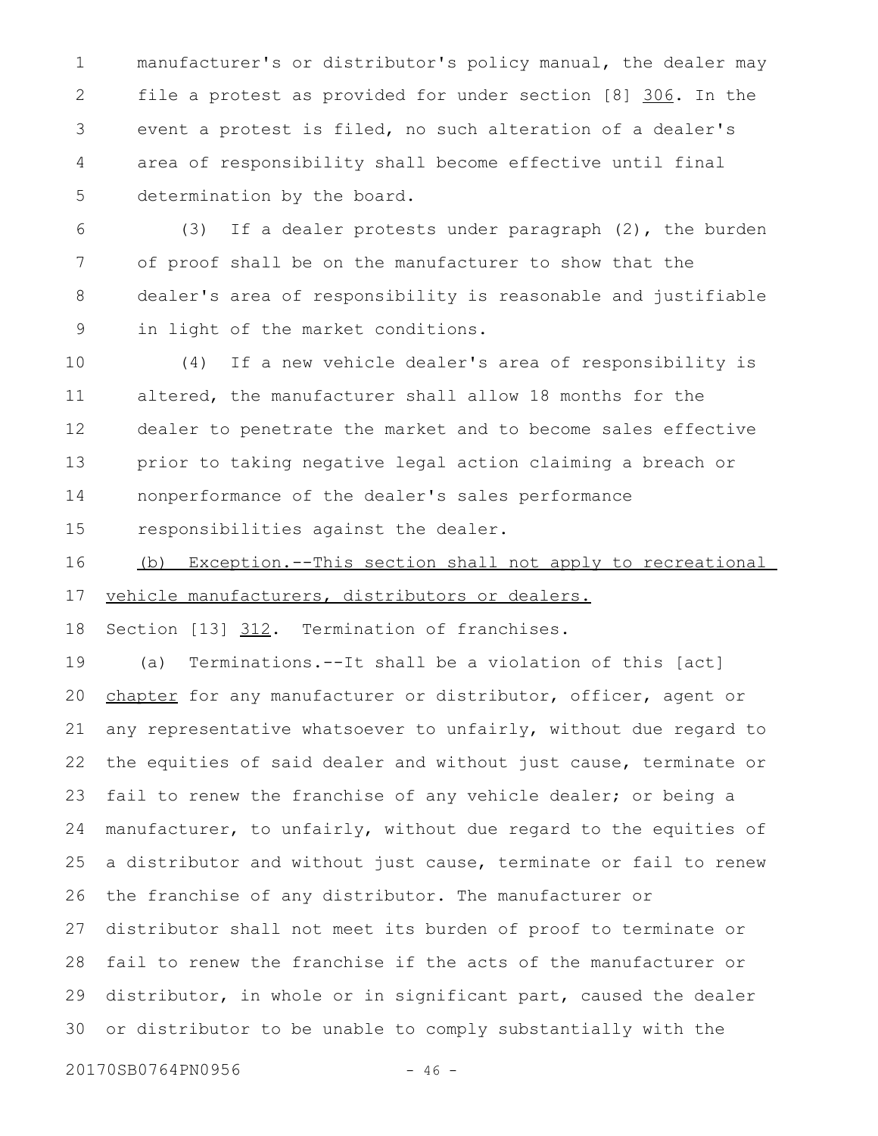manufacturer's or distributor's policy manual, the dealer may file a protest as provided for under section [8] 306. In the event a protest is filed, no such alteration of a dealer's area of responsibility shall become effective until final determination by the board. 1 2 3 4 5

(3) If a dealer protests under paragraph (2), the burden of proof shall be on the manufacturer to show that the dealer's area of responsibility is reasonable and justifiable in light of the market conditions. 6 7 8 9

(4) If a new vehicle dealer's area of responsibility is altered, the manufacturer shall allow 18 months for the dealer to penetrate the market and to become sales effective prior to taking negative legal action claiming a breach or nonperformance of the dealer's sales performance responsibilities against the dealer. 10 11 12 13 14 15

(b) Exception.--This section shall not apply to recreational vehicle manufacturers, distributors or dealers. 16 17

Section [13] 312. Termination of franchises. 18

(a) Terminations.--It shall be a violation of this [act] chapter for any manufacturer or distributor, officer, agent or any representative whatsoever to unfairly, without due regard to the equities of said dealer and without just cause, terminate or fail to renew the franchise of any vehicle dealer; or being a manufacturer, to unfairly, without due regard to the equities of a distributor and without just cause, terminate or fail to renew the franchise of any distributor. The manufacturer or distributor shall not meet its burden of proof to terminate or fail to renew the franchise if the acts of the manufacturer or distributor, in whole or in significant part, caused the dealer or distributor to be unable to comply substantially with the 19 20 21 22 23 24 25 26 27 28 29 30

20170SB0764PN0956 - 46 -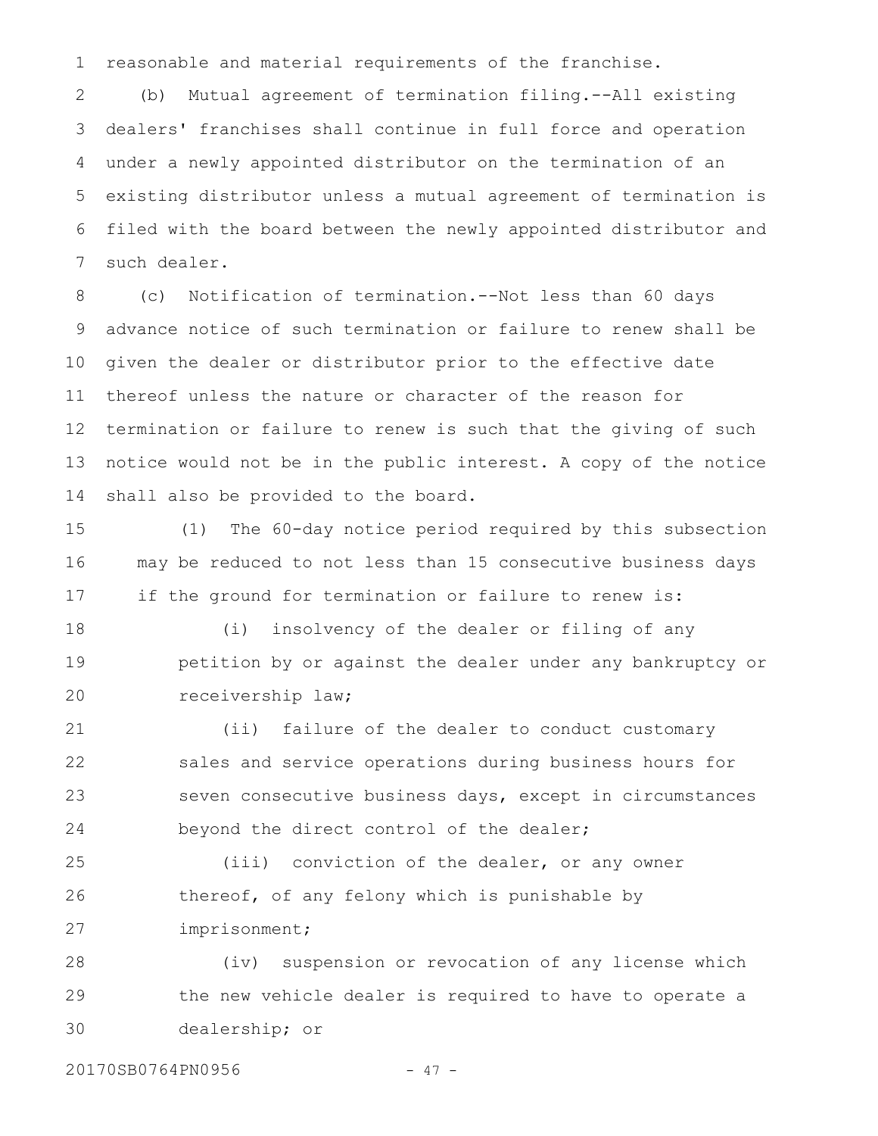reasonable and material requirements of the franchise. 1

(b) Mutual agreement of termination filing.--All existing dealers' franchises shall continue in full force and operation under a newly appointed distributor on the termination of an existing distributor unless a mutual agreement of termination is filed with the board between the newly appointed distributor and such dealer. 2 3 4 5 6 7

(c) Notification of termination.--Not less than 60 days advance notice of such termination or failure to renew shall be given the dealer or distributor prior to the effective date thereof unless the nature or character of the reason for termination or failure to renew is such that the giving of such notice would not be in the public interest. A copy of the notice shall also be provided to the board. 8 9 10 11 12 13 14

(1) The 60-day notice period required by this subsection may be reduced to not less than 15 consecutive business days if the ground for termination or failure to renew is: 15 16 17

(i) insolvency of the dealer or filing of any petition by or against the dealer under any bankruptcy or receivership law; 18 19 20

(ii) failure of the dealer to conduct customary sales and service operations during business hours for seven consecutive business days, except in circumstances beyond the direct control of the dealer; 21 22 23 24

(iii) conviction of the dealer, or any owner thereof, of any felony which is punishable by imprisonment; 25 26 27

(iv) suspension or revocation of any license which the new vehicle dealer is required to have to operate a dealership; or 28 29 30

20170SB0764PN0956 - 47 -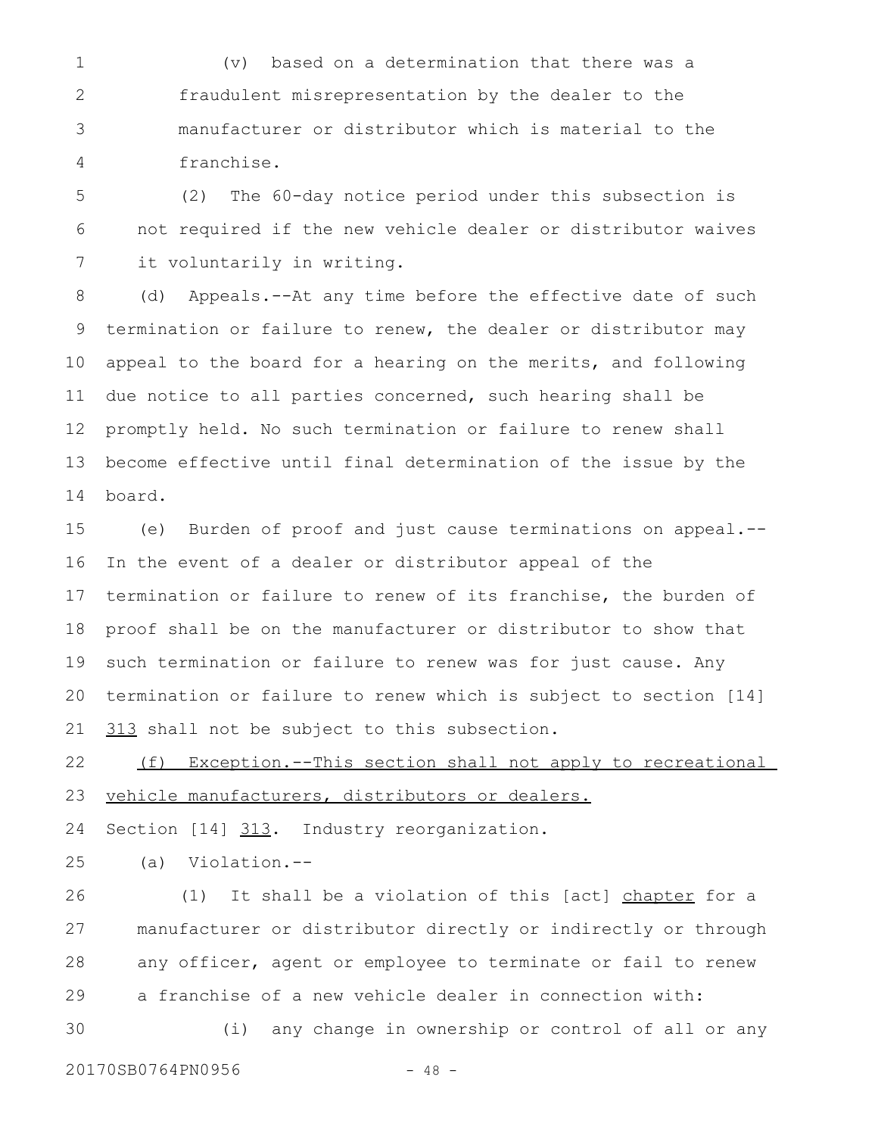(v) based on a determination that there was a fraudulent misrepresentation by the dealer to the manufacturer or distributor which is material to the franchise. 1 2 3 4

(2) The 60-day notice period under this subsection is not required if the new vehicle dealer or distributor waives it voluntarily in writing. 5 6 7

(d) Appeals.--At any time before the effective date of such termination or failure to renew, the dealer or distributor may appeal to the board for a hearing on the merits, and following due notice to all parties concerned, such hearing shall be promptly held. No such termination or failure to renew shall become effective until final determination of the issue by the board. 8 9 10 11 12 13 14

(e) Burden of proof and just cause terminations on appeal.-- In the event of a dealer or distributor appeal of the termination or failure to renew of its franchise, the burden of proof shall be on the manufacturer or distributor to show that such termination or failure to renew was for just cause. Any termination or failure to renew which is subject to section [14] 313 shall not be subject to this subsection. 15 16 17 18 19 20 21

(f) Exception.--This section shall not apply to recreational vehicle manufacturers, distributors or dealers. 22 23

Section [14] 313. Industry reorganization. 24

(a) Violation.-- 25

(1) It shall be a violation of this [act] chapter for a manufacturer or distributor directly or indirectly or through any officer, agent or employee to terminate or fail to renew a franchise of a new vehicle dealer in connection with: (i) any change in ownership or control of all or any 26 27 28 29 30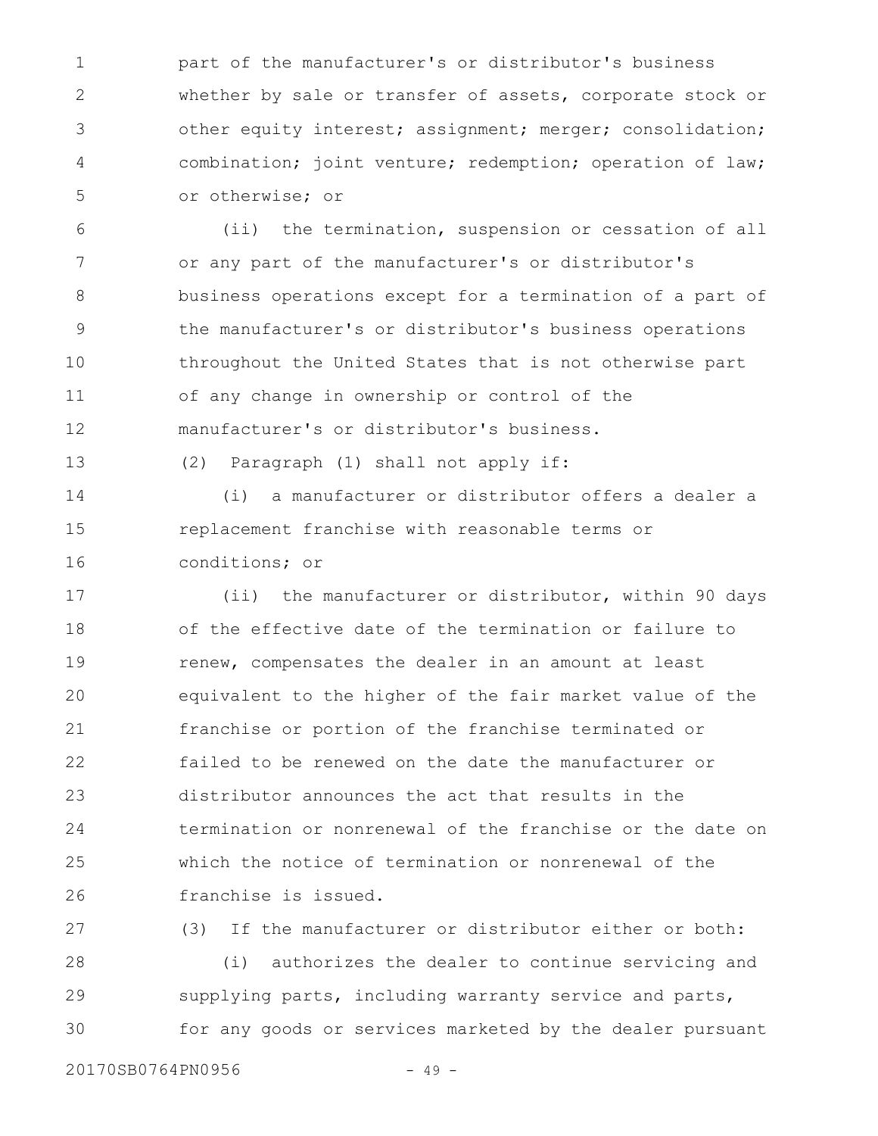part of the manufacturer's or distributor's business whether by sale or transfer of assets, corporate stock or other equity interest; assignment; merger; consolidation; combination; joint venture; redemption; operation of law; or otherwise; or 1 2 3 4 5

(ii) the termination, suspension or cessation of all or any part of the manufacturer's or distributor's business operations except for a termination of a part of the manufacturer's or distributor's business operations throughout the United States that is not otherwise part of any change in ownership or control of the manufacturer's or distributor's business. 6 7 8 9 10 11 12

13

(2) Paragraph (1) shall not apply if:

(i) a manufacturer or distributor offers a dealer a replacement franchise with reasonable terms or conditions; or 14 15 16

(ii) the manufacturer or distributor, within 90 days of the effective date of the termination or failure to renew, compensates the dealer in an amount at least equivalent to the higher of the fair market value of the franchise or portion of the franchise terminated or failed to be renewed on the date the manufacturer or distributor announces the act that results in the termination or nonrenewal of the franchise or the date on which the notice of termination or nonrenewal of the franchise is issued. 17 18 19 20 21 22 23 24 25 26

(3) If the manufacturer or distributor either or both: (i) authorizes the dealer to continue servicing and supplying parts, including warranty service and parts, for any goods or services marketed by the dealer pursuant 27 28 29 30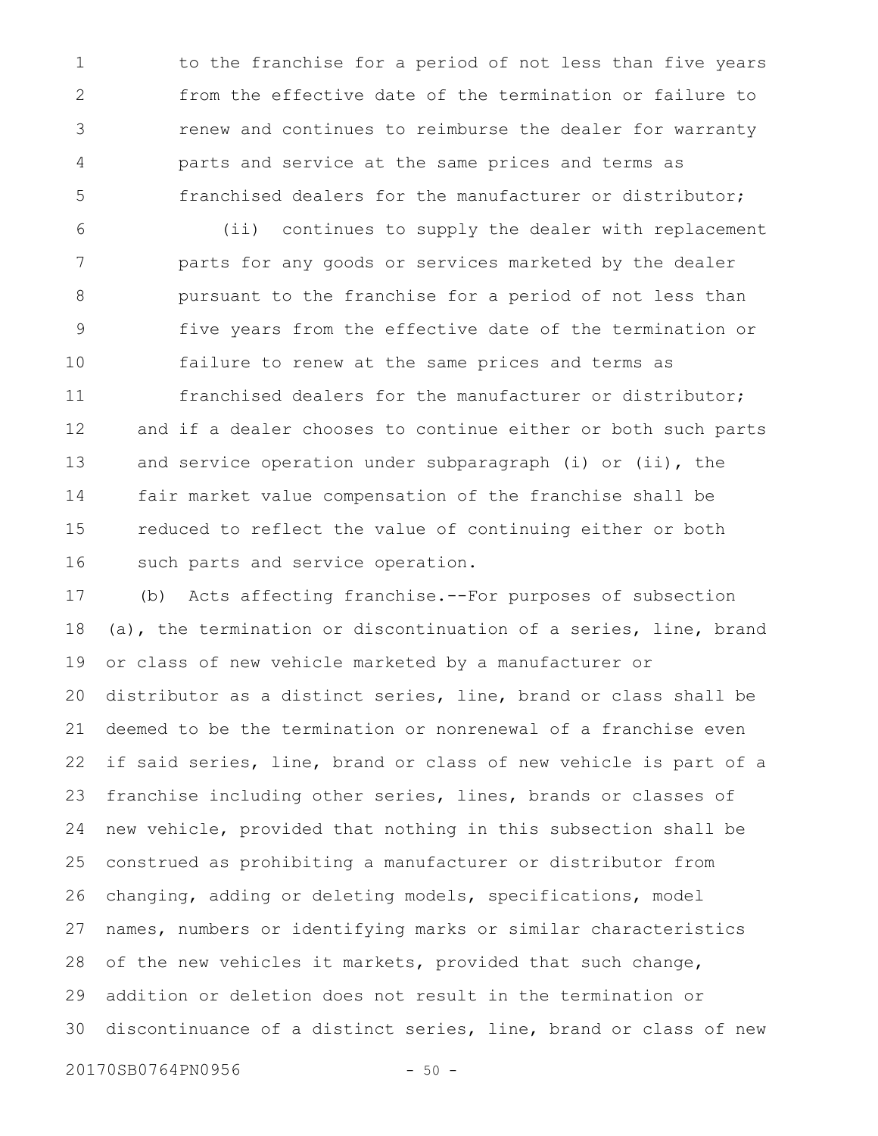to the franchise for a period of not less than five years from the effective date of the termination or failure to renew and continues to reimburse the dealer for warranty parts and service at the same prices and terms as franchised dealers for the manufacturer or distributor; 1 2 3 4 5

(ii) continues to supply the dealer with replacement parts for any goods or services marketed by the dealer pursuant to the franchise for a period of not less than five years from the effective date of the termination or failure to renew at the same prices and terms as franchised dealers for the manufacturer or distributor; and if a dealer chooses to continue either or both such parts and service operation under subparagraph (i) or (ii), the fair market value compensation of the franchise shall be reduced to reflect the value of continuing either or both such parts and service operation. 6 7 8 9 10 11 12 13 14 15 16

(b) Acts affecting franchise.--For purposes of subsection (a), the termination or discontinuation of a series, line, brand or class of new vehicle marketed by a manufacturer or distributor as a distinct series, line, brand or class shall be deemed to be the termination or nonrenewal of a franchise even if said series, line, brand or class of new vehicle is part of a franchise including other series, lines, brands or classes of new vehicle, provided that nothing in this subsection shall be construed as prohibiting a manufacturer or distributor from changing, adding or deleting models, specifications, model names, numbers or identifying marks or similar characteristics of the new vehicles it markets, provided that such change, addition or deletion does not result in the termination or discontinuance of a distinct series, line, brand or class of new 17 18 19 20 21 22 23 24 25 26 27 28 29 30

20170SB0764PN0956 - 50 -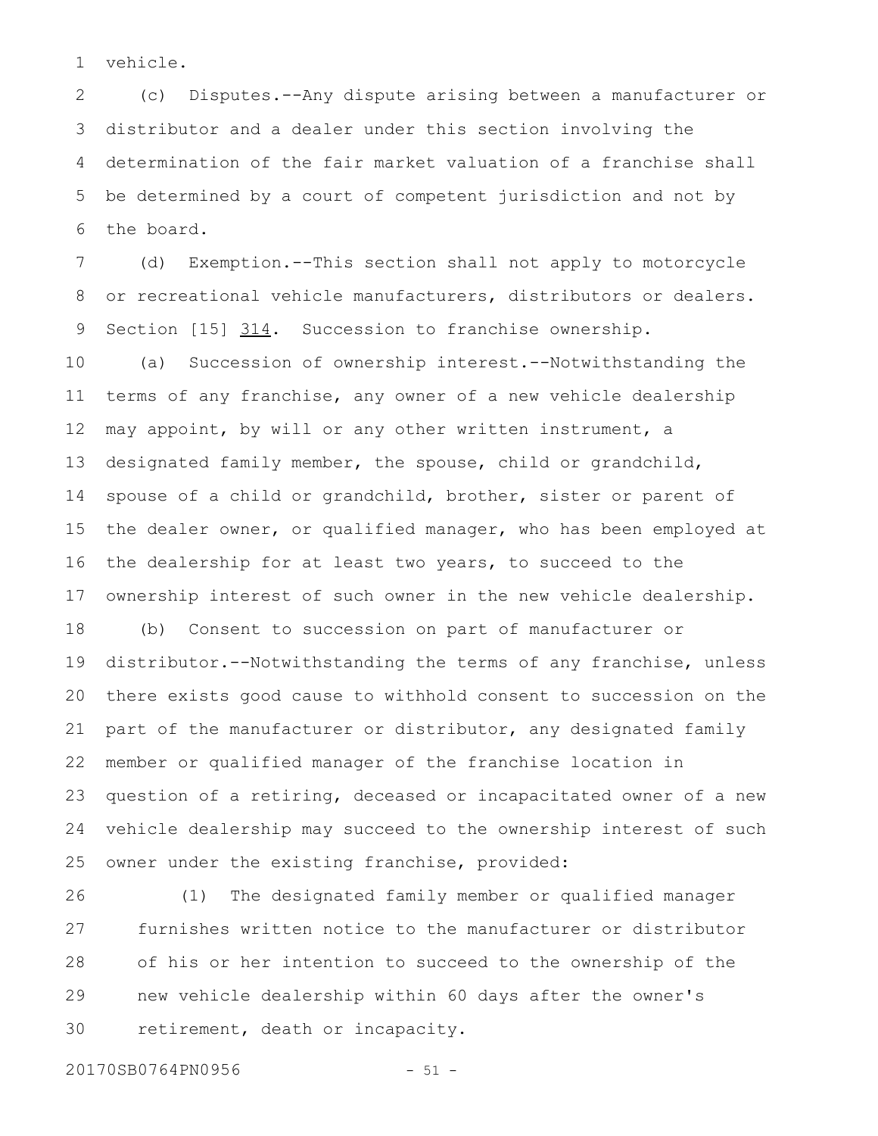vehicle. 1

(c) Disputes.--Any dispute arising between a manufacturer or distributor and a dealer under this section involving the determination of the fair market valuation of a franchise shall be determined by a court of competent jurisdiction and not by the board. 2 3 4 5 6

(d) Exemption.--This section shall not apply to motorcycle or recreational vehicle manufacturers, distributors or dealers. Section  $[15]$   $314$ . Succession to franchise ownership. 7 8 9

(a) Succession of ownership interest.--Notwithstanding the terms of any franchise, any owner of a new vehicle dealership may appoint, by will or any other written instrument, a designated family member, the spouse, child or grandchild, spouse of a child or grandchild, brother, sister or parent of the dealer owner, or qualified manager, who has been employed at the dealership for at least two years, to succeed to the ownership interest of such owner in the new vehicle dealership. 10 11 12 13 14 15 16 17

(b) Consent to succession on part of manufacturer or distributor.--Notwithstanding the terms of any franchise, unless there exists good cause to withhold consent to succession on the part of the manufacturer or distributor, any designated family member or qualified manager of the franchise location in question of a retiring, deceased or incapacitated owner of a new vehicle dealership may succeed to the ownership interest of such owner under the existing franchise, provided: 18 19 20 21 22 23 24 25

(1) The designated family member or qualified manager furnishes written notice to the manufacturer or distributor of his or her intention to succeed to the ownership of the new vehicle dealership within 60 days after the owner's retirement, death or incapacity. 26 27 28 29 30

20170SB0764PN0956 - 51 -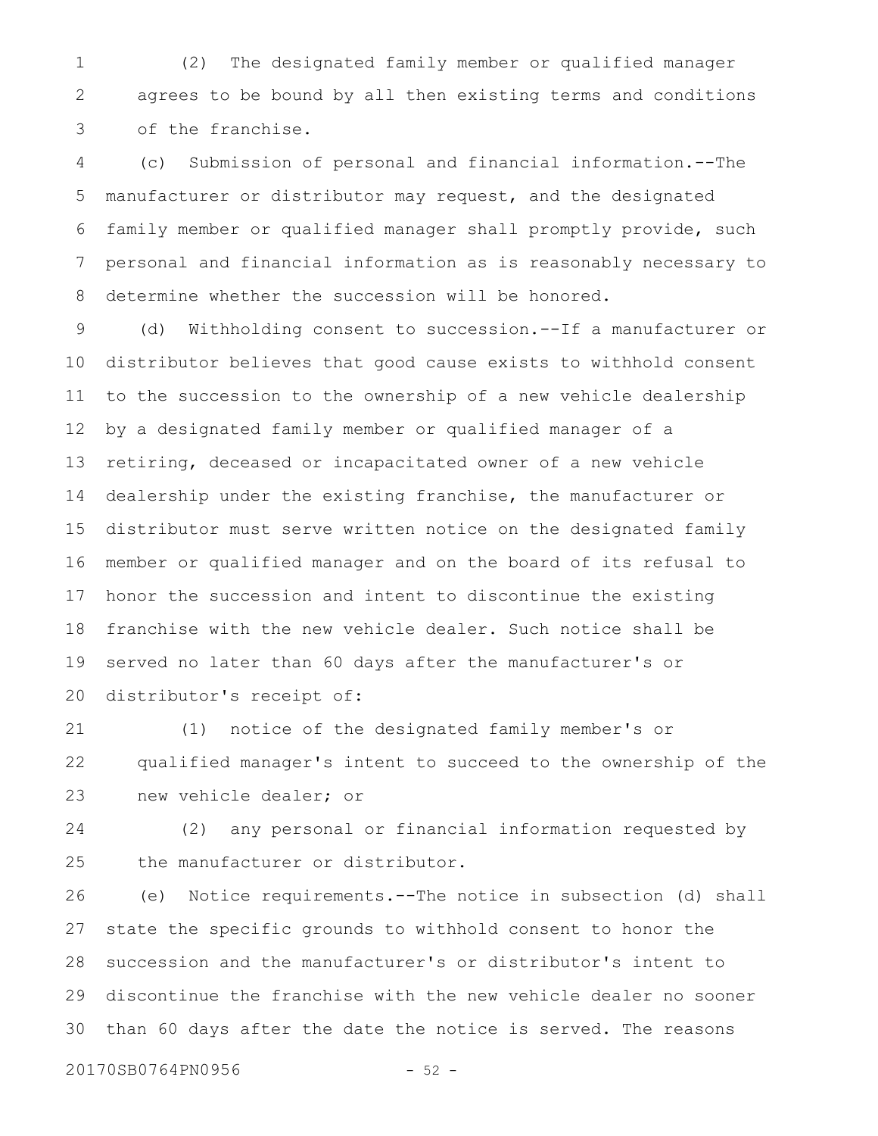(2) The designated family member or qualified manager agrees to be bound by all then existing terms and conditions of the franchise. 1 2 3

(c) Submission of personal and financial information.--The manufacturer or distributor may request, and the designated family member or qualified manager shall promptly provide, such personal and financial information as is reasonably necessary to determine whether the succession will be honored. 4 5 6 7 8

(d) Withholding consent to succession.--If a manufacturer or distributor believes that good cause exists to withhold consent to the succession to the ownership of a new vehicle dealership by a designated family member or qualified manager of a retiring, deceased or incapacitated owner of a new vehicle dealership under the existing franchise, the manufacturer or distributor must serve written notice on the designated family member or qualified manager and on the board of its refusal to honor the succession and intent to discontinue the existing franchise with the new vehicle dealer. Such notice shall be served no later than 60 days after the manufacturer's or distributor's receipt of: 9 10 11 12 13 14 15 16 17 18 19 20

(1) notice of the designated family member's or qualified manager's intent to succeed to the ownership of the new vehicle dealer; or 21 22 23

(2) any personal or financial information requested by the manufacturer or distributor. 24 25

(e) Notice requirements.--The notice in subsection (d) shall state the specific grounds to withhold consent to honor the succession and the manufacturer's or distributor's intent to discontinue the franchise with the new vehicle dealer no sooner than 60 days after the date the notice is served. The reasons 26 27 28 29 30

20170SB0764PN0956 - 52 -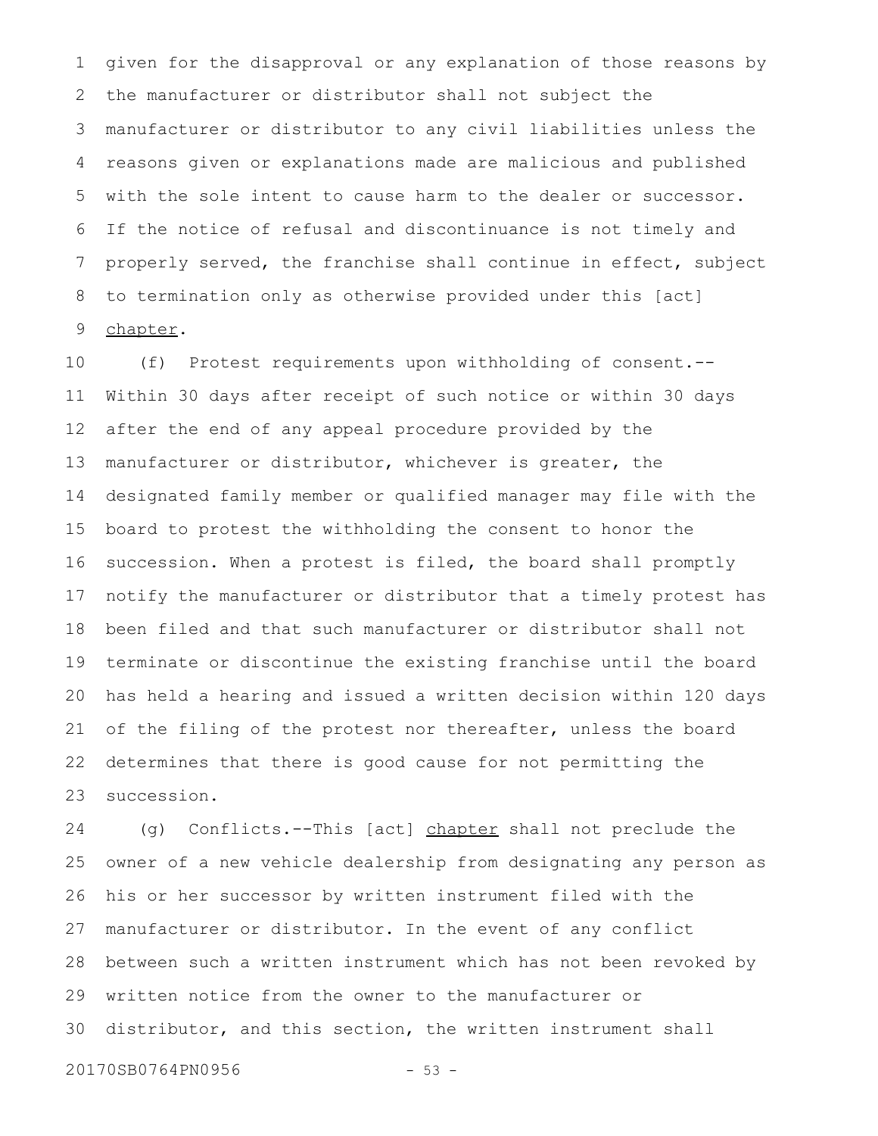given for the disapproval or any explanation of those reasons by the manufacturer or distributor shall not subject the manufacturer or distributor to any civil liabilities unless the reasons given or explanations made are malicious and published with the sole intent to cause harm to the dealer or successor. If the notice of refusal and discontinuance is not timely and properly served, the franchise shall continue in effect, subject to termination only as otherwise provided under this [act] chapter. 1 2 3 4 5 6 7 8 9

(f) Protest requirements upon withholding of consent.-- Within 30 days after receipt of such notice or within 30 days after the end of any appeal procedure provided by the manufacturer or distributor, whichever is greater, the designated family member or qualified manager may file with the board to protest the withholding the consent to honor the succession. When a protest is filed, the board shall promptly notify the manufacturer or distributor that a timely protest has been filed and that such manufacturer or distributor shall not terminate or discontinue the existing franchise until the board has held a hearing and issued a written decision within 120 days of the filing of the protest nor thereafter, unless the board determines that there is good cause for not permitting the succession. 10 11 12 13 14 15 16 17 18 19 20 21 22 23

(g) Conflicts.--This [act] chapter shall not preclude the owner of a new vehicle dealership from designating any person as his or her successor by written instrument filed with the manufacturer or distributor. In the event of any conflict between such a written instrument which has not been revoked by written notice from the owner to the manufacturer or distributor, and this section, the written instrument shall 24 25 26 27 28 29 30

20170SB0764PN0956 - 53 -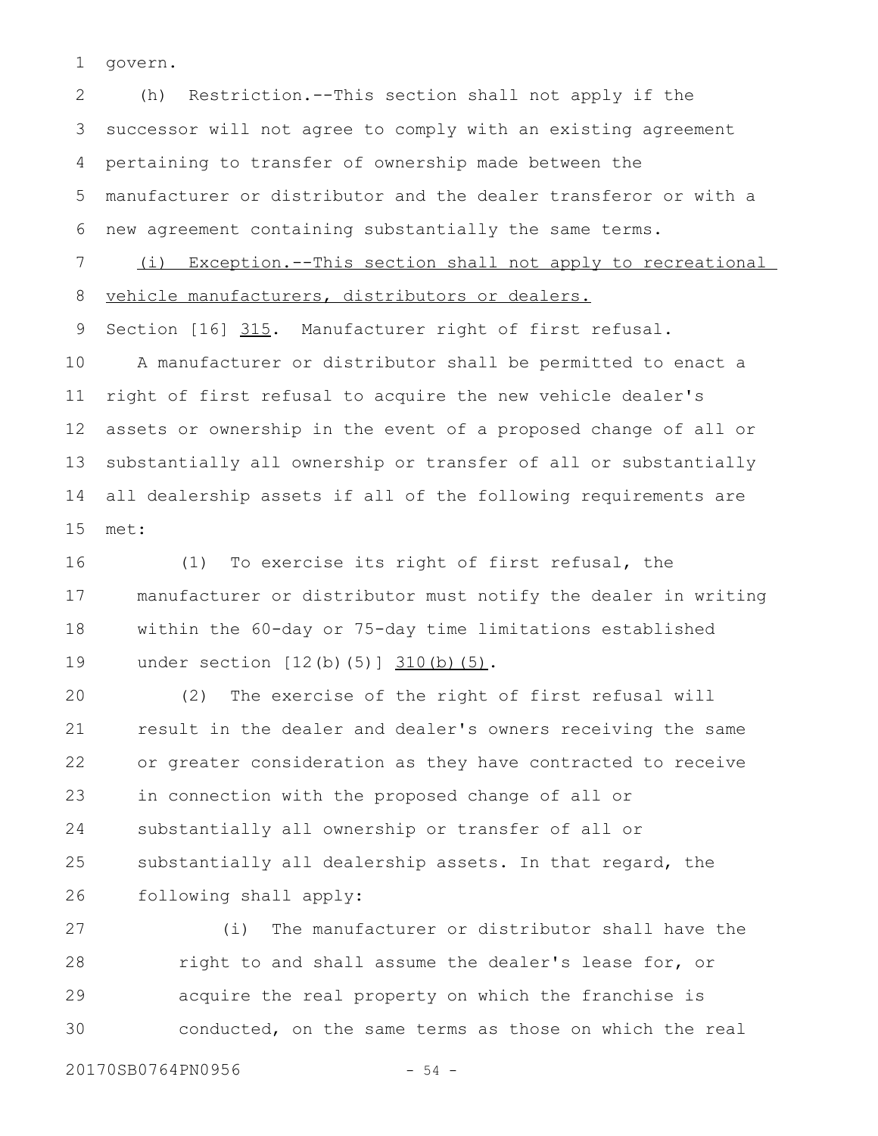govern. 1

(h) Restriction.--This section shall not apply if the successor will not agree to comply with an existing agreement pertaining to transfer of ownership made between the manufacturer or distributor and the dealer transferor or with a new agreement containing substantially the same terms. (i) Exception.--This section shall not apply to recreational 2 3 4 5 6 7

vehicle manufacturers, distributors or dealers. 8

Section [16] 315. Manufacturer right of first refusal. 9

A manufacturer or distributor shall be permitted to enact a right of first refusal to acquire the new vehicle dealer's assets or ownership in the event of a proposed change of all or substantially all ownership or transfer of all or substantially all dealership assets if all of the following requirements are met: 10 11 12 13 14 15

(1) To exercise its right of first refusal, the manufacturer or distributor must notify the dealer in writing within the 60-day or 75-day time limitations established under section [12(b)(5)] 310(b)(5). 16 17 18 19

(2) The exercise of the right of first refusal will result in the dealer and dealer's owners receiving the same or greater consideration as they have contracted to receive in connection with the proposed change of all or substantially all ownership or transfer of all or substantially all dealership assets. In that regard, the following shall apply: 20 21 22 23 24 25 26

(i) The manufacturer or distributor shall have the right to and shall assume the dealer's lease for, or acquire the real property on which the franchise is conducted, on the same terms as those on which the real 27 28 29 30

20170SB0764PN0956 - 54 -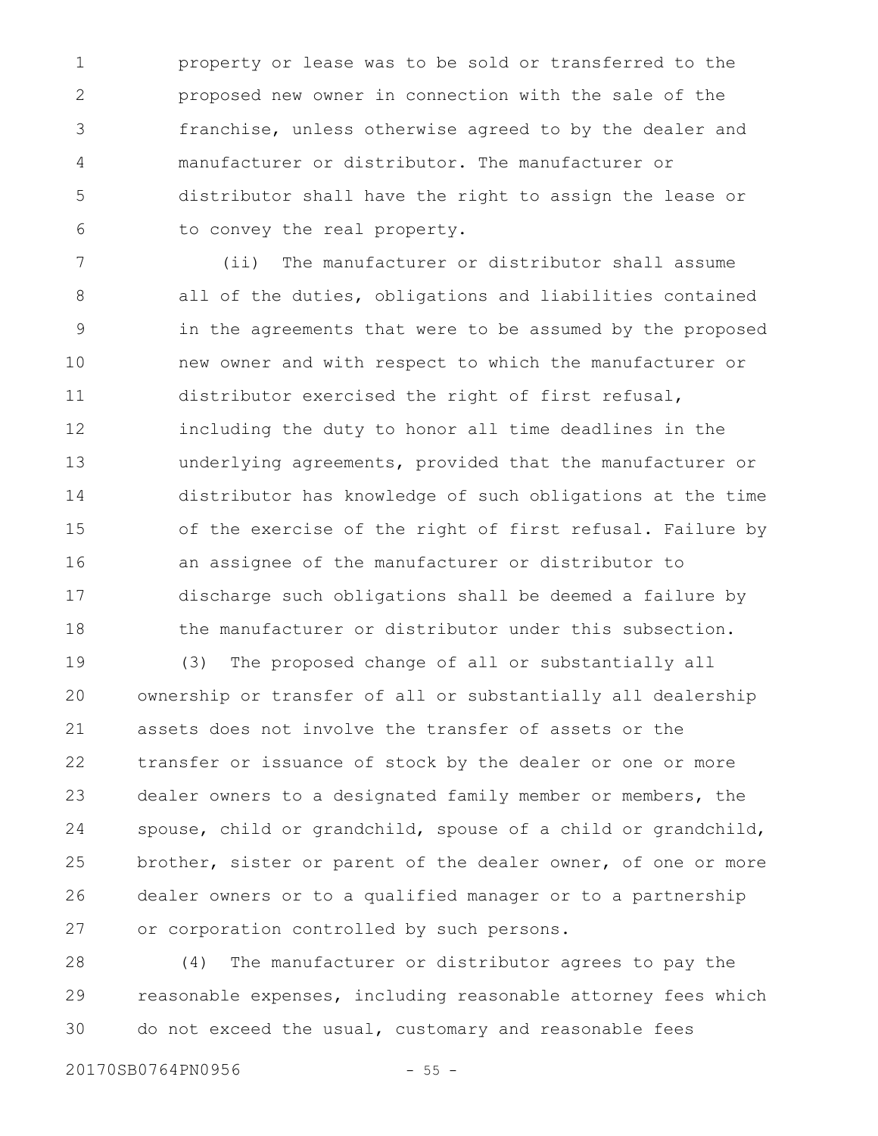property or lease was to be sold or transferred to the proposed new owner in connection with the sale of the franchise, unless otherwise agreed to by the dealer and manufacturer or distributor. The manufacturer or distributor shall have the right to assign the lease or to convey the real property. 1 2 3 4 5 6

(ii) The manufacturer or distributor shall assume all of the duties, obligations and liabilities contained in the agreements that were to be assumed by the proposed new owner and with respect to which the manufacturer or distributor exercised the right of first refusal, including the duty to honor all time deadlines in the underlying agreements, provided that the manufacturer or distributor has knowledge of such obligations at the time of the exercise of the right of first refusal. Failure by an assignee of the manufacturer or distributor to discharge such obligations shall be deemed a failure by the manufacturer or distributor under this subsection. 7 8 9 10 11 12 13 14 15 16 17 18

(3) The proposed change of all or substantially all ownership or transfer of all or substantially all dealership assets does not involve the transfer of assets or the transfer or issuance of stock by the dealer or one or more dealer owners to a designated family member or members, the spouse, child or grandchild, spouse of a child or grandchild, brother, sister or parent of the dealer owner, of one or more dealer owners or to a qualified manager or to a partnership or corporation controlled by such persons. 19 20 21 22 23 24 25 26 27

(4) The manufacturer or distributor agrees to pay the reasonable expenses, including reasonable attorney fees which do not exceed the usual, customary and reasonable fees 28 29 30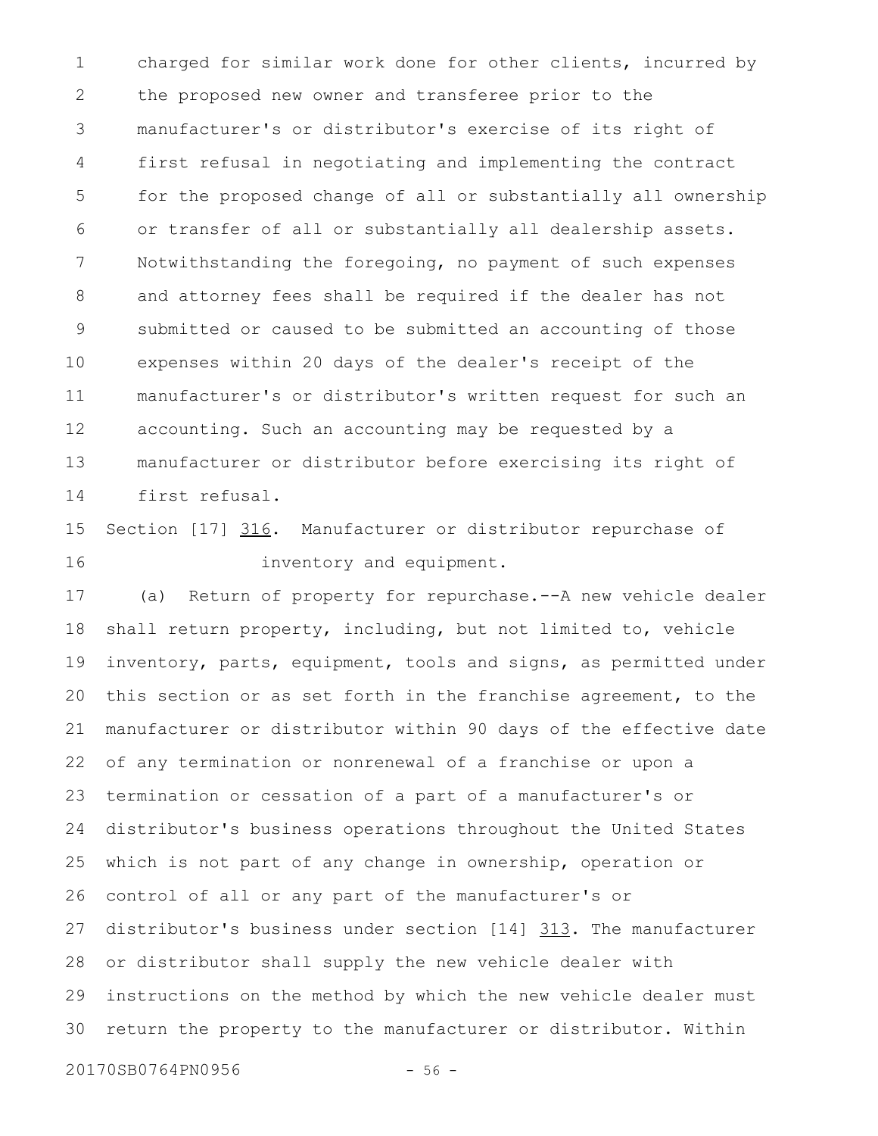charged for similar work done for other clients, incurred by the proposed new owner and transferee prior to the manufacturer's or distributor's exercise of its right of first refusal in negotiating and implementing the contract for the proposed change of all or substantially all ownership or transfer of all or substantially all dealership assets. Notwithstanding the foregoing, no payment of such expenses and attorney fees shall be required if the dealer has not submitted or caused to be submitted an accounting of those expenses within 20 days of the dealer's receipt of the manufacturer's or distributor's written request for such an accounting. Such an accounting may be requested by a manufacturer or distributor before exercising its right of first refusal. 1 2 3 4 5 6 7 8 9 10 11 12 13 14

Section [17] 316. Manufacturer or distributor repurchase of inventory and equipment. 15 16

(a) Return of property for repurchase.--A new vehicle dealer shall return property, including, but not limited to, vehicle inventory, parts, equipment, tools and signs, as permitted under this section or as set forth in the franchise agreement, to the manufacturer or distributor within 90 days of the effective date of any termination or nonrenewal of a franchise or upon a termination or cessation of a part of a manufacturer's or distributor's business operations throughout the United States which is not part of any change in ownership, operation or control of all or any part of the manufacturer's or distributor's business under section [14] 313. The manufacturer or distributor shall supply the new vehicle dealer with instructions on the method by which the new vehicle dealer must return the property to the manufacturer or distributor. Within 17 18 19 20 21 22 23 24 25 26 27 28 29 30

20170SB0764PN0956 - 56 -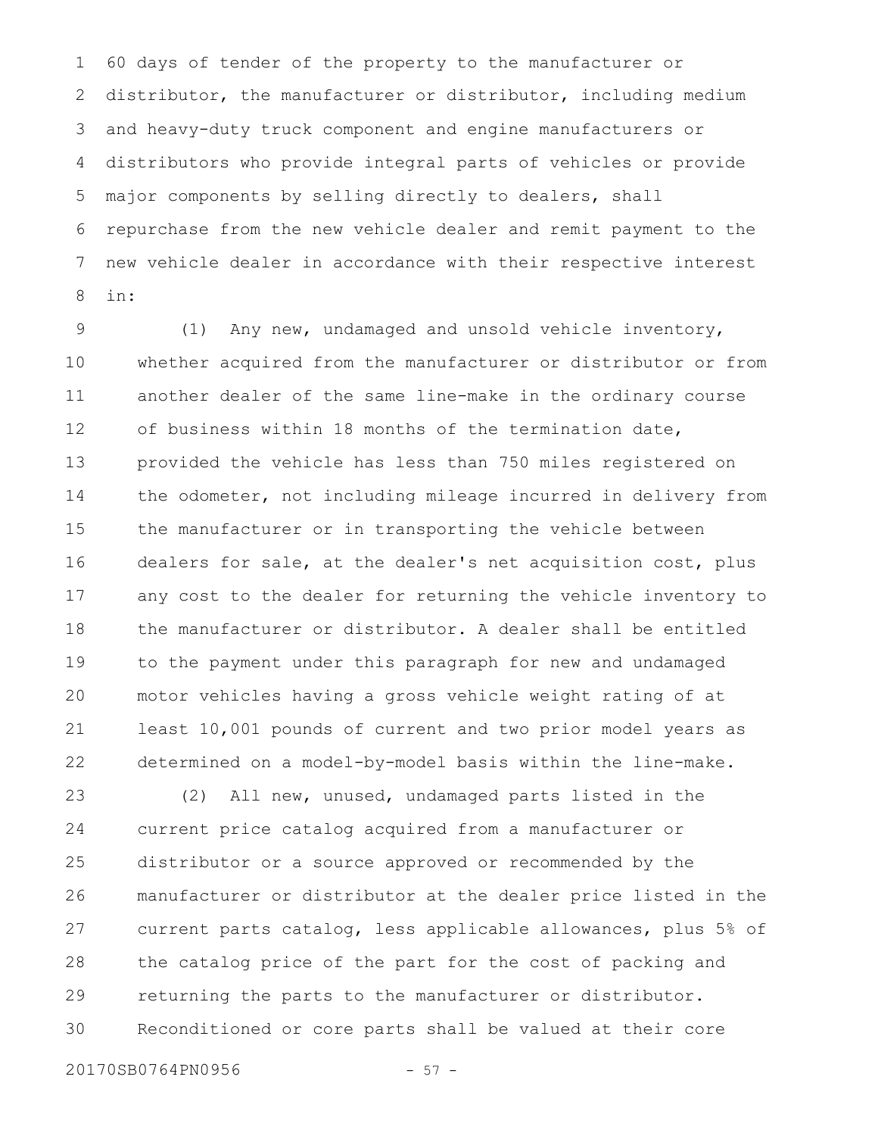60 days of tender of the property to the manufacturer or distributor, the manufacturer or distributor, including medium and heavy-duty truck component and engine manufacturers or distributors who provide integral parts of vehicles or provide major components by selling directly to dealers, shall repurchase from the new vehicle dealer and remit payment to the new vehicle dealer in accordance with their respective interest in: 1 2 3 4 5 6 7 8

(1) Any new, undamaged and unsold vehicle inventory, whether acquired from the manufacturer or distributor or from another dealer of the same line-make in the ordinary course of business within 18 months of the termination date, provided the vehicle has less than 750 miles registered on the odometer, not including mileage incurred in delivery from the manufacturer or in transporting the vehicle between dealers for sale, at the dealer's net acquisition cost, plus any cost to the dealer for returning the vehicle inventory to the manufacturer or distributor. A dealer shall be entitled to the payment under this paragraph for new and undamaged motor vehicles having a gross vehicle weight rating of at least 10,001 pounds of current and two prior model years as determined on a model-by-model basis within the line-make. 9 10 11 12 13 14 15 16 17 18 19 20 21 22

(2) All new, unused, undamaged parts listed in the current price catalog acquired from a manufacturer or distributor or a source approved or recommended by the manufacturer or distributor at the dealer price listed in the current parts catalog, less applicable allowances, plus 5% of the catalog price of the part for the cost of packing and returning the parts to the manufacturer or distributor. Reconditioned or core parts shall be valued at their core 23 24 25 26 27 28 29 30

20170SB0764PN0956 - 57 -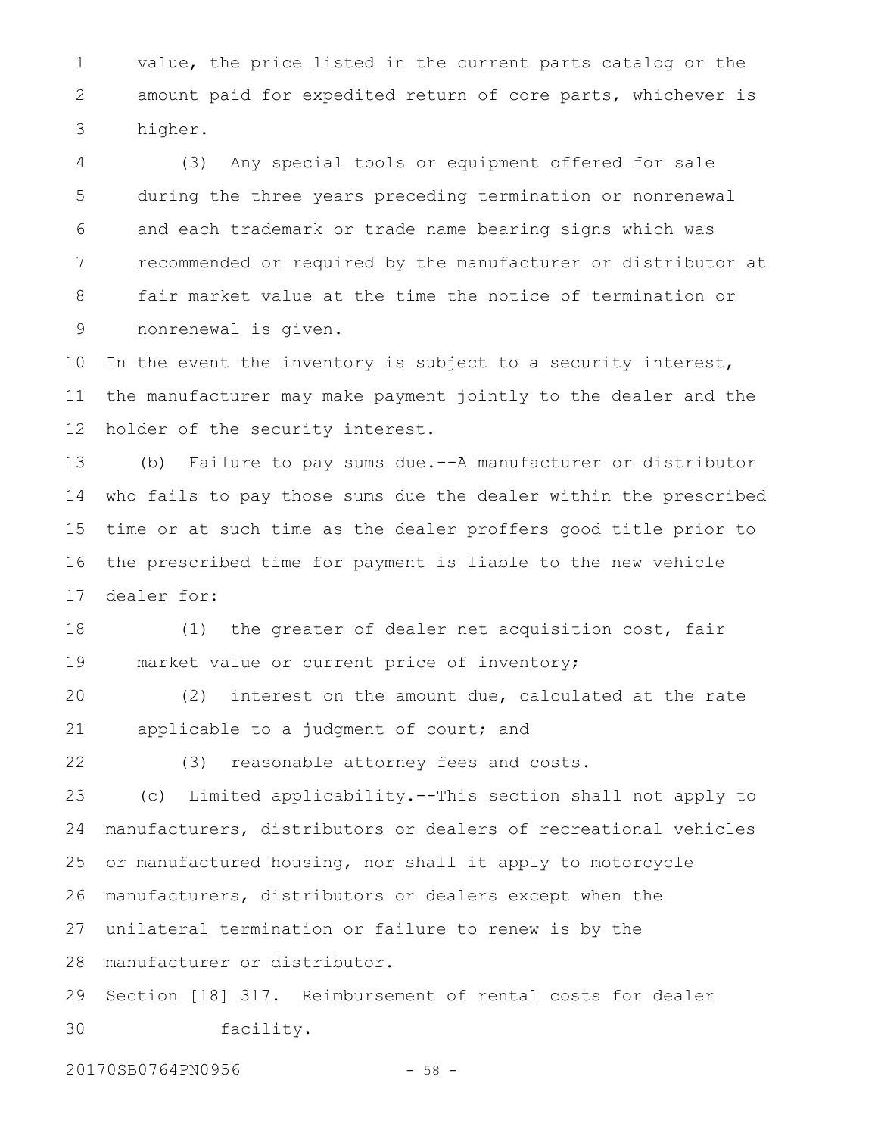value, the price listed in the current parts catalog or the amount paid for expedited return of core parts, whichever is higher. 1 2 3

(3) Any special tools or equipment offered for sale during the three years preceding termination or nonrenewal and each trademark or trade name bearing signs which was recommended or required by the manufacturer or distributor at fair market value at the time the notice of termination or nonrenewal is given. 4 5 6 7 8 9

In the event the inventory is subject to a security interest, the manufacturer may make payment jointly to the dealer and the holder of the security interest. 10 11 12

(b) Failure to pay sums due.--A manufacturer or distributor who fails to pay those sums due the dealer within the prescribed time or at such time as the dealer proffers good title prior to the prescribed time for payment is liable to the new vehicle dealer for: 13 14 15 16 17

(1) the greater of dealer net acquisition cost, fair market value or current price of inventory; 18 19

(2) interest on the amount due, calculated at the rate applicable to a judgment of court; and 20 21

22

(3) reasonable attorney fees and costs.

(c) Limited applicability.--This section shall not apply to manufacturers, distributors or dealers of recreational vehicles or manufactured housing, nor shall it apply to motorcycle manufacturers, distributors or dealers except when the unilateral termination or failure to renew is by the 23 24 25 26 27

manufacturer or distributor. 28

Section [18] 317. Reimbursement of rental costs for dealer facility. 29 30

20170SB0764PN0956 - 58 -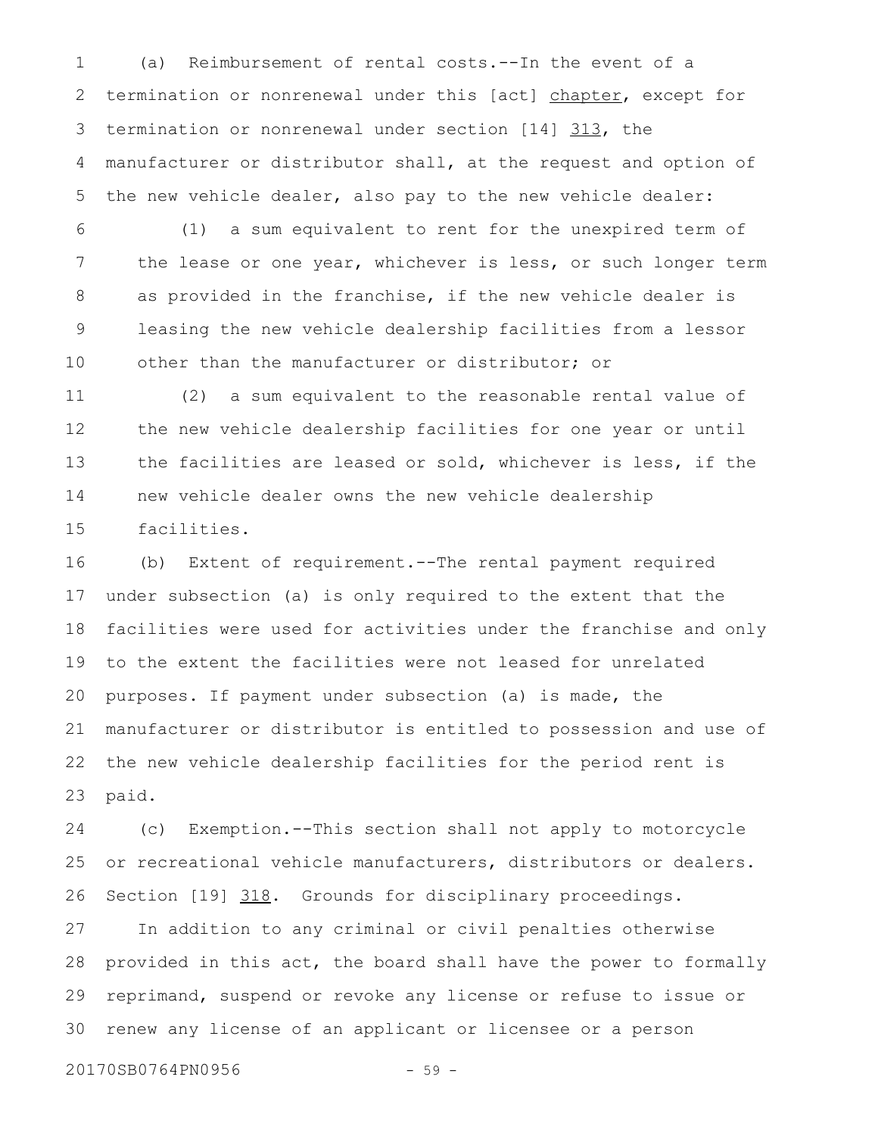(a) Reimbursement of rental costs.--In the event of a termination or nonrenewal under this [act] chapter, except for termination or nonrenewal under section [14] 313, the manufacturer or distributor shall, at the request and option of the new vehicle dealer, also pay to the new vehicle dealer: 1 2 3 4 5

(1) a sum equivalent to rent for the unexpired term of the lease or one year, whichever is less, or such longer term as provided in the franchise, if the new vehicle dealer is leasing the new vehicle dealership facilities from a lessor other than the manufacturer or distributor; or 6 7 8 9 10

(2) a sum equivalent to the reasonable rental value of the new vehicle dealership facilities for one year or until the facilities are leased or sold, whichever is less, if the new vehicle dealer owns the new vehicle dealership facilities. 11 12 13 14 15

(b) Extent of requirement.--The rental payment required under subsection (a) is only required to the extent that the facilities were used for activities under the franchise and only to the extent the facilities were not leased for unrelated purposes. If payment under subsection (a) is made, the manufacturer or distributor is entitled to possession and use of the new vehicle dealership facilities for the period rent is paid. 16 17 18 19 20 21 22 23

(c) Exemption.--This section shall not apply to motorcycle or recreational vehicle manufacturers, distributors or dealers. Section [19] 318. Grounds for disciplinary proceedings. 24 25 26

In addition to any criminal or civil penalties otherwise provided in this act, the board shall have the power to formally reprimand, suspend or revoke any license or refuse to issue or renew any license of an applicant or licensee or a person 27 28 29 30

20170SB0764PN0956 - 59 -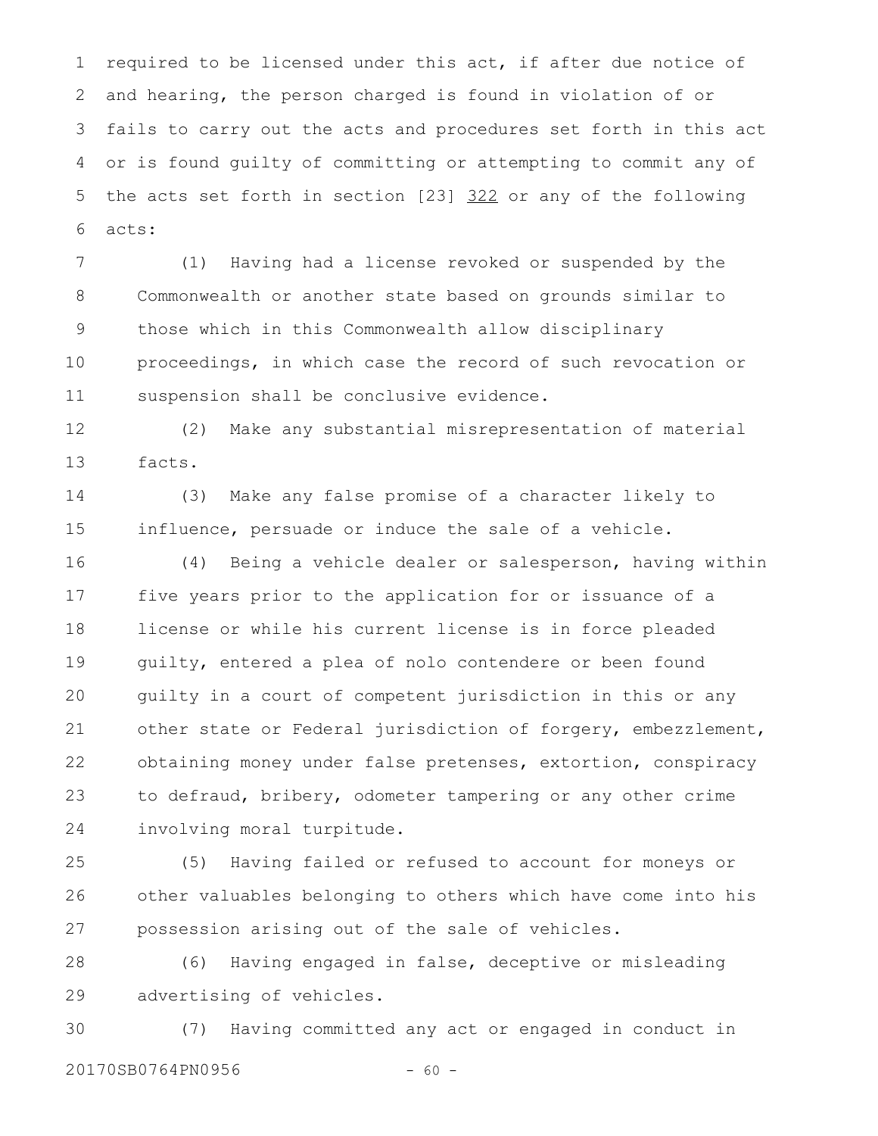required to be licensed under this act, if after due notice of and hearing, the person charged is found in violation of or fails to carry out the acts and procedures set forth in this act or is found guilty of committing or attempting to commit any of the acts set forth in section [23] 322 or any of the following acts: 1 2 3 4 5 6

(1) Having had a license revoked or suspended by the Commonwealth or another state based on grounds similar to those which in this Commonwealth allow disciplinary proceedings, in which case the record of such revocation or suspension shall be conclusive evidence. 7 8 9 10 11

(2) Make any substantial misrepresentation of material facts. 12 13

(3) Make any false promise of a character likely to influence, persuade or induce the sale of a vehicle. 14 15

(4) Being a vehicle dealer or salesperson, having within five years prior to the application for or issuance of a license or while his current license is in force pleaded guilty, entered a plea of nolo contendere or been found guilty in a court of competent jurisdiction in this or any other state or Federal jurisdiction of forgery, embezzlement, obtaining money under false pretenses, extortion, conspiracy to defraud, bribery, odometer tampering or any other crime involving moral turpitude. 16 17 18 19 20 21 22 23 24

(5) Having failed or refused to account for moneys or other valuables belonging to others which have come into his possession arising out of the sale of vehicles. 25 26 27

(6) Having engaged in false, deceptive or misleading advertising of vehicles. 28 29

(7) Having committed any act or engaged in conduct in 20170SB0764PN0956 - 60 -30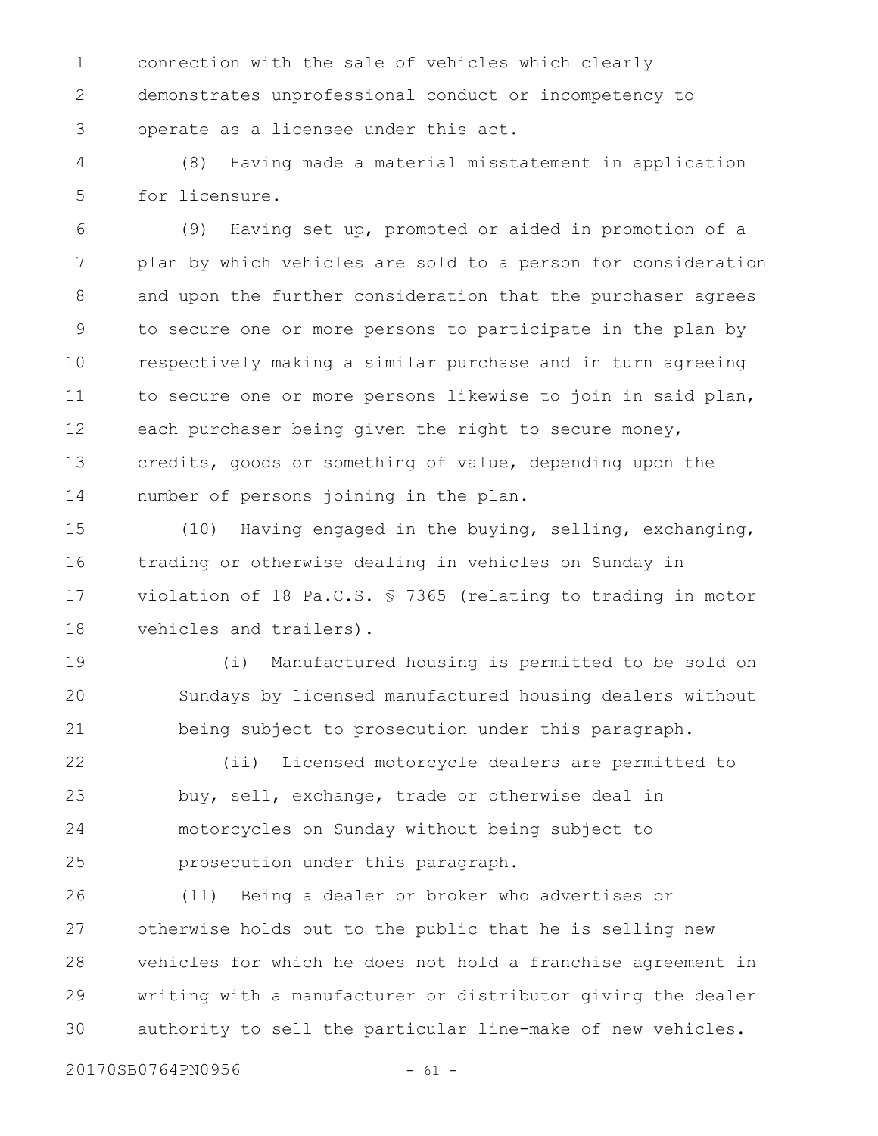connection with the sale of vehicles which clearly demonstrates unprofessional conduct or incompetency to operate as a licensee under this act. 1 2 3

(8) Having made a material misstatement in application for licensure. 4 5

(9) Having set up, promoted or aided in promotion of a plan by which vehicles are sold to a person for consideration and upon the further consideration that the purchaser agrees to secure one or more persons to participate in the plan by respectively making a similar purchase and in turn agreeing to secure one or more persons likewise to join in said plan, each purchaser being given the right to secure money, credits, goods or something of value, depending upon the number of persons joining in the plan. 6 7 8 9 10 11 12 13 14

(10) Having engaged in the buying, selling, exchanging, trading or otherwise dealing in vehicles on Sunday in violation of 18 Pa.C.S. § 7365 (relating to trading in motor vehicles and trailers). 15 16 17 18

(i) Manufactured housing is permitted to be sold on Sundays by licensed manufactured housing dealers without being subject to prosecution under this paragraph. 19 20 21

(ii) Licensed motorcycle dealers are permitted to buy, sell, exchange, trade or otherwise deal in motorcycles on Sunday without being subject to prosecution under this paragraph. 22 23 24 25

(11) Being a dealer or broker who advertises or otherwise holds out to the public that he is selling new vehicles for which he does not hold a franchise agreement in writing with a manufacturer or distributor giving the dealer authority to sell the particular line-make of new vehicles. 26 27 28 29 30

20170SB0764PN0956 - 61 -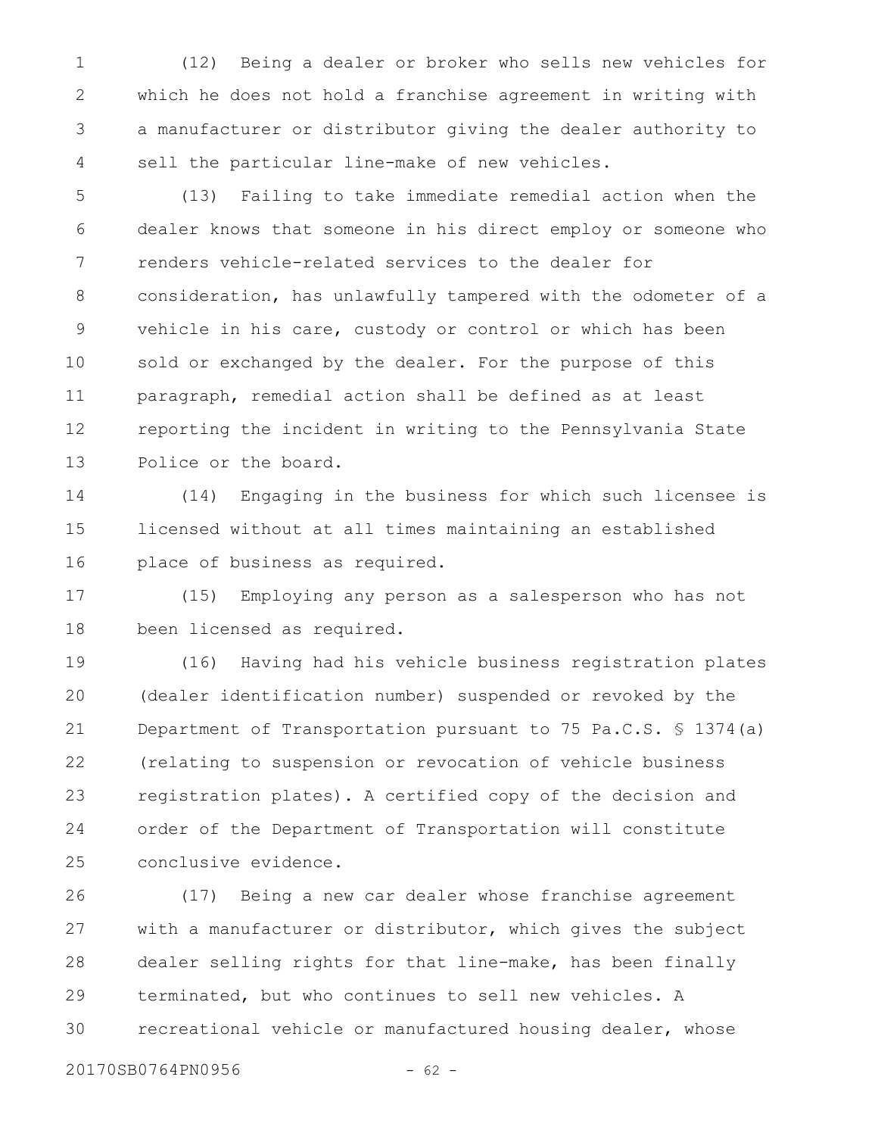(12) Being a dealer or broker who sells new vehicles for which he does not hold a franchise agreement in writing with a manufacturer or distributor giving the dealer authority to sell the particular line-make of new vehicles. 1 2 3 4

(13) Failing to take immediate remedial action when the dealer knows that someone in his direct employ or someone who renders vehicle-related services to the dealer for consideration, has unlawfully tampered with the odometer of a vehicle in his care, custody or control or which has been sold or exchanged by the dealer. For the purpose of this paragraph, remedial action shall be defined as at least reporting the incident in writing to the Pennsylvania State Police or the board. 5 6 7 8 9 10 11 12 13

(14) Engaging in the business for which such licensee is licensed without at all times maintaining an established place of business as required. 14 15 16

(15) Employing any person as a salesperson who has not been licensed as required. 17 18

(16) Having had his vehicle business registration plates (dealer identification number) suspended or revoked by the Department of Transportation pursuant to 75 Pa.C.S. § 1374(a) (relating to suspension or revocation of vehicle business registration plates). A certified copy of the decision and order of the Department of Transportation will constitute conclusive evidence. 19 20 21 22 23 24 25

(17) Being a new car dealer whose franchise agreement with a manufacturer or distributor, which gives the subject dealer selling rights for that line-make, has been finally terminated, but who continues to sell new vehicles. A recreational vehicle or manufactured housing dealer, whose 26 27 28 29 30

20170SB0764PN0956 - 62 -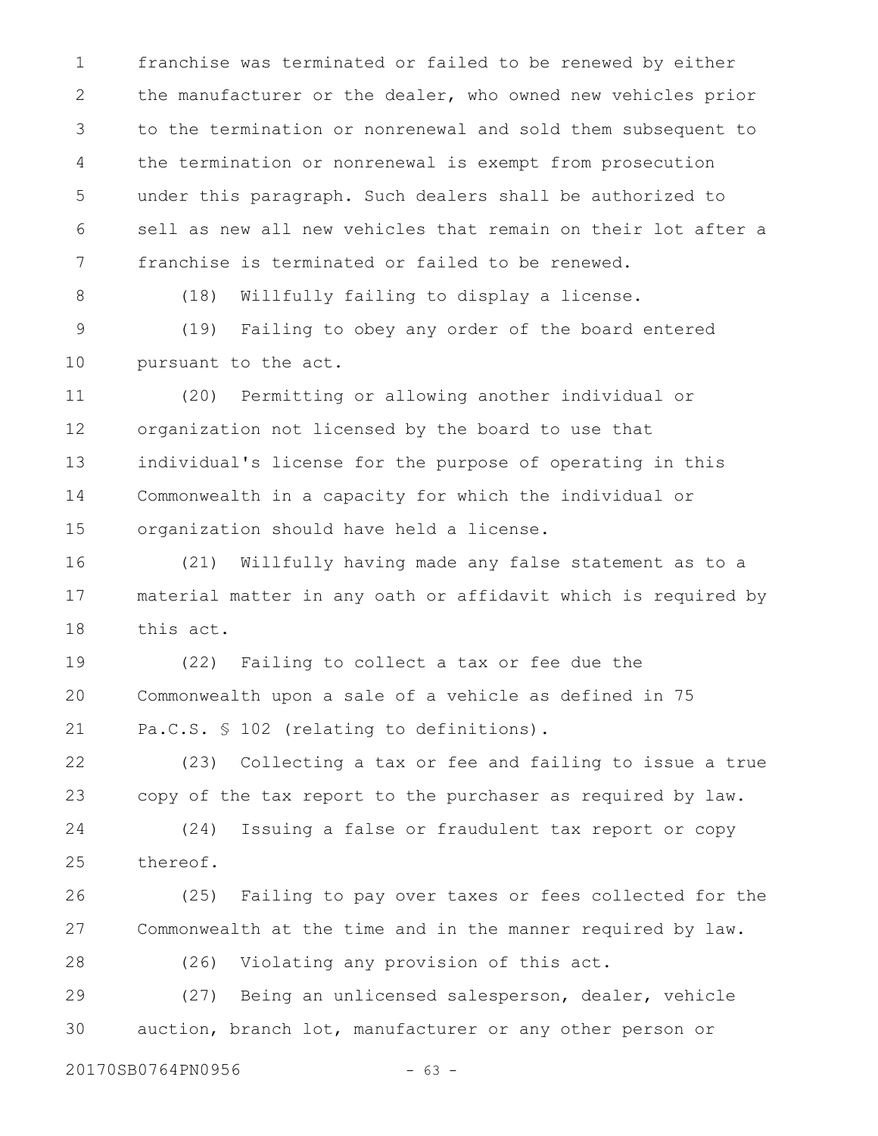franchise was terminated or failed to be renewed by either the manufacturer or the dealer, who owned new vehicles prior to the termination or nonrenewal and sold them subsequent to the termination or nonrenewal is exempt from prosecution under this paragraph. Such dealers shall be authorized to sell as new all new vehicles that remain on their lot after a franchise is terminated or failed to be renewed. 1 2 3 4 5 6 7

8

(18) Willfully failing to display a license.

(19) Failing to obey any order of the board entered pursuant to the act. 9 10

(20) Permitting or allowing another individual or organization not licensed by the board to use that individual's license for the purpose of operating in this Commonwealth in a capacity for which the individual or organization should have held a license. 11 12 13 14 15

(21) Willfully having made any false statement as to a material matter in any oath or affidavit which is required by this act. 16 17 18

(22) Failing to collect a tax or fee due the Commonwealth upon a sale of a vehicle as defined in 75 Pa.C.S. § 102 (relating to definitions). 19 20 21

(23) Collecting a tax or fee and failing to issue a true copy of the tax report to the purchaser as required by law. 22 23

(24) Issuing a false or fraudulent tax report or copy thereof. 24 25

(25) Failing to pay over taxes or fees collected for the Commonwealth at the time and in the manner required by law. 26 27

(26) Violating any provision of this act. 28

(27) Being an unlicensed salesperson, dealer, vehicle auction, branch lot, manufacturer or any other person or 29 30

20170SB0764PN0956 - 63 -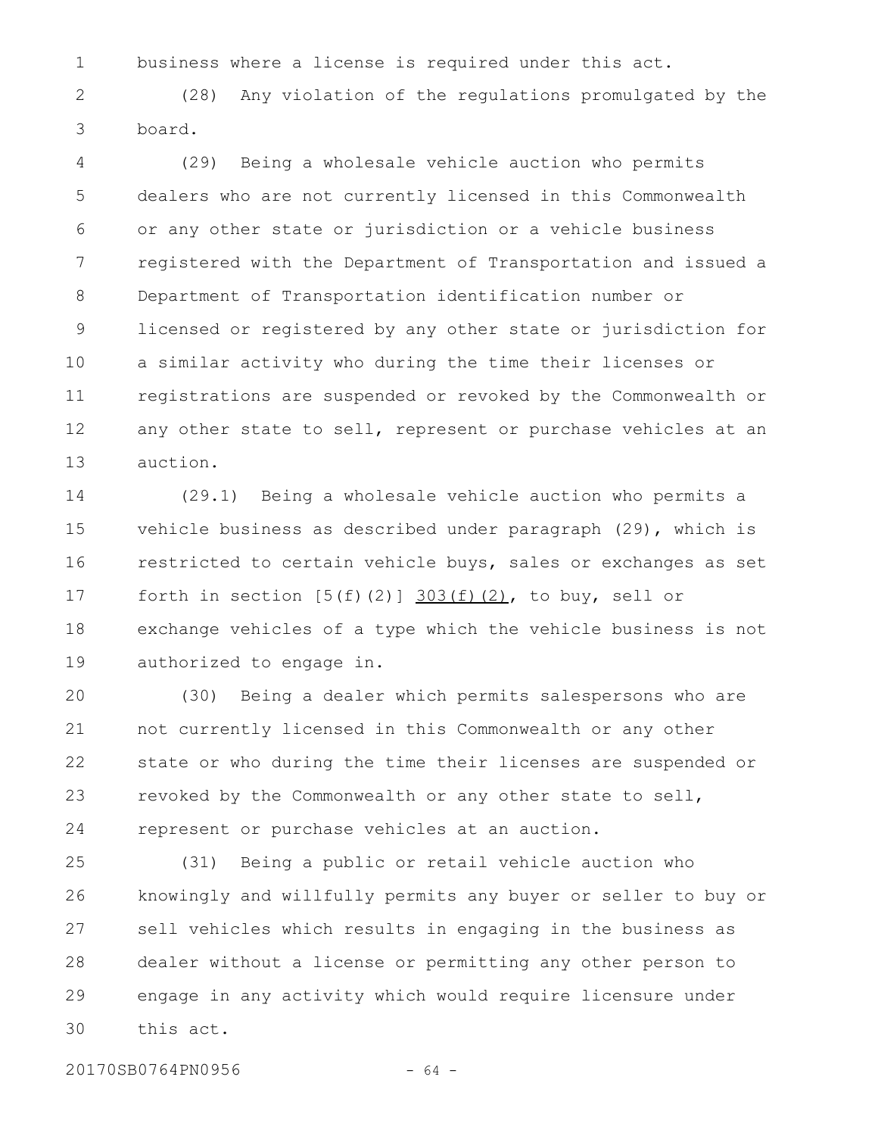business where a license is required under this act. 1

(28) Any violation of the regulations promulgated by the board. 2 3

(29) Being a wholesale vehicle auction who permits dealers who are not currently licensed in this Commonwealth or any other state or jurisdiction or a vehicle business registered with the Department of Transportation and issued a Department of Transportation identification number or licensed or registered by any other state or jurisdiction for a similar activity who during the time their licenses or registrations are suspended or revoked by the Commonwealth or any other state to sell, represent or purchase vehicles at an auction. 4 5 6 7 8 9 10 11 12 13

(29.1) Being a wholesale vehicle auction who permits a vehicle business as described under paragraph (29), which is restricted to certain vehicle buys, sales or exchanges as set forth in section  $[5(f)(2)]$   $303(f)(2)$ , to buy, sell or exchange vehicles of a type which the vehicle business is not authorized to engage in. 14 15 16 17 18 19

(30) Being a dealer which permits salespersons who are not currently licensed in this Commonwealth or any other state or who during the time their licenses are suspended or revoked by the Commonwealth or any other state to sell, represent or purchase vehicles at an auction. 20 21 22 23 24

(31) Being a public or retail vehicle auction who knowingly and willfully permits any buyer or seller to buy or sell vehicles which results in engaging in the business as dealer without a license or permitting any other person to engage in any activity which would require licensure under this act. 25 26 27 28 29 30

20170SB0764PN0956 - 64 -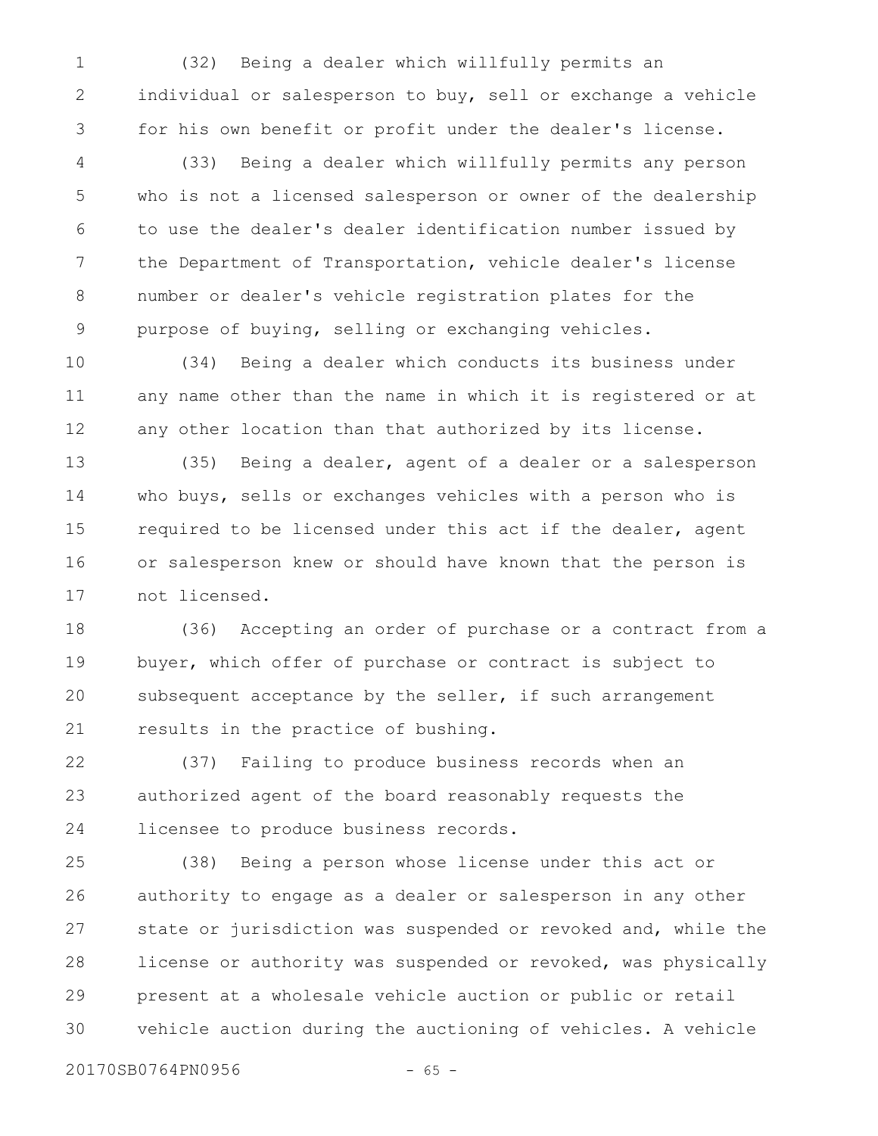(32) Being a dealer which willfully permits an individual or salesperson to buy, sell or exchange a vehicle for his own benefit or profit under the dealer's license. 1 2 3

(33) Being a dealer which willfully permits any person who is not a licensed salesperson or owner of the dealership to use the dealer's dealer identification number issued by the Department of Transportation, vehicle dealer's license number or dealer's vehicle registration plates for the purpose of buying, selling or exchanging vehicles. 4 5 6 7 8 9

(34) Being a dealer which conducts its business under any name other than the name in which it is registered or at any other location than that authorized by its license. 10 11 12

(35) Being a dealer, agent of a dealer or a salesperson who buys, sells or exchanges vehicles with a person who is required to be licensed under this act if the dealer, agent or salesperson knew or should have known that the person is not licensed. 13 14 15 16 17

(36) Accepting an order of purchase or a contract from a buyer, which offer of purchase or contract is subject to subsequent acceptance by the seller, if such arrangement results in the practice of bushing. 18 19 20 21

(37) Failing to produce business records when an authorized agent of the board reasonably requests the licensee to produce business records. 22 23 24

(38) Being a person whose license under this act or authority to engage as a dealer or salesperson in any other state or jurisdiction was suspended or revoked and, while the license or authority was suspended or revoked, was physically present at a wholesale vehicle auction or public or retail vehicle auction during the auctioning of vehicles. A vehicle 25 26 27 28 29 30

20170SB0764PN0956 - 65 -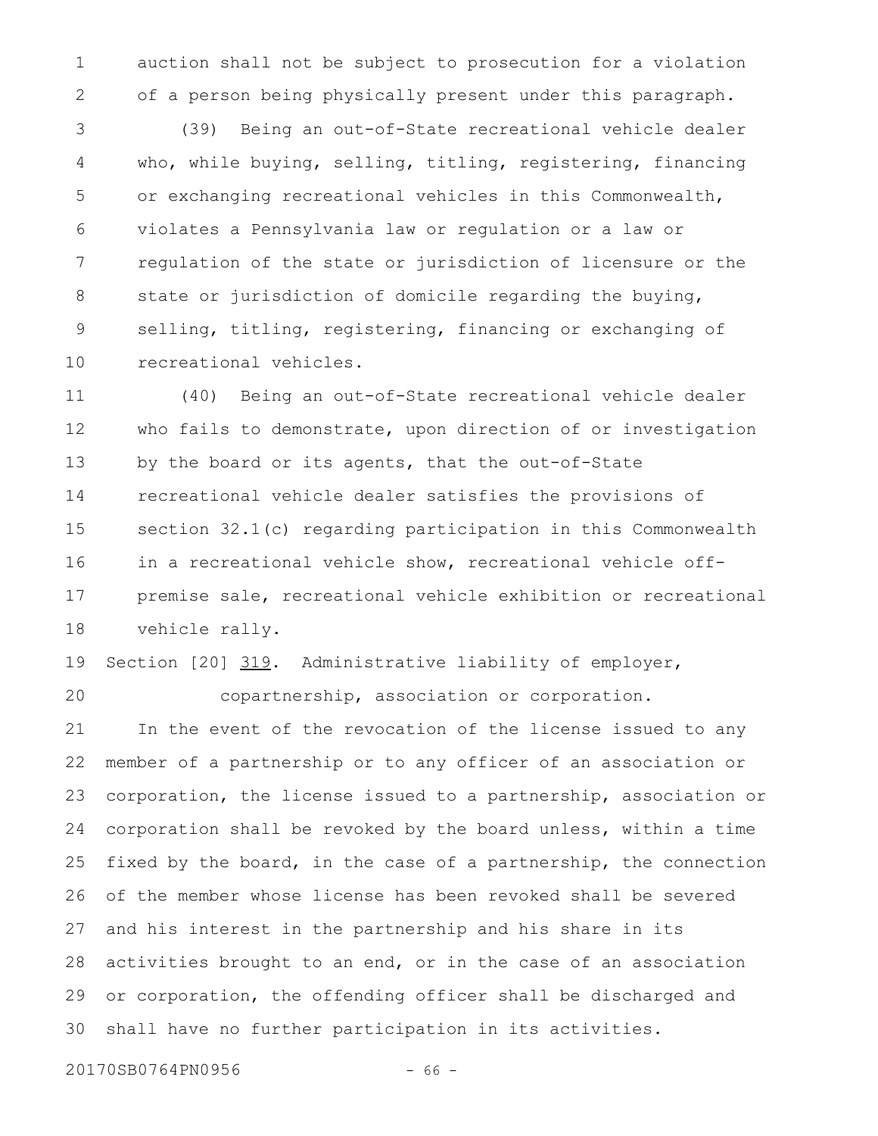auction shall not be subject to prosecution for a violation of a person being physically present under this paragraph. 1 2

(39) Being an out-of-State recreational vehicle dealer who, while buying, selling, titling, registering, financing or exchanging recreational vehicles in this Commonwealth, violates a Pennsylvania law or regulation or a law or regulation of the state or jurisdiction of licensure or the state or jurisdiction of domicile regarding the buying, selling, titling, registering, financing or exchanging of recreational vehicles. 3 4 5 6 7 8 9 10

(40) Being an out-of-State recreational vehicle dealer who fails to demonstrate, upon direction of or investigation by the board or its agents, that the out-of-State recreational vehicle dealer satisfies the provisions of section 32.1(c) regarding participation in this Commonwealth in a recreational vehicle show, recreational vehicle offpremise sale, recreational vehicle exhibition or recreational vehicle rally. 11 12 13 14 15 16 17 18

Section [20] 319. Administrative liability of employer, 19

20

copartnership, association or corporation.

In the event of the revocation of the license issued to any member of a partnership or to any officer of an association or corporation, the license issued to a partnership, association or corporation shall be revoked by the board unless, within a time fixed by the board, in the case of a partnership, the connection of the member whose license has been revoked shall be severed and his interest in the partnership and his share in its activities brought to an end, or in the case of an association or corporation, the offending officer shall be discharged and shall have no further participation in its activities. 21 22 23 24 25 26 27 28 29 30

20170SB0764PN0956 - 66 -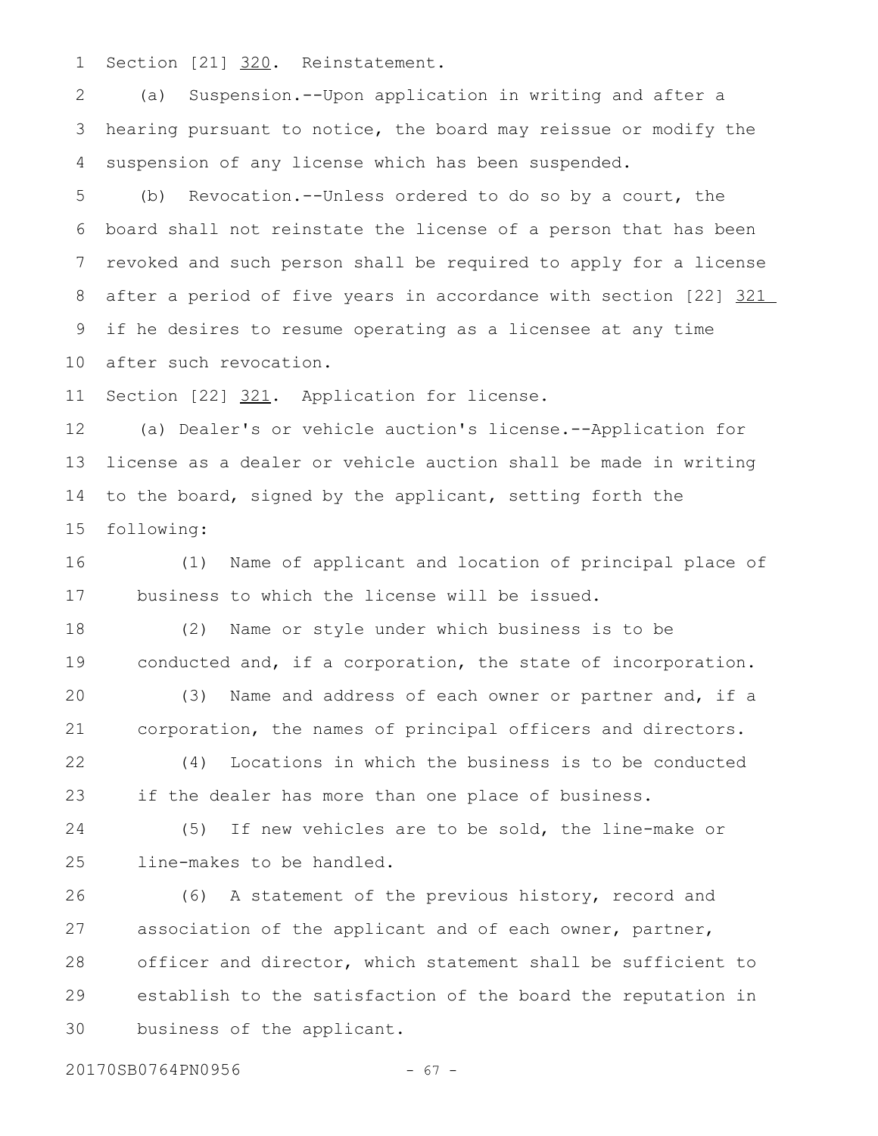Section [21] 320. Reinstatement. 1

(a) Suspension.--Upon application in writing and after a hearing pursuant to notice, the board may reissue or modify the suspension of any license which has been suspended. 2 3 4

(b) Revocation.--Unless ordered to do so by a court, the board shall not reinstate the license of a person that has been revoked and such person shall be required to apply for a license after a period of five years in accordance with section [22] 321 if he desires to resume operating as a licensee at any time after such revocation. 5 6 7 8 9 10

Section [22] 321. Application for license. 11

(a) Dealer's or vehicle auction's license.--Application for license as a dealer or vehicle auction shall be made in writing to the board, signed by the applicant, setting forth the following: 12 13 14 15

(1) Name of applicant and location of principal place of business to which the license will be issued. 16 17

(2) Name or style under which business is to be conducted and, if a corporation, the state of incorporation. 18 19

(3) Name and address of each owner or partner and, if a corporation, the names of principal officers and directors. 20 21

(4) Locations in which the business is to be conducted if the dealer has more than one place of business. 22 23

(5) If new vehicles are to be sold, the line-make or line-makes to be handled. 24 25

(6) A statement of the previous history, record and association of the applicant and of each owner, partner, officer and director, which statement shall be sufficient to establish to the satisfaction of the board the reputation in business of the applicant. 26 27 28 29 30

20170SB0764PN0956 - 67 -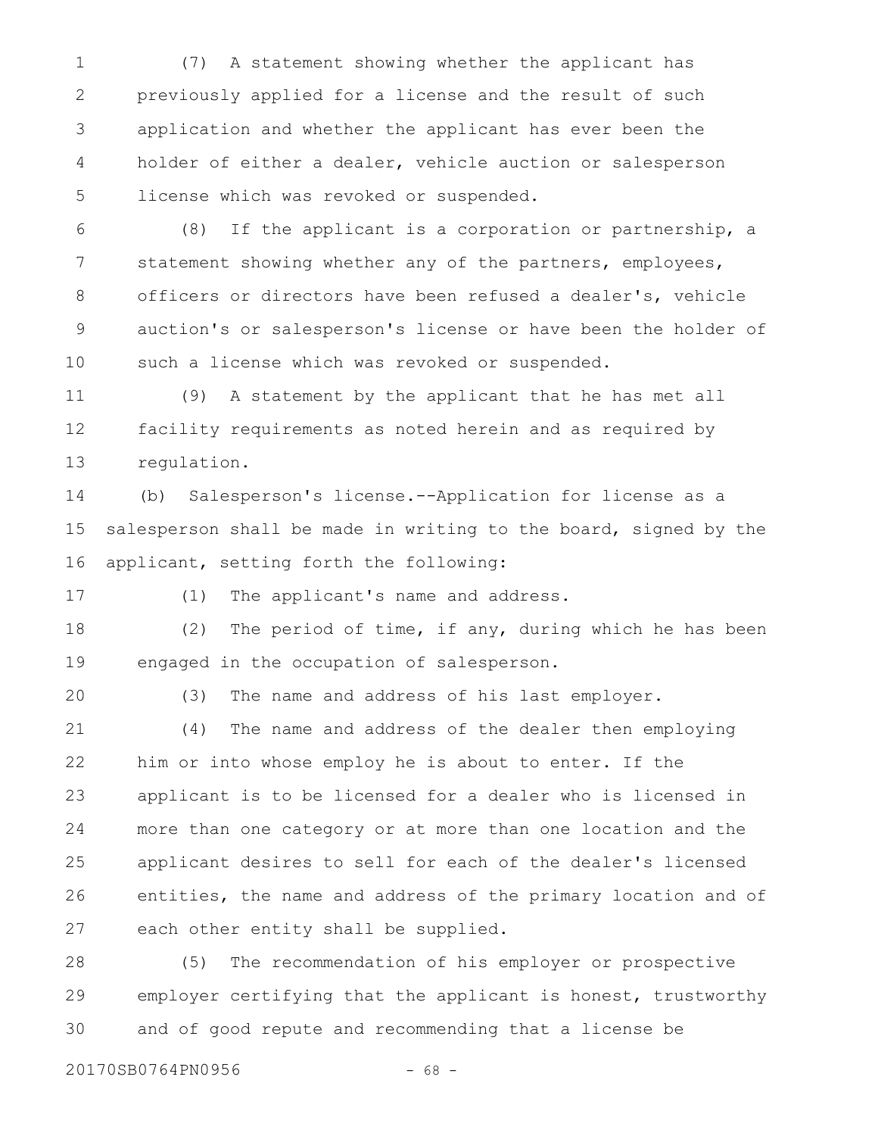(7) A statement showing whether the applicant has previously applied for a license and the result of such application and whether the applicant has ever been the holder of either a dealer, vehicle auction or salesperson license which was revoked or suspended. 1 2 3 4 5

(8) If the applicant is a corporation or partnership, a statement showing whether any of the partners, employees, officers or directors have been refused a dealer's, vehicle auction's or salesperson's license or have been the holder of such a license which was revoked or suspended. 6 7 8 9 10

(9) A statement by the applicant that he has met all facility requirements as noted herein and as required by regulation. 11 12 13

(b) Salesperson's license.--Application for license as a salesperson shall be made in writing to the board, signed by the applicant, setting forth the following: 14 15 16

17

(1) The applicant's name and address.

(2) The period of time, if any, during which he has been engaged in the occupation of salesperson. 18 19

20

(3) The name and address of his last employer.

(4) The name and address of the dealer then employing him or into whose employ he is about to enter. If the applicant is to be licensed for a dealer who is licensed in more than one category or at more than one location and the applicant desires to sell for each of the dealer's licensed entities, the name and address of the primary location and of each other entity shall be supplied. 21 22 23 24 25 26 27

(5) The recommendation of his employer or prospective employer certifying that the applicant is honest, trustworthy and of good repute and recommending that a license be 28 29 30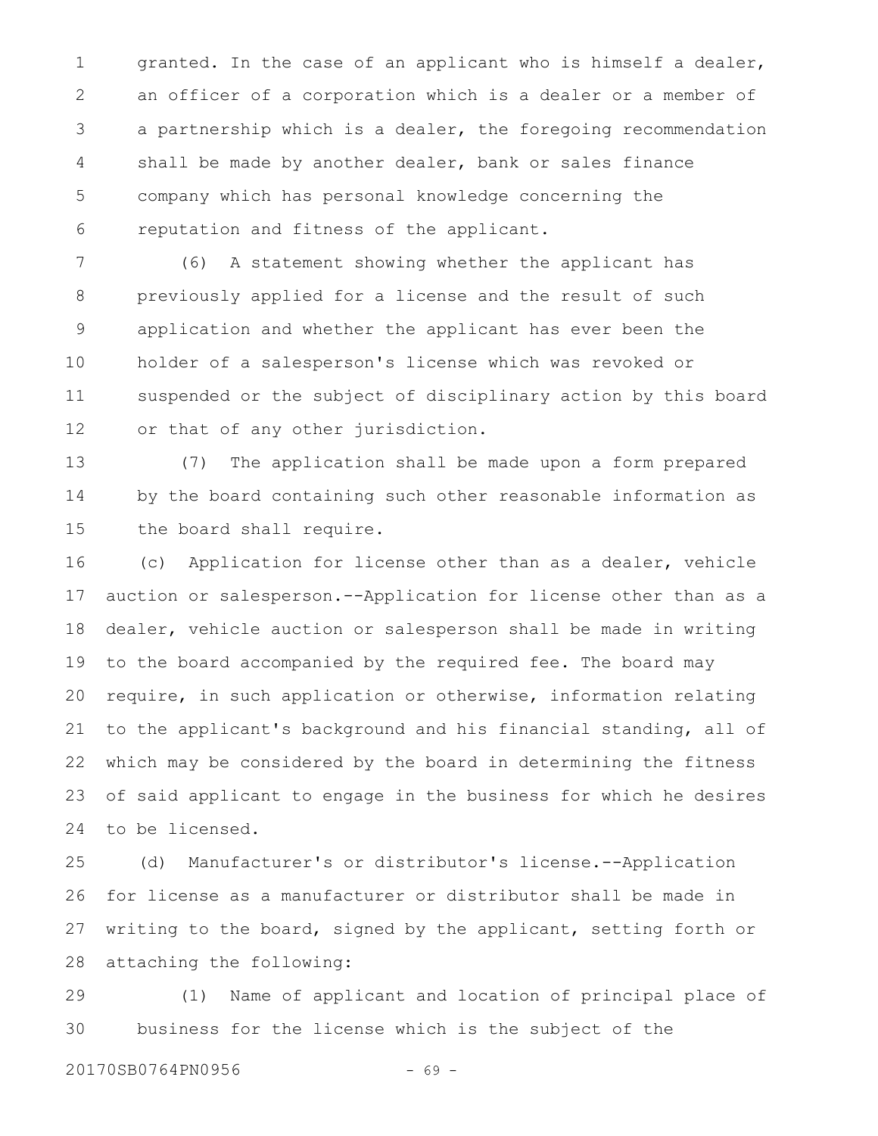granted. In the case of an applicant who is himself a dealer, an officer of a corporation which is a dealer or a member of a partnership which is a dealer, the foregoing recommendation shall be made by another dealer, bank or sales finance company which has personal knowledge concerning the reputation and fitness of the applicant. 1 2 3 4 5 6

(6) A statement showing whether the applicant has previously applied for a license and the result of such application and whether the applicant has ever been the holder of a salesperson's license which was revoked or suspended or the subject of disciplinary action by this board or that of any other jurisdiction. 7 8 9 10 11 12

(7) The application shall be made upon a form prepared by the board containing such other reasonable information as the board shall require. 13 14 15

(c) Application for license other than as a dealer, vehicle auction or salesperson.--Application for license other than as a dealer, vehicle auction or salesperson shall be made in writing to the board accompanied by the required fee. The board may require, in such application or otherwise, information relating to the applicant's background and his financial standing, all of which may be considered by the board in determining the fitness of said applicant to engage in the business for which he desires to be licensed. 16 17 18 19 20 21 22 23 24

(d) Manufacturer's or distributor's license.--Application for license as a manufacturer or distributor shall be made in writing to the board, signed by the applicant, setting forth or attaching the following: 25 26 27 28

(1) Name of applicant and location of principal place of business for the license which is the subject of the 29 30

20170SB0764PN0956 - 69 -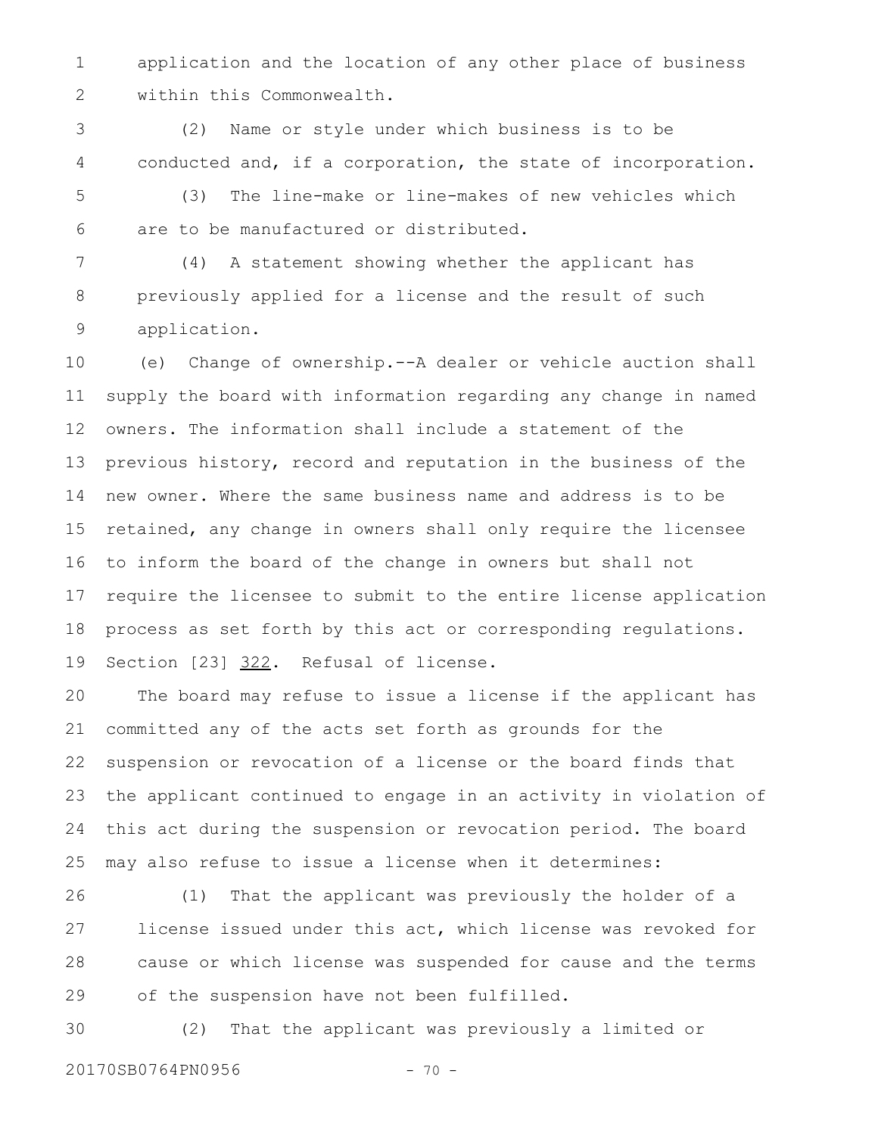application and the location of any other place of business within this Commonwealth. 1 2

(2) Name or style under which business is to be conducted and, if a corporation, the state of incorporation. 3 4

(3) The line-make or line-makes of new vehicles which are to be manufactured or distributed. 5 6

(4) A statement showing whether the applicant has previously applied for a license and the result of such application. 7 8 9

(e) Change of ownership.--A dealer or vehicle auction shall supply the board with information regarding any change in named owners. The information shall include a statement of the previous history, record and reputation in the business of the new owner. Where the same business name and address is to be retained, any change in owners shall only require the licensee to inform the board of the change in owners but shall not require the licensee to submit to the entire license application process as set forth by this act or corresponding regulations. Section [23] 322. Refusal of license. 10 11 12 13 14 15 16 17 18 19

The board may refuse to issue a license if the applicant has committed any of the acts set forth as grounds for the suspension or revocation of a license or the board finds that the applicant continued to engage in an activity in violation of this act during the suspension or revocation period. The board may also refuse to issue a license when it determines: 20 21 22 23 24 25

(1) That the applicant was previously the holder of a license issued under this act, which license was revoked for cause or which license was suspended for cause and the terms of the suspension have not been fulfilled. 26 27 28 29

(2) That the applicant was previously a limited or 30

20170SB0764PN0956 - 70 -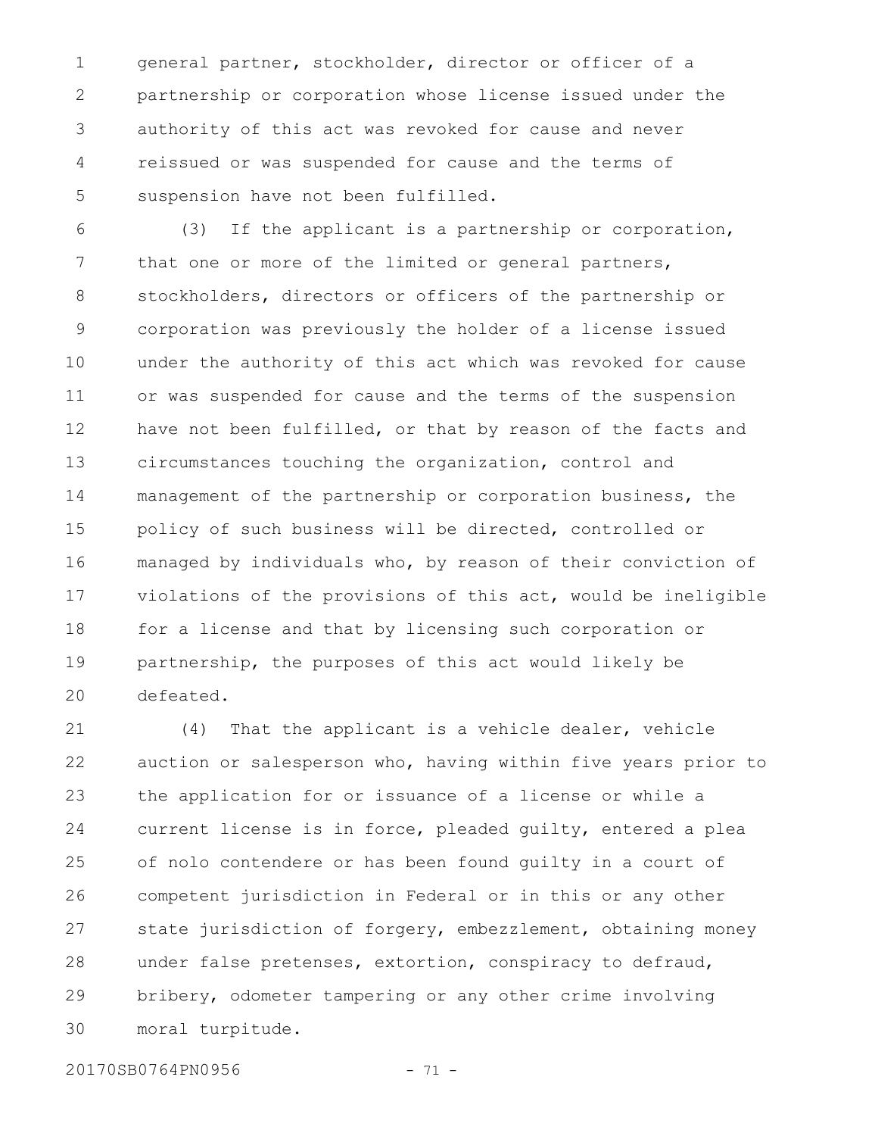general partner, stockholder, director or officer of a partnership or corporation whose license issued under the authority of this act was revoked for cause and never reissued or was suspended for cause and the terms of suspension have not been fulfilled. 1 2 3 4 5

(3) If the applicant is a partnership or corporation, that one or more of the limited or general partners, stockholders, directors or officers of the partnership or corporation was previously the holder of a license issued under the authority of this act which was revoked for cause or was suspended for cause and the terms of the suspension have not been fulfilled, or that by reason of the facts and circumstances touching the organization, control and management of the partnership or corporation business, the policy of such business will be directed, controlled or managed by individuals who, by reason of their conviction of violations of the provisions of this act, would be ineligible for a license and that by licensing such corporation or partnership, the purposes of this act would likely be defeated. 6 7 8 9 10 11 12 13 14 15 16 17 18 19 20

(4) That the applicant is a vehicle dealer, vehicle auction or salesperson who, having within five years prior to the application for or issuance of a license or while a current license is in force, pleaded guilty, entered a plea of nolo contendere or has been found guilty in a court of competent jurisdiction in Federal or in this or any other state jurisdiction of forgery, embezzlement, obtaining money under false pretenses, extortion, conspiracy to defraud, bribery, odometer tampering or any other crime involving moral turpitude. 21 22 23 24 25 26 27 28 29 30

20170SB0764PN0956 - 71 -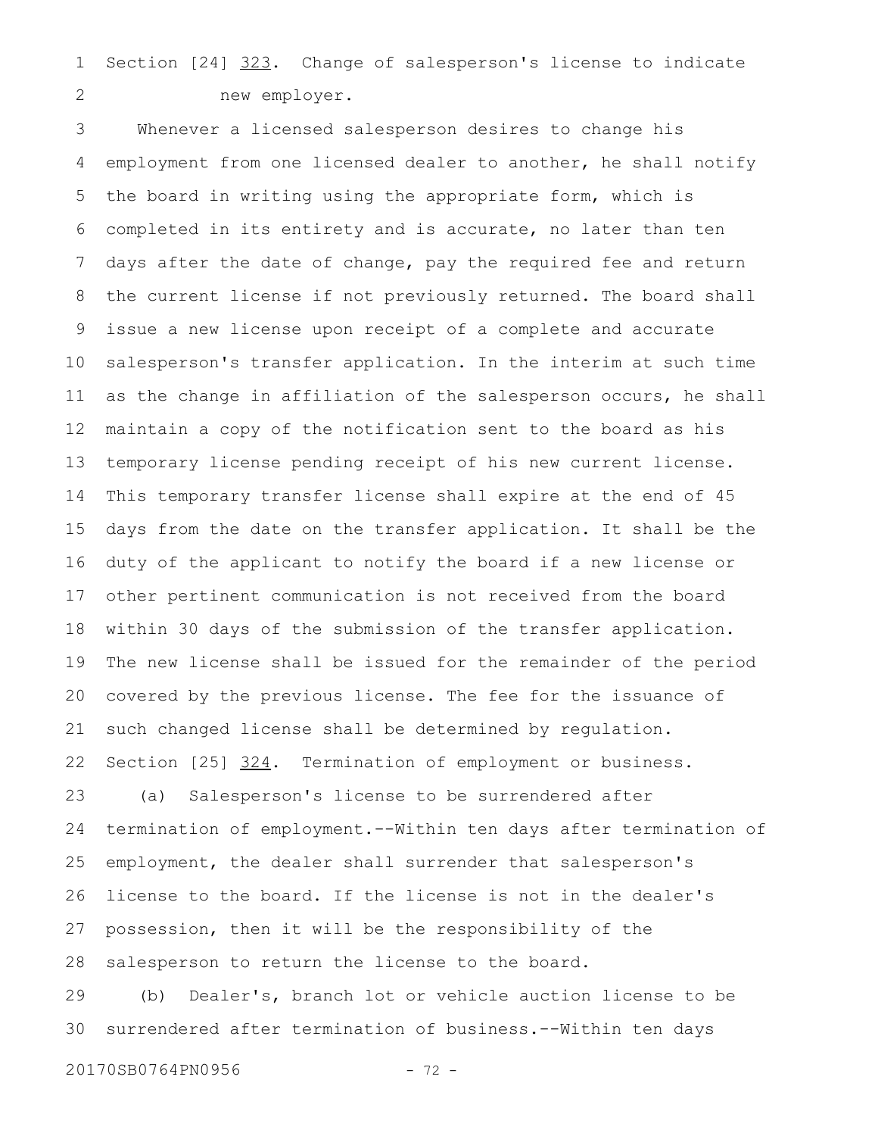Section [24] 323. Change of salesperson's license to indicate new employer. 1 2

Whenever a licensed salesperson desires to change his employment from one licensed dealer to another, he shall notify the board in writing using the appropriate form, which is completed in its entirety and is accurate, no later than ten days after the date of change, pay the required fee and return the current license if not previously returned. The board shall issue a new license upon receipt of a complete and accurate salesperson's transfer application. In the interim at such time as the change in affiliation of the salesperson occurs, he shall maintain a copy of the notification sent to the board as his temporary license pending receipt of his new current license. This temporary transfer license shall expire at the end of 45 days from the date on the transfer application. It shall be the duty of the applicant to notify the board if a new license or other pertinent communication is not received from the board within 30 days of the submission of the transfer application. The new license shall be issued for the remainder of the period covered by the previous license. The fee for the issuance of such changed license shall be determined by regulation. Section [25] 324. Termination of employment or business. (a) Salesperson's license to be surrendered after termination of employment.--Within ten days after termination of employment, the dealer shall surrender that salesperson's license to the board. If the license is not in the dealer's possession, then it will be the responsibility of the salesperson to return the license to the board. (b) Dealer's, branch lot or vehicle auction license to be surrendered after termination of business.--Within ten days 3 4 5 6 7 8 9 10 11 12 13 14 15 16 17 18 19 20 21 22 23 24 25 26 27 28 29 30

20170SB0764PN0956 - 72 -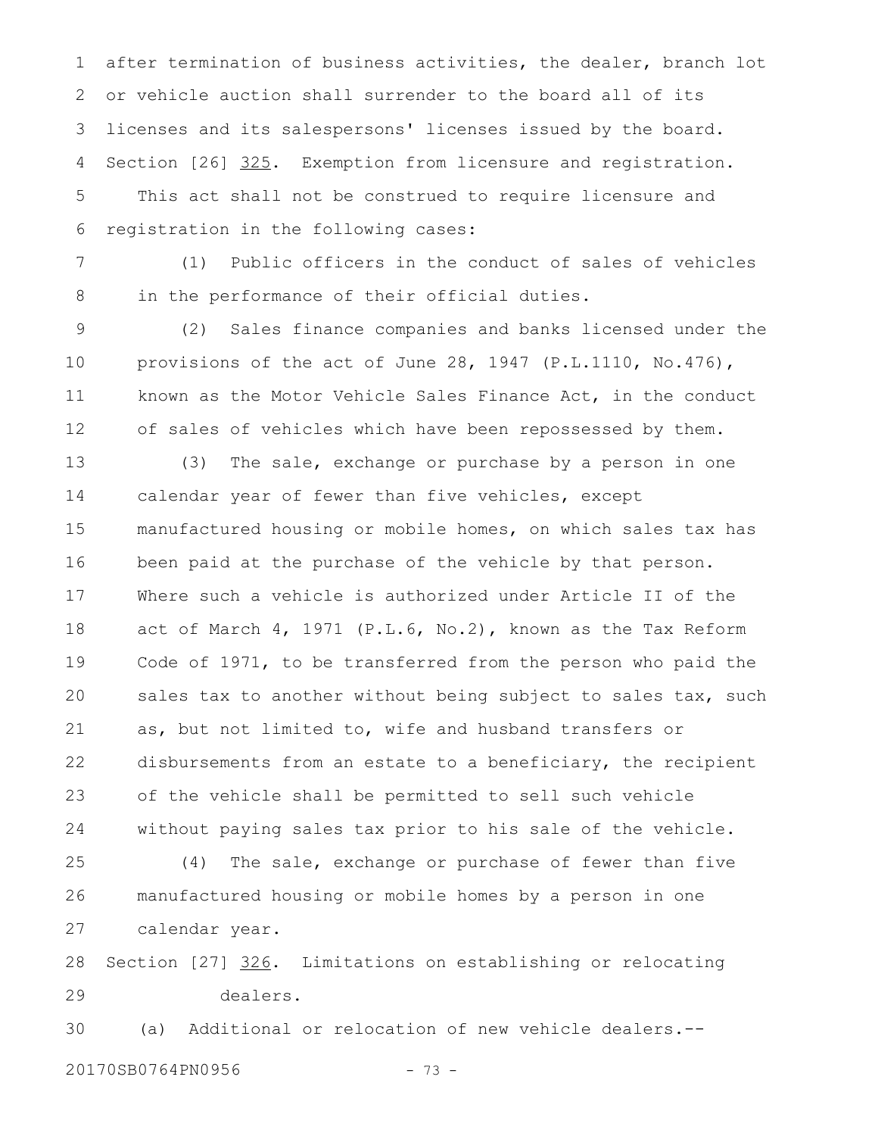after termination of business activities, the dealer, branch lot or vehicle auction shall surrender to the board all of its licenses and its salespersons' licenses issued by the board. Section [26] 325. Exemption from licensure and registration. This act shall not be construed to require licensure and registration in the following cases: 1 2 3 4 5 6

(1) Public officers in the conduct of sales of vehicles in the performance of their official duties. 7 8

(2) Sales finance companies and banks licensed under the provisions of the act of June 28, 1947 (P.L.1110, No.476), known as the Motor Vehicle Sales Finance Act, in the conduct of sales of vehicles which have been repossessed by them. 9 10 11 12

(3) The sale, exchange or purchase by a person in one calendar year of fewer than five vehicles, except manufactured housing or mobile homes, on which sales tax has been paid at the purchase of the vehicle by that person. Where such a vehicle is authorized under Article II of the act of March 4, 1971 (P.L.6, No.2), known as the Tax Reform Code of 1971, to be transferred from the person who paid the sales tax to another without being subject to sales tax, such as, but not limited to, wife and husband transfers or disbursements from an estate to a beneficiary, the recipient of the vehicle shall be permitted to sell such vehicle without paying sales tax prior to his sale of the vehicle. 13 14 15 16 17 18 19 20 21 22 23 24

(4) The sale, exchange or purchase of fewer than five manufactured housing or mobile homes by a person in one calendar year. 25 26 27

Section [27] 326. Limitations on establishing or relocating dealers. 28 29

(a) Additional or relocation of new vehicle dealers.-- 30

20170SB0764PN0956 - 73 -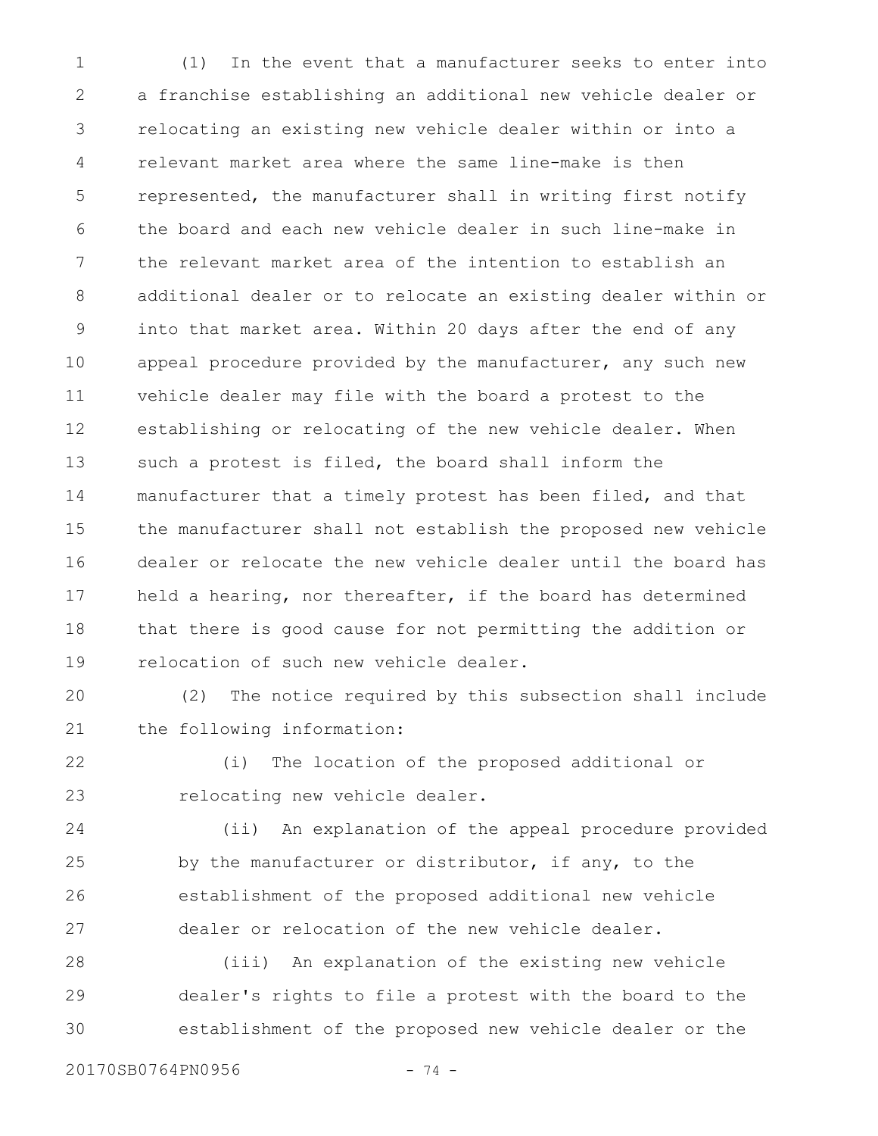(1) In the event that a manufacturer seeks to enter into a franchise establishing an additional new vehicle dealer or relocating an existing new vehicle dealer within or into a relevant market area where the same line-make is then represented, the manufacturer shall in writing first notify the board and each new vehicle dealer in such line-make in the relevant market area of the intention to establish an additional dealer or to relocate an existing dealer within or into that market area. Within 20 days after the end of any appeal procedure provided by the manufacturer, any such new vehicle dealer may file with the board a protest to the establishing or relocating of the new vehicle dealer. When such a protest is filed, the board shall inform the manufacturer that a timely protest has been filed, and that the manufacturer shall not establish the proposed new vehicle dealer or relocate the new vehicle dealer until the board has held a hearing, nor thereafter, if the board has determined that there is good cause for not permitting the addition or relocation of such new vehicle dealer. 1 2 3 4 5 6 7 8 9 10 11 12 13 14 15 16 17 18 19

(2) The notice required by this subsection shall include the following information: 20 21

(i) The location of the proposed additional or relocating new vehicle dealer. 22 23

(ii) An explanation of the appeal procedure provided by the manufacturer or distributor, if any, to the establishment of the proposed additional new vehicle dealer or relocation of the new vehicle dealer. 24 25 26 27

(iii) An explanation of the existing new vehicle dealer's rights to file a protest with the board to the establishment of the proposed new vehicle dealer or the 28 29 30

20170SB0764PN0956 - 74 -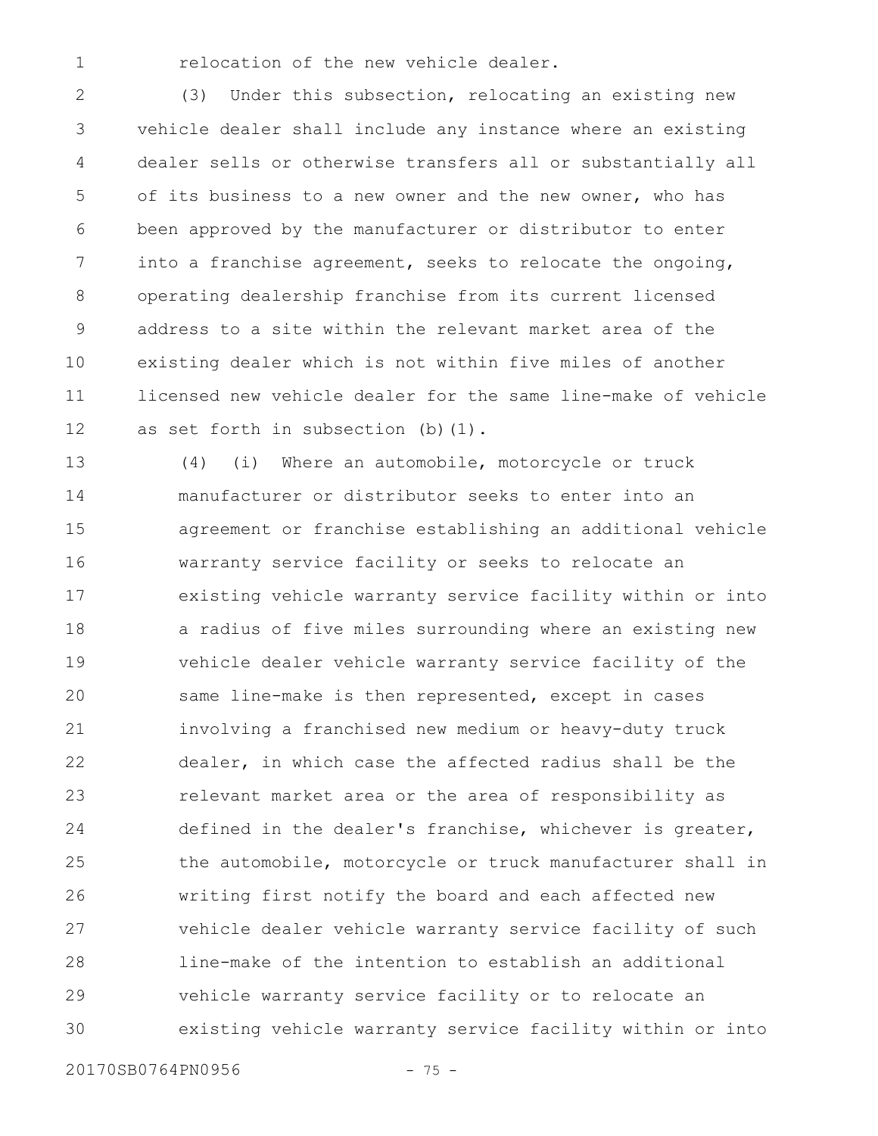relocation of the new vehicle dealer.

1

(3) Under this subsection, relocating an existing new vehicle dealer shall include any instance where an existing dealer sells or otherwise transfers all or substantially all of its business to a new owner and the new owner, who has been approved by the manufacturer or distributor to enter into a franchise agreement, seeks to relocate the ongoing, operating dealership franchise from its current licensed address to a site within the relevant market area of the existing dealer which is not within five miles of another licensed new vehicle dealer for the same line-make of vehicle as set forth in subsection (b)(1). 2 3 4 5 6 7 8 9 10 11 12

(4) (i) Where an automobile, motorcycle or truck manufacturer or distributor seeks to enter into an agreement or franchise establishing an additional vehicle warranty service facility or seeks to relocate an existing vehicle warranty service facility within or into a radius of five miles surrounding where an existing new vehicle dealer vehicle warranty service facility of the same line-make is then represented, except in cases involving a franchised new medium or heavy-duty truck dealer, in which case the affected radius shall be the relevant market area or the area of responsibility as defined in the dealer's franchise, whichever is greater, the automobile, motorcycle or truck manufacturer shall in writing first notify the board and each affected new vehicle dealer vehicle warranty service facility of such line-make of the intention to establish an additional vehicle warranty service facility or to relocate an existing vehicle warranty service facility within or into 13 14 15 16 17 18 19 20 21 22 23 24 25 26 27 28 29 30

20170SB0764PN0956 - 75 -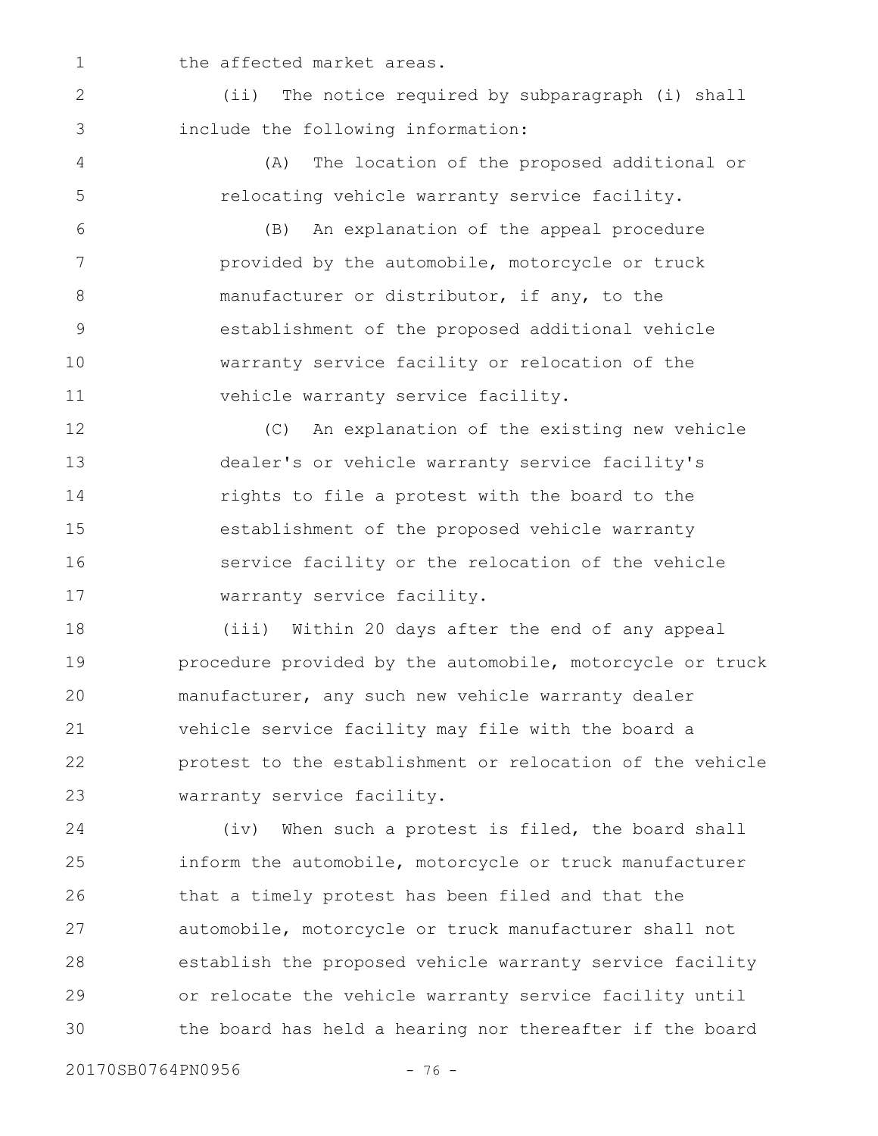the affected market areas.

(ii) The notice required by subparagraph (i) shall include the following information: 2 3

4

5

1

(A) The location of the proposed additional or relocating vehicle warranty service facility.

(B) An explanation of the appeal procedure provided by the automobile, motorcycle or truck manufacturer or distributor, if any, to the establishment of the proposed additional vehicle warranty service facility or relocation of the vehicle warranty service facility. 6 7 8 9 10 11

(C) An explanation of the existing new vehicle dealer's or vehicle warranty service facility's rights to file a protest with the board to the establishment of the proposed vehicle warranty service facility or the relocation of the vehicle warranty service facility. 12 13 14 15 16 17

(iii) Within 20 days after the end of any appeal procedure provided by the automobile, motorcycle or truck manufacturer, any such new vehicle warranty dealer vehicle service facility may file with the board a protest to the establishment or relocation of the vehicle warranty service facility. 18 19 20 21 22 23

(iv) When such a protest is filed, the board shall inform the automobile, motorcycle or truck manufacturer that a timely protest has been filed and that the automobile, motorcycle or truck manufacturer shall not establish the proposed vehicle warranty service facility or relocate the vehicle warranty service facility until the board has held a hearing nor thereafter if the board 24 25 26 27 28 29 30

20170SB0764PN0956 - 76 -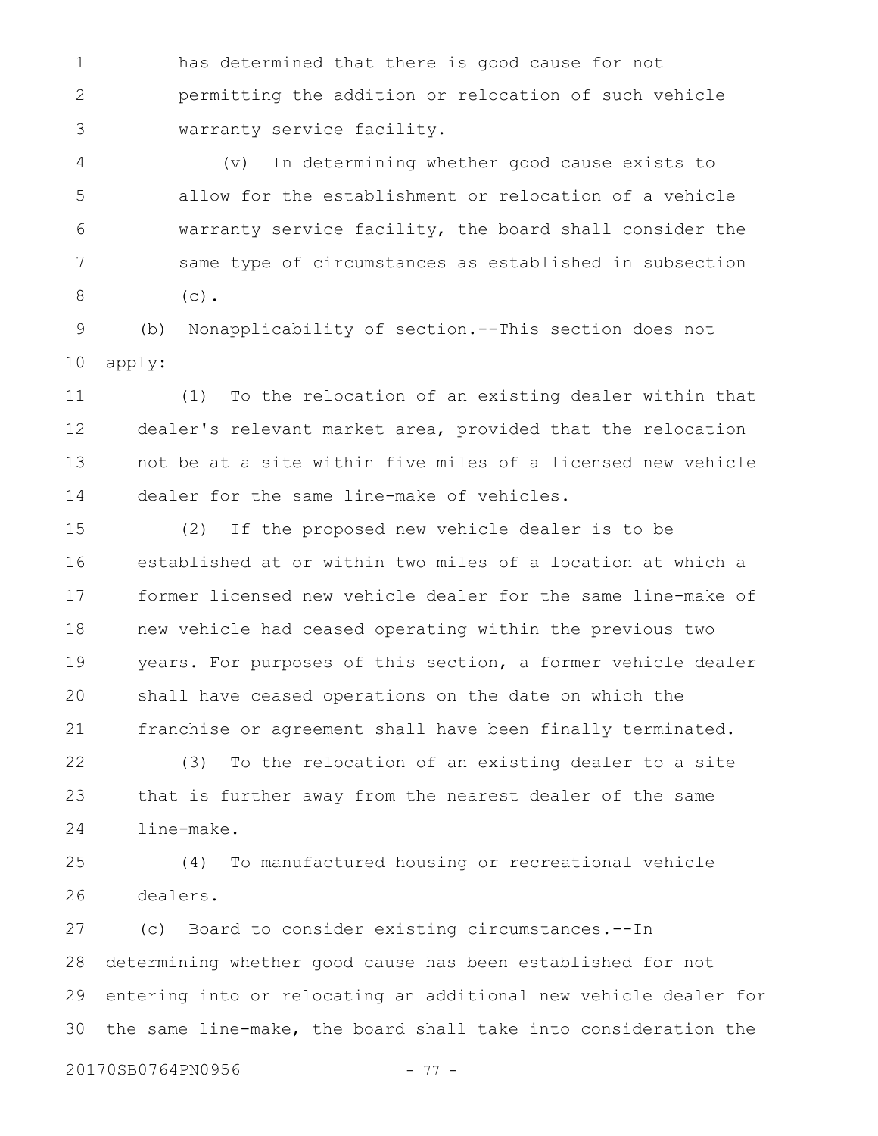has determined that there is good cause for not permitting the addition or relocation of such vehicle warranty service facility. 1 2 3

(v) In determining whether good cause exists to allow for the establishment or relocation of a vehicle warranty service facility, the board shall consider the same type of circumstances as established in subsection  $(c)$ . 4 5 6 7 8

(b) Nonapplicability of section.--This section does not apply: 9 10

(1) To the relocation of an existing dealer within that dealer's relevant market area, provided that the relocation not be at a site within five miles of a licensed new vehicle dealer for the same line-make of vehicles. 11 12 13 14

(2) If the proposed new vehicle dealer is to be established at or within two miles of a location at which a former licensed new vehicle dealer for the same line-make of new vehicle had ceased operating within the previous two years. For purposes of this section, a former vehicle dealer shall have ceased operations on the date on which the franchise or agreement shall have been finally terminated. 15 16 17 18 19 20 21

(3) To the relocation of an existing dealer to a site that is further away from the nearest dealer of the same line-make. 22 23 24

(4) To manufactured housing or recreational vehicle dealers. 25 26

(c) Board to consider existing circumstances.--In determining whether good cause has been established for not entering into or relocating an additional new vehicle dealer for the same line-make, the board shall take into consideration the 27 28 29 30

20170SB0764PN0956 - 77 -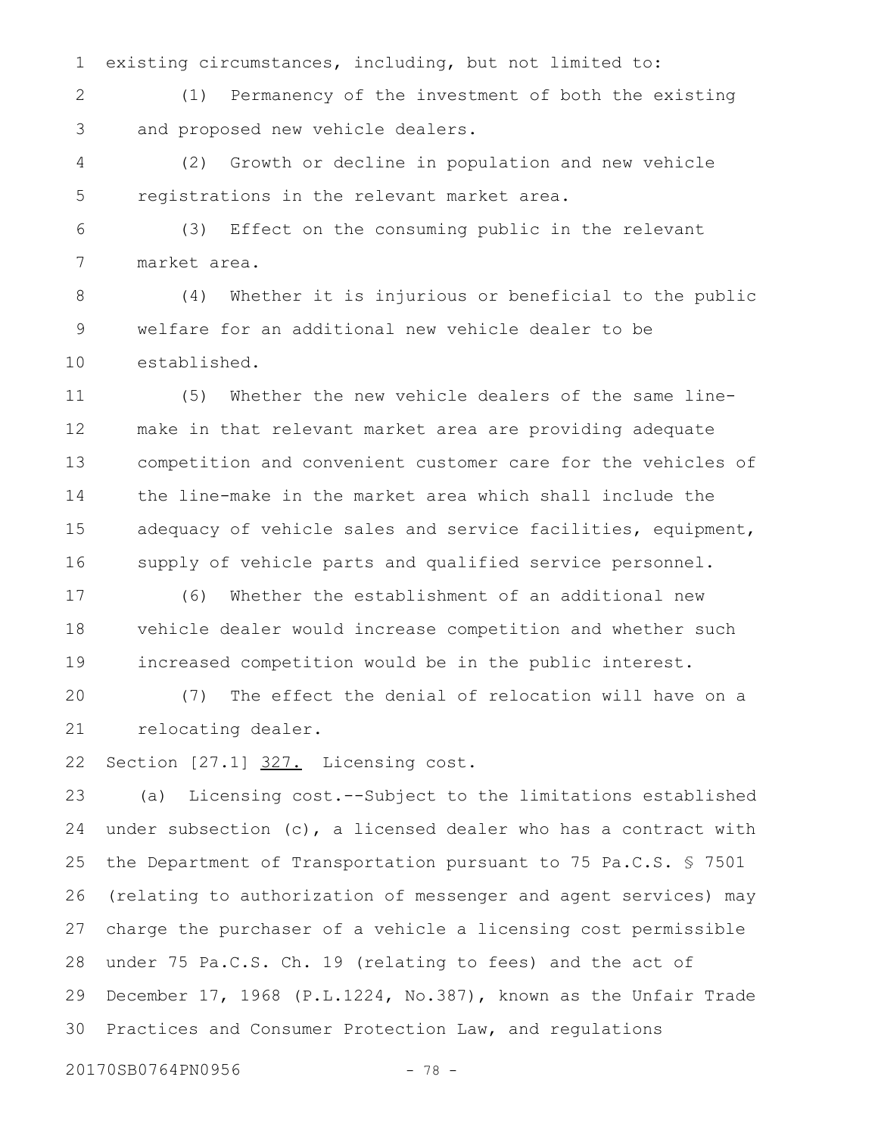existing circumstances, including, but not limited to: 1

(1) Permanency of the investment of both the existing and proposed new vehicle dealers. 2 3

(2) Growth or decline in population and new vehicle registrations in the relevant market area. 4 5

(3) Effect on the consuming public in the relevant market area. 6 7

(4) Whether it is injurious or beneficial to the public welfare for an additional new vehicle dealer to be established. 8 9 10

(5) Whether the new vehicle dealers of the same linemake in that relevant market area are providing adequate competition and convenient customer care for the vehicles of the line-make in the market area which shall include the adequacy of vehicle sales and service facilities, equipment, supply of vehicle parts and qualified service personnel. 11 12 13 14 15 16

(6) Whether the establishment of an additional new vehicle dealer would increase competition and whether such increased competition would be in the public interest. 17 18 19

(7) The effect the denial of relocation will have on a relocating dealer. 20 21

Section [27.1] 327. Licensing cost. 22

(a) Licensing cost.--Subject to the limitations established under subsection (c), a licensed dealer who has a contract with the Department of Transportation pursuant to 75 Pa.C.S. § 7501 (relating to authorization of messenger and agent services) may charge the purchaser of a vehicle a licensing cost permissible under 75 Pa.C.S. Ch. 19 (relating to fees) and the act of December 17, 1968 (P.L.1224, No.387), known as the Unfair Trade Practices and Consumer Protection Law, and regulations 23 24 25 26 27 28 29 30

20170SB0764PN0956 - 78 -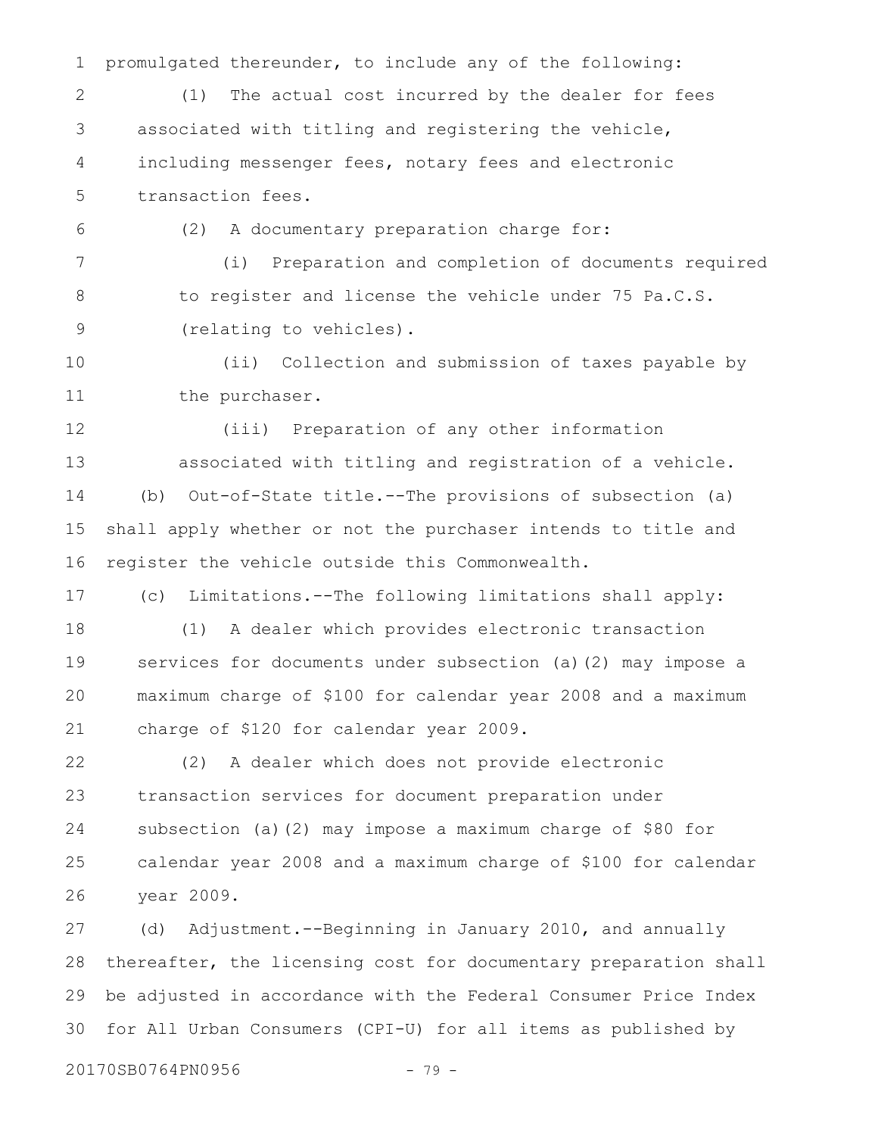promulgated thereunder, to include any of the following: (1) The actual cost incurred by the dealer for fees associated with titling and registering the vehicle, including messenger fees, notary fees and electronic transaction fees. (2) A documentary preparation charge for: (i) Preparation and completion of documents required to register and license the vehicle under 75 Pa.C.S. (relating to vehicles). (ii) Collection and submission of taxes payable by the purchaser. (iii) Preparation of any other information associated with titling and registration of a vehicle. (b) Out-of-State title.--The provisions of subsection (a) shall apply whether or not the purchaser intends to title and register the vehicle outside this Commonwealth. (c) Limitations.--The following limitations shall apply: (1) A dealer which provides electronic transaction services for documents under subsection (a)(2) may impose a maximum charge of \$100 for calendar year 2008 and a maximum charge of \$120 for calendar year 2009. (2) A dealer which does not provide electronic transaction services for document preparation under subsection (a)(2) may impose a maximum charge of \$80 for calendar year 2008 and a maximum charge of \$100 for calendar year 2009. (d) Adjustment.--Beginning in January 2010, and annually thereafter, the licensing cost for documentary preparation shall 1 2 3 4 5 6 7 8 9 10 11 12 13 14 15 16 17 18 19 20 21 22 23 24 25 26 27 28

for All Urban Consumers (CPI-U) for all items as published by 30

20170SB0764PN0956 - 79 -

29

be adjusted in accordance with the Federal Consumer Price Index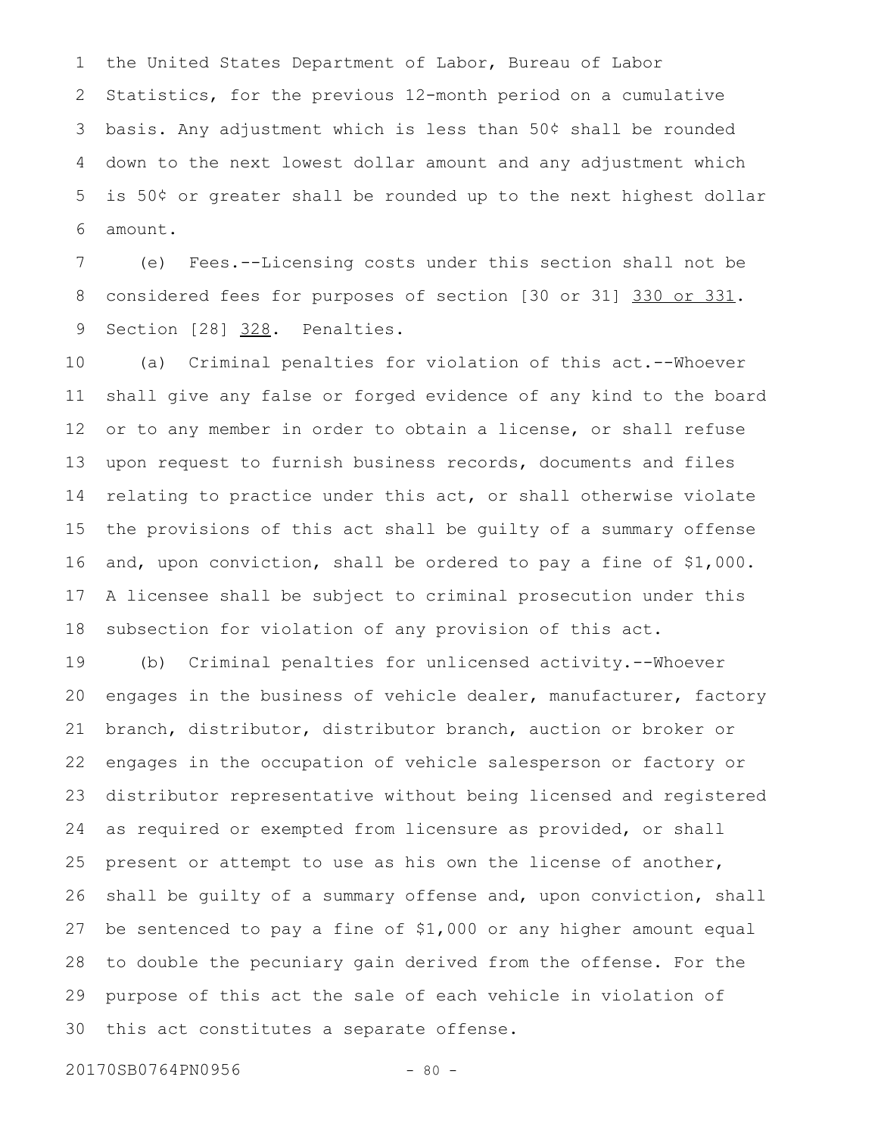the United States Department of Labor, Bureau of Labor Statistics, for the previous 12-month period on a cumulative basis. Any adjustment which is less than 50¢ shall be rounded down to the next lowest dollar amount and any adjustment which is 50¢ or greater shall be rounded up to the next highest dollar amount. 1 2 3 4 5 6

(e) Fees.--Licensing costs under this section shall not be considered fees for purposes of section [30 or 31] 330 or 331. Section [28] 328. Penalties. 7 8 9

(a) Criminal penalties for violation of this act.--Whoever shall give any false or forged evidence of any kind to the board or to any member in order to obtain a license, or shall refuse upon request to furnish business records, documents and files relating to practice under this act, or shall otherwise violate the provisions of this act shall be guilty of a summary offense and, upon conviction, shall be ordered to pay a fine of \$1,000. A licensee shall be subject to criminal prosecution under this subsection for violation of any provision of this act. 10 11 12 13 14 15 16 17 18

(b) Criminal penalties for unlicensed activity.--Whoever engages in the business of vehicle dealer, manufacturer, factory branch, distributor, distributor branch, auction or broker or engages in the occupation of vehicle salesperson or factory or distributor representative without being licensed and registered as required or exempted from licensure as provided, or shall present or attempt to use as his own the license of another, shall be guilty of a summary offense and, upon conviction, shall be sentenced to pay a fine of \$1,000 or any higher amount equal to double the pecuniary gain derived from the offense. For the purpose of this act the sale of each vehicle in violation of this act constitutes a separate offense. 19 20 21 22 23 24 25 26 27 28 29 30

20170SB0764PN0956 - 80 -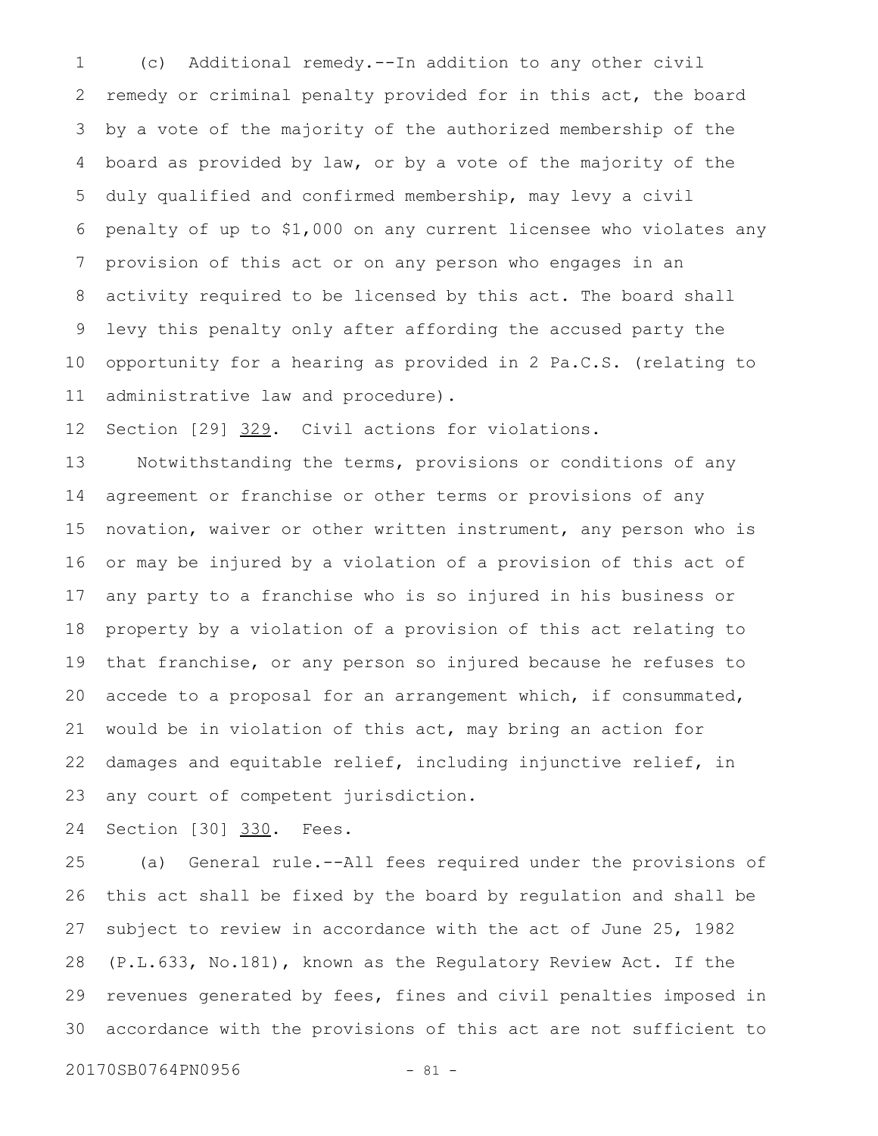(c) Additional remedy.--In addition to any other civil remedy or criminal penalty provided for in this act, the board by a vote of the majority of the authorized membership of the board as provided by law, or by a vote of the majority of the duly qualified and confirmed membership, may levy a civil penalty of up to \$1,000 on any current licensee who violates any provision of this act or on any person who engages in an activity required to be licensed by this act. The board shall levy this penalty only after affording the accused party the opportunity for a hearing as provided in 2 Pa.C.S. (relating to administrative law and procedure). 1 2 3 4 5 6 7 8 9 10 11

Section [29] 329. Civil actions for violations. 12

Notwithstanding the terms, provisions or conditions of any agreement or franchise or other terms or provisions of any novation, waiver or other written instrument, any person who is or may be injured by a violation of a provision of this act of any party to a franchise who is so injured in his business or property by a violation of a provision of this act relating to that franchise, or any person so injured because he refuses to accede to a proposal for an arrangement which, if consummated, would be in violation of this act, may bring an action for damages and equitable relief, including injunctive relief, in any court of competent jurisdiction. 13 14 15 16 17 18 19 20 21 22 23

Section [30] 330. Fees. 24

(a) General rule.--All fees required under the provisions of this act shall be fixed by the board by regulation and shall be subject to review in accordance with the act of June 25, 1982 (P.L.633, No.181), known as the Regulatory Review Act. If the revenues generated by fees, fines and civil penalties imposed in accordance with the provisions of this act are not sufficient to 25 26 27 28 29 30

20170SB0764PN0956 - 81 -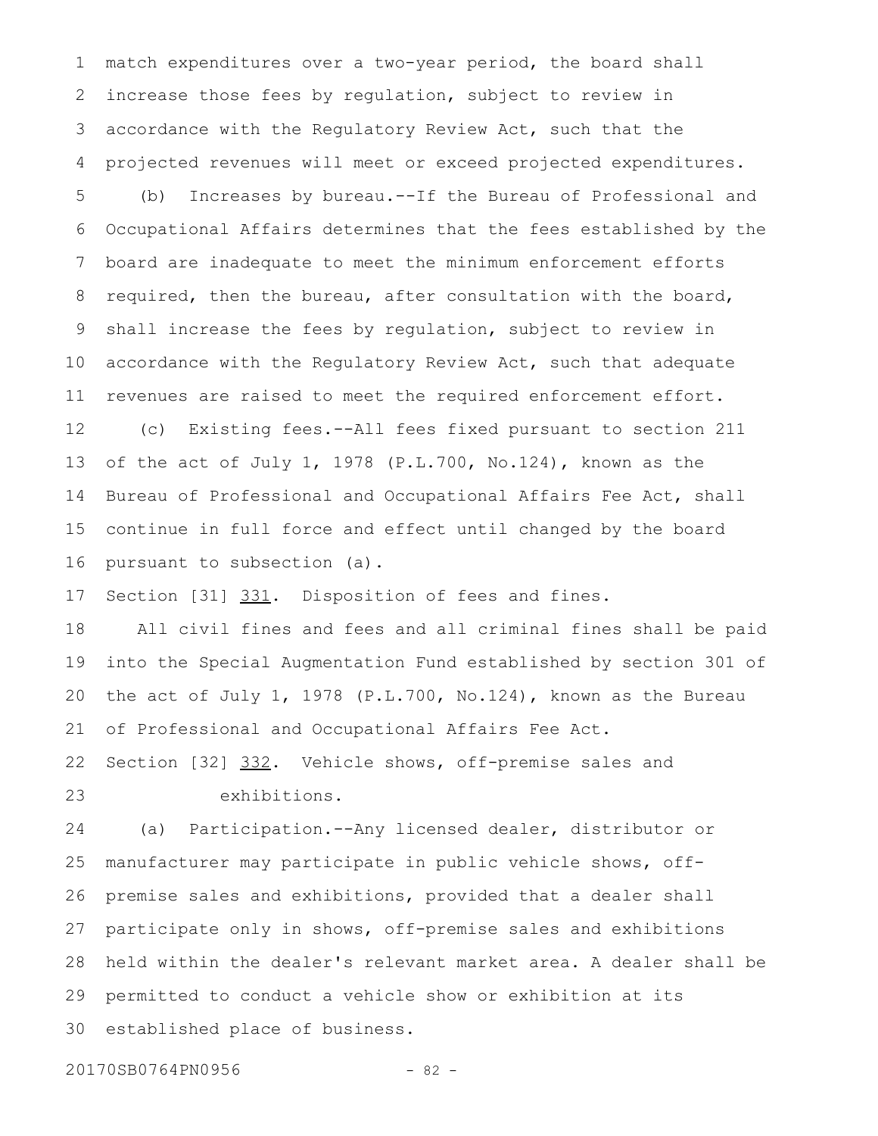match expenditures over a two-year period, the board shall increase those fees by regulation, subject to review in accordance with the Regulatory Review Act, such that the projected revenues will meet or exceed projected expenditures. 1 2 3 4

(b) Increases by bureau.--If the Bureau of Professional and Occupational Affairs determines that the fees established by the board are inadequate to meet the minimum enforcement efforts required, then the bureau, after consultation with the board, shall increase the fees by regulation, subject to review in accordance with the Regulatory Review Act, such that adequate revenues are raised to meet the required enforcement effort. 5 6 7 8 9 10 11

(c) Existing fees.--All fees fixed pursuant to section 211 of the act of July 1, 1978 (P.L.700, No.124), known as the Bureau of Professional and Occupational Affairs Fee Act, shall continue in full force and effect until changed by the board pursuant to subsection (a). 12 13 14 15 16

Section [31] 331. Disposition of fees and fines. 17

All civil fines and fees and all criminal fines shall be paid into the Special Augmentation Fund established by section 301 of the act of July 1, 1978 (P.L.700, No.124), known as the Bureau of Professional and Occupational Affairs Fee Act. 18 19 20 21

Section [32] 332. Vehicle shows, off-premise sales and exhibitions. 22 23

(a) Participation.--Any licensed dealer, distributor or manufacturer may participate in public vehicle shows, offpremise sales and exhibitions, provided that a dealer shall participate only in shows, off-premise sales and exhibitions held within the dealer's relevant market area. A dealer shall be permitted to conduct a vehicle show or exhibition at its established place of business. 24 25 26 27 28 29 30

20170SB0764PN0956 - 82 -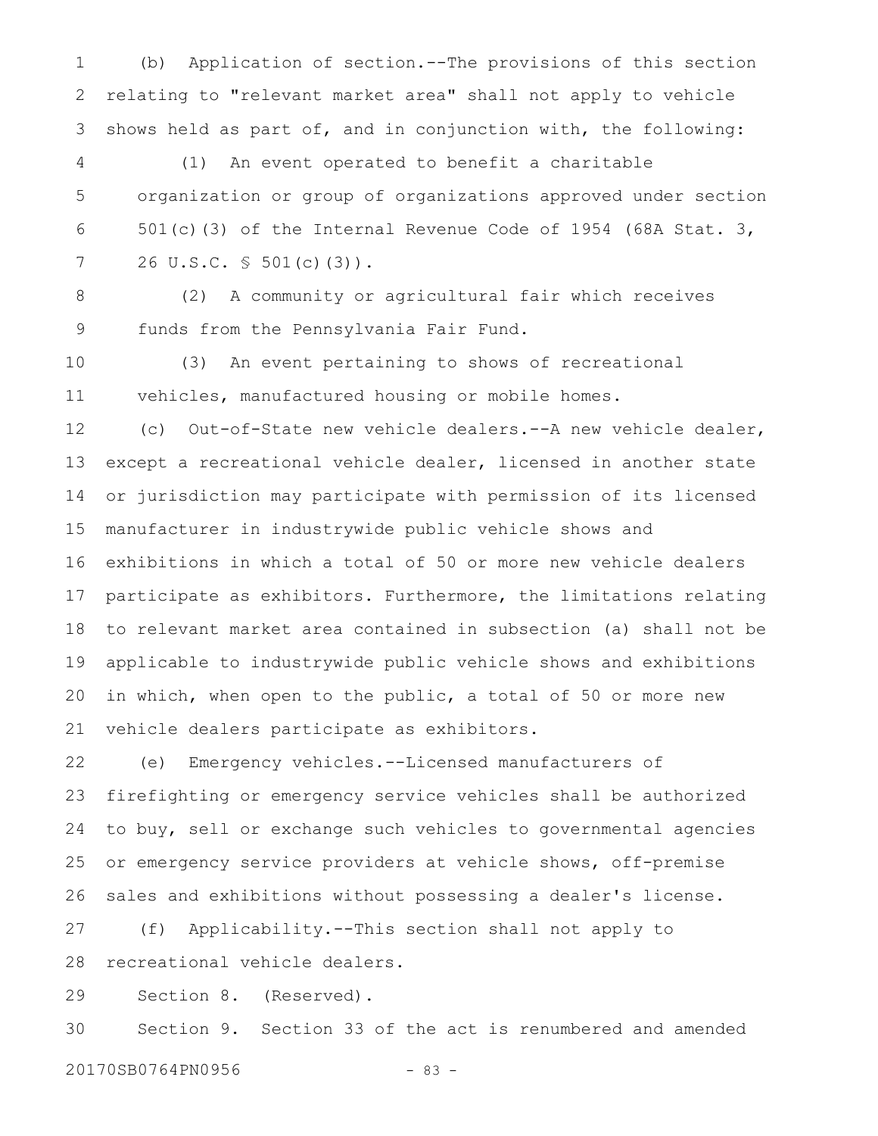(b) Application of section.--The provisions of this section relating to "relevant market area" shall not apply to vehicle shows held as part of, and in conjunction with, the following: 1 2 3

(1) An event operated to benefit a charitable organization or group of organizations approved under section 501(c)(3) of the Internal Revenue Code of 1954 (68A Stat. 3, 26 U.S.C. § 501(c)(3)). 4 5 6 7

8

(2) A community or agricultural fair which receives funds from the Pennsylvania Fair Fund. 9

(3) An event pertaining to shows of recreational vehicles, manufactured housing or mobile homes. 10 11

(c) Out-of-State new vehicle dealers.--A new vehicle dealer, except a recreational vehicle dealer, licensed in another state or jurisdiction may participate with permission of its licensed manufacturer in industrywide public vehicle shows and exhibitions in which a total of 50 or more new vehicle dealers participate as exhibitors. Furthermore, the limitations relating to relevant market area contained in subsection (a) shall not be applicable to industrywide public vehicle shows and exhibitions in which, when open to the public, a total of 50 or more new vehicle dealers participate as exhibitors. 12 13 14 15 16 17 18 19 20 21

(e) Emergency vehicles.--Licensed manufacturers of firefighting or emergency service vehicles shall be authorized to buy, sell or exchange such vehicles to governmental agencies or emergency service providers at vehicle shows, off-premise sales and exhibitions without possessing a dealer's license. 22 23 24 25 26

(f) Applicability.--This section shall not apply to recreational vehicle dealers. 27 28

Section 8. (Reserved). 29

Section 9. Section 33 of the act is renumbered and amended 30

20170SB0764PN0956 - 83 -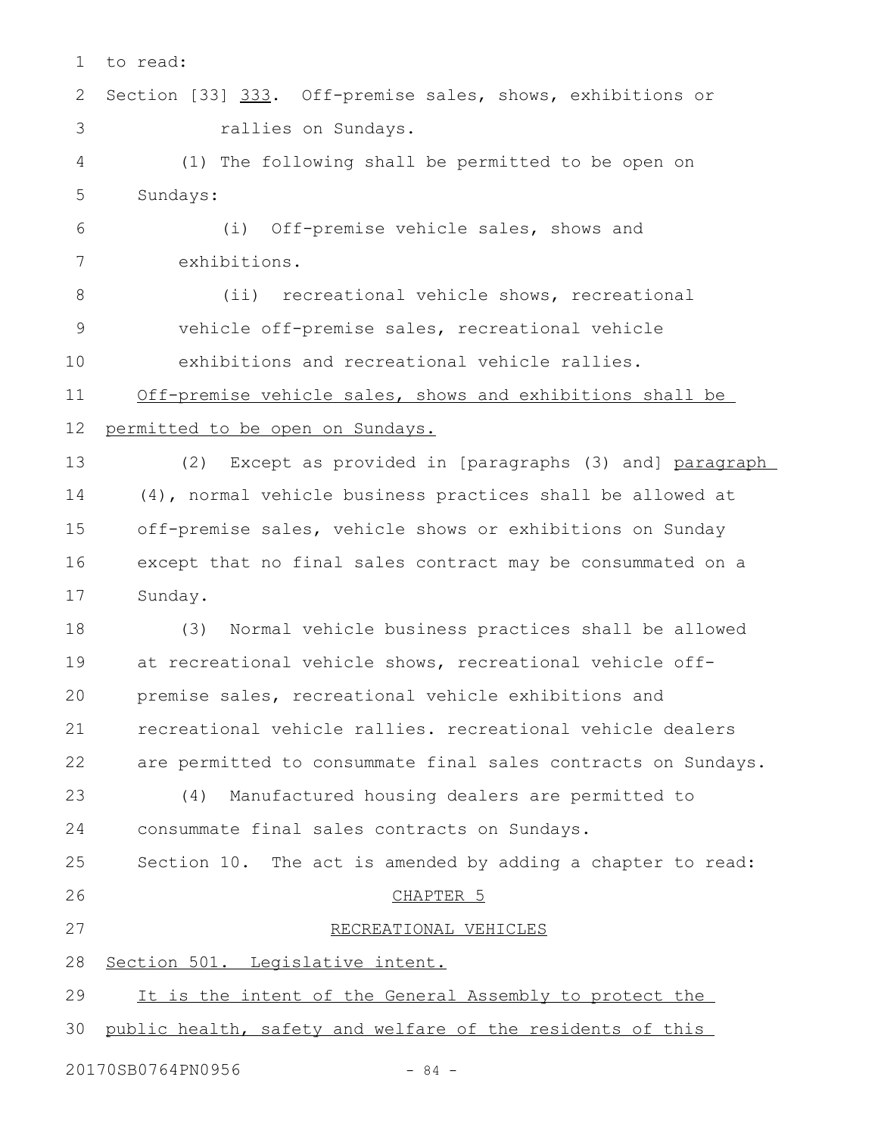| 1               | to read:                                                      |
|-----------------|---------------------------------------------------------------|
| 2               | Section [33] 333. Off-premise sales, shows, exhibitions or    |
| 3               | rallies on Sundays.                                           |
| 4               | (1) The following shall be permitted to be open on            |
| 5               | Sundays:                                                      |
| 6               | (i) Off-premise vehicle sales, shows and                      |
| $7\phantom{.0}$ | exhibitions.                                                  |
| 8               | recreational vehicle shows, recreational<br>$(i$ i)           |
| $\mathsf 9$     | vehicle off-premise sales, recreational vehicle               |
| 10              | exhibitions and recreational vehicle rallies.                 |
| 11              | Off-premise vehicle sales, shows and exhibitions shall be     |
| 12              | permitted to be open on Sundays.                              |
| 13              | Except as provided in [paragraphs (3) and] paragraph<br>(2)   |
| 14              | (4), normal vehicle business practices shall be allowed at    |
| 15              | off-premise sales, vehicle shows or exhibitions on Sunday     |
| 16              | except that no final sales contract may be consummated on a   |
| 17              | Sunday.                                                       |
| 18              | Normal vehicle business practices shall be allowed<br>(3)     |
| 19              | at recreational vehicle shows, recreational vehicle off-      |
| 20              | premise sales, recreational vehicle exhibitions and           |
| 21              | recreational vehicle rallies. recreational vehicle dealers    |
| 22              | are permitted to consummate final sales contracts on Sundays. |
| 23              | Manufactured housing dealers are permitted to<br>(4)          |
| 24              | consummate final sales contracts on Sundays.                  |
| 25              | Section 10. The act is amended by adding a chapter to read:   |
| 26              | CHAPTER <sub>5</sub>                                          |
| 27              | RECREATIONAL VEHICLES                                         |
| 28              | Section 501. Legislative intent.                              |
| 29              | It is the intent of the General Assembly to protect the       |
| 30              | public health, safety and welfare of the residents of this    |
|                 | 20170SB0764PN0956<br>$-84 -$                                  |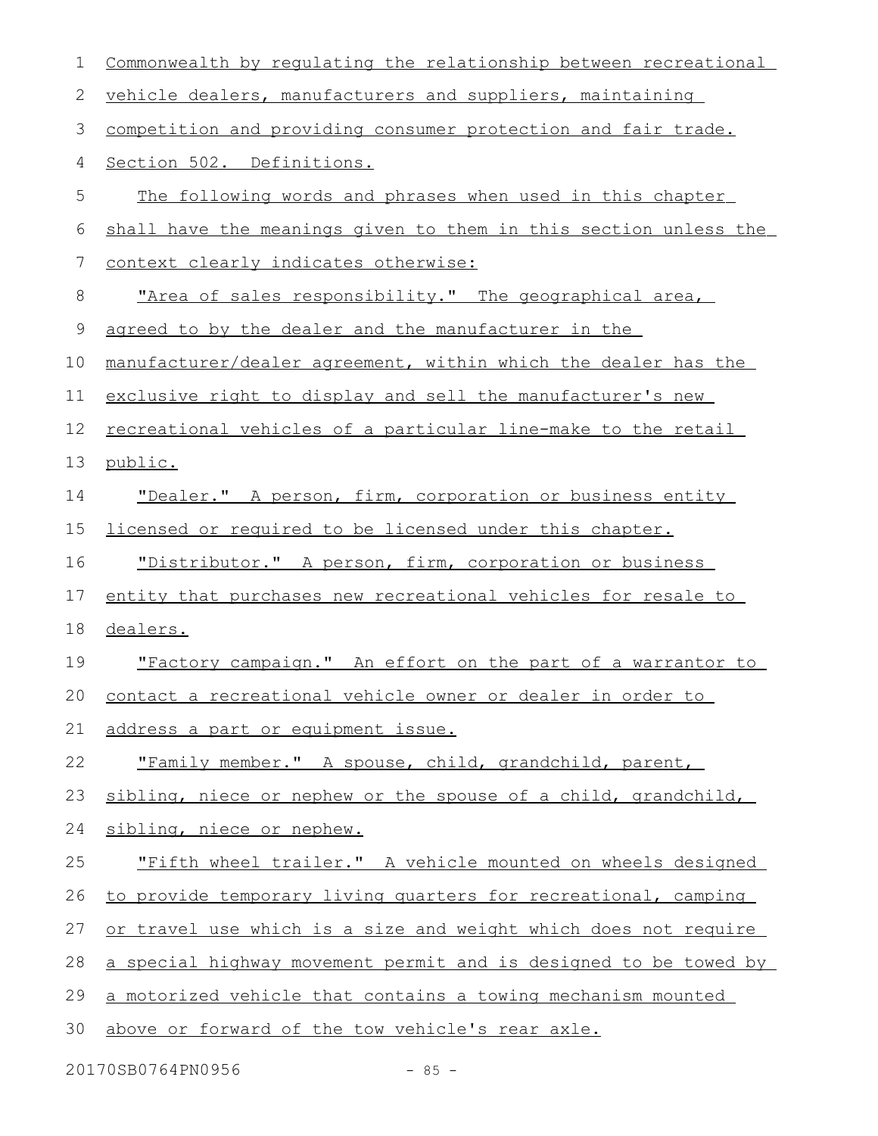| 1  | Commonwealth by regulating the relationship between recreational |
|----|------------------------------------------------------------------|
| 2  | vehicle dealers, manufacturers and suppliers, maintaining        |
| 3  | competition and providing consumer protection and fair trade.    |
| 4  | Section 502. Definitions.                                        |
| 5  | The following words and phrases when used in this chapter        |
| 6  | shall have the meanings given to them in this section unless the |
| 7  | context clearly indicates otherwise:                             |
| 8  | "Area of sales responsibility." The geographical area,           |
| 9  | agreed to by the dealer and the manufacturer in the              |
| 10 | manufacturer/dealer agreement, within which the dealer has the   |
| 11 | exclusive right to display and sell the manufacturer's new       |
| 12 | recreational vehicles of a particular line-make to the retail    |
| 13 | public.                                                          |
| 14 | "Dealer." A person, firm, corporation or business entity         |
| 15 | licensed or required to be licensed under this chapter.          |
| 16 | "Distributor." A person, firm, corporation or business           |
| 17 | entity that purchases new recreational vehicles for resale to    |
| 18 | dealers.                                                         |
| 19 | "Factory campaign." An effort on the part of a warrantor to      |
| 20 | contact a recreational vehicle owner or dealer in order to       |
| 21 | address a part or equipment issue.                               |
| 22 | "Family member." A spouse, child, grandchild, parent,            |
| 23 | sibling, niece or nephew or the spouse of a child, grandchild,   |
| 24 | sibling, niece or nephew.                                        |
| 25 | "Fifth wheel trailer." A vehicle mounted on wheels designed      |
| 26 | to provide temporary living quarters for recreational, camping   |
| 27 | or travel use which is a size and weight which does not require  |
| 28 | a special highway movement permit and is designed to be towed by |
| 29 | a motorized vehicle that contains a towing mechanism mounted     |
| 30 | above or forward of the tow vehicle's rear axle.                 |
|    |                                                                  |

20170SB0764PN0956 - 85 -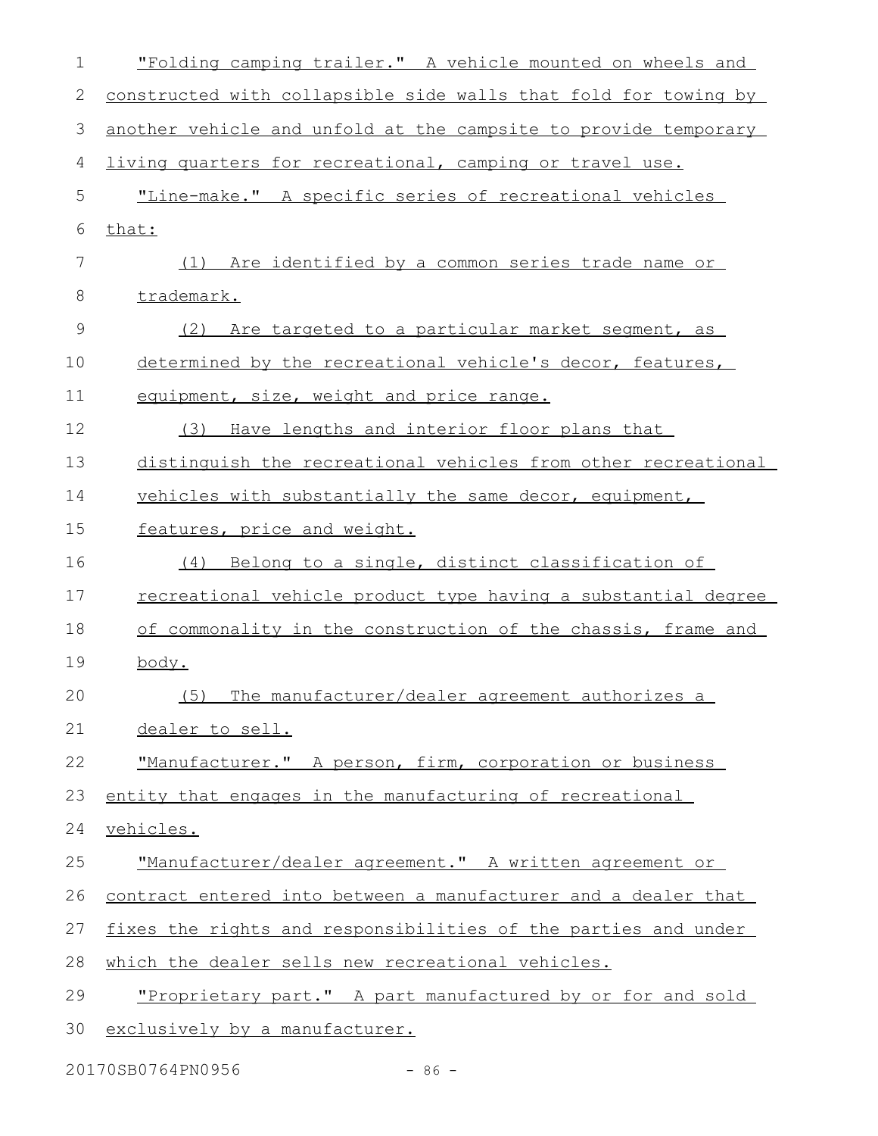| 1             | "Folding camping trailer." A vehicle mounted on wheels and      |
|---------------|-----------------------------------------------------------------|
| 2             | constructed with collapsible side walls that fold for towing by |
| 3             | another vehicle and unfold at the campsite to provide temporary |
| 4             | living quarters for recreational, camping or travel use.        |
| 5             | "Line-make." A specific series of recreational vehicles         |
| 6             | that:                                                           |
| 7             | (1) Are identified by a common series trade name or             |
| 8             | trademark.                                                      |
| $\mathcal{G}$ | Are targeted to a particular market segment, as<br>(2)          |
| 10            | determined by the recreational vehicle's decor, features,       |
| 11            | equipment, size, weight and price range.                        |
| 12            | (3) Have lengths and interior floor plans that                  |
| 13            | distinguish the recreational vehicles from other recreational   |
| 14            | vehicles with substantially the same decor, equipment,          |
| 15            | features, price and weight.                                     |
| 16            | (4) Belong to a single, distinct classification of              |
| 17            | recreational vehicle product type having a substantial degree   |
| 18            | of commonality in the construction of the chassis, frame and    |
| 19            | body.                                                           |
| 20            | (5)<br>The manufacturer/dealer agreement authorizes a           |
| 21            | dealer to sell.                                                 |
| 22            | "Manufacturer." A person, firm, corporation or business         |
| 23            | entity that engages in the manufacturing of recreational        |
| 24            | vehicles.                                                       |
| 25            | "Manufacturer/dealer agreement." A written agreement or         |
| 26            | contract entered into between a manufacturer and a dealer that  |
| 27            | fixes the rights and responsibilities of the parties and under  |
| 28            | which the dealer sells new recreational vehicles.               |
| 29            | "Proprietary part." A part manufactured by or for and sold      |
| 30            | exclusively by a manufacturer.                                  |
|               |                                                                 |

20170SB0764PN0956 - 86 -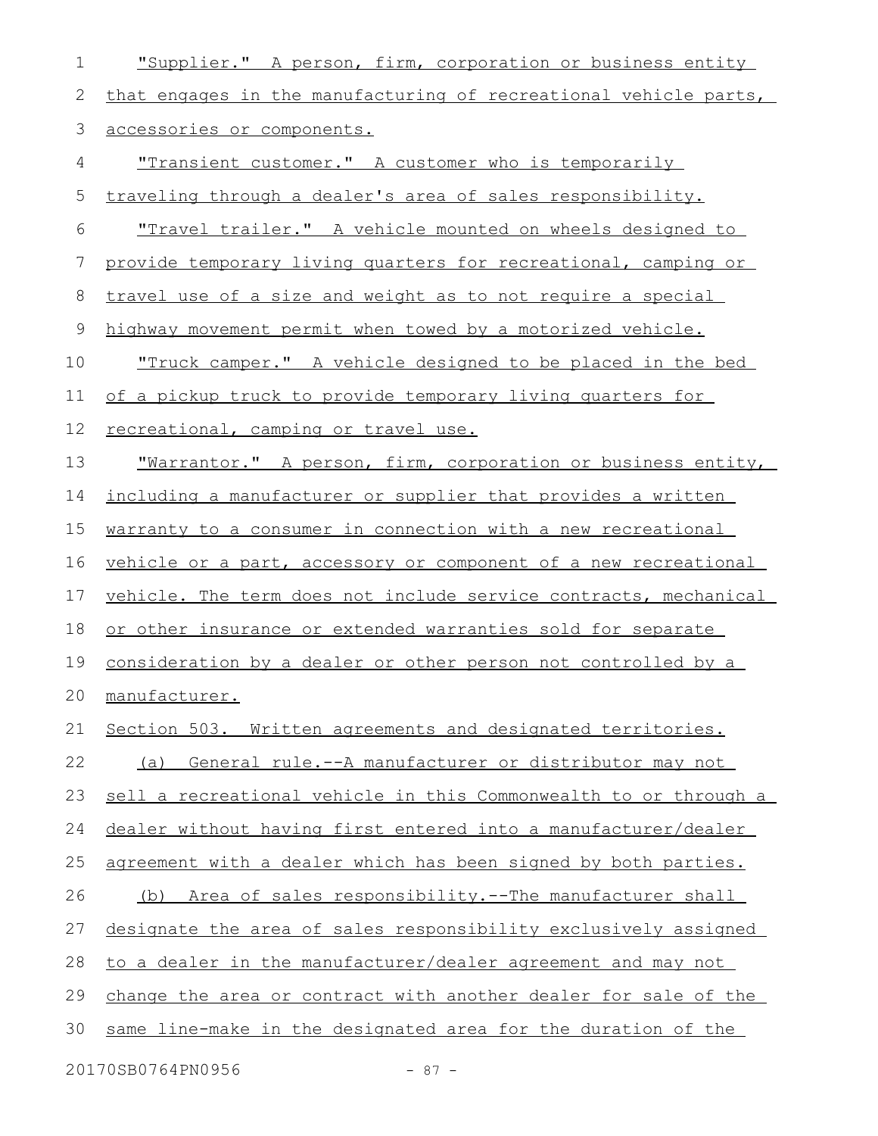| 1            | "Supplier." A person, firm, corporation or business entity        |
|--------------|-------------------------------------------------------------------|
| $\mathbf{2}$ | that engages in the manufacturing of recreational vehicle parts,  |
| 3            | accessories or components.                                        |
| 4            | "Transient customer." A customer who is temporarily               |
| 5            | traveling through a dealer's area of sales responsibility.        |
| 6            | <u>"Travel trailer." A vehicle mounted on wheels designed to </u> |
| 7            | provide temporary living quarters for recreational, camping or    |
| 8            | travel use of a size and weight as to not require a special       |
| 9            | highway movement permit when towed by a motorized vehicle.        |
| 10           | <u>"Truck camper." A vehicle designed to be placed in the bed</u> |
| 11           | of a pickup truck to provide temporary living quarters for        |
| 12           | recreational, camping or travel use.                              |
| 13           | "Warrantor." A person, firm, corporation or business entity,      |
| 14           | including a manufacturer or supplier that provides a written      |
| 15           | warranty to a consumer in connection with a new recreational      |
| 16           | vehicle or a part, accessory or component of a new recreational   |
| 17           | vehicle. The term does not include service contracts, mechanical  |
| 18           | or other insurance or extended warranties sold for separate       |
| 19           | consideration by a dealer or other person not controlled by a     |
| 20           | manufacturer.                                                     |
| 21           | Section 503. Written agreements and designated territories.       |
| 22           | General rule.--A manufacturer or distributor may not<br>(a)       |
| 23           | sell a recreational vehicle in this Commonwealth to or through a  |
| 24           | dealer without having first entered into a manufacturer/dealer    |
| 25           | agreement with a dealer which has been signed by both parties.    |
| 26           | (b) Area of sales responsibility.--The manufacturer shall         |
| 27           | designate the area of sales responsibility exclusively assigned   |
| 28           | to a dealer in the manufacturer/dealer agreement and may not      |
| 29           | change the area or contract with another dealer for sale of the   |
| 30           | same line-make in the designated area for the duration of the     |
|              |                                                                   |

20170SB0764PN0956 - 87 -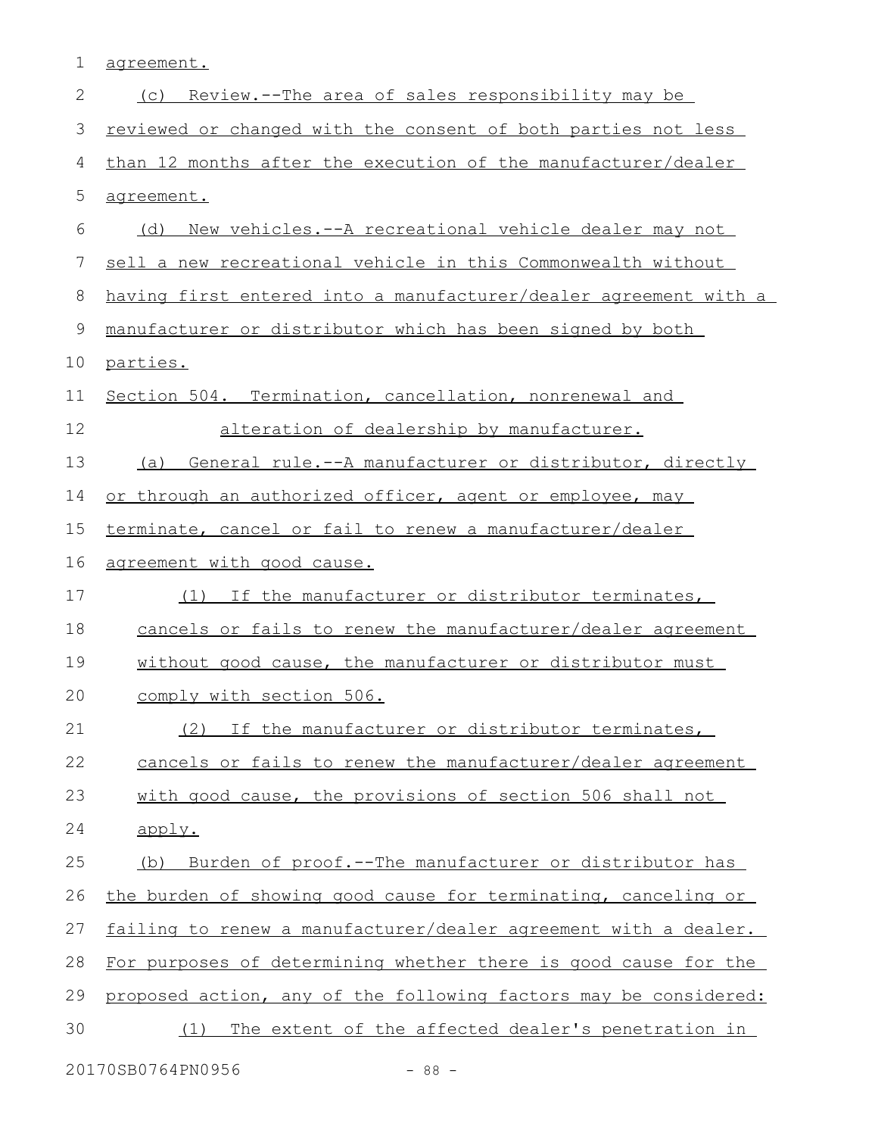1 agreement.

| $\mathbf{2}$ | <u>Review.--The area of sales responsibility may be</u><br>(C)   |
|--------------|------------------------------------------------------------------|
| 3            | reviewed or changed with the consent of both parties not less    |
| 4            | than 12 months after the execution of the manufacturer/dealer    |
| 5            | agreement.                                                       |
| 6            | (d) New vehicles.--A recreational vehicle dealer may not         |
| 7            | sell a new recreational vehicle in this Commonwealth without     |
| 8            | having first entered into a manufacturer/dealer agreement with a |
| 9            | manufacturer or distributor which has been signed by both        |
| 10           | parties.                                                         |
| 11           | Section 504. Termination, cancellation, nonrenewal and           |
| 12           | alteration of dealership by manufacturer.                        |
| 13           | (a) General rule.--A manufacturer or distributor, directly       |
| 14           | or through an authorized officer, agent or employee, may         |
| 15           | terminate, cancel or fail to renew a manufacturer/dealer         |
| 16           | agreement with good cause.                                       |
| 17           | (1) If the manufacturer or distributor terminates,               |
| 18           | cancels or fails to renew the manufacturer/dealer agreement      |
| 19           | without good cause, the manufacturer or distributor must         |
| 20           | comply with section 506.                                         |
| 21           | (2) If the manufacturer or distributor terminates,               |
| 22           | cancels or fails to renew the manufacturer/dealer agreement      |
| 23           | with good cause, the provisions of section 506 shall not         |
| 24           | apply.                                                           |
| 25           | Burden of proof.--The manufacturer or distributor has<br>(b)     |
| 26           | the burden of showing good cause for terminating, canceling or   |
| 27           | failing to renew a manufacturer/dealer agreement with a dealer.  |
| 28           | For purposes of determining whether there is good cause for the  |
| 29           | proposed action, any of the following factors may be considered: |
| 30           | The extent of the affected dealer's penetration in<br>(1)        |
|              |                                                                  |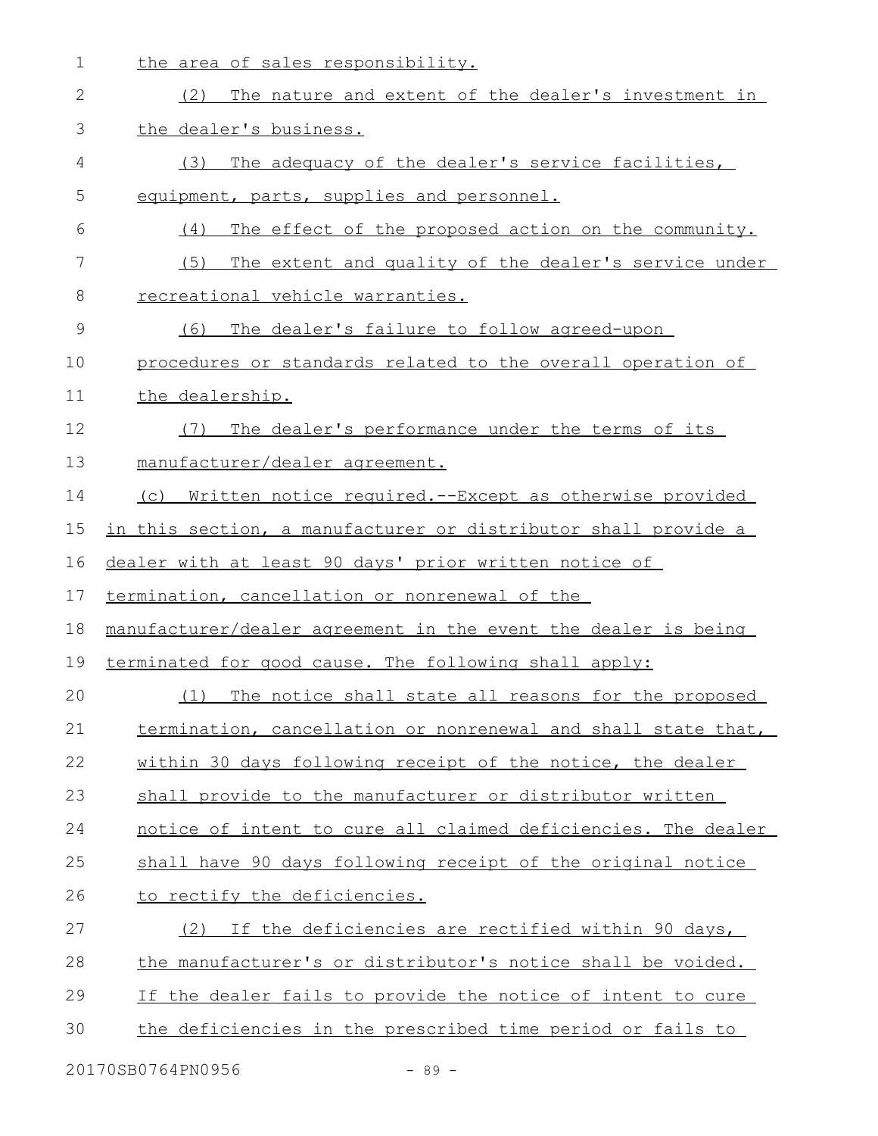|  |  |  | the area of sales responsibility. |  |
|--|--|--|-----------------------------------|--|
|  |  |  |                                   |  |

| $\mathbf{2}$  | The nature and extent of the dealer's investment in<br>(2)     |
|---------------|----------------------------------------------------------------|
| 3             | the dealer's business.                                         |
| 4             | The adequacy of the dealer's service facilities,<br>(3)        |
| 5             | equipment, parts, supplies and personnel.                      |
| 6             | The effect of the proposed action on the community.<br>(4)     |
| 7             | The extent and quality of the dealer's service under<br>(5)    |
| 8             | recreational vehicle warranties.                               |
| $\mathcal{G}$ | (6)<br>The dealer's failure to follow agreed-upon              |
| 10            | procedures or standards related to the overall operation of    |
| 11            | the dealership.                                                |
| 12            | The dealer's performance under the terms of its<br>(7)         |
| 13            | manufacturer/dealer agreement.                                 |
| 14            | (c) Written notice required.--Except as otherwise provided     |
| 15            | in this section, a manufacturer or distributor shall provide a |
| 16            | dealer with at least 90 days' prior written notice of          |
| 17            | termination, cancellation or nonrenewal of the                 |
| 18            | manufacturer/dealer agreement in the event the dealer is being |
| 19            | terminated for good cause. The following shall apply:          |
| 20            | The notice shall state all reasons for the proposed<br>(1)     |
| 21            | termination, cancellation or nonrenewal and shall state that,  |
| 22            | within 30 days following receipt of the notice, the dealer     |
| 23            | shall provide to the manufacturer or distributor written       |
| 24            | notice of intent to cure all claimed deficiencies. The dealer  |
| 25            | shall have 90 days following receipt of the original notice    |
| 26            | to rectify the deficiencies.                                   |
| 27            | If the deficiencies are rectified within 90 days,<br>(2)       |
| 28            | the manufacturer's or distributor's notice shall be voided.    |
| 29            | If the dealer fails to provide the notice of intent to cure    |
| 30            | the deficiencies in the prescribed time period or fails to     |
|               |                                                                |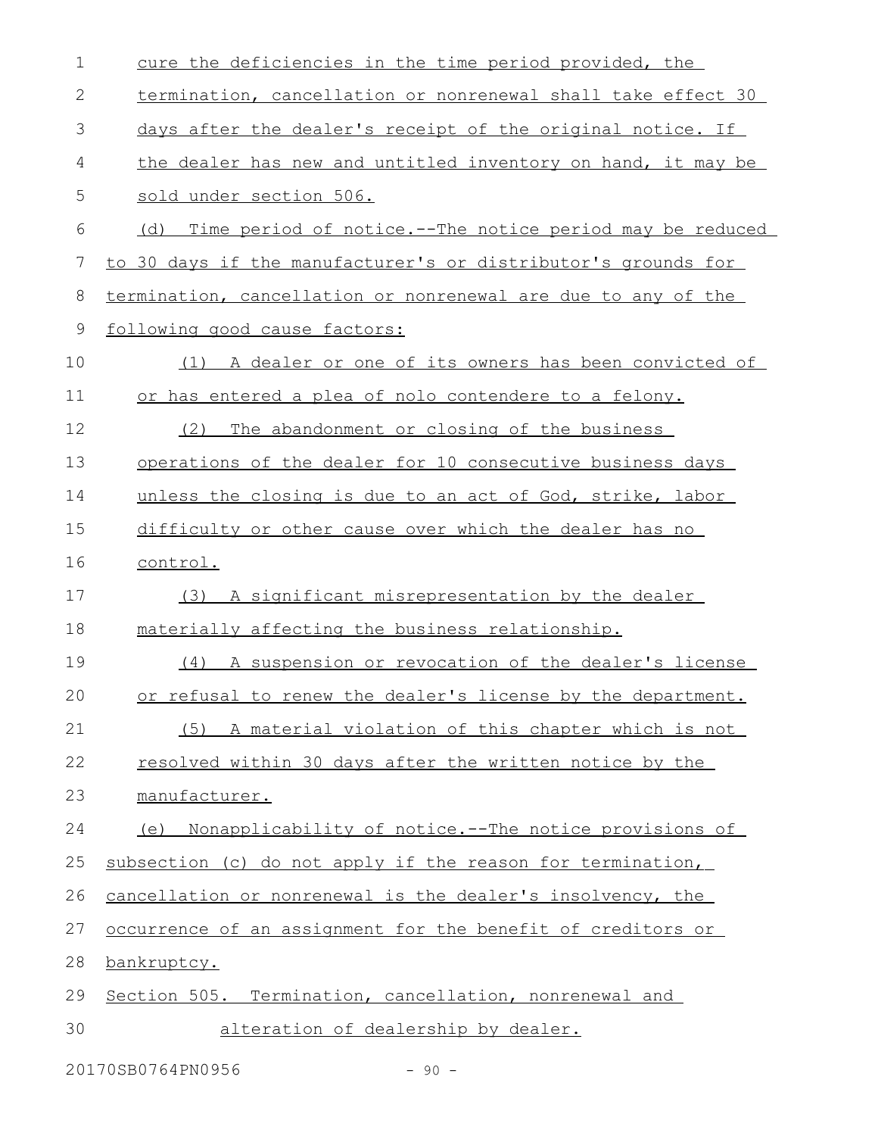| $\mathbf 1$ | cure the deficiencies in the time period provided, the          |
|-------------|-----------------------------------------------------------------|
| 2           | termination, cancellation or nonrenewal shall take effect 30    |
| 3           | days after the dealer's receipt of the original notice. If      |
| 4           | the dealer has new and untitled inventory on hand, it may be    |
| 5           | sold under section 506.                                         |
| 6           | Time period of notice.--The notice period may be reduced<br>(d) |
| 7           | to 30 days if the manufacturer's or distributor's grounds for   |
| 8           | termination, cancellation or nonrenewal are due to any of the   |
| 9           | following good cause factors:                                   |
| 10          | (1) A dealer or one of its owners has been convicted of         |
| 11          | or has entered a plea of nolo contendere to a felony.           |
| 12          | The abandonment or closing of the business<br>(2)               |
| 13          | operations of the dealer for 10 consecutive business days       |
| 14          | unless the closing is due to an act of God, strike, labor       |
| 15          | difficulty or other cause over which the dealer has no          |
| 16          | control.                                                        |
| 17          | (3) A significant misrepresentation by the dealer               |
| 18          | materially affecting the business relationship.                 |
| 19          | (4) A suspension or revocation of the dealer's license          |
| 20          | or refusal to renew the dealer's license by the department.     |
| 21          | A material violation of this chapter which is not<br>(5)        |
| 22          | resolved within 30 days after the written notice by the         |
| 23          | manufacturer.                                                   |
| 24          | Nonapplicability of notice.--The notice provisions of<br>(e)    |
| 25          | subsection (c) do not apply if the reason for termination,      |
| 26          | cancellation or nonrenewal is the dealer's insolvency, the      |
| 27          | occurrence of an assignment for the benefit of creditors or     |
| 28          | bankruptcy.                                                     |
| 29          | Section 505. Termination, cancellation, nonrenewal and          |
| 30          | alteration of dealership by dealer.                             |

20170SB0764PN0956 - 90 -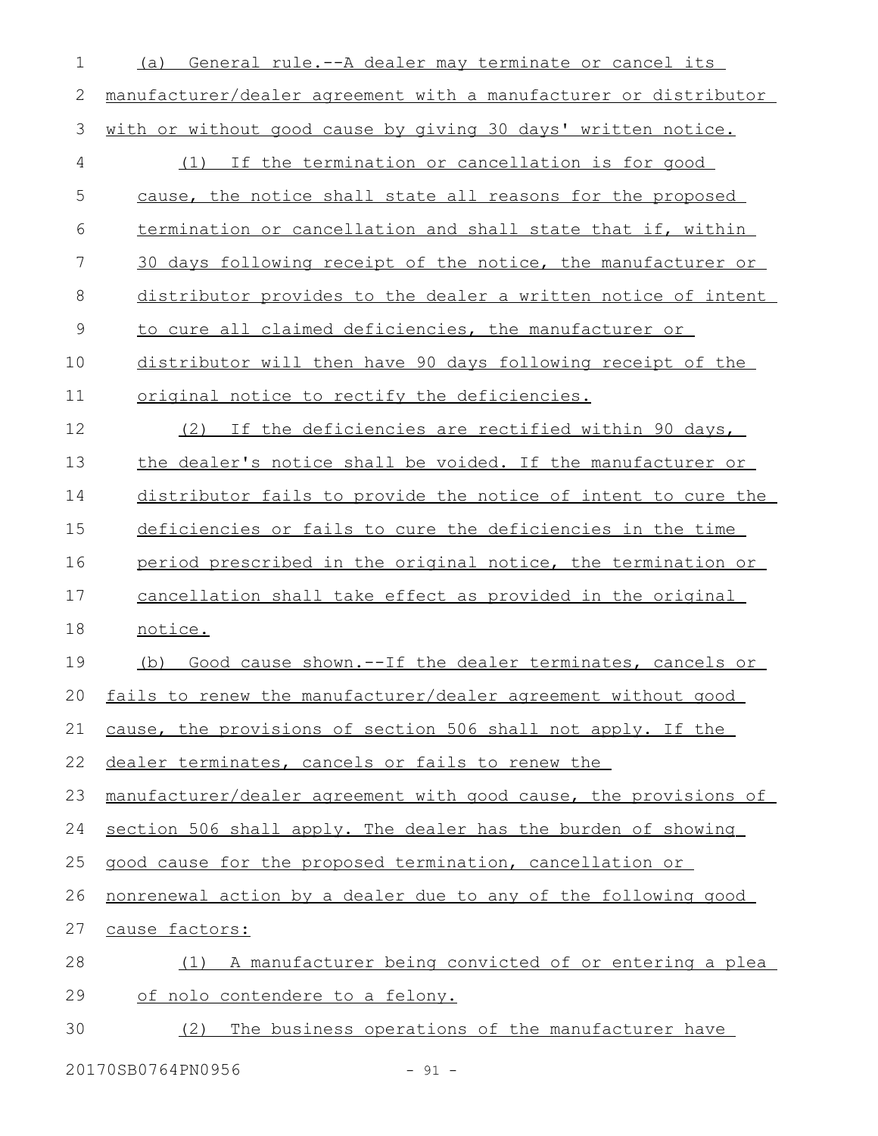| 1             | General rule.--A dealer may terminate or cancel its<br>(a)       |
|---------------|------------------------------------------------------------------|
| 2             | manufacturer/dealer agreement with a manufacturer or distributor |
| 3             | with or without good cause by giving 30 days' written notice.    |
| 4             | (1) If the termination or cancellation is for good               |
| 5             | cause, the notice shall state all reasons for the proposed       |
| 6             | termination or cancellation and shall state that if, within      |
| 7             | 30 days following receipt of the notice, the manufacturer or     |
| 8             | distributor provides to the dealer a written notice of intent    |
| $\mathcal{G}$ | to cure all claimed deficiencies, the manufacturer or            |
| 10            | distributor will then have 90 days following receipt of the      |
| 11            | original notice to rectify the deficiencies.                     |
| 12            | If the deficiencies are rectified within 90 days,<br>(2)         |
| 13            | the dealer's notice shall be voided. If the manufacturer or      |
| 14            | distributor fails to provide the notice of intent to cure the    |
| 15            | deficiencies or fails to cure the deficiencies in the time       |
| 16            | period prescribed in the original notice, the termination or     |
| 17            | cancellation shall take effect as provided in the original       |
| 18            | notice.                                                          |
| 19            | Good cause shown. -- If the dealer terminates, cancels or<br>(b) |
| 20            | fails to renew the manufacturer/dealer agreement without good    |
| 21            | cause, the provisions of section 506 shall not apply. If the     |
| 22            | dealer terminates, cancels or fails to renew the                 |
| 23            | manufacturer/dealer agreement with good cause, the provisions of |
| 24            | section 506 shall apply. The dealer has the burden of showing    |
| 25            | good cause for the proposed termination, cancellation or         |
| 26            | nonrenewal action by a dealer due to any of the following good   |
| 27            | cause factors:                                                   |
| 28            | (1) A manufacturer being convicted of or entering a plea         |
| 29            | of nolo contendere to a felony.                                  |
| 30            | (2) The business operations of the manufacturer have             |

20170SB0764PN0956 - 91 -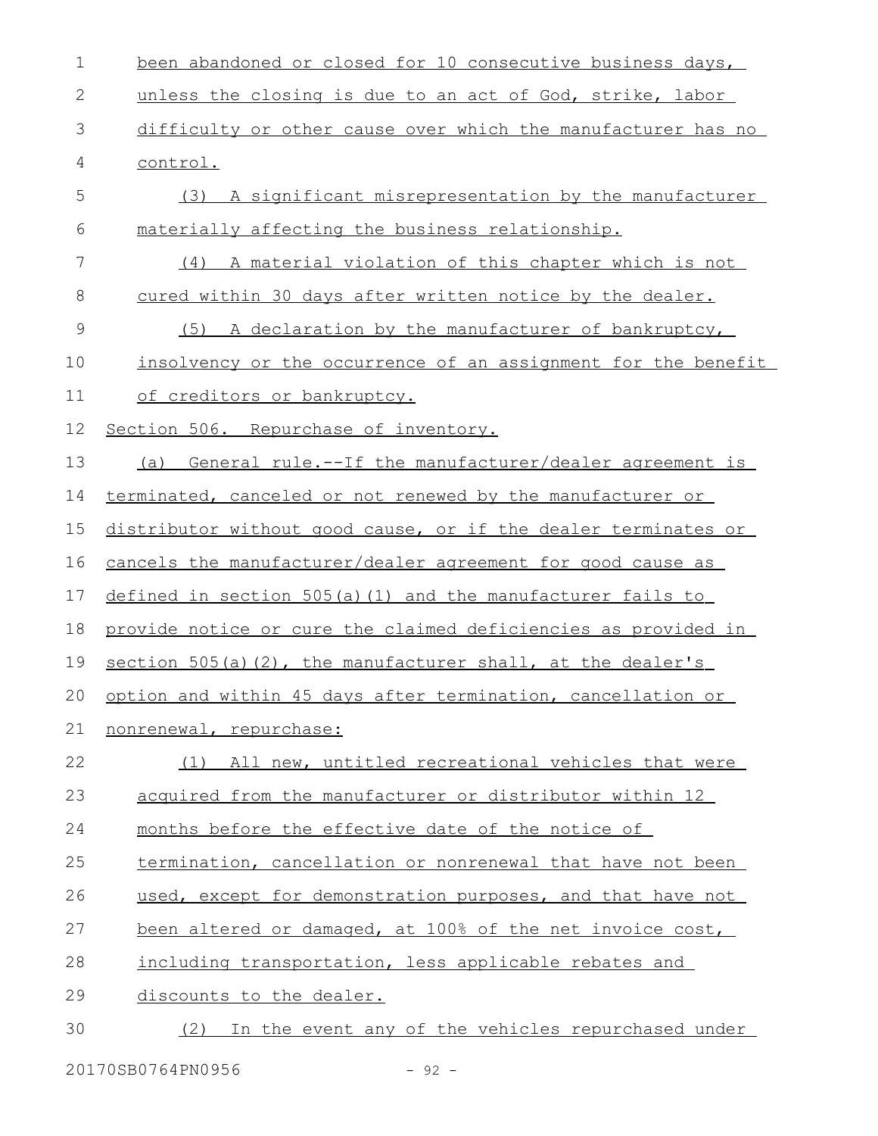been abandoned or closed for 10 consecutive business days, unless the closing is due to an act of God, strike, labor difficulty or other cause over which the manufacturer has no control. (3) A significant misrepresentation by the manufacturer materially affecting the business relationship. (4) A material violation of this chapter which is not cured within 30 days after written notice by the dealer. (5) A declaration by the manufacturer of bankruptcy, insolvency or the occurrence of an assignment for the benefit of creditors or bankruptcy. Section 506. Repurchase of inventory. (a) General rule.--If the manufacturer/dealer agreement is terminated, canceled or not renewed by the manufacturer or distributor without good cause, or if the dealer terminates or cancels the manufacturer/dealer agreement for good cause as defined in section 505(a)(1) and the manufacturer fails to provide notice or cure the claimed deficiencies as provided in section  $505(a)(2)$ , the manufacturer shall, at the dealer's option and within 45 days after termination, cancellation or nonrenewal, repurchase: (1) All new, untitled recreational vehicles that were acquired from the manufacturer or distributor within 12 months before the effective date of the notice of termination, cancellation or nonrenewal that have not been used, except for demonstration purposes, and that have not been altered or damaged, at 100% of the net invoice cost, including transportation, less applicable rebates and discounts to the dealer. (2) In the event any of the vehicles repurchased under 1 2 3 4 5 6 7 8 9 10 11 12 13 14 15 16 17 18 19 20 21 22 23 24 25 26 27 28 29 30

20170SB0764PN0956 - 92 -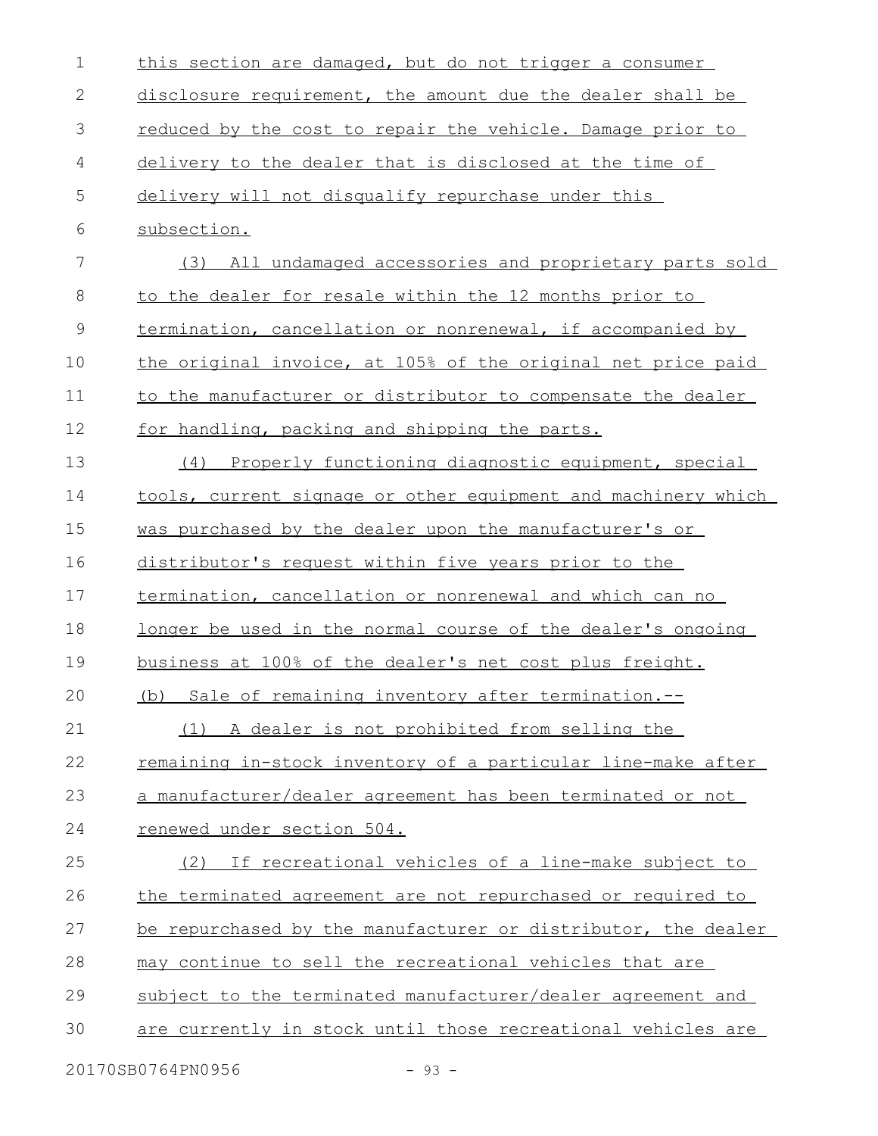| $\mathbf 1$ | this section are damaged, but do not trigger a consumer             |
|-------------|---------------------------------------------------------------------|
| 2           | disclosure requirement, the amount due the dealer shall be          |
| 3           | reduced by the cost to repair the vehicle. Damage prior to          |
| 4           | delivery to the dealer that is disclosed at the time of             |
| 5           | delivery will not disqualify repurchase under this                  |
| 6           | subsection.                                                         |
| 7           | (3) All undamaged accessories and proprietary parts sold            |
| 8           | to the dealer for resale within the 12 months prior to              |
| $\mathsf 9$ | termination, cancellation or nonrenewal, if accompanied by          |
| 10          | the original invoice, at 105% of the original net price paid        |
| 11          | to the manufacturer or distributor to compensate the dealer         |
| 12          | for handling, packing and shipping the parts.                       |
| 13          | Properly functioning diagnostic equipment, special<br>(4)           |
| 14          | tools, current signage or other equipment and machinery which       |
| 15          | was purchased by the dealer upon the manufacturer's or              |
| 16          | distributor's request within five years prior to the                |
| 17          | termination, cancellation or nonrenewal and which can no            |
| 18          | <u>longer be used in the normal course of the dealer's ongoing</u>  |
| 19          | business at 100% of the dealer's net cost plus freight.             |
| 20          | (b) Sale of remaining inventory after termination.--                |
| 21          | A dealer is not prohibited from selling the<br>(1)                  |
| 22          | <u>remaining in-stock inventory of a particular line-make after</u> |
| 23          | a manufacturer/dealer agreement has been terminated or not          |
| 24          | renewed under section 504.                                          |
| 25          | If recreational vehicles of a line-make subject to<br>(2)           |
| 26          | the terminated agreement are not repurchased or required to         |
| 27          | be repurchased by the manufacturer or distributor, the dealer       |
| 28          | may continue to sell the recreational vehicles that are             |
| 29          | subject to the terminated manufacturer/dealer agreement and         |
| 30          | are currently in stock until those recreational vehicles are        |
|             | 20170SB0764PN0956<br>$-93 -$                                        |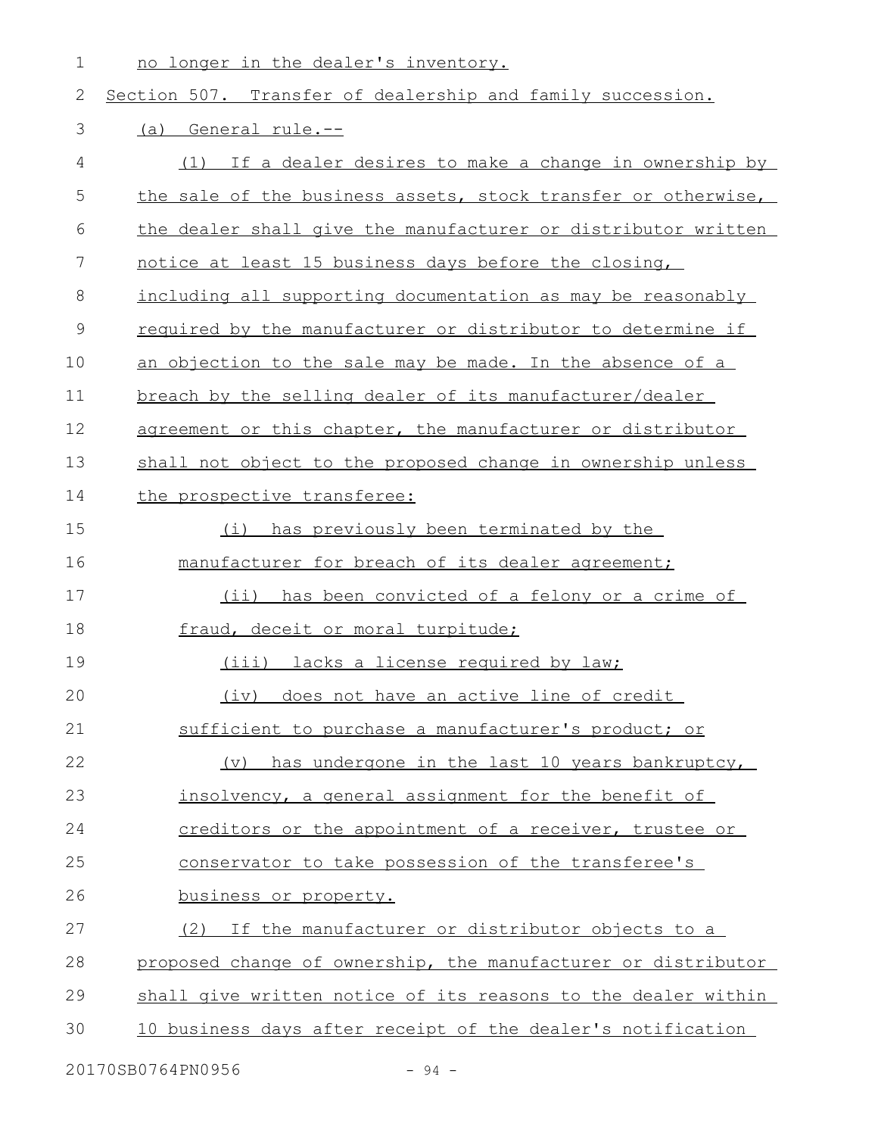no longer in the dealer's inventory. 1

## Section 507. Transfer of dealership and family succession. (a) General rule.-- (1) If a dealer desires to make a change in ownership by the sale of the business assets, stock transfer or otherwise, the dealer shall give the manufacturer or distributor written notice at least 15 business days before the closing, including all supporting documentation as may be reasonably required by the manufacturer or distributor to determine if an objection to the sale may be made. In the absence of a breach by the selling dealer of its manufacturer/dealer agreement or this chapter, the manufacturer or distributor shall not object to the proposed change in ownership unless the prospective transferee: (i) has previously been terminated by the manufacturer for breach of its dealer agreement; (ii) has been convicted of a felony or a crime of fraud, deceit or moral turpitude; (iii) lacks a license required by law; (iv) does not have an active line of credit sufficient to purchase a manufacturer's product; or (v) has undergone in the last 10 years bankruptcy, insolvency, a general assignment for the benefit of creditors or the appointment of a receiver, trustee or conservator to take possession of the transferee's business or property. (2) If the manufacturer or distributor objects to a proposed change of ownership, the manufacturer or distributor shall give written notice of its reasons to the dealer within 10 business days after receipt of the dealer's notification 2 3 4 5 6 7 8 9 10 11 12 13 14 15 16 17 18 19 20 21 22 23 24 25 26 27 28 29 30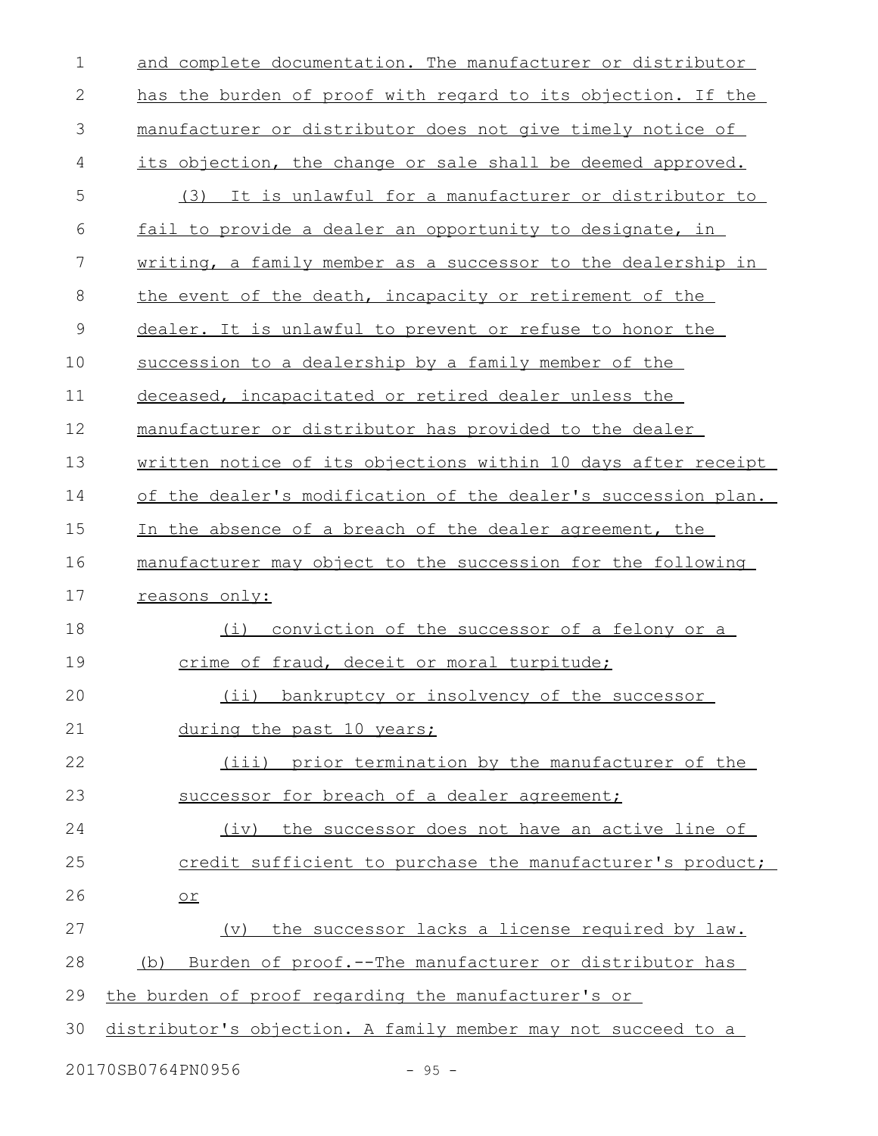| $\mathbf 1$  | and complete documentation. The manufacturer or distributor   |
|--------------|---------------------------------------------------------------|
| $\mathbf{2}$ | has the burden of proof with regard to its objection. If the  |
| 3            | manufacturer or distributor does not give timely notice of    |
| 4            | its objection, the change or sale shall be deemed approved.   |
| 5            | (3) It is unlawful for a manufacturer or distributor to       |
| 6            | fail to provide a dealer an opportunity to designate, in      |
| 7            | writing, a family member as a successor to the dealership in  |
| 8            | the event of the death, incapacity or retirement of the       |
| 9            | dealer. It is unlawful to prevent or refuse to honor the      |
| 10           | succession to a dealership by a family member of the          |
| 11           | deceased, incapacitated or retired dealer unless the          |
| 12           | manufacturer or distributor has provided to the dealer        |
| 13           | written notice of its objections within 10 days after receipt |
| 14           | of the dealer's modification of the dealer's succession plan. |
| 15           | In the absence of a breach of the dealer agreement, the       |
| 16           | manufacturer may object to the succession for the following   |
| 17           | reasons only:                                                 |
| 18           | conviction of the successor of a felony or a<br>(i)           |
| 19           | crime of fraud, deceit or moral turpitude;                    |
| 20           | (ii) bankruptcy or insolvency of the successor                |
| 21           | during the past 10 years;                                     |
| 22           | (iii) prior termination by the manufacturer of the            |
| 23           | successor for breach of a dealer agreement;                   |
| 24           | (iv) the successor does not have an active line of            |
| 25           | credit sufficient to purchase the manufacturer's product;     |
| 26           | $or$                                                          |
| 27           | (v) the successor lacks a license required by law.            |
| 28           | Burden of proof.--The manufacturer or distributor has<br>(b)  |
| 29           | the burden of proof regarding the manufacturer's or           |
| 30           | distributor's objection. A family member may not succeed to a |
|              | 20170SB0764PN0956<br>$-95 -$                                  |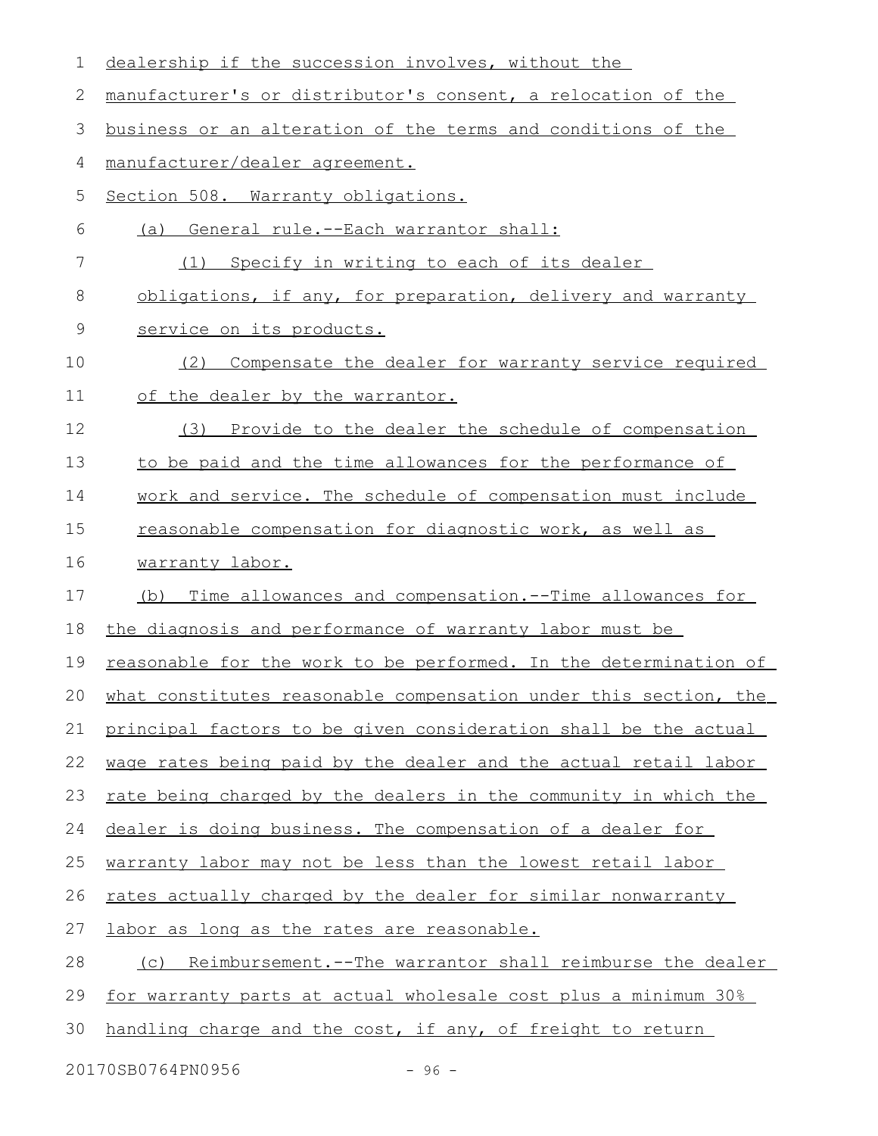| 1      | dealership if the succession involves, without the               |
|--------|------------------------------------------------------------------|
| 2      | manufacturer's or distributor's consent, a relocation of the     |
| 3      | business or an alteration of the terms and conditions of the     |
| 4      | manufacturer/dealer agreement.                                   |
| 5      | Section 508. Warranty obligations.                               |
| 6      | (a) General rule.--Each warrantor shall:                         |
| 7      | Specify in writing to each of its dealer<br>(1)                  |
| 8      | obligations, if any, for preparation, delivery and warranty      |
| 9      | service on its products.                                         |
| 10     | Compensate the dealer for warranty service required<br>(2)       |
| 11     | of the dealer by the warrantor.                                  |
| 12     | Provide to the dealer the schedule of compensation<br>(3)        |
| 13     | to be paid and the time allowances for the performance of        |
| 14     | work and service. The schedule of compensation must include      |
| 15     | reasonable compensation for diagnostic work, as well as          |
| 16     | warranty labor.                                                  |
| 17     | Time allowances and compensation.--Time allowances for<br>(b)    |
| 18     | the diagnosis and performance of warranty labor must be          |
| 19     | reasonable for the work to be performed. In the determination of |
| $20 -$ | what constitutes reasonable compensation under this section, the |
| 21     | principal factors to be given consideration shall be the actual  |
| 22     | wage rates being paid by the dealer and the actual retail labor  |
| 23     | rate being charged by the dealers in the community in which the  |
| 24     | dealer is doing business. The compensation of a dealer for       |
| 25     | warranty labor may not be less than the lowest retail labor      |
| 26     | rates actually charged by the dealer for similar nonwarranty     |
| 27     | labor as long as the rates are reasonable.                       |
| 28     | Reimbursement.--The warrantor shall reimburse the dealer<br>(C)  |
| 29     | for warranty parts at actual wholesale cost plus a minimum 30%   |
| 30     | handling charge and the cost, if any, of freight to return       |
|        |                                                                  |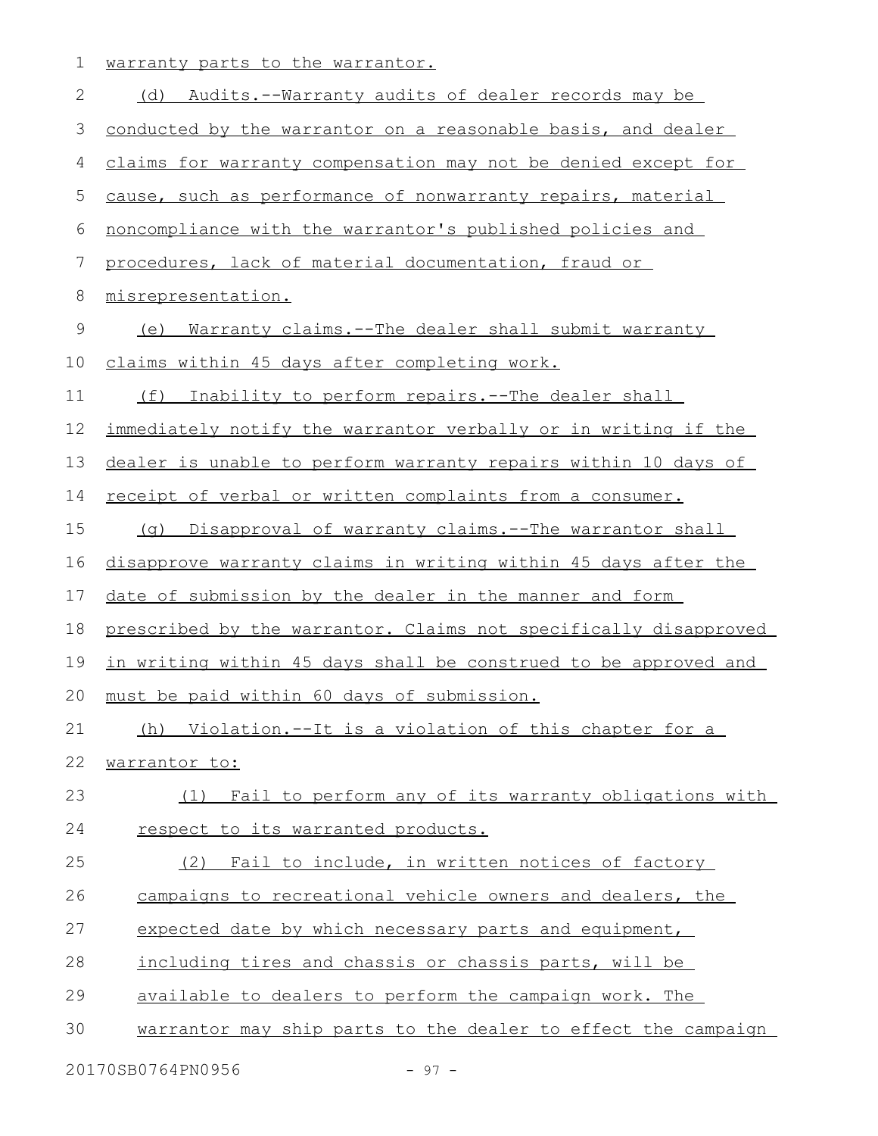1 warranty parts to the warrantor.

| $\mathbf 2$ | (d) Audits.--Warranty audits of dealer records may be            |
|-------------|------------------------------------------------------------------|
| 3           | conducted by the warrantor on a reasonable basis, and dealer     |
| 4           | claims for warranty compensation may not be denied except for    |
| 5           | cause, such as performance of nonwarranty repairs, material      |
| 6           | noncompliance with the warrantor's published policies and        |
| 7           | procedures, lack of material documentation, fraud or             |
| 8           | misrepresentation.                                               |
| $\mathsf 9$ | (e) Warranty claims.--The dealer shall submit warranty           |
| 10          | claims within 45 days after completing work.                     |
| 11          | (f) Inability to perform repairs.--The dealer shall              |
| 12          | immediately notify the warrantor verbally or in writing if the   |
| 13          | dealer is unable to perform warranty repairs within 10 days of   |
| 14          | receipt of verbal or written complaints from a consumer.         |
| 15          | Disapproval of warranty claims.--The warrantor shall<br>(q)      |
| 16          | disapprove warranty claims in writing within 45 days after the   |
| 17          | date of submission by the dealer in the manner and form          |
| 18          | prescribed by the warrantor. Claims not specifically disapproved |
| 19          | in writing within 45 days shall be construed to be approved and  |
| 20          | must be paid within 60 days of submission.                       |
| 21          | (h) Violation.--It is a violation of this chapter for a          |
| 22          | warrantor to:                                                    |
| 23          | (1) Fail to perform any of its warranty obligations with         |
| 24          | respect to its warranted products.                               |
| 25          | (2) Fail to include, in written notices of factory               |
| 26          | campaigns to recreational vehicle owners and dealers, the        |
| 27          | expected date by which necessary parts and equipment,            |
| 28          | including tires and chassis or chassis parts, will be            |
| 29          | available to dealers to perform the campaign work. The           |
| 30          | warrantor may ship parts to the dealer to effect the campaign    |
|             | 20170SB0764PN0956<br>$-97 -$                                     |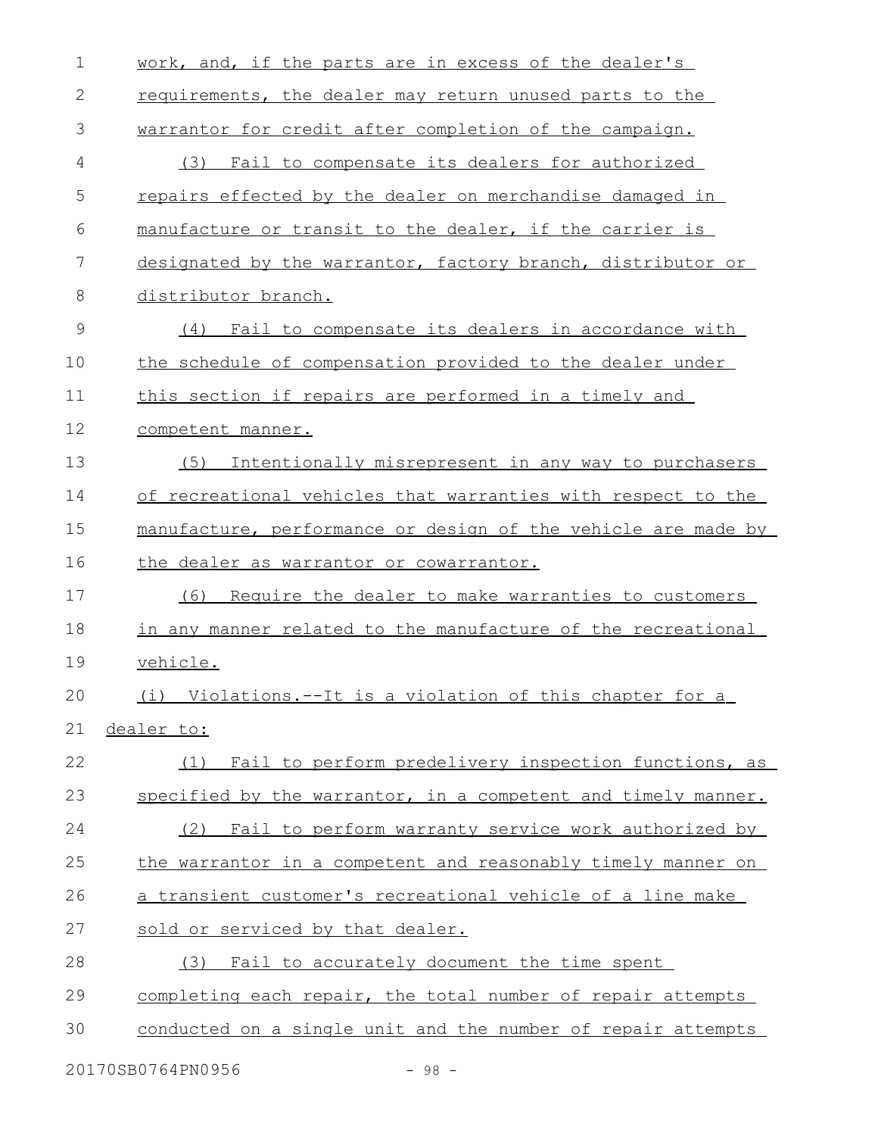| 1            | work, and, if the parts are in excess of the dealer's         |
|--------------|---------------------------------------------------------------|
| $\mathbf{2}$ | requirements, the dealer may return unused parts to the       |
| 3            | warrantor for credit after completion of the campaign.        |
| 4            | (3) Fail to compensate its dealers for authorized             |
| 5            | repairs effected by the dealer on merchandise damaged in      |
| 6            | manufacture or transit to the dealer, if the carrier is       |
| 7            | designated by the warrantor, factory branch, distributor or   |
| 8            | distributor branch.                                           |
| 9            | (4) Fail to compensate its dealers in accordance with         |
| 10           | the schedule of compensation provided to the dealer under     |
| 11           | this section if repairs are performed in a timely and         |
| 12           | competent manner.                                             |
| 13           | (5)<br>Intentionally misrepresent in any way to purchasers    |
| 14           | of recreational vehicles that warranties with respect to the  |
| 15           | manufacture, performance or design of the vehicle are made by |
| 16           | the dealer as warrantor or cowarrantor.                       |
| 17           | Require the dealer to make warranties to customers<br>(6)     |
| 18           | in any manner related to the manufacture of the recreational  |
| 19           | vehicle.                                                      |
| 20           | (i) Violations.--It is a violation of this chapter for a      |
| 21           |                                                               |
|              | dealer to:                                                    |
| 22           | Fail to perform predelivery inspection functions, as<br>(1)   |
| 23           | specified by the warrantor, in a competent and timely manner. |
| 24           | (2) Fail to perform warranty service work authorized by       |
| 25           | the warrantor in a competent and reasonably timely manner on  |
| 26           | a transient customer's recreational vehicle of a line make    |
| 27           | sold or serviced by that dealer.                              |
| 28           | (3) Fail to accurately document the time spent                |
| 29           | completing each repair, the total number of repair attempts   |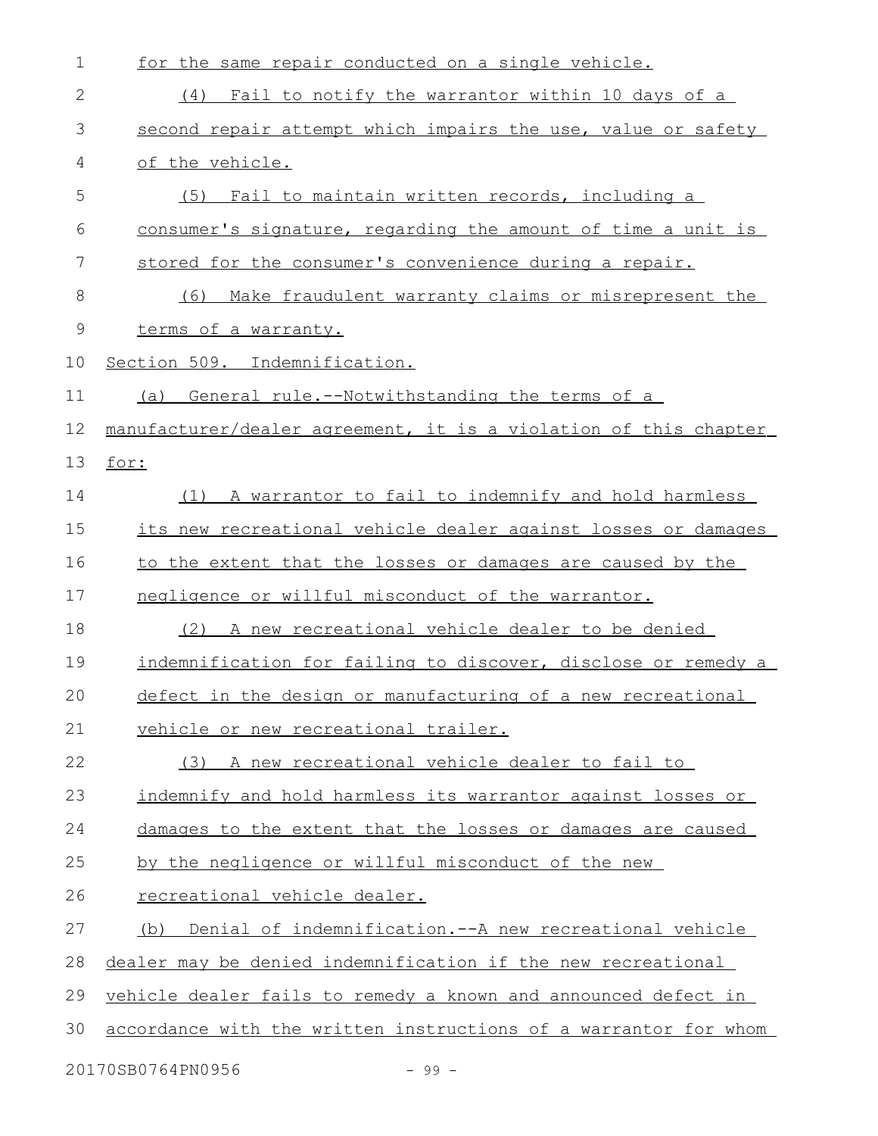| $\mathbf 1$   | for the same repair conducted on a single vehicle.               |
|---------------|------------------------------------------------------------------|
| $\mathbf{2}$  | Fail to notify the warrantor within 10 days of a<br>(4)          |
| 3             | second repair attempt which impairs the use, value or safety     |
| 4             | of the vehicle.                                                  |
| 5             | (5) Fail to maintain written records, including a                |
| 6             | consumer's signature, regarding the amount of time a unit is     |
| 7             | stored for the consumer's convenience during a repair.           |
| 8             | Make fraudulent warranty claims or misrepresent the<br>(6)       |
| $\mathcal{G}$ | terms of a warranty.                                             |
| 10            | Section 509. Indemnification.                                    |
| 11            | General rule.--Notwithstanding the terms of a<br>(a)             |
| 12            | manufacturer/dealer agreement, it is a violation of this chapter |
| 13            | for:                                                             |
| 14            | (1) A warrantor to fail to indemnify and hold harmless           |
| 15            | its new recreational vehicle dealer against losses or damages    |
| 16            | to the extent that the losses or damages are caused by the       |
| 17            | negligence or willful misconduct of the warrantor.               |
| 18            | A new recreational vehicle dealer to be denied<br>(2)            |
| 19            | indemnification for failing to discover, disclose or remedy a    |
| 20            | defect in the design or manufacturing of a new recreational      |
| 21            | vehicle or new recreational trailer.                             |
| 22            | (3) A new recreational vehicle dealer to fail to                 |
| 23            | indemnify and hold harmless its warrantor against losses or      |
| 24            | damages to the extent that the losses or damages are caused      |
| 25            | by the negligence or willful misconduct of the new               |
| 26            | recreational vehicle dealer.                                     |
| 27            | Denial of indemnification. -- A new recreational vehicle<br>(b)  |
| 28            | dealer may be denied indemnification if the new recreational     |
| 29            | vehicle dealer fails to remedy a known and announced defect in   |
| 30            | accordance with the written instructions of a warrantor for whom |
|               |                                                                  |

20170SB0764PN0956 - 99 -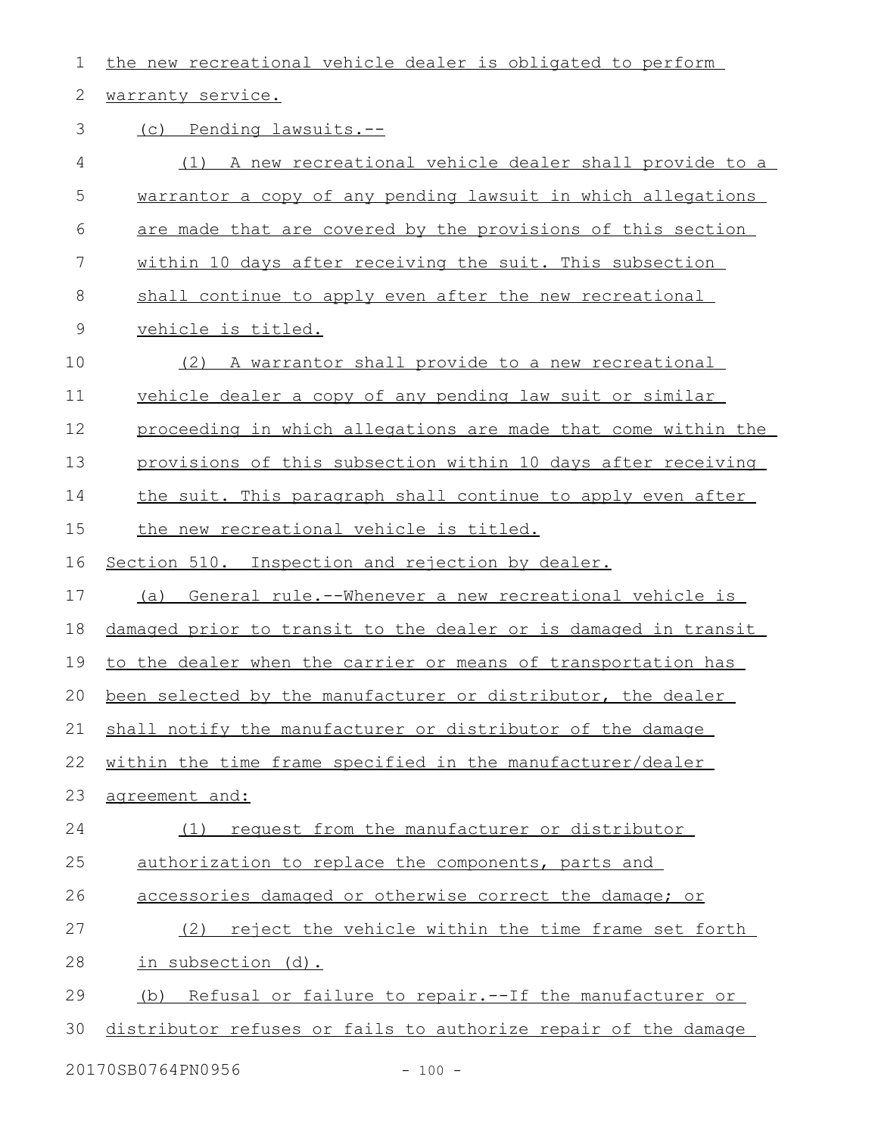| 1           | the new recreational vehicle dealer is obligated to perform     |
|-------------|-----------------------------------------------------------------|
| 2           | warranty service.                                               |
| 3           | (c) Pending lawsuits.--                                         |
| 4           | (1) A new recreational vehicle dealer shall provide to a        |
| 5           | warrantor a copy of any pending lawsuit in which allegations    |
| 6           | are made that are covered by the provisions of this section     |
| 7           | within 10 days after receiving the suit. This subsection        |
| $8\,$       | shall continue to apply even after the new recreational         |
| $\mathsf 9$ | vehicle is titled.                                              |
| 10          | A warrantor shall provide to a new recreational<br>(2)          |
| 11          | vehicle dealer a copy of any pending law suit or similar        |
| 12          | proceeding in which allegations are made that come within the   |
| 13          | provisions of this subsection within 10 days after receiving    |
| 14          | the suit. This paragraph shall continue to apply even after     |
| 15          | the new recreational vehicle is titled.                         |
| 16          | Section 510. Inspection and rejection by dealer.                |
| 17          | (a) General rule.--Whenever a new recreational vehicle is       |
| 18          | damaged prior to transit to the dealer or is damaged in transit |
| 19          | to the dealer when the carrier or means of transportation has   |
|             | 20 been selected by the manufacturer or distributor, the dealer |
| 21          | shall notify the manufacturer or distributor of the damage      |
| 22          | within the time frame specified in the manufacturer/dealer      |
| 23          | agreement and:                                                  |
| 24          | request from the manufacturer or distributor<br>(1)             |
| 25          | authorization to replace the components, parts and              |
| 26          | accessories damaged or otherwise correct the damage; or         |
| 27          | reject the vehicle within the time frame set forth<br>(2)       |
| 28          | in subsection (d).                                              |
| 29          | Refusal or failure to repair. -- If the manufacturer or<br>(b)  |
| 30          | distributor refuses or fails to authorize repair of the damage  |
|             |                                                                 |

20170SB0764PN0956 - 100 -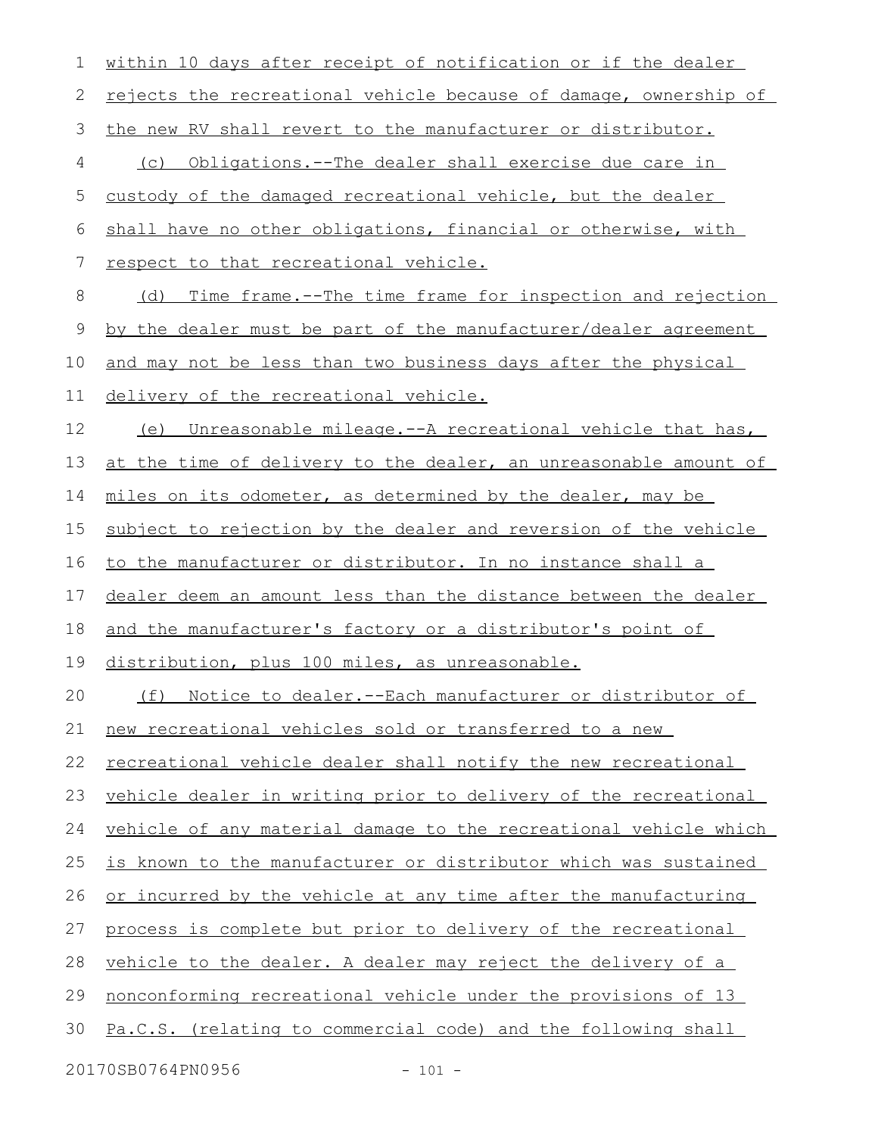| 1           | within 10 days after receipt of notification or if the dealer        |
|-------------|----------------------------------------------------------------------|
| 2           | rejects the recreational vehicle because of damage, ownership of     |
| 3           | the new RV shall revert to the manufacturer or distributor.          |
| 4           | (c) Obligations.--The dealer shall exercise due care in              |
| 5           | custody of the damaged recreational vehicle, but the dealer          |
| 6           | shall have no other obligations, financial or otherwise, with        |
| 7           | respect to that recreational vehicle.                                |
| 8           | (d) Time frame.--The time frame for inspection and rejection         |
| $\mathsf 9$ | by the dealer must be part of the manufacturer/dealer agreement      |
| 10          | and may not be less than two business days after the physical        |
| 11          | delivery of the recreational vehicle.                                |
| 12          | (e) Unreasonable mileage.--A recreational vehicle that has,          |
| 13          | at the time of delivery to the dealer, an unreasonable amount of     |
| 14          | miles on its odometer, as determined by the dealer, may be           |
| 15          | subject to rejection by the dealer and reversion of the vehicle      |
| 16          | to the manufacturer or distributor. In no instance shall a           |
| 17          | dealer deem an amount less than the distance between the dealer      |
| 18          | and the manufacturer's factory or a distributor's point of           |
| 19          | distribution, plus 100 miles, as unreasonable.                       |
| 20          | Notice to dealer. -- Each manufacturer or distributor of<br>(f)      |
| 21          | new recreational vehicles sold or transferred to a new               |
| 22          | <u>recreational vehicle dealer shall notify the new recreational</u> |
| 23          | vehicle dealer in writing prior to delivery of the recreational      |
| 24          | vehicle of any material damage to the recreational vehicle which     |
| 25          | is known to the manufacturer or distributor which was sustained      |
| 26          | or incurred by the vehicle at any time after the manufacturing       |
| 27          | process is complete but prior to delivery of the recreational        |
| 28          | vehicle to the dealer. A dealer may reject the delivery of a         |
| 29          | <u>nonconforming recreational vehicle under the provisions of 13</u> |
| 30          | Pa.C.S. (relating to commercial code) and the following shall        |
|             |                                                                      |

20170SB0764PN0956 - 101 -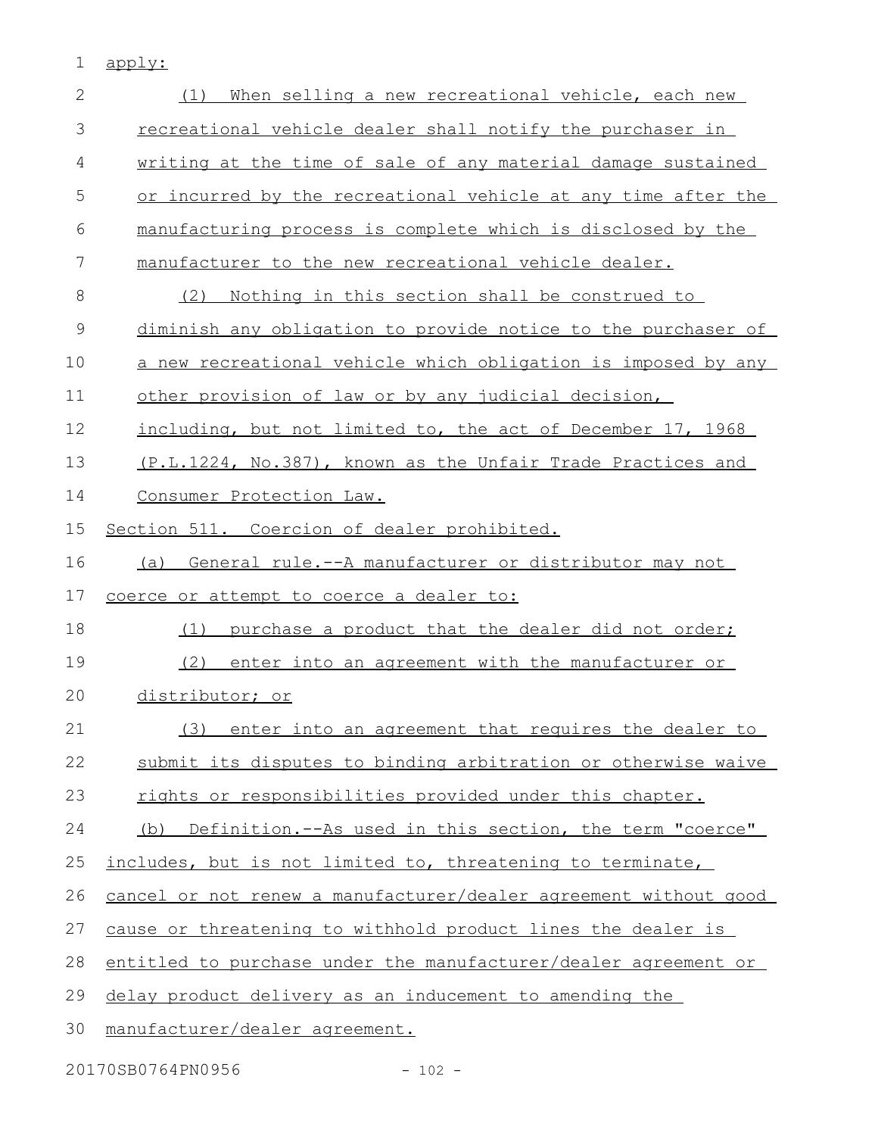1 apply:

| $\mathbf{2}$ | When selling a new recreational vehicle, each new<br>(1)         |
|--------------|------------------------------------------------------------------|
| 3            | recreational vehicle dealer shall notify the purchaser in        |
| 4            | writing at the time of sale of any material damage sustained     |
| 5            | or incurred by the recreational vehicle at any time after the    |
| 6            | manufacturing process is complete which is disclosed by the      |
| 7            | manufacturer to the new recreational vehicle dealer.             |
| 8            | Nothing in this section shall be construed to<br>(2)             |
| $\mathsf 9$  | diminish any obligation to provide notice to the purchaser of    |
| 10           | a new recreational vehicle which obligation is imposed by any    |
| 11           | other provision of law or by any judicial decision,              |
| 12           | including, but not limited to, the act of December 17, 1968      |
| 13           | (P.L.1224, No.387), known as the Unfair Trade Practices and      |
| 14           | Consumer Protection Law.                                         |
| 15           | Section 511. Coercion of dealer prohibited.                      |
| 16           | (a) General rule.--A manufacturer or distributor may not         |
| 17           | coerce or attempt to coerce a dealer to:                         |
| 18           | purchase a product that the dealer did not order;<br>(1)         |
| 19           | (2)<br>enter into an agreement with the manufacturer or          |
| 20           | distributor; or                                                  |
| 21           | (3) enter into an agreement that requires the dealer to          |
| 22           | submit its disputes to binding arbitration or otherwise waive    |
| 23           | rights or responsibilities provided under this chapter.          |
| 24           | (b) Definition.--As used in this section, the term "coerce"      |
| 25           | includes, but is not limited to, threatening to terminate,       |
| 26           | cancel or not renew a manufacturer/dealer agreement without good |
| 27           | cause or threatening to withhold product lines the dealer is     |
| 28           | entitled to purchase under the manufacturer/dealer agreement or  |
| 29           | delay product delivery as an inducement to amending the          |
| 30           | manufacturer/dealer agreement.                                   |

20170SB0764PN0956 - 102 -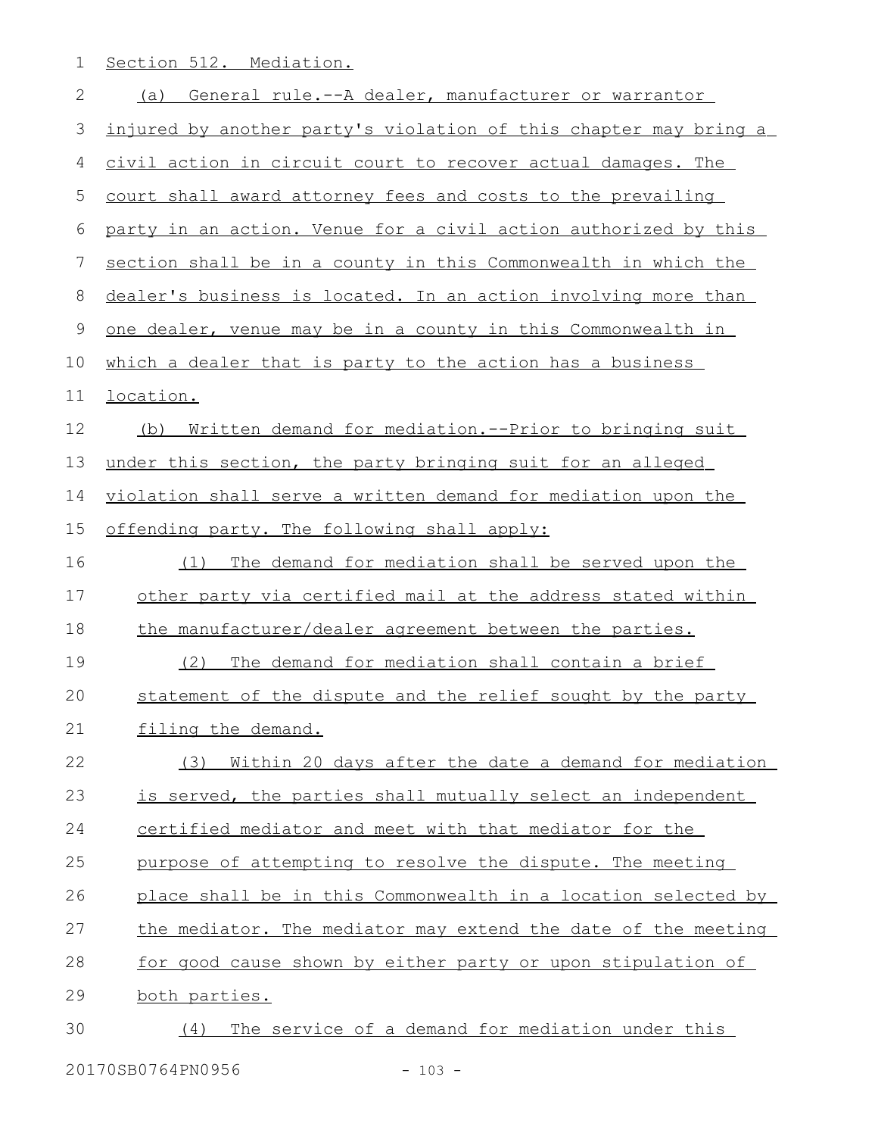1 Section 512. Mediation.

| 2  | General rule.--A dealer, manufacturer or warrantor<br>(a)           |
|----|---------------------------------------------------------------------|
| 3  | injured by another party's violation of this chapter may bring a    |
| 4  | civil action in circuit court to recover actual damages. The        |
| 5  | court shall award attorney fees and costs to the prevailing         |
| 6  | party in an action. Venue for a civil action authorized by this     |
| 7  | section shall be in a county in this Commonwealth in which the      |
| 8  | dealer's business is located. In an action involving more than      |
| 9  | one dealer, venue may be in a county in this Commonwealth in        |
| 10 | which a dealer that is party to the action has a business           |
| 11 | location.                                                           |
| 12 | <u>Written demand for mediation.--Prior to bringing suit</u><br>(b) |
| 13 | under this section, the party bringing suit for an alleged          |
| 14 | violation shall serve a written demand for mediation upon the       |
| 15 | offending party. The following shall apply:                         |
| 16 | The demand for mediation shall be served upon the<br>(1)            |
| 17 | other party via certified mail at the address stated within         |
| 18 | the manufacturer/dealer agreement between the parties.              |
| 19 | The demand for mediation shall contain a brief<br>(2)               |
| 20 | statement of the dispute and the relief sought by the party         |
| 21 | filing the demand.                                                  |
| 22 | Within 20 days after the date a demand for mediation<br>(3)         |
| 23 | is served, the parties shall mutually select an independent         |
| 24 | certified mediator and meet with that mediator for the              |
| 25 | purpose of attempting to resolve the dispute. The meeting           |
| 26 | place shall be in this Commonwealth in a location selected by       |
| 27 | the mediator. The mediator may extend the date of the meeting       |
| 28 | for good cause shown by either party or upon stipulation of         |
| 29 | both parties.                                                       |
| 30 | The service of a demand for mediation under this<br>(4)             |
|    |                                                                     |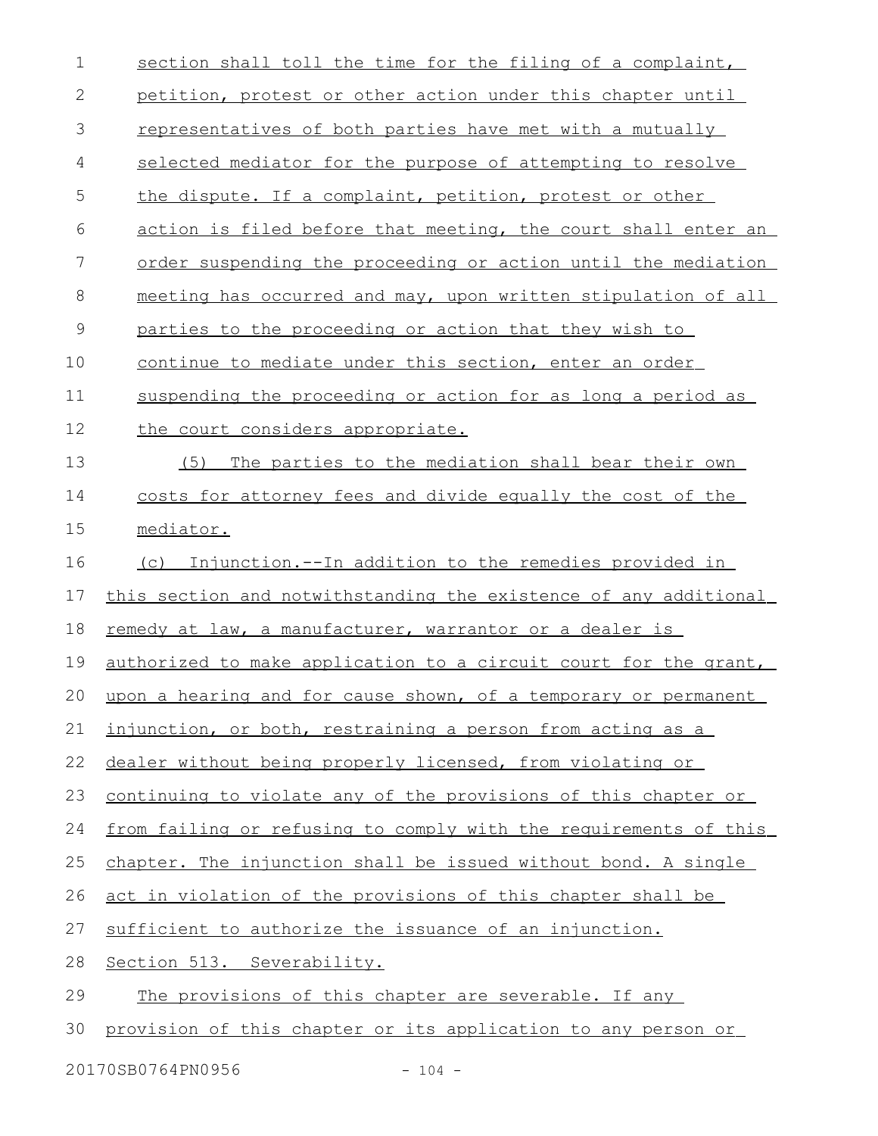| $\mathbf 1$   | section shall toll the time for the filing of a complaint,            |
|---------------|-----------------------------------------------------------------------|
| $\mathbf{2}$  | petition, protest or other action under this chapter until            |
| 3             | representatives of both parties have met with a mutually              |
| 4             | selected mediator for the purpose of attempting to resolve            |
| 5             | the dispute. If a complaint, petition, protest or other               |
| 6             | action is filed before that meeting, the court shall enter an         |
| 7             | order suspending the proceeding or action until the mediation         |
| 8             | meeting has occurred and may, upon written stipulation of all         |
| $\mathcal{G}$ | parties to the proceeding or action that they wish to                 |
| 10            | continue to mediate under this section, enter an order                |
| 11            | suspending the proceeding or action for as long a period as           |
| 12            | the court considers appropriate.                                      |
| 13            | The parties to the mediation shall bear their own<br>(5)              |
| 14            | costs for attorney fees and divide equally the cost of the            |
| 15            | mediator.                                                             |
| 16            | (c) Injunction.--In addition to the remedies provided in              |
| 17            | this section and notwithstanding the existence of any additional      |
| 18            | remedy at law, a manufacturer, warrantor or a dealer is               |
| 19            | authorized to make application to a circuit court for the grant,      |
|               | 20 upon a hearing and for cause shown, of a temporary or permanent    |
| 21            | injunction, or both, restraining a person from acting as a            |
| 22            | dealer without being properly licensed, from violating or             |
| 23            | <u>continuing to violate any of the provisions of this chapter or</u> |
| 24            | from failing or refusing to comply with the requirements of this      |
| 25            | chapter. The injunction shall be issued without bond. A single        |
| 26            | act in violation of the provisions of this chapter shall be           |
| 27            | sufficient to authorize the issuance of an injunction.                |
| 28            | Section 513. Severability.                                            |
| 29            | The provisions of this chapter are severable. If any                  |
| 30            | provision of this chapter or its application to any person or         |
|               |                                                                       |

20170SB0764PN0956 - 104 -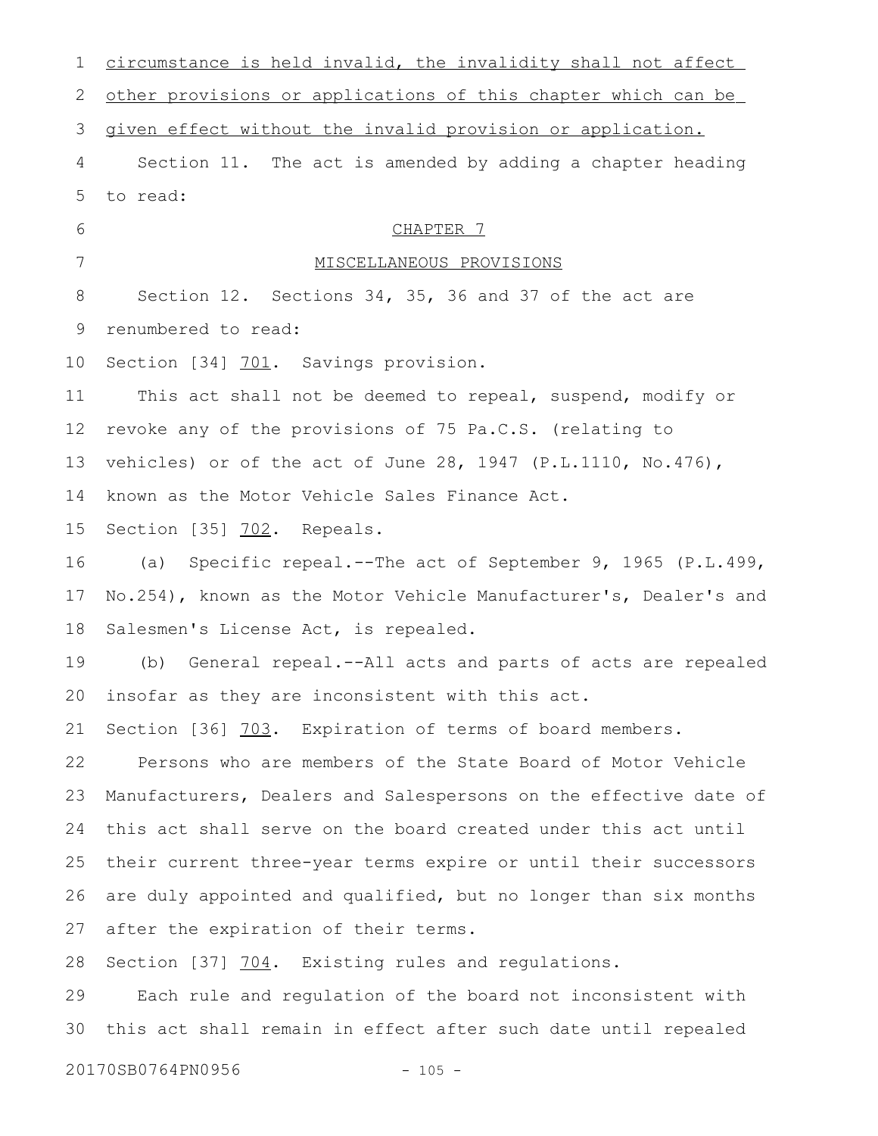| 1  | circumstance is held invalid, the invalidity shall not affect    |
|----|------------------------------------------------------------------|
| 2  | other provisions or applications of this chapter which can be    |
| 3  | given effect without the invalid provision or application.       |
| 4  | Section 11. The act is amended by adding a chapter heading       |
| 5  | to read:                                                         |
| 6  | CHAPTER 7                                                        |
| 7  | MISCELLANEOUS PROVISIONS                                         |
| 8  | Section 12. Sections 34, 35, 36 and 37 of the act are            |
| 9  | renumbered to read:                                              |
| 10 | Section [34] 701. Savings provision.                             |
| 11 | This act shall not be deemed to repeal, suspend, modify or       |
| 12 | revoke any of the provisions of 75 Pa.C.S. (relating to          |
| 13 | vehicles) or of the act of June 28, 1947 (P.L.1110, No.476),     |
| 14 | known as the Motor Vehicle Sales Finance Act.                    |
| 15 | Section [35] 702. Repeals.                                       |
| 16 | Specific repeal.--The act of September 9, 1965 (P.L.499,<br>(a)  |
| 17 | No.254), known as the Motor Vehicle Manufacturer's, Dealer's and |
| 18 | Salesmen's License Act, is repealed.                             |
| 19 | General repeal.--All acts and parts of acts are repealed<br>(b)  |
|    | 20 insofar as they are inconsistent with this act.               |
| 21 | Section [36] 703. Expiration of terms of board members.          |
| 22 | Persons who are members of the State Board of Motor Vehicle      |
| 23 | Manufacturers, Dealers and Salespersons on the effective date of |
| 24 | this act shall serve on the board created under this act until   |
| 25 | their current three-year terms expire or until their successors  |
| 26 | are duly appointed and qualified, but no longer than six months  |
| 27 | after the expiration of their terms.                             |
| 28 | Section [37] 704. Existing rules and regulations.                |
| 29 | Each rule and regulation of the board not inconsistent with      |
| 30 | this act shall remain in effect after such date until repealed   |

20170SB0764PN0956 - 105 -